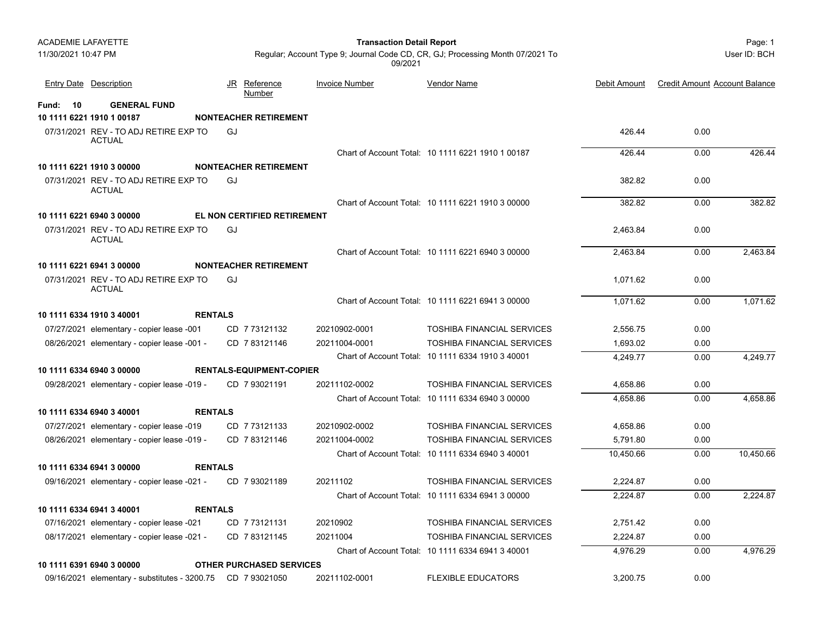Page: 1 **Transaction Detail Report**

User ID: BCH

Regular; Account Type 9; Journal Code CD, CR, GJ; Processing Month 07/2021 To 09/2021

|                | <b>Entry Date</b> Description                          |                | JR Reference<br><b>Number</b>   | <b>Invoice Number</b> | <b>Vendor Name</b>                                | Debit Amount | <b>Credit Amount Account Balance</b> |           |
|----------------|--------------------------------------------------------|----------------|---------------------------------|-----------------------|---------------------------------------------------|--------------|--------------------------------------|-----------|
| $-10$<br>Fund: | <b>GENERAL FUND</b>                                    |                |                                 |                       |                                                   |              |                                      |           |
|                | 10 1111 6221 1910 1 00187                              |                | <b>NONTEACHER RETIREMENT</b>    |                       |                                                   |              |                                      |           |
|                | 07/31/2021 REV - TO ADJ RETIRE EXP TO<br><b>ACTUAL</b> |                | GJ                              |                       |                                                   | 426.44       | 0.00                                 |           |
|                |                                                        |                |                                 |                       | Chart of Account Total: 10 1111 6221 1910 1 00187 | 426.44       | 0.00                                 | 426.44    |
|                | 10 1111 6221 1910 3 00000                              |                | <b>NONTEACHER RETIREMENT</b>    |                       |                                                   |              |                                      |           |
|                | 07/31/2021 REV - TO ADJ RETIRE EXP TO<br><b>ACTUAL</b> |                | GJ                              |                       |                                                   | 382.82       | 0.00                                 |           |
|                |                                                        |                |                                 |                       | Chart of Account Total: 10 1111 6221 1910 3 00000 | 382.82       | 0.00                                 | 382.82    |
|                | 10 1111 6221 6940 3 00000                              |                | EL NON CERTIFIED RETIREMENT     |                       |                                                   |              |                                      |           |
|                | 07/31/2021 REV - TO ADJ RETIRE EXP TO<br><b>ACTUAL</b> |                | GJ                              |                       |                                                   | 2,463.84     | 0.00                                 |           |
|                |                                                        |                |                                 |                       | Chart of Account Total: 10 1111 6221 6940 3 00000 | 2.463.84     | 0.00                                 | 2,463.84  |
|                | 10 1111 6221 6941 3 00000                              |                | <b>NONTEACHER RETIREMENT</b>    |                       |                                                   |              |                                      |           |
|                | 07/31/2021 REV - TO ADJ RETIRE EXP TO<br><b>ACTUAL</b> |                | GJ                              |                       |                                                   | 1.071.62     | 0.00                                 |           |
|                |                                                        |                |                                 |                       | Chart of Account Total: 10 1111 6221 6941 3 00000 | 1.071.62     | 0.00                                 | 1,071.62  |
|                | 10 1111 6334 1910 3 40001                              | <b>RENTALS</b> |                                 |                       |                                                   |              |                                      |           |
|                | 07/27/2021 elementary - copier lease -001              |                | CD 7 73121132                   | 20210902-0001         | <b>TOSHIBA FINANCIAL SERVICES</b>                 | 2,556.75     | 0.00                                 |           |
|                | 08/26/2021 elementary - copier lease -001 -            |                | CD 783121146                    | 20211004-0001         | <b>TOSHIBA FINANCIAL SERVICES</b>                 | 1,693.02     | 0.00                                 |           |
|                |                                                        |                |                                 |                       | Chart of Account Total: 10 1111 6334 1910 3 40001 | 4.249.77     | 0.00                                 | 4.249.77  |
|                | 10 1111 6334 6940 3 00000                              |                | <b>RENTALS-EQUIPMENT-COPIER</b> |                       |                                                   |              |                                      |           |
|                | 09/28/2021 elementary - copier lease -019 -            |                | CD 7 93021191                   | 20211102-0002         | <b>TOSHIBA FINANCIAL SERVICES</b>                 | 4.658.86     | 0.00                                 |           |
|                |                                                        |                |                                 |                       | Chart of Account Total: 10 1111 6334 6940 3 00000 | 4.658.86     | 0.00                                 | 4.658.86  |
|                | 10 1111 6334 6940 3 40001                              | <b>RENTALS</b> |                                 |                       |                                                   |              |                                      |           |
|                | 07/27/2021 elementary - copier lease -019              |                | CD 7 73121133                   | 20210902-0002         | <b>TOSHIBA FINANCIAL SERVICES</b>                 | 4,658.86     | 0.00                                 |           |
|                | 08/26/2021 elementary - copier lease -019 -            |                | CD 783121146                    | 20211004-0002         | <b>TOSHIBA FINANCIAL SERVICES</b>                 | 5,791.80     | 0.00                                 |           |
|                |                                                        |                |                                 |                       | Chart of Account Total: 10 1111 6334 6940 3 40001 | 10.450.66    | 0.00                                 | 10,450.66 |
|                | 10 1111 6334 6941 3 00000                              | <b>RENTALS</b> |                                 |                       |                                                   |              |                                      |           |
|                | 09/16/2021 elementary - copier lease -021 -            |                | CD 793021189                    | 20211102              | <b>TOSHIBA FINANCIAL SERVICES</b>                 | 2.224.87     | 0.00                                 |           |
|                |                                                        |                |                                 |                       | Chart of Account Total: 10 1111 6334 6941 3 00000 | 2.224.87     | 0.00                                 | 2.224.87  |
|                | 10 1111 6334 6941 3 40001                              | <b>RENTALS</b> |                                 |                       |                                                   |              |                                      |           |
|                | 07/16/2021 elementary - copier lease -021              |                | CD 773121131                    | 20210902              | <b>TOSHIBA FINANCIAL SERVICES</b>                 | 2,751.42     | 0.00                                 |           |

**10 1111 6334 6941 3 40001 RENTALS**07/16/ elementary - copier lease -021 CD 20210902 TOSHIBA FINANCIAL SERVICES 7 73121131 2,751.42 0.00 08/17/2021 elementary - copier lease -021 - CD 7 83121145 20211004 TOSHIBA FINANCIAL SERVICES 2,224.87 0.00 Chart of Account Total: 10 1111 6334 6941 3 40001 4,976.29 0.00 4,976.29 **10 1111 6391 6940 3 00000 OTHER PURCHASED SERVICES** 09/16/2021 elementary - substitutes - 3200.75 CD 7 93021050 20211102-0001 FLEXIBLE EDUCATORS 3,200.75 0.00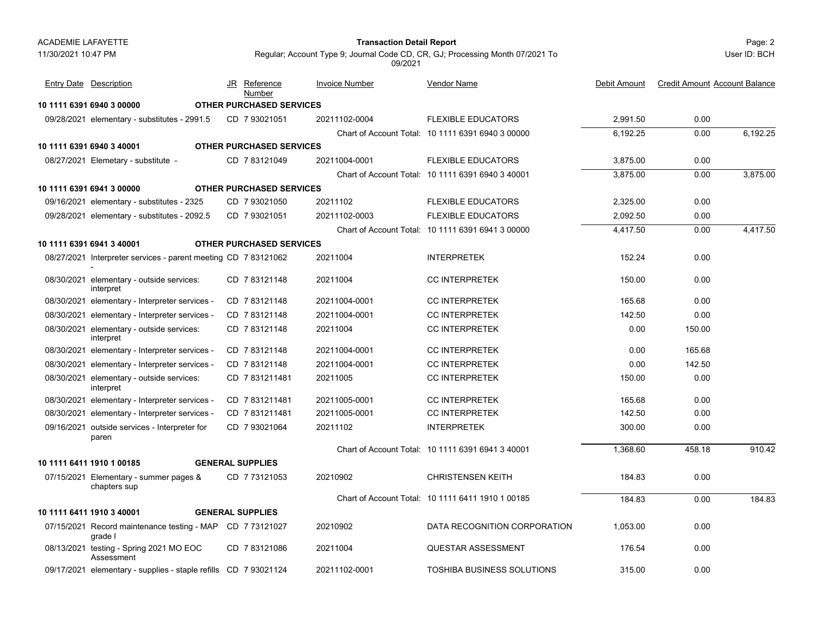#### Page: 2 **Transaction Detail Report**

User ID: BCH

Regular; Account Type 9; Journal Code CD, CR, GJ; Processing Month 07/2021 To 09/2021

| <b>Entry Date</b> Description                                        | JR Reference<br>Number          | <b>Invoice Number</b> | Vendor Name                                       | Debit Amount | <b>Credit Amount Account Balance</b> |          |
|----------------------------------------------------------------------|---------------------------------|-----------------------|---------------------------------------------------|--------------|--------------------------------------|----------|
| 10 1111 6391 6940 3 00000                                            | <b>OTHER PURCHASED SERVICES</b> |                       |                                                   |              |                                      |          |
| 09/28/2021 elementary - substitutes - 2991.5                         | CD 7 93021051                   | 20211102-0004         | <b>FLEXIBLE EDUCATORS</b>                         | 2,991.50     | 0.00                                 |          |
|                                                                      |                                 |                       | Chart of Account Total: 10 1111 6391 6940 3 00000 | 6,192.25     | 0.00                                 | 6,192.25 |
| 10 1111 6391 6940 3 40001                                            | <b>OTHER PURCHASED SERVICES</b> |                       |                                                   |              |                                      |          |
| 08/27/2021 Elemetary - substitute -                                  | CD 783121049                    | 20211004-0001         | <b>FLEXIBLE EDUCATORS</b>                         | 3,875.00     | 0.00                                 |          |
|                                                                      |                                 |                       | Chart of Account Total: 10 1111 6391 6940 3 40001 | 3,875.00     | 0.00                                 | 3,875.00 |
| 10 1111 6391 6941 3 00000                                            | <b>OTHER PURCHASED SERVICES</b> |                       |                                                   |              |                                      |          |
| 09/16/2021 elementary - substitutes - 2325                           | CD 793021050                    | 20211102              | <b>FLEXIBLE EDUCATORS</b>                         | 2,325.00     | 0.00                                 |          |
| 09/28/2021 elementary - substitutes - 2092.5                         | CD 7 93021051                   | 20211102-0003         | <b>FLEXIBLE EDUCATORS</b>                         | 2,092.50     | 0.00                                 |          |
|                                                                      |                                 |                       | Chart of Account Total: 10 1111 6391 6941 3 00000 | 4.417.50     | 0.00                                 | 4,417.50 |
| 10 1111 6391 6941 3 40001                                            | <b>OTHER PURCHASED SERVICES</b> |                       |                                                   |              |                                      |          |
| 08/27/2021 Interpreter services - parent meeting CD 7 83121062       |                                 | 20211004              | <b>INTERPRETEK</b>                                | 152.24       | 0.00                                 |          |
| 08/30/2021 elementary - outside services:<br>interpret               | CD 7 83121148                   | 20211004              | <b>CC INTERPRETEK</b>                             | 150.00       | 0.00                                 |          |
| 08/30/2021 elementary - Interpreter services -                       | CD 7 83121148                   | 20211004-0001         | <b>CC INTERPRETEK</b>                             | 165.68       | 0.00                                 |          |
| 08/30/2021 elementary - Interpreter services -                       | CD 783121148                    | 20211004-0001         | <b>CC INTERPRETEK</b>                             | 142.50       | 0.00                                 |          |
| 08/30/2021 elementary - outside services:<br>interpret               | CD 783121148                    | 20211004              | <b>CC INTERPRETEK</b>                             | 0.00         | 150.00                               |          |
| 08/30/2021 elementary - Interpreter services -                       | CD 783121148                    | 20211004-0001         | <b>CC INTERPRETEK</b>                             | 0.00         | 165.68                               |          |
| 08/30/2021 elementary - Interpreter services -                       | CD 7 83121148                   | 20211004-0001         | <b>CC INTERPRETEK</b>                             | 0.00         | 142.50                               |          |
| 08/30/2021 elementary - outside services:<br>interpret               | CD 7 831211481                  | 20211005              | <b>CC INTERPRETEK</b>                             | 150.00       | 0.00                                 |          |
| 08/30/2021 elementary - Interpreter services -                       | CD 7 831211481                  | 20211005-0001         | <b>CC INTERPRETEK</b>                             | 165.68       | 0.00                                 |          |
| 08/30/2021 elementary - Interpreter services -                       | CD 7831211481                   | 20211005-0001         | <b>CC INTERPRETEK</b>                             | 142.50       | 0.00                                 |          |
| 09/16/2021 outside services - Interpreter for<br>paren               | CD 7 93021064                   | 20211102              | <b>INTERPRETEK</b>                                | 300.00       | 0.00                                 |          |
|                                                                      |                                 |                       | Chart of Account Total: 10 1111 6391 6941 3 40001 | 1.368.60     | 458.18                               | 910.42   |
| 10 1111 6411 1910 1 00185                                            | <b>GENERAL SUPPLIES</b>         |                       |                                                   |              |                                      |          |
| 07/15/2021 Elementary - summer pages &<br>chapters sup               | CD 773121053                    | 20210902              | <b>CHRISTENSEN KEITH</b>                          | 184.83       | 0.00                                 |          |
|                                                                      |                                 |                       | Chart of Account Total: 10 1111 6411 1910 1 00185 | 184.83       | 0.00                                 | 184.83   |
| 10 1111 6411 1910 3 40001                                            | <b>GENERAL SUPPLIES</b>         |                       |                                                   |              |                                      |          |
| 07/15/2021 Record maintenance testing - MAP CD 7 73121027<br>grade l |                                 | 20210902              | DATA RECOGNITION CORPORATION                      | 1,053.00     | 0.00                                 |          |
| 08/13/2021 testing - Spring 2021 MO EOC<br>Assessment                | CD 7 83121086                   | 20211004              | <b>QUESTAR ASSESSMENT</b>                         | 176.54       | 0.00                                 |          |
| 09/17/2021 elementary - supplies - staple refills CD 7 93021124      |                                 | 20211102-0001         | <b>TOSHIBA BUSINESS SOLUTIONS</b>                 | 315.00       | 0.00                                 |          |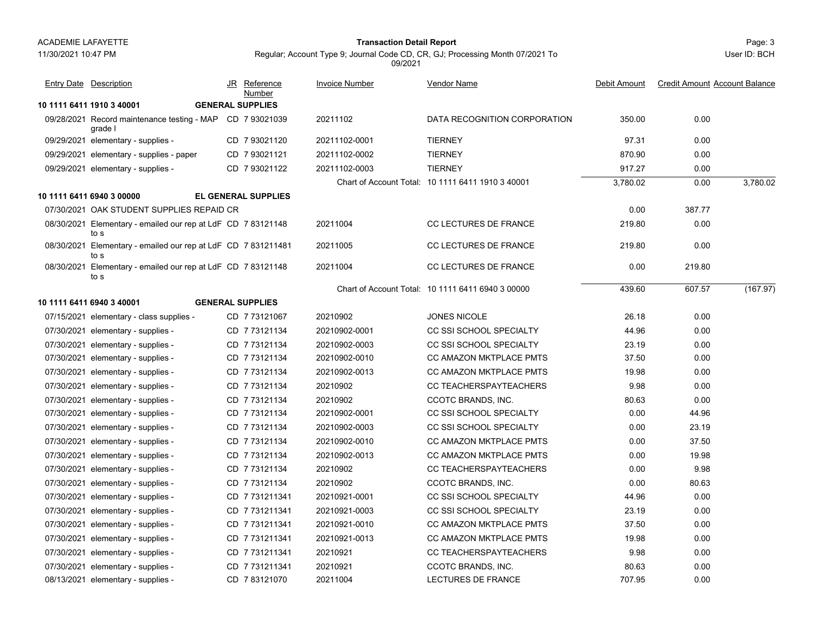11/30/2021 10:47 PM

### Page: 3 **Transaction Detail Report**

Regular; Account Type 9; Journal Code CD, CR, GJ; Processing Month 07/2021 To 09/2021

|            | <b>Entry Date Description</b>                                         | JR Reference<br>Number     | <b>Invoice Number</b> | <b>Vendor Name</b>                                | Debit Amount | <b>Credit Amount Account Balance</b> |          |
|------------|-----------------------------------------------------------------------|----------------------------|-----------------------|---------------------------------------------------|--------------|--------------------------------------|----------|
|            | 10 1111 6411 1910 3 40001                                             | <b>GENERAL SUPPLIES</b>    |                       |                                                   |              |                                      |          |
|            | 09/28/2021 Record maintenance testing - MAP CD 7 93021039<br>grade l  |                            | 20211102              | DATA RECOGNITION CORPORATION                      | 350.00       | 0.00                                 |          |
|            | 09/29/2021 elementary - supplies -                                    | CD 793021120               | 20211102-0001         | <b>TIERNEY</b>                                    | 97.31        | 0.00                                 |          |
|            | 09/29/2021 elementary - supplies - paper                              | CD 7 93021121              | 20211102-0002         | <b>TIERNEY</b>                                    | 870.90       | 0.00                                 |          |
|            | 09/29/2021 elementary - supplies -                                    | CD 793021122               | 20211102-0003         | <b>TIERNEY</b>                                    | 917.27       | 0.00                                 |          |
|            |                                                                       |                            |                       | Chart of Account Total: 10 1111 6411 1910 3 40001 | 3,780.02     | 0.00                                 | 3,780.02 |
|            | 10 1111 6411 6940 3 00000                                             | <b>EL GENERAL SUPPLIES</b> |                       |                                                   |              |                                      |          |
|            | 07/30/2021 OAK STUDENT SUPPLIES REPAID CR                             |                            |                       |                                                   | 0.00         | 387.77                               |          |
|            | 08/30/2021 Elementary - emailed our rep at LdF CD 7 83121148<br>to s  |                            | 20211004              | <b>CC LECTURES DE FRANCE</b>                      | 219.80       | 0.00                                 |          |
|            | 08/30/2021 Elementary - emailed our rep at LdF CD 7 831211481<br>to s |                            | 20211005              | CC LECTURES DE FRANCE                             | 219.80       | 0.00                                 |          |
| 08/30/2021 | Elementary - emailed our rep at LdF CD 7 83121148<br>to s             |                            | 20211004              | CC LECTURES DE FRANCE                             | 0.00         | 219.80                               |          |
|            |                                                                       |                            |                       | Chart of Account Total: 10 1111 6411 6940 3 00000 | 439.60       | 607.57                               | (167.97) |
|            | 10 1111 6411 6940 3 40001                                             | <b>GENERAL SUPPLIES</b>    |                       |                                                   |              |                                      |          |
|            | 07/15/2021 elementary - class supplies -                              | CD 773121067               | 20210902              | <b>JONES NICOLE</b>                               | 26.18        | 0.00                                 |          |
|            | 07/30/2021 elementary - supplies -                                    | CD 773121134               | 20210902-0001         | <b>CC SSI SCHOOL SPECIALTY</b>                    | 44.96        | 0.00                                 |          |
|            | 07/30/2021 elementary - supplies -                                    | CD 7 73121134              | 20210902-0003         | CC SSI SCHOOL SPECIALTY                           | 23.19        | 0.00                                 |          |
|            | 07/30/2021 elementary - supplies -                                    | CD 773121134               | 20210902-0010         | <b>CC AMAZON MKTPLACE PMTS</b>                    | 37.50        | 0.00                                 |          |
|            | 07/30/2021 elementary - supplies -                                    | CD 7 73121134              | 20210902-0013         | <b>CC AMAZON MKTPLACE PMTS</b>                    | 19.98        | 0.00                                 |          |
|            | 07/30/2021 elementary - supplies -                                    | CD 7 73121134              | 20210902              | CC TEACHERSPAYTEACHERS                            | 9.98         | 0.00                                 |          |
|            | 07/30/2021 elementary - supplies -                                    | CD 773121134               | 20210902              | CCOTC BRANDS, INC.                                | 80.63        | 0.00                                 |          |
|            | 07/30/2021 elementary - supplies -                                    | CD 773121134               | 20210902-0001         | CC SSI SCHOOL SPECIALTY                           | 0.00         | 44.96                                |          |
|            | 07/30/2021 elementary - supplies -                                    | CD 773121134               | 20210902-0003         | <b>CC SSI SCHOOL SPECIALTY</b>                    | 0.00         | 23.19                                |          |
|            | 07/30/2021 elementary - supplies -                                    | CD 7 73121134              | 20210902-0010         | <b>CC AMAZON MKTPLACE PMTS</b>                    | 0.00         | 37.50                                |          |
|            | 07/30/2021 elementary - supplies -                                    | CD 7 73121134              | 20210902-0013         | CC AMAZON MKTPLACE PMTS                           | 0.00         | 19.98                                |          |
|            | 07/30/2021 elementary - supplies -                                    | CD 773121134               | 20210902              | CC TEACHERSPAYTEACHERS                            | 0.00         | 9.98                                 |          |
|            | 07/30/2021 elementary - supplies -                                    | CD 7 73121134              | 20210902              | CCOTC BRANDS, INC.                                | 0.00         | 80.63                                |          |
|            | 07/30/2021 elementary - supplies -                                    | CD 7731211341              | 20210921-0001         | CC SSI SCHOOL SPECIALTY                           | 44.96        | 0.00                                 |          |
|            | 07/30/2021 elementary - supplies -                                    | CD 7 731211341             | 20210921-0003         | <b>CC SSI SCHOOL SPECIALTY</b>                    | 23.19        | 0.00                                 |          |
|            | 07/30/2021 elementary - supplies -                                    | CD 7731211341              | 20210921-0010         | CC AMAZON MKTPLACE PMTS                           | 37.50        | 0.00                                 |          |
|            | 07/30/2021 elementary - supplies -                                    | CD 7 731211341             | 20210921-0013         | <b>CC AMAZON MKTPLACE PMTS</b>                    | 19.98        | 0.00                                 |          |
|            | 07/30/2021 elementary - supplies -                                    | CD 7731211341              | 20210921              | CC TEACHERSPAYTEACHERS                            | 9.98         | 0.00                                 |          |
|            | 07/30/2021 elementary - supplies -                                    | CD 7731211341              | 20210921              | CCOTC BRANDS, INC.                                | 80.63        | 0.00                                 |          |
|            | 08/13/2021 elementary - supplies -                                    | CD 783121070               | 20211004              | <b>LECTURES DE FRANCE</b>                         | 707.95       | 0.00                                 |          |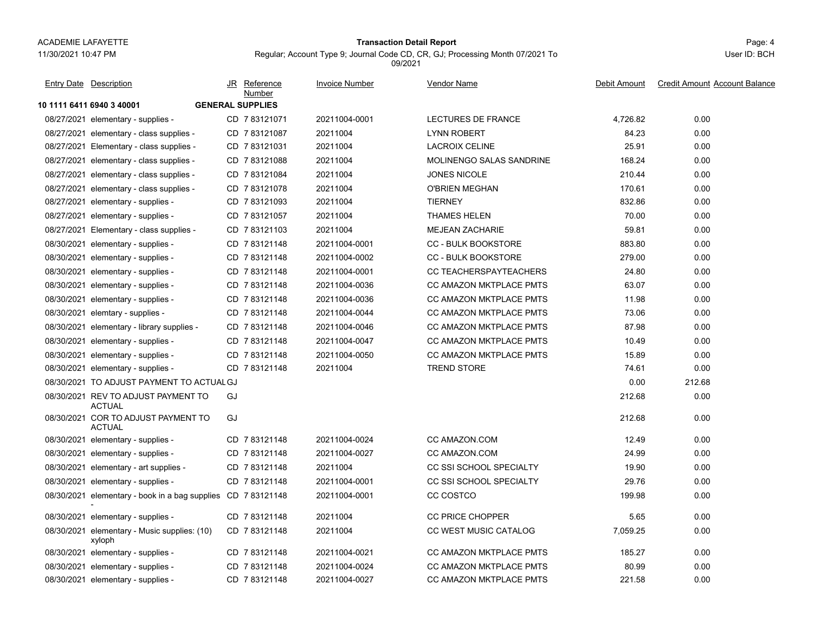#### Page: 4 **Transaction Detail Report**

**Invoice Number** 

JR Reference

Regular; Account Type 9; Journal Code CD, CR, GJ; Processing Month 07/2021 To 09/2021

Vendor Name

Entry Date Description JR Reference <u>Invoice Number</u> <u>Vendor Name</u> Debit Amount Credit Amount Account Balance

|                                                             | <u>Number</u>           |               |                                |          |        |
|-------------------------------------------------------------|-------------------------|---------------|--------------------------------|----------|--------|
| 10 1111 6411 6940 3 40001                                   | <b>GENERAL SUPPLIES</b> |               |                                |          |        |
| 08/27/2021 elementary - supplies -                          | CD 783121071            | 20211004-0001 | LECTURES DE FRANCE             | 4,726.82 | 0.00   |
| 08/27/2021 elementary - class supplies -                    | CD 783121087            | 20211004      | <b>LYNN ROBERT</b>             | 84.23    | 0.00   |
| 08/27/2021 Elementary - class supplies -                    | CD 7 83121031           | 20211004      | <b>LACROIX CELINE</b>          | 25.91    | 0.00   |
| 08/27/2021 elementary - class supplies -                    | CD 7 83121088           | 20211004      | MOLINENGO SALAS SANDRINE       | 168.24   | 0.00   |
| 08/27/2021 elementary - class supplies -                    | CD 7 83121084           | 20211004      | <b>JONES NICOLE</b>            | 210.44   | 0.00   |
| 08/27/2021 elementary - class supplies -                    | CD 7 83121078           | 20211004      | <b>O'BRIEN MEGHAN</b>          | 170.61   | 0.00   |
| 08/27/2021 elementary - supplies -                          | CD 7 83121093           | 20211004      | <b>TIERNEY</b>                 | 832.86   | 0.00   |
| 08/27/2021 elementary - supplies -                          | CD 7 83121057           | 20211004      | <b>THAMES HELEN</b>            | 70.00    | 0.00   |
| 08/27/2021 Elementary - class supplies -                    | CD 7 83121103           | 20211004      | <b>MEJEAN ZACHARIE</b>         | 59.81    | 0.00   |
| 08/30/2021 elementary - supplies -                          | CD 783121148            | 20211004-0001 | <b>CC - BULK BOOKSTORE</b>     | 883.80   | 0.00   |
| 08/30/2021 elementary - supplies -                          | CD 783121148            | 20211004-0002 | <b>CC - BULK BOOKSTORE</b>     | 279.00   | 0.00   |
| 08/30/2021 elementary - supplies -                          | CD 783121148            | 20211004-0001 | <b>CC TEACHERSPAYTEACHERS</b>  | 24.80    | 0.00   |
| 08/30/2021 elementary - supplies -                          | CD 783121148            | 20211004-0036 | <b>CC AMAZON MKTPLACE PMTS</b> | 63.07    | 0.00   |
| 08/30/2021 elementary - supplies -                          | CD 783121148            | 20211004-0036 | <b>CC AMAZON MKTPLACE PMTS</b> | 11.98    | 0.00   |
| 08/30/2021 elemtary - supplies -                            | CD 783121148            | 20211004-0044 | <b>CC AMAZON MKTPLACE PMTS</b> | 73.06    | 0.00   |
| 08/30/2021 elementary - library supplies -                  | CD 783121148            | 20211004-0046 | <b>CC AMAZON MKTPLACE PMTS</b> | 87.98    | 0.00   |
| 08/30/2021 elementary - supplies -                          | CD 783121148            | 20211004-0047 | <b>CC AMAZON MKTPLACE PMTS</b> | 10.49    | 0.00   |
| 08/30/2021 elementary - supplies -                          | CD 783121148            | 20211004-0050 | <b>CC AMAZON MKTPLACE PMTS</b> | 15.89    | 0.00   |
| 08/30/2021 elementary - supplies -                          | CD 783121148            | 20211004      | <b>TREND STORE</b>             | 74.61    | 0.00   |
| 08/30/2021 TO ADJUST PAYMENT TO ACTUAL GJ                   |                         |               |                                | 0.00     | 212.68 |
| 08/30/2021 REV TO ADJUST PAYMENT TO<br><b>ACTUAL</b>        | GJ                      |               |                                | 212.68   | 0.00   |
| 08/30/2021 COR TO ADJUST PAYMENT TO<br><b>ACTUAL</b>        | GJ                      |               |                                | 212.68   | 0.00   |
| 08/30/2021 elementary - supplies -                          | CD 783121148            | 20211004-0024 | CC AMAZON.COM                  | 12.49    | 0.00   |
| 08/30/2021 elementary - supplies -                          | CD 783121148            | 20211004-0027 | CC AMAZON.COM                  | 24.99    | 0.00   |
| 08/30/2021 elementary - art supplies -                      | CD 783121148            | 20211004      | CC SSI SCHOOL SPECIALTY        | 19.90    | 0.00   |
| 08/30/2021 elementary - supplies -                          | CD 783121148            | 20211004-0001 | CC SSI SCHOOL SPECIALTY        | 29.76    | 0.00   |
| 08/30/2021 elementary - book in a bag supplies CD 783121148 |                         | 20211004-0001 | CC COSTCO                      | 199.98   | 0.00   |
| 08/30/2021 elementary - supplies -                          | CD 7 83121148           | 20211004      | <b>CC PRICE CHOPPER</b>        | 5.65     | 0.00   |
| 08/30/2021 elementary - Music supplies: (10)<br>xyloph      | CD 7 83121148           | 20211004      | <b>CC WEST MUSIC CATALOG</b>   | 7,059.25 | 0.00   |
| 08/30/2021 elementary - supplies -                          | CD 783121148            | 20211004-0021 | <b>CC AMAZON MKTPLACE PMTS</b> | 185.27   | 0.00   |
| 08/30/2021 elementary - supplies -                          | CD 783121148            | 20211004-0024 | <b>CC AMAZON MKTPLACE PMTS</b> | 80.99    | 0.00   |
|                                                             |                         |               |                                |          |        |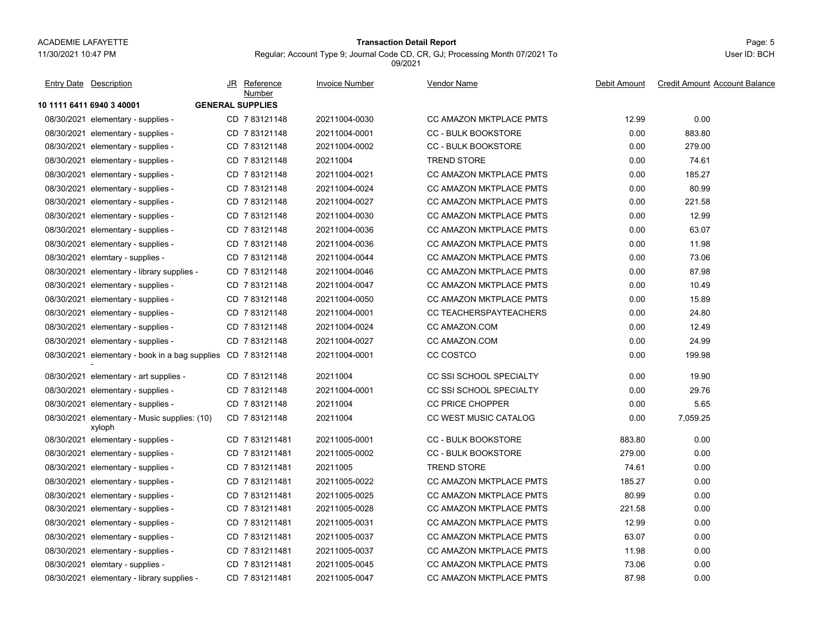#### 11/30/2021 10:47 PM

### Page: 5 **Transaction Detail Report**

Regular; Account Type 9; Journal Code CD, CR, GJ; Processing Month 07/2021 To 09/2021

| <b>Entry Date Description</b>                               | JR Reference<br>Number  | <b>Invoice Number</b> | <u>Vendor Name</u>             | Debit Amount | <b>Credit Amount Account Balance</b> |
|-------------------------------------------------------------|-------------------------|-----------------------|--------------------------------|--------------|--------------------------------------|
| 10 1111 6411 6940 3 40001                                   | <b>GENERAL SUPPLIES</b> |                       |                                |              |                                      |
| 08/30/2021 elementary - supplies -                          | CD 783121148            | 20211004-0030         | <b>CC AMAZON MKTPLACE PMTS</b> | 12.99        | 0.00                                 |
| 08/30/2021 elementary - supplies -                          | CD 783121148            | 20211004-0001         | <b>CC - BULK BOOKSTORE</b>     | 0.00         | 883.80                               |
| 08/30/2021 elementary - supplies -                          | CD 783121148            | 20211004-0002         | <b>CC - BULK BOOKSTORE</b>     | 0.00         | 279.00                               |
| 08/30/2021 elementary - supplies -                          | CD 783121148            | 20211004              | <b>TREND STORE</b>             | 0.00         | 74.61                                |
| 08/30/2021 elementary - supplies -                          | CD 7 83121148           | 20211004-0021         | CC AMAZON MKTPLACE PMTS        | 0.00         | 185.27                               |
| 08/30/2021 elementary - supplies -                          | CD 783121148            | 20211004-0024         | CC AMAZON MKTPLACE PMTS        | 0.00         | 80.99                                |
| 08/30/2021 elementary - supplies -                          | CD 7 83121148           | 20211004-0027         | CC AMAZON MKTPLACE PMTS        | 0.00         | 221.58                               |
| 08/30/2021 elementary - supplies -                          | CD 783121148            | 20211004-0030         | CC AMAZON MKTPLACE PMTS        | 0.00         | 12.99                                |
| 08/30/2021 elementary - supplies -                          | CD 783121148            | 20211004-0036         | <b>CC AMAZON MKTPLACE PMTS</b> | 0.00         | 63.07                                |
| 08/30/2021 elementary - supplies -                          | CD 783121148            | 20211004-0036         | CC AMAZON MKTPLACE PMTS        | 0.00         | 11.98                                |
| 08/30/2021 elemtary - supplies -                            | CD 783121148            | 20211004-0044         | <b>CC AMAZON MKTPLACE PMTS</b> | 0.00         | 73.06                                |
| 08/30/2021 elementary - library supplies -                  | CD 783121148            | 20211004-0046         | CC AMAZON MKTPLACE PMTS        | 0.00         | 87.98                                |
| 08/30/2021 elementary - supplies -                          | CD 783121148            | 20211004-0047         | CC AMAZON MKTPLACE PMTS        | 0.00         | 10.49                                |
| 08/30/2021 elementary - supplies -                          | CD 783121148            | 20211004-0050         | <b>CC AMAZON MKTPLACE PMTS</b> | 0.00         | 15.89                                |
| 08/30/2021 elementary - supplies -                          | CD 7 83121148           | 20211004-0001         | CC TEACHERSPAYTEACHERS         | 0.00         | 24.80                                |
| 08/30/2021 elementary - supplies -                          | CD 783121148            | 20211004-0024         | CC AMAZON.COM                  | 0.00         | 12.49                                |
| 08/30/2021 elementary - supplies -                          | CD 783121148            | 20211004-0027         | CC AMAZON COM                  | 0.00         | 24.99                                |
| 08/30/2021 elementary - book in a bag supplies CD 783121148 |                         | 20211004-0001         | CC COSTCO                      | 0.00         | 199.98                               |
| 08/30/2021 elementary - art supplies -                      | CD 783121148            | 20211004              | CC SSI SCHOOL SPECIALTY        | 0.00         | 19.90                                |
| 08/30/2021 elementary - supplies -                          | CD 7 83121148           | 20211004-0001         | CC SSI SCHOOL SPECIALTY        | 0.00         | 29.76                                |
| 08/30/2021 elementary - supplies -                          | CD 783121148            | 20211004              | <b>CC PRICE CHOPPER</b>        | 0.00         | 5.65                                 |
| 08/30/2021 elementary - Music supplies: (10)<br>xyloph      | CD 783121148            | 20211004              | <b>CC WEST MUSIC CATALOG</b>   | 0.00         | 7,059.25                             |
| 08/30/2021 elementary - supplies -                          | CD 7 831211481          | 20211005-0001         | <b>CC - BULK BOOKSTORE</b>     | 883.80       | 0.00                                 |
| 08/30/2021 elementary - supplies -                          | CD 7831211481           | 20211005-0002         | <b>CC - BULK BOOKSTORE</b>     | 279.00       | 0.00                                 |
| 08/30/2021 elementary - supplies -                          | CD 7 831211481          | 20211005              | TREND STORE                    | 74.61        | 0.00                                 |
| 08/30/2021 elementary - supplies -                          | CD 7 831211481          | 20211005-0022         | CC AMAZON MKTPLACE PMTS        | 185.27       | 0.00                                 |
| 08/30/2021 elementary - supplies -                          | CD 7831211481           | 20211005-0025         | <b>CC AMAZON MKTPLACE PMTS</b> | 80.99        | 0.00                                 |
| 08/30/2021 elementary - supplies -                          | CD 7 831211481          | 20211005-0028         | CC AMAZON MKTPLACE PMTS        | 221.58       | 0.00                                 |
| 08/30/2021 elementary - supplies -                          | CD 7831211481           | 20211005-0031         | <b>CC AMAZON MKTPLACE PMTS</b> | 12.99        | 0.00                                 |
| 08/30/2021 elementary - supplies -                          | CD 7831211481           | 20211005-0037         | <b>CC AMAZON MKTPLACE PMTS</b> | 63.07        | 0.00                                 |
| 08/30/2021 elementary - supplies -                          | CD 7 831211481          | 20211005-0037         | CC AMAZON MKTPLACE PMTS        | 11.98        | 0.00                                 |
| 08/30/2021 elemtary - supplies -                            | CD 7831211481           | 20211005-0045         | <b>CC AMAZON MKTPLACE PMTS</b> | 73.06        | 0.00                                 |
| 08/30/2021 elementary - library supplies -                  | CD 7831211481           | 20211005-0047         | <b>CC AMAZON MKTPLACE PMTS</b> | 87.98        | 0.00                                 |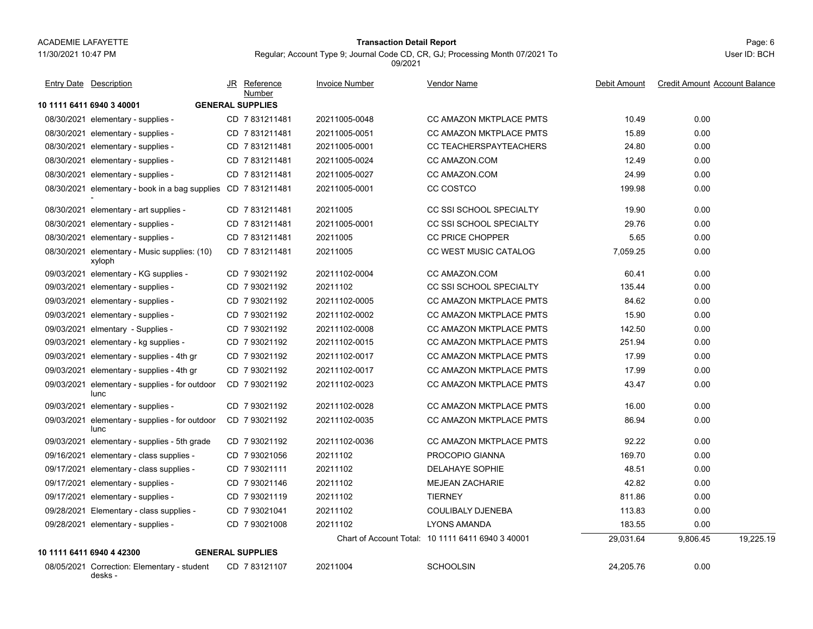### Page: 6 **Transaction Detail Report**

Regular; Account Type 9; Journal Code CD, CR, GJ; Processing Month 07/2021 To

**10 1111 6411 6940 3 40001 GENERAL SUPPLIES**08/30/2021 elementary - supplies elementary - supplies - CD 20211005-0048 CC AMAZON MKTPLACE PMTS 40.49 10.49 0.00 08/30/2021 elementary - supplies elementary - supplies - Supplies - Supplies - CD 20211005-0051 CC AMAZON MKTPLACE PMTS - 20211005-0051 08/30/2021elementary - supplies - CD 7 831211481 20211005-0001 CC TEACHERSPAYTEACHERS 24.80 0.00 08/30/2021 elementary - supplies - CD 7 831211481 20211005-0024 CC AMAZON.COM 0.00 08/30/2021 elementary - supplies - CD 7 831211481 20211005-0027 CC AMAZON.COM 24.99 0.00 08/30/2021 elementary - book in a bag supplies CD=7 831211481 20211005-0001 CC COSTCO 199.98 0.00 08/30/2021 elementary - art supplies - CD\_7 831211481 20211005 CC SSI SCHOOL SPECIALTY 0.00 08/30/2021 elementary - supplies elementary - supplies - CD 7 831211481 20211005-0001 CC SSI SCHOOL SPECIALTY - 29.76 0.00 08/30/2021 elementary - supplies - CD\_7 831211481 20211005 CC PRICE CHOPPER 5.65 0.00 08/30/2021 elementary - Music supplies: (10) CD 7 831211481 20211005 CC WEST MUSIC CATALOG 7,059.25 0.00 xyloph CD 20211005 CC WEST MUSIC CATALOG 7 831211481 09/03/2021 elementary - KG supplies - CD\_7 93021192 20211102-0004 CC AMAZON.COM 0.00 09/03/2021 elementary - supplies elementary - supplies - CD 7 93021192 CC SSI SCHOOL SPECIALTY - 20211102 135.44 0.00 09/03/2021 elementary - supplies elementary - supplies - CC AMAZON MKTPLACE PMTS - 20211102-0005 CC AMAZON MKTPLACE PMTS 09/03/2021 elementary - supplies elementary - supplies - CC AMAZON MKTPLACE PMTS - 2021 10:00 0.00 09/03/2021elmentary - Supplies - CD 7 93021192 20211102-0008 CC AMAZON MKTPLACE PMTS 3 142.50 0.00 09/03/2021elementary - kg supplies - CD 7 93021192 20211102-0015 CC AMAZON MKTPLACE PMTS 251.94 0.00 09/03/2021 elementary - supplies - 4th gr CD 7 93021192 20211102-0017 CC AMAZON MKTPLACE PMTS 17.99 0.00 09/03/2021 elementary - supplies - 4th gr CD 7 93021192 20211102-0017 CC AMAZON MKTPLACE PMTS 17.99 0.00 09/03/2021 elementary - supplies - for outdoor CD\_7 93021192 20211102-0023 CC AMAZON MKTPLACE PMTS 43.47 0.00 luncCD 20211102-0023 CC AMAZON MKTPLACE PMTS 7 93021192 09/03/2021 elementary - supplies elementary - supplies - CD 7 93021192 20211102-0028 CC AMAZON MKTPLACE PMTS 20211102-0028 09/03/2021 elementary - supplies - for outdoor CD\_7 93021192 20211102-0035 CC AMAZON MKTPLACE PMTS 86.94 0.00 luncCD 20211102-0035 CC AMAZON MKTPLACE PMTS 7 93021192 09/03/2021 elementary - supplies - 5th grade CD\_7 93021192 20211102-0036 CC AMAZON MKTPLACE PMTS 92.22 0.00 09/16/2021elementary - class supplies - CD 7 93021056 20211102 PROCOPIO GIANNA 7 969.70 169.70 0.00 09/17/2021elementary - class supplies - CD 7 93021111 20211102 DELAHAYE SOPHIE 48.51 48.51 0.00 09/17/2021 elementary - supplies - CD 7 93021146 20211102 MEJEAN ZACHARIE 0.00 09/17/2021elementary - supplies - CD 7 93021119 20211102 TIERNEY 7 930211102 0.00 09/28/2021Elementary - class supplies - CD 7 93021041 20211102 COULIBALY DJENEBA 7 93021041 0.00 09/28/2021 elementary - supplies - CD 7 93021008 20211102 LYONS AMANDA 183.55 0.00 Chart of Account Total: 10 1111 6411 6940 3 40001 29,031.64 9,806.45 19,225.19 **10 1111 6411 6940 4 42300 GENERAL SUPPLIES**08/05/2021 Correction: Elementary - student 24,205.76 0.00 CD 20211004 SCHOOLSIN 7 83121107 JR Reference Invoice Number Vendor NameDebit Amount Credit Amount Account Balance NumberEntry Date Description JR Reference <u>Invoice Number</u> <u>Vendor Name</u> Debit Amount Credit Amount

desks -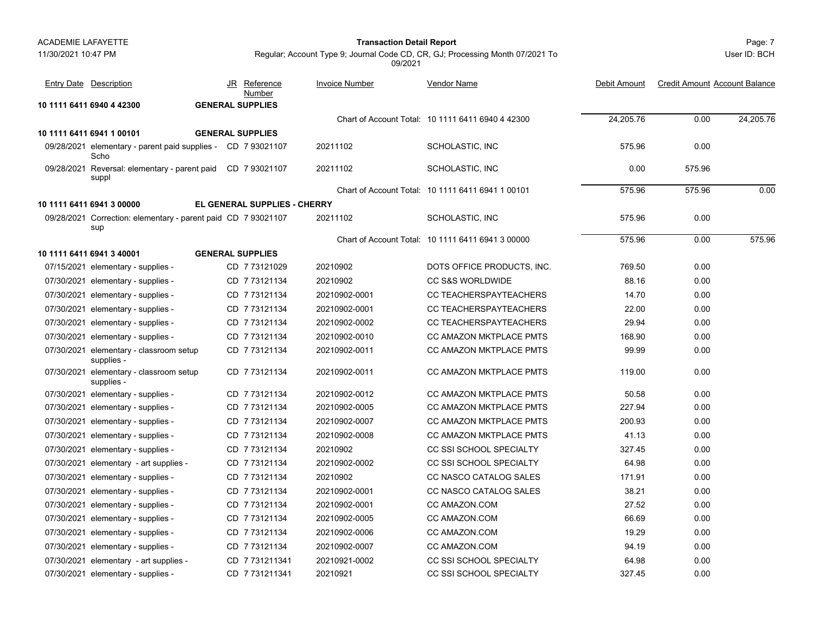11/30/2021 10:47 PM

# Page: 7 **Transaction Detail Report**

User ID: BCH

Regular; Account Type 9; Journal Code CD, CR, GJ; Processing Month 07/2021 To 09/2021

| <b>Entry Date Description</b>                                        | JR Reference<br>Number              | <b>Invoice Number</b> | <b>Vendor Name</b>                                | Debit Amount | <b>Credit Amount Account Balance</b> |           |
|----------------------------------------------------------------------|-------------------------------------|-----------------------|---------------------------------------------------|--------------|--------------------------------------|-----------|
| 10 1111 6411 6940 4 42300                                            | <b>GENERAL SUPPLIES</b>             |                       |                                                   |              |                                      |           |
|                                                                      |                                     |                       | Chart of Account Total: 10 1111 6411 6940 4 42300 | 24,205.76    | 0.00                                 | 24.205.76 |
| 10 1111 6411 6941 1 00101                                            | <b>GENERAL SUPPLIES</b>             |                       |                                                   |              |                                      |           |
| 09/28/2021 elementary - parent paid supplies - CD 7 93021107<br>Scho |                                     | 20211102              | SCHOLASTIC, INC                                   | 575.96       | 0.00                                 |           |
| 09/28/2021 Reversal: elementary - parent paid CD 7 93021107<br>suppl |                                     | 20211102              | SCHOLASTIC, INC                                   | 0.00         | 575.96                               |           |
|                                                                      |                                     |                       | Chart of Account Total: 10 1111 6411 6941 1 00101 | 575.96       | 575.96                               | 0.00      |
| 10 1111 6411 6941 3 00000                                            | <b>EL GENERAL SUPPLIES - CHERRY</b> |                       |                                                   |              |                                      |           |
| 09/28/2021 Correction: elementary - parent paid CD 7 93021107<br>sup |                                     | 20211102              | SCHOLASTIC, INC                                   | 575.96       | 0.00                                 |           |
|                                                                      |                                     |                       | Chart of Account Total: 10 1111 6411 6941 3 00000 | 575.96       | 0.00                                 | 575.96    |
| 10 1111 6411 6941 3 40001                                            | <b>GENERAL SUPPLIES</b>             |                       |                                                   |              |                                      |           |
| 07/15/2021 elementary - supplies -                                   | CD 773121029                        | 20210902              | DOTS OFFICE PRODUCTS, INC.                        | 769.50       | 0.00                                 |           |
| 07/30/2021 elementary - supplies -                                   | CD 7 73121134                       | 20210902              | <b>CC S&amp;S WORLDWIDE</b>                       | 88.16        | 0.00                                 |           |
| 07/30/2021 elementary - supplies -                                   | CD 773121134                        | 20210902-0001         | <b>CC TEACHERSPAYTEACHERS</b>                     | 14.70        | 0.00                                 |           |
| 07/30/2021 elementary - supplies -                                   | CD 7 73121134                       | 20210902-0001         | CC TEACHERSPAYTEACHERS                            | 22.00        | 0.00                                 |           |
| 07/30/2021 elementary - supplies -                                   | CD 773121134                        | 20210902-0002         | CC TEACHERSPAYTEACHERS                            | 29.94        | 0.00                                 |           |
| 07/30/2021 elementary - supplies -                                   | CD 773121134                        | 20210902-0010         | <b>CC AMAZON MKTPLACE PMTS</b>                    | 168.90       | 0.00                                 |           |
| 07/30/2021 elementary - classroom setup<br>supplies -                | CD 7 73121134                       | 20210902-0011         | CC AMAZON MKTPLACE PMTS                           | 99.99        | 0.00                                 |           |
| 07/30/2021 elementary - classroom setup<br>supplies -                | CD 7 73121134                       | 20210902-0011         | <b>CC AMAZON MKTPLACE PMTS</b>                    | 119.00       | 0.00                                 |           |
| 07/30/2021 elementary - supplies -                                   | CD 773121134                        | 20210902-0012         | CC AMAZON MKTPLACE PMTS                           | 50.58        | 0.00                                 |           |
| 07/30/2021 elementary - supplies -                                   | CD 7 73121134                       | 20210902-0005         | CC AMAZON MKTPLACE PMTS                           | 227.94       | 0.00                                 |           |
| 07/30/2021 elementary - supplies -                                   | CD 7 73121134                       | 20210902-0007         | CC AMAZON MKTPLACE PMTS                           | 200.93       | 0.00                                 |           |
| 07/30/2021 elementary - supplies -                                   | CD 7 73121134                       | 20210902-0008         | <b>CC AMAZON MKTPLACE PMTS</b>                    | 41.13        | 0.00                                 |           |
| 07/30/2021 elementary - supplies -                                   | CD 773121134                        | 20210902              | CC SSI SCHOOL SPECIALTY                           | 327.45       | 0.00                                 |           |
| 07/30/2021 elementary - art supplies -                               | CD 773121134                        | 20210902-0002         | CC SSI SCHOOL SPECIALTY                           | 64.98        | 0.00                                 |           |
| 07/30/2021 elementary - supplies -                                   | CD 7 73121134                       | 20210902              | CC NASCO CATALOG SALES                            | 171.91       | 0.00                                 |           |
| 07/30/2021 elementary - supplies -                                   | CD 7 73121134                       | 20210902-0001         | CC NASCO CATALOG SALES                            | 38.21        | 0.00                                 |           |
| 07/30/2021 elementary - supplies -                                   | CD 773121134                        | 20210902-0001         | CC AMAZON.COM                                     | 27.52        | 0.00                                 |           |
| 07/30/2021 elementary - supplies -                                   | CD 7 73121134                       | 20210902-0005         | CC AMAZON.COM                                     | 66.69        | 0.00                                 |           |
| 07/30/2021 elementary - supplies -                                   | CD 7 73121134                       | 20210902-0006         | CC AMAZON.COM                                     | 19.29        | 0.00                                 |           |
| 07/30/2021 elementary - supplies -                                   | CD 773121134                        | 20210902-0007         | CC AMAZON COM                                     | 94.19        | 0.00                                 |           |
| 07/30/2021 elementary - art supplies -                               | CD 7 731211341                      | 20210921-0002         | <b>CC SSI SCHOOL SPECIALTY</b>                    | 64.98        | 0.00                                 |           |
| 07/30/2021 elementary - supplies -                                   | CD 7731211341                       | 20210921              | CC SSI SCHOOL SPECIALTY                           | 327.45       | 0.00                                 |           |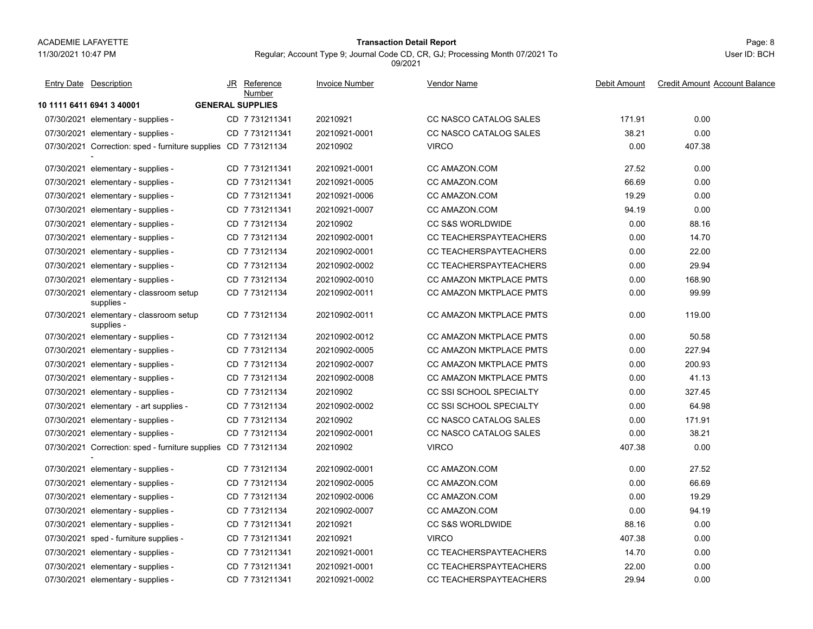11/30/2021 10:47 PM

# Page: 8 **Transaction Detail Report**

Regular; Account Type 9; Journal Code CD, CR, GJ; Processing Month 07/2021 To 09/2021

| Entry Date Description                                         | JR Reference<br>Number  | <b>Invoice Number</b> | Vendor Name                    | Debit Amount | <b>Credit Amount Account Balance</b> |
|----------------------------------------------------------------|-------------------------|-----------------------|--------------------------------|--------------|--------------------------------------|
| 10 1111 6411 6941 3 40001                                      | <b>GENERAL SUPPLIES</b> |                       |                                |              |                                      |
| 07/30/2021 elementary - supplies -                             | CD 7 731211341          | 20210921              | CC NASCO CATALOG SALES         | 171.91       | 0.00                                 |
| 07/30/2021 elementary - supplies -                             | CD 7 731211341          | 20210921-0001         | CC NASCO CATALOG SALES         | 38.21        | 0.00                                 |
| 07/30/2021 Correction: sped - furniture supplies CD 7 73121134 |                         | 20210902              | <b>VIRCO</b>                   | 0.00         | 407.38                               |
| 07/30/2021 elementary - supplies -                             | CD 7 731211341          | 20210921-0001         | CC AMAZON.COM                  | 27.52        | 0.00                                 |
| 07/30/2021 elementary - supplies -                             | CD 7731211341           | 20210921-0005         | CC AMAZON.COM                  | 66.69        | 0.00                                 |
| 07/30/2021 elementary - supplies -                             | CD 7 731211341          | 20210921-0006         | CC AMAZON.COM                  | 19.29        | 0.00                                 |
| 07/30/2021 elementary - supplies -                             | CD 7 731211341          | 20210921-0007         | CC AMAZON.COM                  | 94.19        | 0.00                                 |
| 07/30/2021 elementary - supplies -                             | CD 7 73121134           | 20210902              | <b>CC S&amp;S WORLDWIDE</b>    | 0.00         | 88.16                                |
| 07/30/2021 elementary - supplies -                             | CD 7 73121134           | 20210902-0001         | CC TEACHERSPAYTEACHERS         | 0.00         | 14.70                                |
| 07/30/2021 elementary - supplies -                             | CD 7 73121134           | 20210902-0001         | CC TEACHERSPAYTEACHERS         | 0.00         | 22.00                                |
| 07/30/2021 elementary - supplies -                             | CD 773121134            | 20210902-0002         | CC TEACHERSPAYTEACHERS         | 0.00         | 29.94                                |
| 07/30/2021 elementary - supplies -                             | CD 7 73121134           | 20210902-0010         | CC AMAZON MKTPLACE PMTS        | 0.00         | 168.90                               |
| 07/30/2021 elementary - classroom setup<br>supplies -          | CD 773121134            | 20210902-0011         | CC AMAZON MKTPLACE PMTS        | 0.00         | 99.99                                |
| 07/30/2021 elementary - classroom setup<br>supplies -          | CD 7 73121134           | 20210902-0011         | CC AMAZON MKTPLACE PMTS        | 0.00         | 119.00                               |
| 07/30/2021 elementary - supplies -                             | CD 7 73121134           | 20210902-0012         | CC AMAZON MKTPLACE PMTS        | 0.00         | 50.58                                |
| 07/30/2021 elementary - supplies -                             | CD 773121134            | 20210902-0005         | CC AMAZON MKTPLACE PMTS        | 0.00         | 227.94                               |
| 07/30/2021 elementary - supplies -                             | CD 7 73121134           | 20210902-0007         | <b>CC AMAZON MKTPLACE PMTS</b> | 0.00         | 200.93                               |
| 07/30/2021 elementary - supplies -                             | CD 773121134            | 20210902-0008         | CC AMAZON MKTPLACE PMTS        | 0.00         | 41.13                                |
| 07/30/2021 elementary - supplies -                             | CD 7 73121134           | 20210902              | CC SSI SCHOOL SPECIALTY        | 0.00         | 327.45                               |
| 07/30/2021 elementary - art supplies -                         | CD 773121134            | 20210902-0002         | CC SSI SCHOOL SPECIALTY        | 0.00         | 64.98                                |
| 07/30/2021 elementary - supplies -                             | CD 773121134            | 20210902              | CC NASCO CATALOG SALES         | 0.00         | 171.91                               |
| 07/30/2021 elementary - supplies -                             | CD 773121134            | 20210902-0001         | CC NASCO CATALOG SALES         | 0.00         | 38.21                                |
| 07/30/2021 Correction: sped - furniture supplies CD 7 73121134 |                         | 20210902              | <b>VIRCO</b>                   | 407.38       | 0.00                                 |
| 07/30/2021 elementary - supplies -                             | CD 7 73121134           | 20210902-0001         | CC AMAZON.COM                  | 0.00         | 27.52                                |
| 07/30/2021 elementary - supplies -                             | CD 7 73121134           | 20210902-0005         | CC AMAZON.COM                  | 0.00         | 66.69                                |
| 07/30/2021 elementary - supplies -                             | CD 7 73121134           | 20210902-0006         | CC AMAZON.COM                  | 0.00         | 19.29                                |
| 07/30/2021 elementary - supplies -                             | CD 773121134            | 20210902-0007         | CC AMAZON.COM                  | 0.00         | 94.19                                |
| 07/30/2021 elementary - supplies -                             | CD 7 731211341          | 20210921              | <b>CC S&amp;S WORLDWIDE</b>    | 88.16        | 0.00                                 |
| 07/30/2021 sped - furniture supplies -                         | CD 7731211341           | 20210921              | <b>VIRCO</b>                   | 407.38       | 0.00                                 |
| 07/30/2021 elementary - supplies -                             | CD 7 731211341          | 20210921-0001         | <b>CC TEACHERSPAYTEACHERS</b>  | 14.70        | 0.00                                 |
| 07/30/2021 elementary - supplies -                             | CD 7731211341           | 20210921-0001         | CC TEACHERSPAYTEACHERS         | 22.00        | 0.00                                 |
| 07/30/2021 elementary - supplies -                             | CD 7 731211341          | 20210921-0002         | <b>CC TEACHERSPAYTEACHERS</b>  | 29.94        | 0.00                                 |
|                                                                |                         |                       |                                |              |                                      |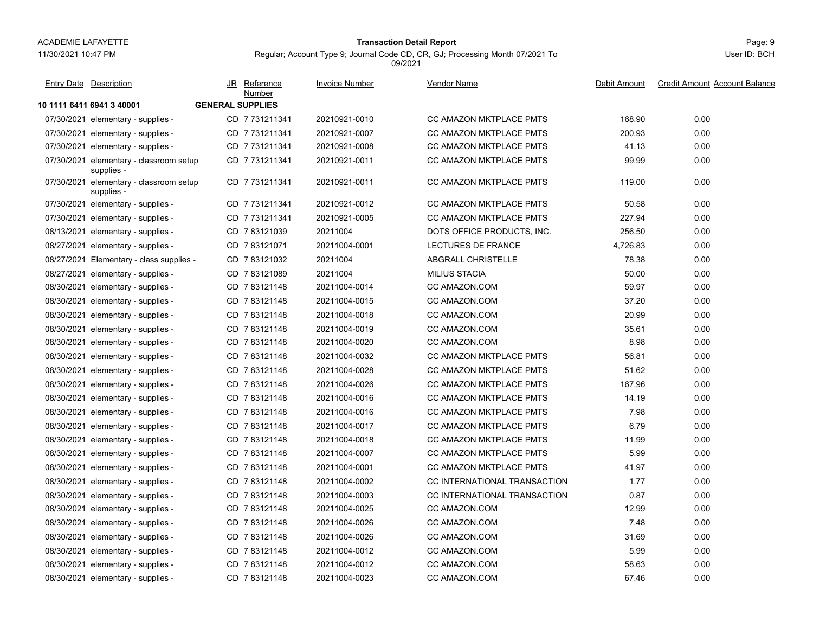11/30/2021 10:47 PM

# Page: 9 **Transaction Detail Report**

Regular; Account Type 9; Journal Code CD, CR, GJ; Processing Month 07/2021 To 09/2021

| <b>Entry Date Description</b>                         |     | JR Reference<br>Number  | <b>Invoice Number</b> | <b>Vendor Name</b>             | Debit Amount | <b>Credit Amount Account Balance</b> |
|-------------------------------------------------------|-----|-------------------------|-----------------------|--------------------------------|--------------|--------------------------------------|
| 10 1111 6411 6941 3 40001                             |     | <b>GENERAL SUPPLIES</b> |                       |                                |              |                                      |
| 07/30/2021 elementary - supplies -                    |     | CD 7731211341           | 20210921-0010         | <b>CC AMAZON MKTPLACE PMTS</b> | 168.90       | 0.00                                 |
| 07/30/2021 elementary - supplies -                    |     | CD 7731211341           | 20210921-0007         | <b>CC AMAZON MKTPLACE PMTS</b> | 200.93       | 0.00                                 |
| 07/30/2021 elementary - supplies -                    |     | CD 7 731211341          | 20210921-0008         | <b>CC AMAZON MKTPLACE PMTS</b> | 41.13        | 0.00                                 |
| 07/30/2021 elementary - classroom setup<br>supplies - |     | CD 7731211341           | 20210921-0011         | <b>CC AMAZON MKTPLACE PMTS</b> | 99.99        | 0.00                                 |
| 07/30/2021 elementary - classroom setup<br>supplies - |     | CD 7731211341           | 20210921-0011         | CC AMAZON MKTPLACE PMTS        | 119.00       | 0.00                                 |
| 07/30/2021 elementary - supplies -                    |     | CD 7 731211341          | 20210921-0012         | <b>CC AMAZON MKTPLACE PMTS</b> | 50.58        | 0.00                                 |
| 07/30/2021 elementary - supplies -                    |     | CD 7731211341           | 20210921-0005         | CC AMAZON MKTPLACE PMTS        | 227.94       | 0.00                                 |
| 08/13/2021 elementary - supplies -                    |     | CD 783121039            | 20211004              | DOTS OFFICE PRODUCTS, INC.     | 256.50       | 0.00                                 |
| 08/27/2021 elementary - supplies -                    |     | CD 7 83121071           | 20211004-0001         | LECTURES DE FRANCE             | 4,726.83     | 0.00                                 |
| 08/27/2021 Elementary - class supplies -              | CD. | 783121032               | 20211004              | ABGRALL CHRISTELLE             | 78.38        | 0.00                                 |
| 08/27/2021 elementary - supplies -                    | CD. | 783121089               | 20211004              | <b>MILIUS STACIA</b>           | 50.00        | 0.00                                 |
| 08/30/2021 elementary - supplies -                    | CD. | 783121148               | 20211004-0014         | CC AMAZON.COM                  | 59.97        | 0.00                                 |
| 08/30/2021 elementary - supplies -                    |     | CD 783121148            | 20211004-0015         | CC AMAZON.COM                  | 37.20        | 0.00                                 |
| 08/30/2021 elementary - supplies -                    |     | CD 783121148            | 20211004-0018         | CC AMAZON.COM                  | 20.99        | 0.00                                 |
| 08/30/2021 elementary - supplies -                    |     | CD 783121148            | 20211004-0019         | CC AMAZON.COM                  | 35.61        | 0.00                                 |
| 08/30/2021 elementary - supplies -                    |     | CD 783121148            | 20211004-0020         | <b>CC AMAZON.COM</b>           | 8.98         | 0.00                                 |
| 08/30/2021 elementary - supplies -                    |     | CD 783121148            | 20211004-0032         | CC AMAZON MKTPLACE PMTS        | 56.81        | 0.00                                 |
| 08/30/2021 elementary - supplies -                    |     | CD 7 83121148           | 20211004-0028         | <b>CC AMAZON MKTPLACE PMTS</b> | 51.62        | 0.00                                 |
| 08/30/2021 elementary - supplies -                    |     | CD 783121148            | 20211004-0026         | CC AMAZON MKTPLACE PMTS        | 167.96       | 0.00                                 |
| 08/30/2021 elementary - supplies -                    |     | CD 7 83121148           | 20211004-0016         | CC AMAZON MKTPLACE PMTS        | 14.19        | 0.00                                 |
| 08/30/2021 elementary - supplies -                    |     | CD 7 83121148           | 20211004-0016         | CC AMAZON MKTPLACE PMTS        | 7.98         | 0.00                                 |
| 08/30/2021 elementary - supplies -                    |     | CD 783121148            | 20211004-0017         | CC AMAZON MKTPLACE PMTS        | 6.79         | 0.00                                 |
| 08/30/2021 elementary - supplies -                    |     | CD 7 83121148           | 20211004-0018         | CC AMAZON MKTPLACE PMTS        | 11.99        | 0.00                                 |
| 08/30/2021 elementary - supplies -                    |     | CD 7 83121148           | 20211004-0007         | CC AMAZON MKTPLACE PMTS        | 5.99         | 0.00                                 |
| 08/30/2021 elementary - supplies -                    |     | CD 783121148            | 20211004-0001         | CC AMAZON MKTPLACE PMTS        | 41.97        | 0.00                                 |
| 08/30/2021 elementary - supplies -                    |     | CD 7 83121148           | 20211004-0002         | CC INTERNATIONAL TRANSACTION   | 1.77         | 0.00                                 |
| 08/30/2021 elementary - supplies -                    |     | CD 783121148            | 20211004-0003         | CC INTERNATIONAL TRANSACTION   | 0.87         | 0.00                                 |
| 08/30/2021 elementary - supplies -                    |     | CD 783121148            | 20211004-0025         | CC AMAZON.COM                  | 12.99        | 0.00                                 |
| 08/30/2021 elementary - supplies -                    |     | CD 783121148            | 20211004-0026         | CC AMAZON.COM                  | 7.48         | 0.00                                 |
| 08/30/2021 elementary - supplies -                    |     | CD 783121148            | 20211004-0026         | CC AMAZON COM                  | 31.69        | 0.00                                 |
| 08/30/2021 elementary - supplies -                    |     | CD 783121148            | 20211004-0012         | CC AMAZON.COM                  | 5.99         | 0.00                                 |
| 08/30/2021 elementary - supplies -                    |     | CD 7 83121148           | 20211004-0012         | <b>CC AMAZON COM</b>           | 58.63        | 0.00                                 |
| 08/30/2021 elementary - supplies -                    |     | CD 783121148            | 20211004-0023         | <b>CC AMAZON.COM</b>           | 67.46        | 0.00                                 |
|                                                       |     |                         |                       |                                |              |                                      |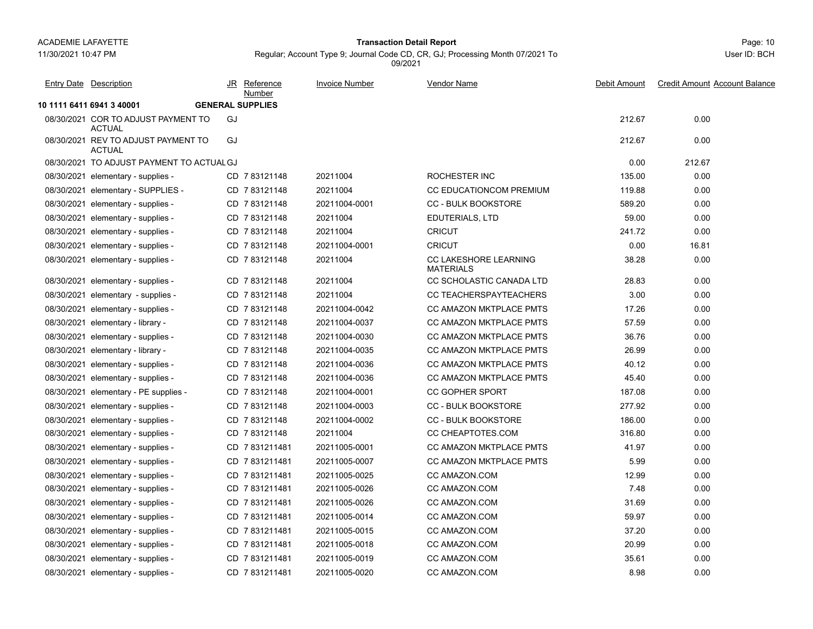11/30/2021 10:47 PM

#### Page: 10 **Transaction Detail Report**

Regular; Account Type 9; Journal Code CD, CR, GJ; Processing Month 07/2021 To 09/2021

| Entry Date Description                               | JR Reference<br>Number  | <b>Invoice Number</b> | Vendor Name                                      | Debit Amount | <b>Credit Amount Account Balance</b> |
|------------------------------------------------------|-------------------------|-----------------------|--------------------------------------------------|--------------|--------------------------------------|
| 10 1111 6411 6941 3 40001                            | <b>GENERAL SUPPLIES</b> |                       |                                                  |              |                                      |
| 08/30/2021 COR TO ADJUST PAYMENT TO<br><b>ACTUAL</b> | GJ                      |                       |                                                  | 212.67       | 0.00                                 |
| 08/30/2021 REV TO ADJUST PAYMENT TO<br><b>ACTUAL</b> | GJ                      |                       |                                                  | 212.67       | 0.00                                 |
| 08/30/2021 TO ADJUST PAYMENT TO ACTUAL GJ            |                         |                       |                                                  | 0.00         | 212.67                               |
| 08/30/2021 elementary - supplies -                   | CD 783121148            | 20211004              | ROCHESTER INC                                    | 135.00       | 0.00                                 |
| 08/30/2021 elementary - SUPPLIES -                   | CD 7 83121148           | 20211004              | <b>CC EDUCATIONCOM PREMIUM</b>                   | 119.88       | 0.00                                 |
| 08/30/2021 elementary - supplies -                   | CD 783121148            | 20211004-0001         | <b>CC - BULK BOOKSTORE</b>                       | 589.20       | 0.00                                 |
| 08/30/2021 elementary - supplies -                   | CD 783121148            | 20211004              | EDUTERIALS, LTD                                  | 59.00        | 0.00                                 |
| 08/30/2021 elementary - supplies -                   | CD 783121148            | 20211004              | <b>CRICUT</b>                                    | 241.72       | 0.00                                 |
| 08/30/2021 elementary - supplies -                   | CD 783121148            | 20211004-0001         | <b>CRICUT</b>                                    | 0.00         | 16.81                                |
| 08/30/2021 elementary - supplies -                   | CD 783121148            | 20211004              | <b>CC LAKESHORE LEARNING</b><br><b>MATERIALS</b> | 38.28        | 0.00                                 |
| 08/30/2021 elementary - supplies -                   | CD 7 83121148           | 20211004              | CC SCHOLASTIC CANADA LTD                         | 28.83        | 0.00                                 |
| 08/30/2021 elementary - supplies -                   | CD 783121148            | 20211004              | CC TEACHERSPAYTEACHERS                           | 3.00         | 0.00                                 |
| 08/30/2021 elementary - supplies -                   | CD 783121148            | 20211004-0042         | <b>CC AMAZON MKTPLACE PMTS</b>                   | 17.26        | 0.00                                 |
| 08/30/2021 elementary - library -                    | CD 783121148            | 20211004-0037         | <b>CC AMAZON MKTPLACE PMTS</b>                   | 57.59        | 0.00                                 |
| 08/30/2021 elementary - supplies -                   | CD 783121148            | 20211004-0030         | <b>CC AMAZON MKTPLACE PMTS</b>                   | 36.76        | 0.00                                 |
| 08/30/2021 elementary - library -                    | CD 783121148            | 20211004-0035         | <b>CC AMAZON MKTPLACE PMTS</b>                   | 26.99        | 0.00                                 |
| 08/30/2021 elementary - supplies -                   | CD 783121148            | 20211004-0036         | <b>CC AMAZON MKTPLACE PMTS</b>                   | 40.12        | 0.00                                 |
| 08/30/2021 elementary - supplies -                   | CD 783121148            | 20211004-0036         | CC AMAZON MKTPLACE PMTS                          | 45.40        | 0.00                                 |
| 08/30/2021 elementary - PE supplies -                | CD 783121148            | 20211004-0001         | <b>CC GOPHER SPORT</b>                           | 187.08       | 0.00                                 |
| 08/30/2021 elementary - supplies -                   | CD 7 83121148           | 20211004-0003         | <b>CC - BULK BOOKSTORE</b>                       | 277.92       | 0.00                                 |
| 08/30/2021 elementary - supplies -                   | CD 7 83121148           | 20211004-0002         | <b>CC - BULK BOOKSTORE</b>                       | 186.00       | 0.00                                 |
| 08/30/2021 elementary - supplies -                   | CD 7 83121148           | 20211004              | CC CHEAPTOTES.COM                                | 316.80       | 0.00                                 |
| 08/30/2021 elementary - supplies -                   | CD 7 831211481          | 20211005-0001         | CC AMAZON MKTPLACE PMTS                          | 41.97        | 0.00                                 |
| 08/30/2021 elementary - supplies -                   | CD 7831211481           | 20211005-0007         | <b>CC AMAZON MKTPLACE PMTS</b>                   | 5.99         | 0.00                                 |
| 08/30/2021 elementary - supplies -                   | CD 7831211481           | 20211005-0025         | CC AMAZON.COM                                    | 12.99        | 0.00                                 |
| 08/30/2021 elementary - supplies -                   | CD 7831211481           | 20211005-0026         | CC AMAZON COM                                    | 7.48         | 0.00                                 |
| 08/30/2021 elementary - supplies -                   | CD 7831211481           | 20211005-0026         | CC AMAZON COM                                    | 31.69        | 0.00                                 |
| 08/30/2021 elementary - supplies -                   | CD 7831211481           | 20211005-0014         | CC AMAZON.COM                                    | 59.97        | 0.00                                 |
| 08/30/2021 elementary - supplies -                   | CD 7831211481           | 20211005-0015         | CC AMAZON.COM                                    | 37.20        | 0.00                                 |
| 08/30/2021 elementary - supplies -                   | CD 7831211481           | 20211005-0018         | CC AMAZON.COM                                    | 20.99        | 0.00                                 |
| 08/30/2021 elementary - supplies -                   | CD 7831211481           | 20211005-0019         | CC AMAZON.COM                                    | 35.61        | 0.00                                 |
| 08/30/2021 elementary - supplies -                   | CD 7 831211481          | 20211005-0020         | CC AMAZON.COM                                    | 8.98         | 0.00                                 |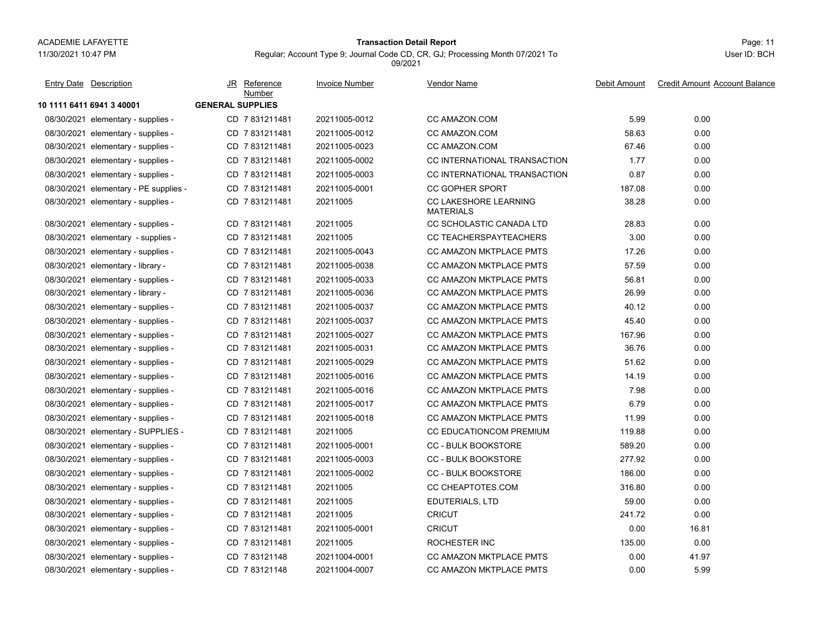**10 1111 6411 6941 3 40001 GENERAL SUPPLIES**

11/30/2021 10:47 PM

# Page: 11 **Transaction Detail Report**

Regular; Account Type 9; Journal Code CD, CR, GJ; Processing Month 07/2021 To 09/2021

| Entry Date Description                | JR Reference<br>Number  | <b>Invoice Number</b> | Vendor Name                        | Debit Amount | Credit Amount Account Balance |
|---------------------------------------|-------------------------|-----------------------|------------------------------------|--------------|-------------------------------|
| 1111 6411 6941 3 40001                | <b>GENERAL SUPPLIES</b> |                       |                                    |              |                               |
| 08/30/2021 elementary - supplies -    | CD 7831211481           | 20211005-0012         | CC AMAZON.COM                      | 5.99         | 0.00                          |
| 08/30/2021 elementary - supplies -    | CD 7831211481           | 20211005-0012         | CC AMAZON.COM                      | 58.63        | 0.00                          |
| 08/30/2021 elementary - supplies -    | CD 7831211481           | 20211005-0023         | CC AMAZON.COM                      | 67.46        | 0.00                          |
| 08/30/2021 elementary - supplies -    | CD 7831211481           | 20211005-0002         | CC INTERNATIONAL TRANSACTION       | 1.77         | 0.00                          |
| 08/30/2021 elementary - supplies -    | CD 7831211481           | 20211005-0003         | CC INTERNATIONAL TRANSACTION       | 0.87         | 0.00                          |
| 08/30/2021 elementary - PE supplies - | CD 7831211481           | 20211005-0001         | <b>CC GOPHER SPORT</b>             | 187.08       | 0.00                          |
| 08/30/2021 elementary - supplies -    | CD 7831211481           | 20211005              | CC LAKESHORE LEARNING<br>MATEDIALO | 38.28        | 0.00                          |

| 08/30/2021 elementary - supplies -    | CD 7831211481  | 20211005-0002 | CC INTERNATIONAL TRANSACTION                     | 1.77   | 0.00  |
|---------------------------------------|----------------|---------------|--------------------------------------------------|--------|-------|
| 08/30/2021 elementary - supplies -    | CD 7831211481  | 20211005-0003 | CC INTERNATIONAL TRANSACTION                     | 0.87   | 0.00  |
| 08/30/2021 elementary - PE supplies - | CD 7831211481  | 20211005-0001 | <b>CC GOPHER SPORT</b>                           | 187.08 | 0.00  |
| 08/30/2021 elementary - supplies -    | CD 7831211481  | 20211005      | <b>CC LAKESHORE LEARNING</b><br><b>MATERIALS</b> | 38.28  | 0.00  |
| 08/30/2021 elementary - supplies -    | CD 7831211481  | 20211005      | CC SCHOLASTIC CANADA LTD                         | 28.83  | 0.00  |
| 08/30/2021 elementary - supplies -    | CD 7831211481  | 20211005      | CC TEACHERSPAYTEACHERS                           | 3.00   | 0.00  |
| 08/30/2021 elementary - supplies -    | CD 7 831211481 | 20211005-0043 | CC AMAZON MKTPLACE PMTS                          | 17.26  | 0.00  |
| 08/30/2021 elementary - library -     | CD 7 831211481 | 20211005-0038 | CC AMAZON MKTPLACE PMTS                          | 57.59  | 0.00  |
| 08/30/2021 elementary - supplies -    | CD 7831211481  | 20211005-0033 | <b>CC AMAZON MKTPLACE PMTS</b>                   | 56.81  | 0.00  |
| 08/30/2021 elementary - library -     | CD 7831211481  | 20211005-0036 | <b>CC AMAZON MKTPLACE PMTS</b>                   | 26.99  | 0.00  |
| 08/30/2021 elementary - supplies -    | CD 7831211481  | 20211005-0037 | <b>CC AMAZON MKTPLACE PMTS</b>                   | 40.12  | 0.00  |
| 08/30/2021 elementary - supplies -    | CD 7 831211481 | 20211005-0037 | CC AMAZON MKTPLACE PMTS                          | 45.40  | 0.00  |
| 08/30/2021 elementary - supplies -    | CD 7 831211481 | 20211005-0027 | CC AMAZON MKTPLACE PMTS                          | 167.96 | 0.00  |
| 08/30/2021 elementary - supplies -    | CD 7 831211481 | 20211005-0031 | CC AMAZON MKTPLACE PMTS                          | 36.76  | 0.00  |
| 08/30/2021 elementary - supplies -    | CD 7831211481  | 20211005-0029 | <b>CC AMAZON MKTPLACE PMTS</b>                   | 51.62  | 0.00  |
| 08/30/2021 elementary - supplies -    | CD 7831211481  | 20211005-0016 | <b>CC AMAZON MKTPLACE PMTS</b>                   | 14.19  | 0.00  |
| 08/30/2021 elementary - supplies -    | CD 7 831211481 | 20211005-0016 | CC AMAZON MKTPLACE PMTS                          | 7.98   | 0.00  |
| 08/30/2021 elementary - supplies -    | CD 7 831211481 | 20211005-0017 | <b>CC AMAZON MKTPLACE PMTS</b>                   | 6.79   | 0.00  |
| 08/30/2021 elementary - supplies -    | CD 7831211481  | 20211005-0018 | <b>CC AMAZON MKTPLACE PMTS</b>                   | 11.99  | 0.00  |
| 08/30/2021 elementary - SUPPLIES -    | CD 7831211481  | 20211005      | <b>CC EDUCATIONCOM PREMIUM</b>                   | 119.88 | 0.00  |
| 08/30/2021 elementary - supplies -    | CD 7831211481  | 20211005-0001 | <b>CC - BULK BOOKSTORE</b>                       | 589.20 | 0.00  |
| 08/30/2021 elementary - supplies -    | CD 7831211481  | 20211005-0003 | <b>CC - BULK BOOKSTORE</b>                       | 277.92 | 0.00  |
| 08/30/2021 elementary - supplies -    | CD 7 831211481 | 20211005-0002 | <b>CC - BULK BOOKSTORE</b>                       | 186.00 | 0.00  |
| 08/30/2021 elementary - supplies -    | CD 7831211481  | 20211005      | CC CHEAPTOTES.COM                                | 316.80 | 0.00  |
| 08/30/2021 elementary - supplies -    | CD 7831211481  | 20211005      | EDUTERIALS, LTD                                  | 59.00  | 0.00  |
| 08/30/2021 elementary - supplies -    | CD 7831211481  | 20211005      | <b>CRICUT</b>                                    | 241.72 | 0.00  |
| 08/30/2021 elementary - supplies -    | CD 7 831211481 | 20211005-0001 | <b>CRICUT</b>                                    | 0.00   | 16.81 |
| 08/30/2021 elementary - supplies -    | CD 7 831211481 | 20211005      | <b>ROCHESTER INC</b>                             | 135.00 | 0.00  |
| 08/30/2021 elementary - supplies -    | CD 783121148   | 20211004-0001 | CC AMAZON MKTPLACE PMTS                          | 0.00   | 41.97 |
| 08/30/2021 elementary - supplies -    | CD 783121148   | 20211004-0007 | CC AMAZON MKTPLACE PMTS                          | 0.00   | 5.99  |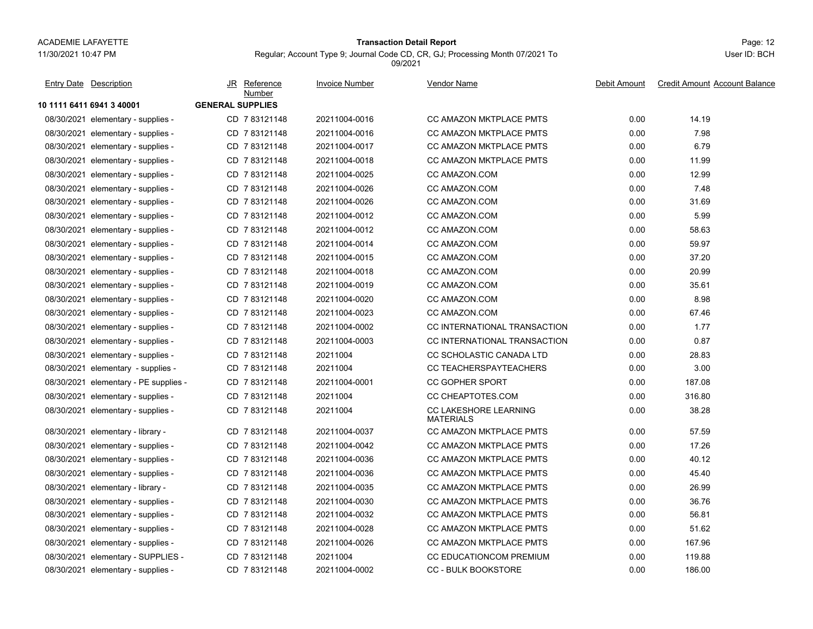# 11/30/2021 10:47 PM

# Page: 12 **Transaction Detail Report**

Regular; Account Type 9; Journal Code CD, CR, GJ; Processing Month 07/2021 To

09/2021

**10 1111 6411 6941 3 40001 GENERAL SUPPLIES**08/30/2021 elementary - supplies elementary - supplies - contrary - CD 20211004-0016 CC AMAZON MKTPLACE PMTS 2020 14.19 08/30/2021 elementary - supplies elementary - supplies 20211004-0016 CC AMAZON MKTPLACE PMTS 301 0.00 7.98 08/30/2021elementary - supplies - CD 7 83121148 20211004-0017 CC AMAZON MKTPLACE PMTS 0.00 6.79 08/30/2021elementary - supplies - CD 7 83121148 20211004-0018 CC AMAZON MKTPLACE PMTS 0.00 11.99 08/30/2021 elementary - supplies - CD 7 83121148 20211004-0025 CC AMAZON.COM 0.00 12.99 08/30/2021elementary - supplies - CD 7 83121148 20211004-0026 CC AMAZON.COM 0.00 7.48 08/30/2021 elementary - supplies - CD 7 83121148 20211004-0026 CC AMAZON.COM 0.00 31.69 08/30/2021elementary - supplies - CD 7 83121148 20211004-0012 CC AMAZON.COM 0.00 5.99 08/30/2021elementary - supplies - CD 7 83121148 20211004-0012 CC AMAZON.COM 0.00 58.63 08/30/2021 elementary - supplies - CD 7 83121148 20211004-0014 CC AMAZON.COM 0.00 59.97 08/30/2021elementary - supplies - CD 7 83121148 20211004-0015 CC AMAZON.COM 0.00 37.20 08/30/2021elementary - supplies - CD 7 83121148 20211004-0018 CC AMAZON.COM 0.00 20.99 08/30/2021elementary - supplies - CD 7 83121148 20211004-0019 CC AMAZON.COM 0.00 35.61 08/30/2021elementary - supplies - CD 7 83121148 20211004-0020 CC AMAZON.COM 0.00 8.98 08/30/2021elementary - supplies - CD 7 83121148 20211004-0023 CC AMAZON.COM 0.00 67.46 08/30/2021elementary - supplies - CD 7 83121148 20211004-0002 CC INTERNATIONAL TRANSACTION 0.00 1.77 08/30/2021 elementary - supplies elementary - supplies - CD 20211004-0003 CC INTERNATIONAL TRANSACTION 7 83121148 0.00 0.87 08/30/2021elementary - supplies - CD 7 83121148 20211004 CC SCHOLASTIC CANADA LTD 0.00 28.83 08/30/2021 elementary - supplies - CD 20211004 CC TEACHERSPAYTEACHERS 7 83121148 0.00 3.00 08/30/2021 elementary - PE supplies - CD\_7 83121148 20211004-0001 CC GOPHER SPORT 0.00 187.08 08/30/2021 elementary - supplies elementary - supplies - CD 20211004 CC CHEAPTOTES.COM 0.00 316.80 08/30/2021 elementary - supplies elementary - Supplies - Supplies - Supplies - Supplies - Supplies - Supplies - Supplies - Supplies - Supplies - Supplies - Supplies - Supplies - Supplies - Supplies - Supplies - Supplies - Supplies - Supplies - Supplies - MATERIALSCD 7 83121148 08/30/2021 elementary - library elementary 20211004-0037 CC AMAZON MKTPLACE PMTS 33121148 20211004-0037 CC AMAZON MKTPLACE PMTS 08/30/2021elementary - supplies - CD 7 83121148 20211004-0042 CC AMAZON MKTPLACE PMTS 0.00 17.26 08/30/2021elementary - supplies - CD 7 83121148 20211004-0036 CC AMAZON MKTPLACE PMTS 0.00 40.12 08/30/2021 elementary - supplies elementary - supplies - CD 20211004-0036 CC AMAZON MKTPLACE PMTS 40.00 45.40 08/30/2021 elementary - library elementary - 20211004-0035 CC AMAZON MKTPLACE PMTS 3121148 26.99 08/30/2021elementary - supplies - CD 7 83121148 20211004-0030 CC AMAZON MKTPLACE PMTS 0.00 36.76 08/30/2021elementary - supplies - CD 7 83121148 20211004-0032 CC AMAZON MKTPLACE PMTS 0.00 56.81 08/30/2021 elementary - supplies elementary - supplies - Supplies - CD 20211004-0028 CC AMAZON MKTPLACE PMTS 4 83121148 0.00 51.62 08/30/2021 elementary - supplies elementary - supplies - Supplies - Supplies - CD 20211004-0026 CC AMAZON MKTPLACE PMTS - 2020 167.96 08/30/2021elementary - SUPPLIES - CD 7 83121148 20211004 CC EDUCATIONCOM PREMIUM 0.00 119.88 08/30/2021 elementary - supplies - CD 7 83121148 20211004-0002 CC - BULK BOOKSTORE 0.00 186.00 JR Reference Invoice Number Vendor NameDebit Amount Credit Amount Account Balance NumberEntry Date Description JR Reference <u>Invoice Number</u> <u>Vendor Name</u> Debit Amount Credit Amount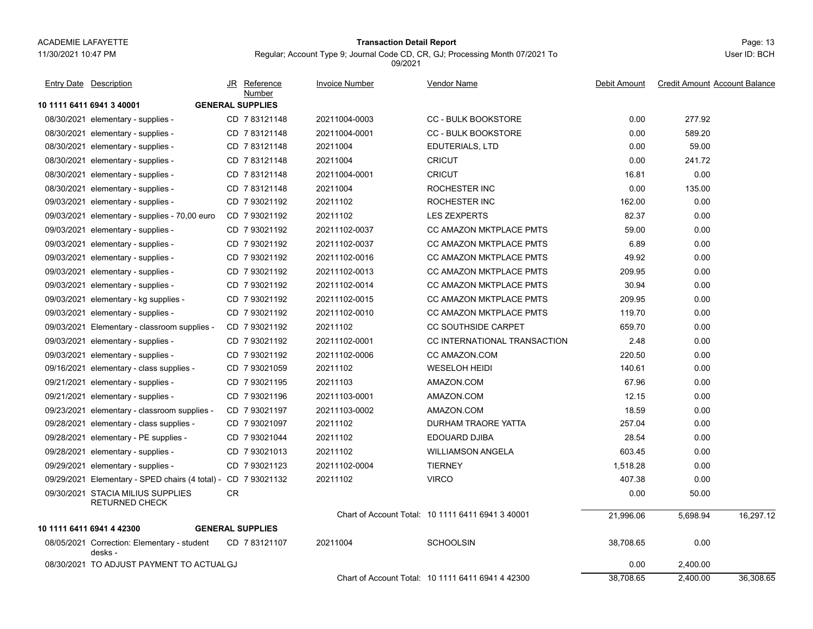#### Page: 13 **Transaction Detail Report**

Regular; Account Type 9; Journal Code CD, CR, GJ; Processing Month 07/2021 To

**10 1111 6411 6941 3 40001 GENERAL SUPPLIES**08/30/2021 elementary - supplies - CD 7 83121148 20211004-0003 CC - BULK BOOKSTORE 0.00 277.92 08/30/2021 elementary - supplies - CD 7 83121148 20211004-0001 CC - BULK BOOKSTORE 0.00 589.20 08/30/2021 elementary - supplies - CD 20211004 EDUTERIALS, LTD 7 83121148 0.00 59.00 08/30/2021 elementary - supplies - CD 7 83121148 20211004 CRICUT 0.00 241.72 08/30/2021 elementary - supplies - CD 7 83121148 20211004-0001 CRICUT 0.00 08/30/2021elementary - supplies - CD 7 83121148 20211004 ROCHESTER INC 0.00 135.00 09/03/2021 elementary - supplies - CD 7 93021192 ROCHESTER INC 162.00 0.00 09/03/2021elementary - supplies - 70,00 euro CD 7 93021192 20211102 LES ZEXPERTS 32.37 82.37 0.00 09/03/2021elementary - supplies - CD 7 93021192 20211102-0037 CC AMAZON MKTPLACE PMTS 59.00 6.00 09/03/2021 elementary - supplies elementary - supplies - supplies - Supplies - CD 20211102-0037 CC AMAZON MKTPLACE PMTS - 26.89 0.00 09/03/2021elementary - supplies - CD 7 93021192 20211102-0016 CC AMAZON MKTPLACE PMTS 49.92 0.00 09/03/2021 elementary - supplies elementary - supplies - contrary - CD 20211102-0013 CC AMAZON MKTPLACE PMTS 209.95 0.00 09/03/2021elementary - supplies - CD 7 93021192 20211102-0014 CC AMAZON MKTPLACE PMTS 30.94 30.94 0.00 09/03/2021 elementary - kg supplies elementary 20211102-0015 CC AMAZON MKTPLACE PMTS 3 93021192 209.95 0.00 09/03/2021elementary - supplies - CD 7 93021192 20211102-0010 CC AMAZON MKTPLACE PMTS 119.70 0.00 09/03/2021Elementary - classroom supplies - CD 7 93021192 20211102 CC SOUTHSIDE CARPET 659.70 659.70 0.00 09/03/2021 elementary - supplies elementary - supplies - CD 20211102-0001 CC INTERNATIONAL TRANSACTION 7 93021192 2.48 0.00 09/03/2021elementary - supplies - CD 7 93021192 20211102-0006 CC AMAZON.COM 220.50 220.50 0.00 09/16/2021elementary - class supplies - CD 7 93021059 20211102 WESELOH HEIDI 140.61 140.61 0.00 09/21/2021 elementary - supplies - CD 7 93021195 20211103 AMAZON.COM 67.96 0.00 09/21/2021elementary - supplies - CD 7 93021196 20211103-0001 AMAZON.COM 12.15 0.00 09/23/2021elementary - classroom supplies - CD 7 93021197 20211103-0002 AMAZON.COM 18.59 18.59 0.00 09/28/2021 elementary - class supplies - CD\_7 93021097 20211102 DURHAM TRAORE YATTA 257.04 0.00 09/28/2021elementary - PE supplies - CD 7 93021044 20211102 EDOUARD DJIBA 28.54 28.54 0.00 09/28/2021 elementary - supplies - CD 7 93021013 20211102 WILLIAMSON ANGELA 603.45 0.00 09/29/2021 elementary - supplies - CD 7 93021123 20211102-0004 TIERNEY 1,518.28 0.00 09/29/2021 Elementary - SPED chairs (4 total) - CD 7 93021132 20211102 VIRCO 407.38 0.00 09/30/2021 STACIA MILIUS SUPPLIES 0.00 50.00 RETURNED CHECKCRChart of Account Total: 10 1111 6411 6941 3 40001 21,996.06 5,698.94 16,297.12 **10 1111 6411 6941 4 42300 GENERAL SUPPLIES**08/05/2021 Correction: Elementary - student 38,708.65 0.00 desks -CD 20211004 SCHOOLSIN 7 83121107 08/30/2021 TO ADJUST PAYMENT TO ACTUALGJ 0.00 2,400.00 Chart of Account Total: 10 1111 6411 6941 4 42300 38,708.65 2,400.00 36,308.65 JR Reference Invoice Number Vendor NameDebit Amount Credit Amount Account Balance NumberEntry Date Description JR Reference <u>Invoice Number</u> <u>Vendor Name</u> Debit Amount Credit Amount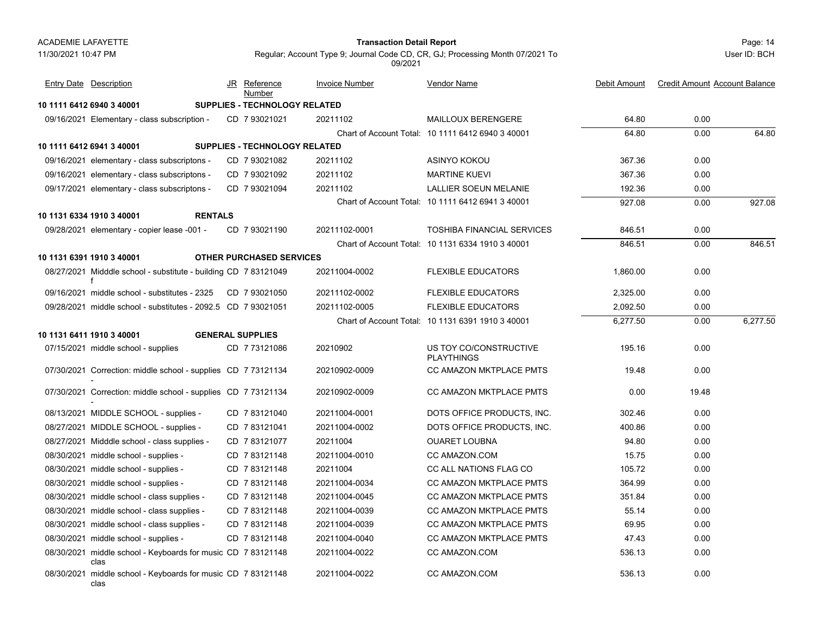#### Page: 14 **Transaction Detail Report**

User ID: BCH

Regular; Account Type 9; Journal Code CD, CR, GJ; Processing Month 07/2021 To 09/2021

| <b>Entry Date</b> Description                                        | JR Reference<br>Number               | <b>Invoice Number</b> | <b>Vendor Name</b>                                | Debit Amount | <b>Credit Amount Account Balance</b> |          |
|----------------------------------------------------------------------|--------------------------------------|-----------------------|---------------------------------------------------|--------------|--------------------------------------|----------|
| 10 1111 6412 6940 3 40001                                            | <b>SUPPLIES - TECHNOLOGY RELATED</b> |                       |                                                   |              |                                      |          |
| 09/16/2021 Elementary - class subscription -                         | CD 7 93021021                        | 20211102              | <b>MAILLOUX BERENGERE</b>                         | 64.80        | 0.00                                 |          |
|                                                                      |                                      |                       | Chart of Account Total: 10 1111 6412 6940 3 40001 | 64.80        | 0.00                                 | 64.80    |
| 10 1111 6412 6941 3 40001                                            | SUPPLIES - TECHNOLOGY RELATED        |                       |                                                   |              |                                      |          |
| 09/16/2021 elementary - class subscriptons -                         | CD 7 93021082                        | 20211102              | ASINYO KOKOU                                      | 367.36       | 0.00                                 |          |
| 09/16/2021 elementary - class subscriptons -                         | CD 793021092                         | 20211102              | <b>MARTINE KUEVI</b>                              | 367.36       | 0.00                                 |          |
| 09/17/2021 elementary - class subscriptons -                         | CD 7 93021094                        | 20211102              | LALLIER SOEUN MELANIE                             | 192.36       | 0.00                                 |          |
|                                                                      |                                      |                       | Chart of Account Total: 10 1111 6412 6941 3 40001 | 927.08       | 0.00                                 | 927.08   |
| 10 1131 6334 1910 3 40001<br><b>RENTALS</b>                          |                                      |                       |                                                   |              |                                      |          |
| 09/28/2021 elementary - copier lease -001 -                          | CD 7 93021190                        | 20211102-0001         | <b>TOSHIBA FINANCIAL SERVICES</b>                 | 846.51       | 0.00                                 |          |
|                                                                      |                                      |                       | Chart of Account Total: 10 1131 6334 1910 3 40001 | 846.51       | 0.00                                 | 846.51   |
| 10 1131 6391 1910 3 40001                                            | <b>OTHER PURCHASED SERVICES</b>      |                       |                                                   |              |                                      |          |
| 08/27/2021 Midddle school - substitute - building CD 7 83121049      |                                      | 20211004-0002         | <b>FLEXIBLE EDUCATORS</b>                         | 1,860.00     | 0.00                                 |          |
| 09/16/2021 middle school - substitutes - 2325                        | CD 793021050                         | 20211102-0002         | <b>FLEXIBLE EDUCATORS</b>                         | 2,325.00     | 0.00                                 |          |
| 09/28/2021 middle school - substitutes - 2092.5 CD 7 93021051        |                                      | 20211102-0005         | <b>FLEXIBLE EDUCATORS</b>                         | 2.092.50     | 0.00                                 |          |
|                                                                      |                                      |                       | Chart of Account Total: 10 1131 6391 1910 3 40001 | 6,277.50     | 0.00                                 | 6,277.50 |
| 10 1131 6411 1910 3 40001                                            | <b>GENERAL SUPPLIES</b>              |                       |                                                   |              |                                      |          |
| 07/15/2021 middle school - supplies                                  | CD 7 73121086                        | 20210902              | US TOY CO/CONSTRUCTIVE<br><b>PLAYTHINGS</b>       | 195.16       | 0.00                                 |          |
| 07/30/2021 Correction: middle school - supplies CD 7 73121134        |                                      | 20210902-0009         | CC AMAZON MKTPLACE PMTS                           | 19.48        | 0.00                                 |          |
| 07/30/2021 Correction: middle school - supplies CD 7 73121134        |                                      | 20210902-0009         | CC AMAZON MKTPLACE PMTS                           | 0.00         | 19.48                                |          |
| 08/13/2021 MIDDLE SCHOOL - supplies -                                | CD 783121040                         | 20211004-0001         | DOTS OFFICE PRODUCTS, INC.                        | 302.46       | 0.00                                 |          |
| 08/27/2021 MIDDLE SCHOOL - supplies -                                | CD 7 83121041                        | 20211004-0002         | DOTS OFFICE PRODUCTS, INC.                        | 400.86       | 0.00                                 |          |
| 08/27/2021 Midddle school - class supplies -                         | CD 783121077                         | 20211004              | <b>OUARET LOUBNA</b>                              | 94.80        | 0.00                                 |          |
| 08/30/2021 middle school - supplies -                                | CD 783121148                         | 20211004-0010         | CC AMAZON.COM                                     | 15.75        | 0.00                                 |          |
| 08/30/2021 middle school - supplies -                                | CD 783121148                         | 20211004              | CC ALL NATIONS FLAG CO                            | 105.72       | 0.00                                 |          |
| 08/30/2021 middle school - supplies -                                | CD 7 83121148                        | 20211004-0034         | CC AMAZON MKTPLACE PMTS                           | 364.99       | 0.00                                 |          |
| 08/30/2021 middle school - class supplies -                          | CD 783121148                         | 20211004-0045         | <b>CC AMAZON MKTPLACE PMTS</b>                    | 351.84       | 0.00                                 |          |
| 08/30/2021 middle school - class supplies -                          | CD 783121148                         | 20211004-0039         | CC AMAZON MKTPLACE PMTS                           | 55.14        | 0.00                                 |          |
| 08/30/2021 middle school - class supplies -                          | CD 7 83121148                        | 20211004-0039         | CC AMAZON MKTPLACE PMTS                           | 69.95        | 0.00                                 |          |
| 08/30/2021 middle school - supplies -                                | CD 783121148                         | 20211004-0040         | <b>CC AMAZON MKTPLACE PMTS</b>                    | 47.43        | 0.00                                 |          |
| 08/30/2021 middle school - Keyboards for music CD 7 83121148<br>clas |                                      | 20211004-0022         | CC AMAZON.COM                                     | 536.13       | 0.00                                 |          |
| 08/30/2021 middle school - Keyboards for music CD 7 83121148<br>clas |                                      | 20211004-0022         | CC AMAZON.COM                                     | 536.13       | 0.00                                 |          |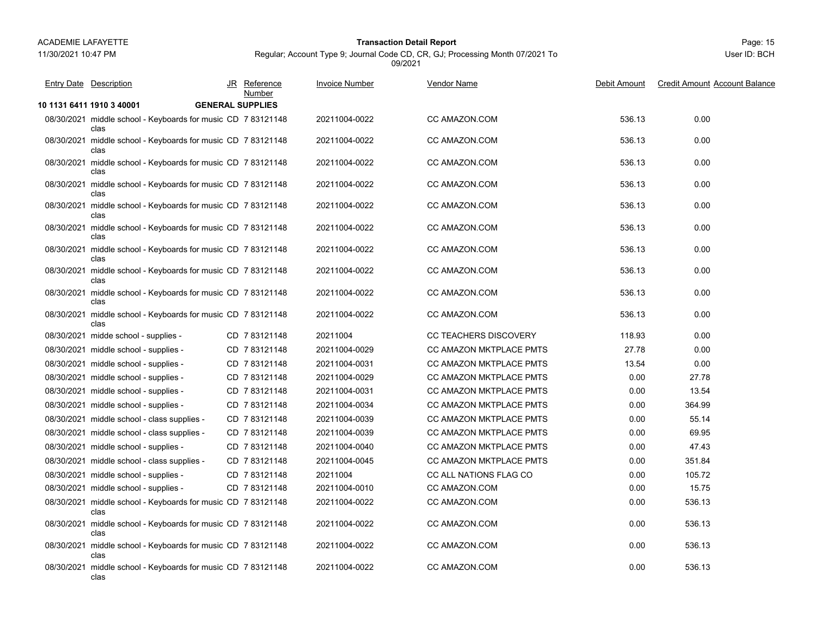11/30/2021 10:47 PM

## Page: 15 **Transaction Detail Report**

Regular; Account Type 9; Journal Code CD, CR, GJ; Processing Month 07/2021 To 09/2021

| <b>Entry Date Description</b>                                        |                         | JR Reference<br>Number | <b>Invoice Number</b> | <b>Vendor Name</b>           | Debit Amount | <b>Credit Amount Account Balance</b> |
|----------------------------------------------------------------------|-------------------------|------------------------|-----------------------|------------------------------|--------------|--------------------------------------|
| 10 1131 6411 1910 3 40001                                            | <b>GENERAL SUPPLIES</b> |                        |                       |                              |              |                                      |
| 08/30/2021 middle school - Keyboards for music CD 7 83121148<br>clas |                         |                        | 20211004-0022         | CC AMAZON.COM                | 536.13       | 0.00                                 |
| 08/30/2021 middle school - Keyboards for music CD 783121148<br>clas  |                         |                        | 20211004-0022         | CC AMAZON COM                | 536.13       | 0.00                                 |
| 08/30/2021 middle school - Keyboards for music CD 783121148<br>clas  |                         |                        | 20211004-0022         | CC AMAZON COM                | 536.13       | 0.00                                 |
| 08/30/2021 middle school - Keyboards for music CD 7 83121148<br>clas |                         |                        | 20211004-0022         | CC AMAZON.COM                | 536.13       | 0.00                                 |
| 08/30/2021 middle school - Keyboards for music CD 7 83121148<br>clas |                         |                        | 20211004-0022         | CC AMAZON.COM                | 536.13       | 0.00                                 |
| 08/30/2021 middle school - Keyboards for music CD 7 83121148<br>clas |                         |                        | 20211004-0022         | CC AMAZON.COM                | 536.13       | 0.00                                 |
| 08/30/2021 middle school - Keyboards for music CD 7 83121148<br>clas |                         |                        | 20211004-0022         | CC AMAZON.COM                | 536.13       | 0.00                                 |
| 08/30/2021 middle school - Keyboards for music CD 7 83121148<br>clas |                         |                        | 20211004-0022         | CC AMAZON.COM                | 536.13       | 0.00                                 |
| 08/30/2021 middle school - Keyboards for music CD 7 83121148<br>clas |                         |                        | 20211004-0022         | CC AMAZON.COM                | 536.13       | 0.00                                 |
| 08/30/2021 middle school - Keyboards for music CD 783121148<br>clas  |                         |                        | 20211004-0022         | CC AMAZON COM                | 536.13       | 0.00                                 |
| 08/30/2021 midde school - supplies -                                 |                         | CD 7 83121148          | 20211004              | <b>CC TEACHERS DISCOVERY</b> | 118.93       | 0.00                                 |
| 08/30/2021 middle school - supplies -                                |                         | CD 7 83121148          | 20211004-0029         | CC AMAZON MKTPLACE PMTS      | 27.78        | 0.00                                 |
| 08/30/2021 middle school - supplies -                                |                         | CD 7 83121148          | 20211004-0031         | CC AMAZON MKTPLACE PMTS      | 13.54        | 0.00                                 |
| 08/30/2021 middle school - supplies -                                |                         | CD 7 83121148          | 20211004-0029         | CC AMAZON MKTPLACE PMTS      | 0.00         | 27.78                                |
| 08/30/2021 middle school - supplies -                                |                         | CD 7 83121148          | 20211004-0031         | CC AMAZON MKTPLACE PMTS      | 0.00         | 13.54                                |
| 08/30/2021 middle school - supplies -                                |                         | CD 7 83121148          | 20211004-0034         | CC AMAZON MKTPLACE PMTS      | 0.00         | 364.99                               |
| 08/30/2021 middle school - class supplies -                          |                         | CD 7 83121148          | 20211004-0039         | CC AMAZON MKTPLACE PMTS      | 0.00         | 55.14                                |
| 08/30/2021 middle school - class supplies -                          |                         | CD 7 83121148          | 20211004-0039         | CC AMAZON MKTPLACE PMTS      | 0.00         | 69.95                                |
| 08/30/2021 middle school - supplies -                                |                         | CD 783121148           | 20211004-0040         | CC AMAZON MKTPLACE PMTS      | 0.00         | 47.43                                |
| 08/30/2021 middle school - class supplies -                          |                         | CD 783121148           | 20211004-0045         | CC AMAZON MKTPLACE PMTS      | 0.00         | 351.84                               |
| 08/30/2021 middle school - supplies -                                |                         | CD 783121148           | 20211004              | CC ALL NATIONS FLAG CO       | 0.00         | 105.72                               |
| 08/30/2021 middle school - supplies -                                |                         | CD 783121148           | 20211004-0010         | CC AMAZON COM                | 0.00         | 15.75                                |
| 08/30/2021 middle school - Keyboards for music CD 783121148<br>clas  |                         |                        | 20211004-0022         | CC AMAZON.COM                | 0.00         | 536.13                               |
| 08/30/2021 middle school - Keyboards for music CD 7 83121148<br>clas |                         |                        | 20211004-0022         | CC AMAZON.COM                | 0.00         | 536.13                               |
| 08/30/2021 middle school - Keyboards for music CD 7 83121148<br>clas |                         |                        | 20211004-0022         | CC AMAZON.COM                | 0.00         | 536.13                               |
| 08/30/2021 middle school - Keyboards for music CD 783121148<br>clas  |                         |                        | 20211004-0022         | <b>CC AMAZON.COM</b>         | 0.00         | 536.13                               |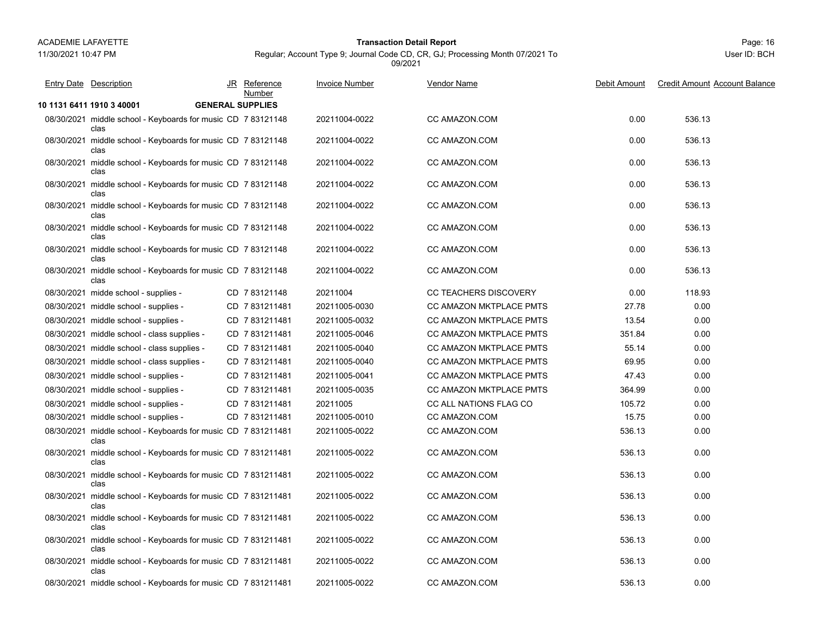#### Page: 16 **Transaction Detail Report**

Regular; Account Type 9; Journal Code CD, CR, GJ; Processing Month 07/2021 To 09/2021

| <b>Entry Date Description</b>                                         | JR Reference<br>Number  | <b>Invoice Number</b> | <b>Vendor Name</b>           | Debit Amount | <b>Credit Amount Account Balance</b> |
|-----------------------------------------------------------------------|-------------------------|-----------------------|------------------------------|--------------|--------------------------------------|
| 10 1131 6411 1910 3 40001                                             | <b>GENERAL SUPPLIES</b> |                       |                              |              |                                      |
| 08/30/2021 middle school - Keyboards for music CD 7 83121148<br>clas  |                         | 20211004-0022         | CC AMAZON.COM                | 0.00         | 536.13                               |
| 08/30/2021 middle school - Keyboards for music CD 7 83121148<br>clas  |                         | 20211004-0022         | CC AMAZON.COM                | 0.00         | 536.13                               |
| 08/30/2021 middle school - Keyboards for music CD 783121148<br>clas   |                         | 20211004-0022         | CC AMAZON.COM                | 0.00         | 536.13                               |
| 08/30/2021 middle school - Keyboards for music CD 7 83121148<br>clas  |                         | 20211004-0022         | CC AMAZON.COM                | 0.00         | 536.13                               |
| 08/30/2021 middle school - Keyboards for music CD 783121148<br>clas   |                         | 20211004-0022         | CC AMAZON.COM                | 0.00         | 536.13                               |
| 08/30/2021 middle school - Keyboards for music CD 7 83121148<br>clas  |                         | 20211004-0022         | CC AMAZON.COM                | 0.00         | 536.13                               |
| 08/30/2021 middle school - Keyboards for music CD 783121148<br>clas   |                         | 20211004-0022         | CC AMAZON.COM                | 0.00         | 536.13                               |
| 08/30/2021 middle school - Keyboards for music CD 783121148<br>clas   |                         | 20211004-0022         | CC AMAZON COM                | 0.00         | 536.13                               |
| 08/30/2021 midde school - supplies -                                  | CD 7 83121148           | 20211004              | <b>CC TEACHERS DISCOVERY</b> | 0.00         | 118.93                               |
| 08/30/2021 middle school - supplies -                                 | CD 7831211481           | 20211005-0030         | CC AMAZON MKTPLACE PMTS      | 27.78        | 0.00                                 |
| 08/30/2021 middle school - supplies -                                 | CD 7831211481           | 20211005-0032         | CC AMAZON MKTPLACE PMTS      | 13.54        | 0.00                                 |
| 08/30/2021 middle school - class supplies -                           | CD 7831211481           | 20211005-0046         | CC AMAZON MKTPLACE PMTS      | 351.84       | 0.00                                 |
| 08/30/2021 middle school - class supplies -                           | CD 7831211481           | 20211005-0040         | CC AMAZON MKTPLACE PMTS      | 55.14        | 0.00                                 |
| 08/30/2021 middle school - class supplies -                           | CD 7831211481           | 20211005-0040         | CC AMAZON MKTPLACE PMTS      | 69.95        | 0.00                                 |
| 08/30/2021 middle school - supplies -                                 | CD 7831211481           | 20211005-0041         | CC AMAZON MKTPLACE PMTS      | 47.43        | 0.00                                 |
| 08/30/2021 middle school - supplies -                                 | CD 7831211481           | 20211005-0035         | CC AMAZON MKTPLACE PMTS      | 364.99       | 0.00                                 |
| 08/30/2021 middle school - supplies -                                 | CD 7831211481           | 20211005              | CC ALL NATIONS FLAG CO       | 105.72       | 0.00                                 |
| 08/30/2021 middle school - supplies -                                 | CD 7831211481           | 20211005-0010         | CC AMAZON.COM                | 15.75        | 0.00                                 |
| 08/30/2021 middle school - Keyboards for music CD 7 831211481<br>clas |                         | 20211005-0022         | CC AMAZON.COM                | 536.13       | 0.00                                 |
| 08/30/2021 middle school - Keyboards for music CD 7 831211481<br>clas |                         | 20211005-0022         | CC AMAZON.COM                | 536.13       | 0.00                                 |
| 08/30/2021 middle school - Keyboards for music CD 7 831211481<br>clas |                         | 20211005-0022         | CC AMAZON.COM                | 536.13       | 0.00                                 |
| 08/30/2021 middle school - Keyboards for music CD 7 831211481<br>clas |                         | 20211005-0022         | CC AMAZON.COM                | 536.13       | 0.00                                 |
| 08/30/2021 middle school - Keyboards for music CD 7 831211481<br>clas |                         | 20211005-0022         | CC AMAZON.COM                | 536.13       | 0.00                                 |
| 08/30/2021 middle school - Keyboards for music CD 7 831211481<br>clas |                         | 20211005-0022         | CC AMAZON.COM                | 536.13       | 0.00                                 |
| 08/30/2021 middle school - Keyboards for music CD 7 831211481<br>clas |                         | 20211005-0022         | CC AMAZON.COM                | 536.13       | 0.00                                 |
| 08/30/2021 middle school - Keyboards for music CD 7 831211481         |                         | 20211005-0022         | CC AMAZON.COM                | 536.13       | 0.00                                 |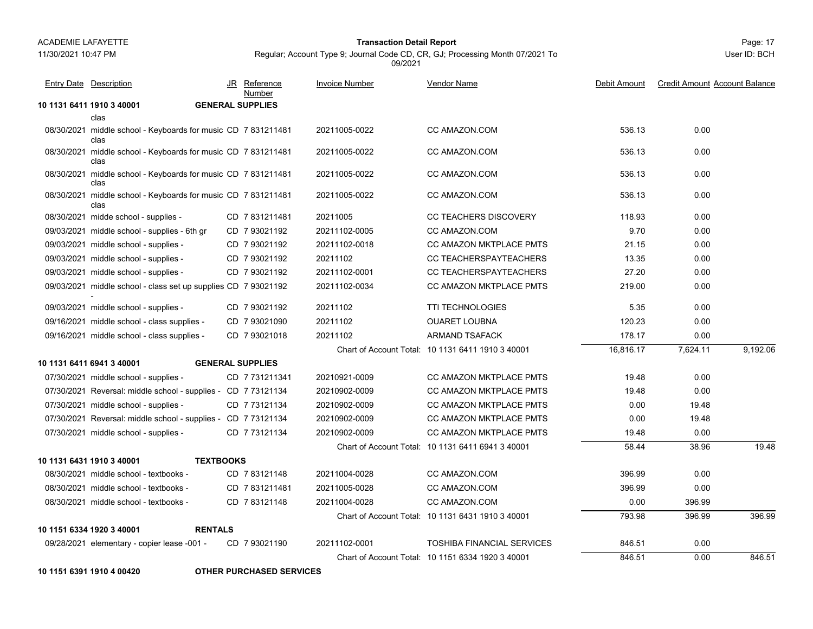11/30/2021 10:47 PM

## Page: 17 **Transaction Detail Report**

Regular; Account Type 9; Journal Code CD, CR, GJ; Processing Month 07/2021 To 09/2021

User ID: BCH

| <b>Entry Date</b> Description               |                                                                | JR Reference<br>Number  | <b>Invoice Number</b> | Vendor Name                                       | Debit Amount | <b>Credit Amount Account Balance</b> |          |
|---------------------------------------------|----------------------------------------------------------------|-------------------------|-----------------------|---------------------------------------------------|--------------|--------------------------------------|----------|
| 10 1131 6411 1910 3 40001                   |                                                                | <b>GENERAL SUPPLIES</b> |                       |                                                   |              |                                      |          |
| clas                                        |                                                                |                         |                       |                                                   |              |                                      |          |
| clas                                        | 08/30/2021 middle school - Keyboards for music CD 7 831211481  |                         | 20211005-0022         | CC AMAZON COM                                     | 536.13       | 0.00                                 |          |
| clas                                        | 08/30/2021 middle school - Keyboards for music CD 7 831211481  |                         | 20211005-0022         | CC AMAZON COM                                     | 536.13       | 0.00                                 |          |
| clas                                        | 08/30/2021 middle school - Keyboards for music CD 7 831211481  |                         | 20211005-0022         | <b>CC AMAZON COM</b>                              | 536.13       | 0.00                                 |          |
| clas                                        | 08/30/2021 middle school - Keyboards for music CD 7 831211481  |                         | 20211005-0022         | CC AMAZON.COM                                     | 536.13       | 0.00                                 |          |
| 08/30/2021 midde school - supplies -        |                                                                | CD 7831211481           | 20211005              | <b>CC TEACHERS DISCOVERY</b>                      | 118.93       | 0.00                                 |          |
|                                             | 09/03/2021 middle school - supplies - 6th gr                   | CD 793021192            | 20211102-0005         | <b>CC AMAZON COM</b>                              | 9.70         | 0.00                                 |          |
| 09/03/2021 middle school - supplies -       |                                                                | CD 7 93021192           | 20211102-0018         | <b>CC AMAZON MKTPLACE PMTS</b>                    | 21.15        | 0.00                                 |          |
| 09/03/2021 middle school - supplies -       |                                                                | CD 7 93021192           | 20211102              | CC TEACHERSPAYTEACHERS                            | 13.35        | 0.00                                 |          |
| 09/03/2021 middle school - supplies -       |                                                                | CD 7 93021192           | 20211102-0001         | CC TEACHERSPAYTEACHERS                            | 27.20        | 0.00                                 |          |
|                                             | 09/03/2021 middle school - class set up supplies CD 7 93021192 |                         | 20211102-0034         | <b>CC AMAZON MKTPLACE PMTS</b>                    | 219.00       | 0.00                                 |          |
| 09/03/2021 middle school - supplies -       |                                                                | CD 7 93021192           | 20211102              | <b>TTI TECHNOLOGIES</b>                           | 5.35         | 0.00                                 |          |
| 09/16/2021 middle school - class supplies - |                                                                | CD 7 93021090           | 20211102              | <b>OUARET LOUBNA</b>                              | 120.23       | 0.00                                 |          |
| 09/16/2021 middle school - class supplies - |                                                                | CD 7 93021018           | 20211102              | ARMAND TSAFACK                                    | 178.17       | 0.00                                 |          |
|                                             |                                                                |                         |                       | Chart of Account Total: 10 1131 6411 1910 3 40001 | 16,816.17    | 7,624.11                             | 9,192.06 |
| 10 1131 6411 6941 3 40001                   |                                                                | <b>GENERAL SUPPLIES</b> |                       |                                                   |              |                                      |          |
| 07/30/2021 middle school - supplies -       |                                                                | CD 7731211341           | 20210921-0009         | <b>CC AMAZON MKTPLACE PMTS</b>                    | 19.48        | 0.00                                 |          |
|                                             | 07/30/2021 Reversal: middle school - supplies - CD 7 73121134  |                         | 20210902-0009         | <b>CC AMAZON MKTPLACE PMTS</b>                    | 19.48        | 0.00                                 |          |
| 07/30/2021 middle school - supplies -       |                                                                | CD 773121134            | 20210902-0009         | <b>CC AMAZON MKTPLACE PMTS</b>                    | 0.00         | 19.48                                |          |
|                                             | 07/30/2021 Reversal: middle school - supplies - CD 7 73121134  |                         | 20210902-0009         | <b>CC AMAZON MKTPLACE PMTS</b>                    | 0.00         | 19.48                                |          |
| 07/30/2021 middle school - supplies -       |                                                                | CD 773121134            | 20210902-0009         | <b>CC AMAZON MKTPLACE PMTS</b>                    | 19.48        | 0.00                                 |          |
|                                             |                                                                |                         |                       | Chart of Account Total: 10 1131 6411 6941 3 40001 | 58.44        | 38.96                                | 19.48    |
| 10 1131 6431 1910 3 40001                   | <b>TEXTBOOKS</b>                                               |                         |                       |                                                   |              |                                      |          |
| 08/30/2021 middle school - textbooks -      |                                                                | CD 783121148            | 20211004-0028         | CC AMAZON.COM                                     | 396.99       | 0.00                                 |          |
| 08/30/2021 middle school - textbooks -      |                                                                | CD 7831211481           | 20211005-0028         | CC AMAZON.COM                                     | 396.99       | 0.00                                 |          |
| 08/30/2021 middle school - textbooks -      |                                                                | CD 783121148            | 20211004-0028         | CC AMAZON.COM                                     | 0.00         | 396.99                               |          |
|                                             |                                                                |                         |                       | Chart of Account Total: 10 1131 6431 1910 3 40001 | 793.98       | 396.99                               | 396.99   |
| 10 1151 6334 1920 3 40001                   | <b>RENTALS</b>                                                 |                         |                       |                                                   |              |                                      |          |
|                                             | 09/28/2021 elementary - copier lease -001 -                    | CD 7 93021190           | 20211102-0001         | <b>TOSHIBA FINANCIAL SERVICES</b>                 | 846.51       | 0.00                                 |          |
|                                             |                                                                |                         |                       | Chart of Account Total: 10 1151 6334 1920 3 40001 | 846.51       | 0.00                                 | 846.51   |
|                                             |                                                                |                         |                       |                                                   |              |                                      |          |

**10 1151 6391 1910 4 00420 OTHER PURCHASED SERVICES**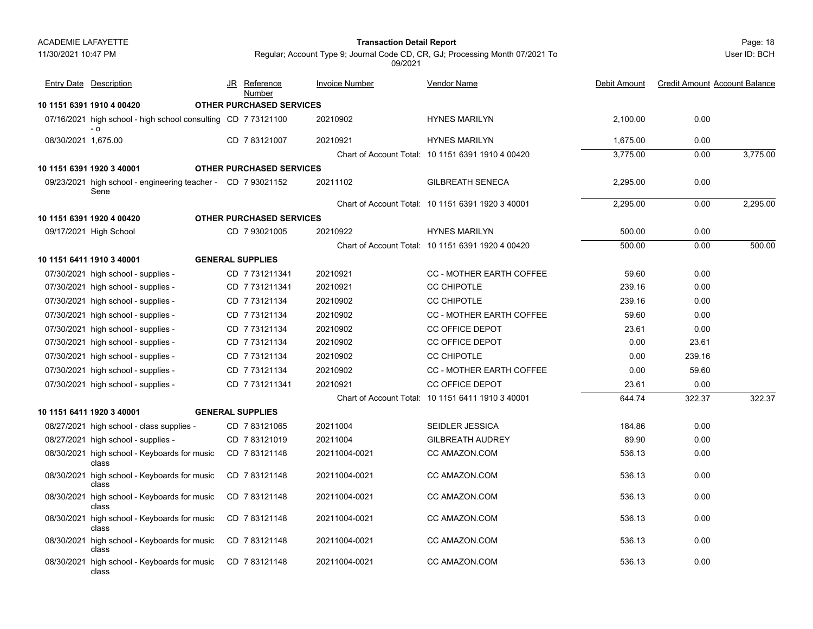11/30/2021 10:47 PM

# Page: 18 **Transaction Detail Report**

User ID: BCH

Regular; Account Type 9; Journal Code CD, CR, GJ; Processing Month 07/2021 To 09/2021

|                     | <b>Entry Date Description</b>                                        | JR | Reference<br>Number             | <b>Invoice Number</b> | <b>Vendor Name</b>                                | Debit Amount | <b>Credit Amount Account Balance</b> |          |
|---------------------|----------------------------------------------------------------------|----|---------------------------------|-----------------------|---------------------------------------------------|--------------|--------------------------------------|----------|
|                     | 10 1151 6391 1910 4 00420                                            |    | <b>OTHER PURCHASED SERVICES</b> |                       |                                                   |              |                                      |          |
|                     | 07/16/2021 high school - high school consulting CD 7 73121100<br>- 0 |    |                                 | 20210902              | <b>HYNES MARILYN</b>                              | 2,100.00     | 0.00                                 |          |
| 08/30/2021 1,675.00 |                                                                      |    | CD 7 83121007                   | 20210921              | <b>HYNES MARILYN</b>                              | 1,675.00     | 0.00                                 |          |
|                     |                                                                      |    |                                 |                       | Chart of Account Total: 10 1151 6391 1910 4 00420 | 3,775.00     | 0.00                                 | 3,775.00 |
|                     | 10 1151 6391 1920 3 40001                                            |    | <b>OTHER PURCHASED SERVICES</b> |                       |                                                   |              |                                      |          |
|                     | 09/23/2021 high school - engineering teacher - CD 7 93021152<br>Sene |    |                                 | 20211102              | <b>GILBREATH SENECA</b>                           | 2,295.00     | 0.00                                 |          |
|                     |                                                                      |    |                                 |                       | Chart of Account Total: 10 1151 6391 1920 3 40001 | 2.295.00     | 0.00                                 | 2,295.00 |
|                     | 10 1151 6391 1920 4 00420                                            |    | <b>OTHER PURCHASED SERVICES</b> |                       |                                                   |              |                                      |          |
|                     | 09/17/2021 High School                                               |    | CD 7 93021005                   | 20210922              | <b>HYNES MARILYN</b>                              | 500.00       | 0.00                                 |          |
|                     |                                                                      |    |                                 |                       | Chart of Account Total: 10 1151 6391 1920 4 00420 | 500.00       | 0.00                                 | 500.00   |
|                     | 10 1151 6411 1910 3 40001                                            |    | <b>GENERAL SUPPLIES</b>         |                       |                                                   |              |                                      |          |
|                     | 07/30/2021 high school - supplies -                                  |    | CD 7731211341                   | 20210921              | <b>CC - MOTHER EARTH COFFEE</b>                   | 59.60        | 0.00                                 |          |
|                     | 07/30/2021 high school - supplies -                                  |    | CD 7 731211341                  | 20210921              | <b>CC CHIPOTLE</b>                                | 239.16       | 0.00                                 |          |
|                     | 07/30/2021 high school - supplies -                                  |    | CD 7 73121134                   | 20210902              | <b>CC CHIPOTLE</b>                                | 239.16       | 0.00                                 |          |
|                     | 07/30/2021 high school - supplies -                                  |    | CD 773121134                    | 20210902              | CC - MOTHER EARTH COFFEE                          | 59.60        | 0.00                                 |          |
|                     | 07/30/2021 high school - supplies -                                  |    | CD 773121134                    | 20210902              | <b>CC OFFICE DEPOT</b>                            | 23.61        | 0.00                                 |          |
|                     | 07/30/2021 high school - supplies -                                  |    | CD 7 73121134                   | 20210902              | <b>CC OFFICE DEPOT</b>                            | 0.00         | 23.61                                |          |
|                     | 07/30/2021 high school - supplies -                                  |    | CD 773121134                    | 20210902              | <b>CC CHIPOTLE</b>                                | 0.00         | 239.16                               |          |
|                     | 07/30/2021 high school - supplies -                                  |    | CD 773121134                    | 20210902              | <b>CC - MOTHER EARTH COFFEE</b>                   | 0.00         | 59.60                                |          |
|                     | 07/30/2021 high school - supplies -                                  |    | CD 7 731211341                  | 20210921              | <b>CC OFFICE DEPOT</b>                            | 23.61        | 0.00                                 |          |
|                     |                                                                      |    |                                 |                       | Chart of Account Total: 10 1151 6411 1910 3 40001 | 644.74       | 322.37                               | 322.37   |
|                     | 10 1151 6411 1920 3 40001                                            |    | <b>GENERAL SUPPLIES</b>         |                       |                                                   |              |                                      |          |
|                     | 08/27/2021 high school - class supplies -                            |    | CD 7 83121065                   | 20211004              | SEIDLER JESSICA                                   | 184.86       | 0.00                                 |          |
|                     | 08/27/2021 high school - supplies -                                  |    | CD 783121019                    | 20211004              | <b>GILBREATH AUDREY</b>                           | 89.90        | 0.00                                 |          |
|                     | 08/30/2021 high school - Keyboards for music<br>class                |    | CD 783121148                    | 20211004-0021         | CC AMAZON.COM                                     | 536.13       | 0.00                                 |          |
|                     | 08/30/2021 high school - Keyboards for music<br>class                |    | CD 783121148                    | 20211004-0021         | CC AMAZON.COM                                     | 536.13       | 0.00                                 |          |
|                     | 08/30/2021 high school - Keyboards for music<br>class                |    | CD 783121148                    | 20211004-0021         | CC AMAZON.COM                                     | 536.13       | 0.00                                 |          |
|                     | 08/30/2021 high school - Keyboards for music<br>class                |    | CD 783121148                    | 20211004-0021         | CC AMAZON.COM                                     | 536.13       | 0.00                                 |          |
|                     | 08/30/2021 high school - Keyboards for music<br>class                |    | CD 783121148                    | 20211004-0021         | CC AMAZON.COM                                     | 536.13       | 0.00                                 |          |
|                     | 08/30/2021 high school - Keyboards for music<br>class                |    | CD 783121148                    | 20211004-0021         | CC AMAZON.COM                                     | 536.13       | 0.00                                 |          |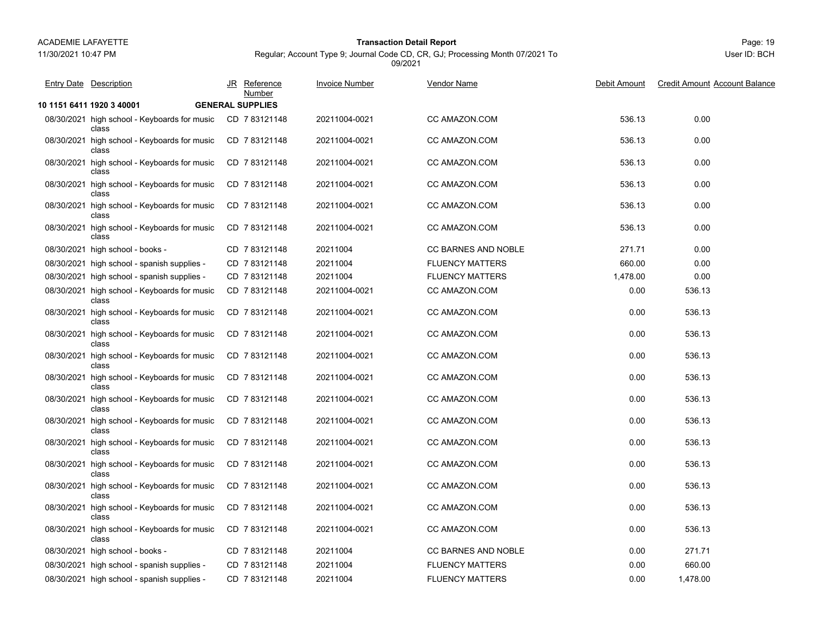11/30/2021 10:47 PM

## Page: 19 **Transaction Detail Report**

Regular; Account Type 9; Journal Code CD, CR, GJ; Processing Month 07/2021 To 09/2021

| <b>Entry Date Description</b>                         | JR Reference<br>Number  | <b>Invoice Number</b> | <b>Vendor Name</b>         | Debit Amount | <b>Credit Amount Account Balance</b> |
|-------------------------------------------------------|-------------------------|-----------------------|----------------------------|--------------|--------------------------------------|
| 10 1151 6411 1920 3 40001                             | <b>GENERAL SUPPLIES</b> |                       |                            |              |                                      |
| 08/30/2021 high school - Keyboards for music<br>class | CD 783121148            | 20211004-0021         | CC AMAZON.COM              | 536.13       | 0.00                                 |
| 08/30/2021 high school - Keyboards for music<br>class | CD 7 83121148           | 20211004-0021         | CC AMAZON.COM              | 536.13       | 0.00                                 |
| 08/30/2021 high school - Keyboards for music<br>class | CD 783121148            | 20211004-0021         | CC AMAZON.COM              | 536.13       | 0.00                                 |
| 08/30/2021 high school - Keyboards for music<br>class | CD 783121148            | 20211004-0021         | CC AMAZON.COM              | 536.13       | 0.00                                 |
| 08/30/2021 high school - Keyboards for music<br>class | CD 783121148            | 20211004-0021         | CC AMAZON.COM              | 536.13       | 0.00                                 |
| 08/30/2021 high school - Keyboards for music<br>class | CD 783121148            | 20211004-0021         | CC AMAZON.COM              | 536.13       | 0.00                                 |
| 08/30/2021 high school - books -                      | CD 783121148            | 20211004              | <b>CC BARNES AND NOBLE</b> | 271.71       | 0.00                                 |
| 08/30/2021 high school - spanish supplies -           | CD 783121148            | 20211004              | <b>FLUENCY MATTERS</b>     | 660.00       | 0.00                                 |
| 08/30/2021 high school - spanish supplies -           | CD 783121148            | 20211004              | <b>FLUENCY MATTERS</b>     | 1,478.00     | 0.00                                 |
| 08/30/2021 high school - Keyboards for music<br>class | CD 783121148            | 20211004-0021         | CC AMAZON.COM              | 0.00         | 536.13                               |
| 08/30/2021 high school - Keyboards for music<br>class | CD 783121148            | 20211004-0021         | CC AMAZON.COM              | 0.00         | 536.13                               |
| 08/30/2021 high school - Keyboards for music<br>class | CD 783121148            | 20211004-0021         | CC AMAZON.COM              | 0.00         | 536.13                               |
| 08/30/2021 high school - Keyboards for music<br>class | CD 783121148            | 20211004-0021         | CC AMAZON.COM              | 0.00         | 536.13                               |
| 08/30/2021 high school - Keyboards for music<br>class | CD 783121148            | 20211004-0021         | CC AMAZON.COM              | 0.00         | 536.13                               |
| 08/30/2021 high school - Keyboards for music<br>class | CD 783121148            | 20211004-0021         | CC AMAZON.COM              | 0.00         | 536.13                               |
| 08/30/2021 high school - Keyboards for music<br>class | CD 783121148            | 20211004-0021         | CC AMAZON.COM              | 0.00         | 536.13                               |
| 08/30/2021 high school - Keyboards for music<br>class | CD 7 83121148           | 20211004-0021         | CC AMAZON.COM              | 0.00         | 536.13                               |
| 08/30/2021 high school - Keyboards for music<br>class | CD 783121148            | 20211004-0021         | CC AMAZON.COM              | 0.00         | 536.13                               |
| 08/30/2021 high school - Keyboards for music<br>class | CD 783121148            | 20211004-0021         | CC AMAZON.COM              | 0.00         | 536.13                               |
| 08/30/2021 high school - Keyboards for music<br>class | CD 783121148            | 20211004-0021         | CC AMAZON.COM              | 0.00         | 536.13                               |
| 08/30/2021 high school - Keyboards for music<br>class | CD 7 83121148           | 20211004-0021         | CC AMAZON.COM              | 0.00         | 536.13                               |
| 08/30/2021 high school - books -                      | CD 783121148            | 20211004              | <b>CC BARNES AND NOBLE</b> | 0.00         | 271.71                               |
| 08/30/2021 high school - spanish supplies -           | CD 783121148            | 20211004              | <b>FLUENCY MATTERS</b>     | 0.00         | 660.00                               |
| 08/30/2021 high school - spanish supplies -           | CD 7 83121148           | 20211004              | <b>FLUENCY MATTERS</b>     | 0.00         | 1,478.00                             |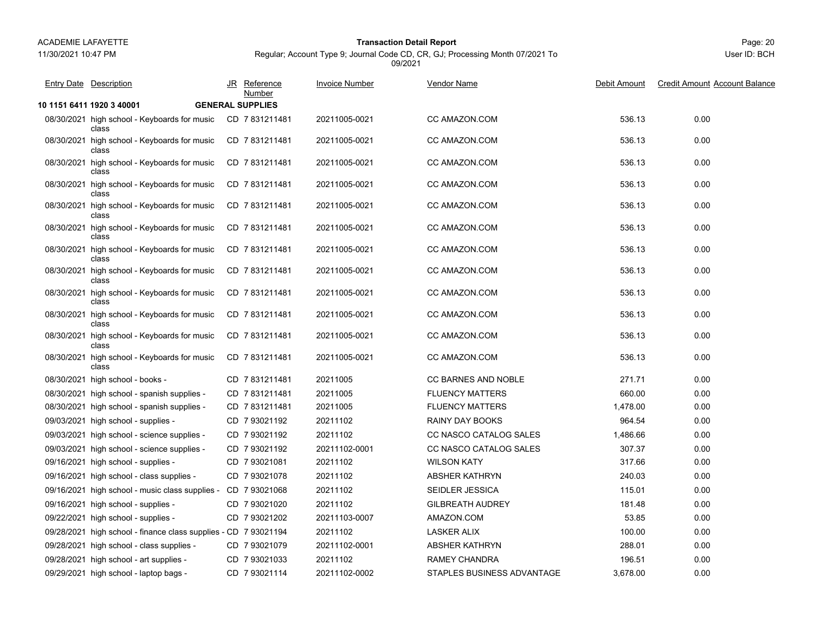11/30/2021 10:47 PM

## Page: 20 **Transaction Detail Report**

Regular; Account Type 9; Journal Code CD, CR, GJ; Processing Month 07/2021 To 09/2021

| <b>Entry Date Description</b>                                        | JR Reference<br>Number  | <b>Invoice Number</b> | <b>Vendor Name</b>         | Debit Amount | <b>Credit Amount Account Balance</b> |
|----------------------------------------------------------------------|-------------------------|-----------------------|----------------------------|--------------|--------------------------------------|
| 10 1151 6411 1920 3 40001                                            | <b>GENERAL SUPPLIES</b> |                       |                            |              |                                      |
| 08/30/2021 high school - Keyboards for music CD 7 831211481<br>class |                         | 20211005-0021         | CC AMAZON.COM              | 536.13       | 0.00                                 |
| 08/30/2021 high school - Keyboards for music<br>class                | CD 7831211481           | 20211005-0021         | CC AMAZON.COM              | 536.13       | 0.00                                 |
| 08/30/2021 high school - Keyboards for music<br>class                | CD 7831211481           | 20211005-0021         | CC AMAZON.COM              | 536.13       | 0.00                                 |
| 08/30/2021 high school - Keyboards for music<br>class                | CD 7831211481           | 20211005-0021         | CC AMAZON.COM              | 536.13       | 0.00                                 |
| 08/30/2021 high school - Keyboards for music<br>class                | CD 7831211481           | 20211005-0021         | CC AMAZON COM              | 536.13       | 0.00                                 |
| 08/30/2021 high school - Keyboards for music<br>class                | CD 7831211481           | 20211005-0021         | CC AMAZON COM              | 536.13       | 0.00                                 |
| 08/30/2021 high school - Keyboards for music<br>class                | CD 7831211481           | 20211005-0021         | CC AMAZON COM              | 536.13       | 0.00                                 |
| 08/30/2021 high school - Keyboards for music<br>class                | CD 7831211481           | 20211005-0021         | CC AMAZON.COM              | 536.13       | 0.00                                 |
| 08/30/2021 high school - Keyboards for music<br>class                | CD 7831211481           | 20211005-0021         | CC AMAZON.COM              | 536.13       | 0.00                                 |
| 08/30/2021 high school - Keyboards for music<br>class                | CD 7831211481           | 20211005-0021         | CC AMAZON.COM              | 536.13       | 0.00                                 |
| 08/30/2021 high school - Keyboards for music<br>class                | CD 7831211481           | 20211005-0021         | CC AMAZON COM              | 536.13       | 0.00                                 |
| 08/30/2021 high school - Keyboards for music<br>class                | CD 7831211481           | 20211005-0021         | CC AMAZON.COM              | 536.13       | 0.00                                 |
| 08/30/2021 high school - books -                                     | CD 7831211481           | 20211005              | <b>CC BARNES AND NOBLE</b> | 271.71       | 0.00                                 |
| 08/30/2021 high school - spanish supplies -                          | CD 7831211481           | 20211005              | <b>FLUENCY MATTERS</b>     | 660.00       | 0.00                                 |
| 08/30/2021 high school - spanish supplies -                          | CD 7831211481           | 20211005              | <b>FLUENCY MATTERS</b>     | 1,478.00     | 0.00                                 |
| 09/03/2021 high school - supplies -                                  | CD 7 93021192           | 20211102              | <b>RAINY DAY BOOKS</b>     | 964.54       | 0.00                                 |
| 09/03/2021 high school - science supplies -                          | CD 7 93021192           | 20211102              | CC NASCO CATALOG SALES     | 1,486.66     | 0.00                                 |
| 09/03/2021 high school - science supplies -                          | CD 793021192            | 20211102-0001         | CC NASCO CATALOG SALES     | 307.37       | 0.00                                 |
| 09/16/2021 high school - supplies -                                  | CD 7 93021081           | 20211102              | <b>WILSON KATY</b>         | 317.66       | 0.00                                 |
| 09/16/2021 high school - class supplies -                            | CD 7 93021078           | 20211102              | <b>ABSHER KATHRYN</b>      | 240.03       | 0.00                                 |
| 09/16/2021 high school - music class supplies - CD 7 93021068        |                         | 20211102              | SEIDLER JESSICA            | 115.01       | 0.00                                 |
| 09/16/2021 high school - supplies -                                  | CD 7 93021020           | 20211102              | <b>GILBREATH AUDREY</b>    | 181.48       | 0.00                                 |
| 09/22/2021 high school - supplies -                                  | CD 7 93021202           | 20211103-0007         | AMAZON.COM                 | 53.85        | 0.00                                 |
| 09/28/2021 high school - finance class supplies - CD 7 93021194      |                         | 20211102              | <b>LASKER ALIX</b>         | 100.00       | 0.00                                 |
| 09/28/2021 high school - class supplies -                            | CD 7 93021079           | 20211102-0001         | <b>ABSHER KATHRYN</b>      | 288.01       | 0.00                                 |
| 09/28/2021 high school - art supplies -                              | CD 7 93021033           | 20211102              | <b>RAMEY CHANDRA</b>       | 196.51       | 0.00                                 |
| 09/29/2021 high school - laptop bags -                               | CD 7 93021114           | 20211102-0002         | STAPLES BUSINESS ADVANTAGE | 3,678.00     | 0.00                                 |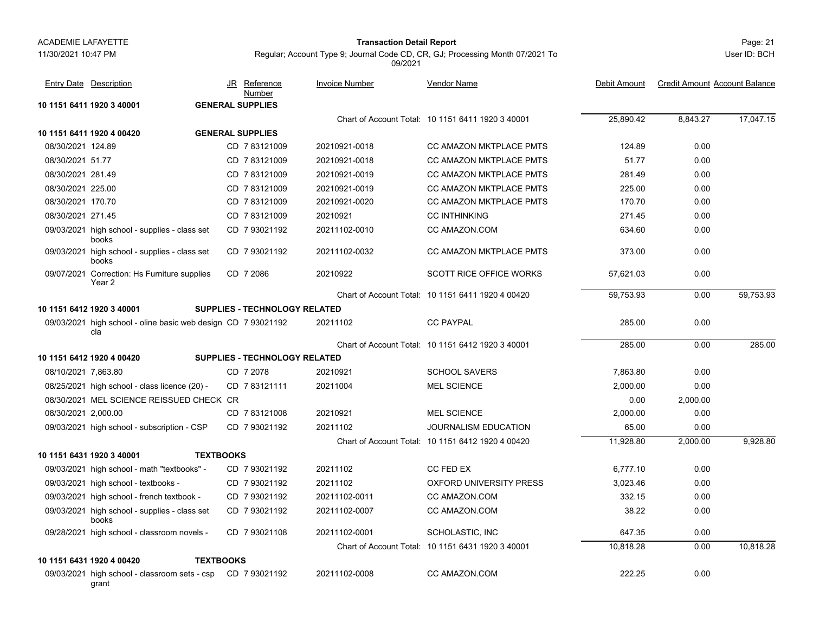#### 11/30/2021 10:47 PM

## Page: 21 **Transaction Detail Report**

User ID: BCH

Regular; Account Type 9; Journal Code CD, CR, GJ; Processing Month 07/2021 To 09/2021

|                     | <b>Entry Date Description</b>                                              | JR               | <u>Reference</u><br>Number    | <b>Invoice Number</b> | Vendor Name                                       | Debit Amount | <b>Credit Amount Account Balance</b> |           |
|---------------------|----------------------------------------------------------------------------|------------------|-------------------------------|-----------------------|---------------------------------------------------|--------------|--------------------------------------|-----------|
|                     | 10 1151 6411 1920 3 40001                                                  |                  | <b>GENERAL SUPPLIES</b>       |                       |                                                   |              |                                      |           |
|                     |                                                                            |                  |                               |                       | Chart of Account Total: 10 1151 6411 1920 3 40001 | 25,890.42    | 8,843.27                             | 17,047.15 |
|                     | 10 1151 6411 1920 4 00420                                                  |                  | <b>GENERAL SUPPLIES</b>       |                       |                                                   |              |                                      |           |
| 08/30/2021 124.89   |                                                                            |                  | CD 783121009                  | 20210921-0018         | <b>CC AMAZON MKTPLACE PMTS</b>                    | 124.89       | 0.00                                 |           |
| 08/30/2021 51.77    |                                                                            |                  | CD 783121009                  | 20210921-0018         | CC AMAZON MKTPLACE PMTS                           | 51.77        | 0.00                                 |           |
| 08/30/2021 281.49   |                                                                            |                  | CD 7 83121009                 | 20210921-0019         | CC AMAZON MKTPLACE PMTS                           | 281.49       | 0.00                                 |           |
| 08/30/2021 225.00   |                                                                            |                  | CD 783121009                  | 20210921-0019         | <b>CC AMAZON MKTPLACE PMTS</b>                    | 225.00       | 0.00                                 |           |
| 08/30/2021 170.70   |                                                                            |                  | CD 783121009                  | 20210921-0020         | CC AMAZON MKTPLACE PMTS                           | 170.70       | 0.00                                 |           |
| 08/30/2021 271.45   |                                                                            |                  | CD 7 83121009                 | 20210921              | <b>CC INTHINKING</b>                              | 271.45       | 0.00                                 |           |
|                     | 09/03/2021 high school - supplies - class set<br>books                     |                  | CD 7 93021192                 | 20211102-0010         | CC AMAZON.COM                                     | 634.60       | 0.00                                 |           |
|                     | 09/03/2021 high school - supplies - class set<br>books                     |                  | CD 7 93021192                 | 20211102-0032         | <b>CC AMAZON MKTPLACE PMTS</b>                    | 373.00       | 0.00                                 |           |
|                     | 09/07/2021 Correction: Hs Furniture supplies<br>Year 2                     |                  | CD 7 2086                     | 20210922              | <b>SCOTT RICE OFFICE WORKS</b>                    | 57.621.03    | 0.00                                 |           |
|                     |                                                                            |                  |                               |                       | Chart of Account Total: 10 1151 6411 1920 4 00420 | 59,753.93    | 0.00                                 | 59,753.93 |
|                     | 10 1151 6412 1920 3 40001                                                  |                  | SUPPLIES - TECHNOLOGY RELATED |                       |                                                   |              |                                      |           |
|                     | 09/03/2021 high school - oline basic web design CD 7 93021192<br>cla       |                  |                               | 20211102              | <b>CC PAYPAL</b>                                  | 285.00       | 0.00                                 |           |
|                     |                                                                            |                  |                               |                       | Chart of Account Total: 10 1151 6412 1920 3 40001 | 285.00       | 0.00                                 | 285.00    |
|                     | 10 1151 6412 1920 4 00420                                                  |                  | SUPPLIES - TECHNOLOGY RELATED |                       |                                                   |              |                                      |           |
| 08/10/2021 7,863.80 |                                                                            |                  | CD 7 2078                     | 20210921              | <b>SCHOOL SAVERS</b>                              | 7,863.80     | 0.00                                 |           |
|                     | 08/25/2021 high school - class licence (20) -                              |                  | CD 783121111                  | 20211004              | <b>MEL SCIENCE</b>                                | 2,000.00     | 0.00                                 |           |
|                     | 08/30/2021 MEL SCIENCE REISSUED CHECK CR                                   |                  |                               |                       |                                                   | 0.00         | 2,000.00                             |           |
| 08/30/2021 2,000.00 |                                                                            |                  | CD 7 83121008                 | 20210921              | <b>MEL SCIENCE</b>                                | 2,000.00     | 0.00                                 |           |
|                     | 09/03/2021 high school - subscription - CSP                                |                  | CD 7 93021192                 | 20211102              | <b>JOURNALISM EDUCATION</b>                       | 65.00        | 0.00                                 |           |
|                     |                                                                            |                  |                               |                       | Chart of Account Total: 10 1151 6412 1920 4 00420 | 11.928.80    | 2,000.00                             | 9.928.80  |
|                     | 10 1151 6431 1920 3 40001                                                  | <b>TEXTBOOKS</b> |                               |                       |                                                   |              |                                      |           |
|                     | 09/03/2021 high school - math "textbooks" -                                |                  | CD 7 93021192                 | 20211102              | CC FED EX                                         | 6,777.10     | 0.00                                 |           |
|                     | 09/03/2021 high school - textbooks -                                       |                  | CD 793021192                  | 20211102              | <b>OXFORD UNIVERSITY PRESS</b>                    | 3,023.46     | 0.00                                 |           |
|                     | 09/03/2021 high school - french textbook -                                 |                  | CD 7 93021192                 | 20211102-0011         | CC AMAZON.COM                                     | 332.15       | 0.00                                 |           |
|                     | 09/03/2021 high school - supplies - class set<br>books                     |                  | CD 7 93021192                 | 20211102-0007         | CC AMAZON.COM                                     | 38.22        | 0.00                                 |           |
|                     | 09/28/2021 high school - classroom novels -                                |                  | CD 7 93021108                 | 20211102-0001         | SCHOLASTIC, INC                                   | 647.35       | 0.00                                 |           |
|                     |                                                                            |                  |                               |                       | Chart of Account Total: 10 1151 6431 1920 3 40001 | 10.818.28    | 0.00                                 | 10,818.28 |
|                     | 10 1151 6431 1920 4 00420                                                  | <b>TEXTBOOKS</b> |                               |                       |                                                   |              |                                      |           |
|                     | 09/03/2021 high school - classroom sets - csp    CD    7 93021192<br>grant |                  |                               | 20211102-0008         | CC AMAZON.COM                                     | 222.25       | 0.00                                 |           |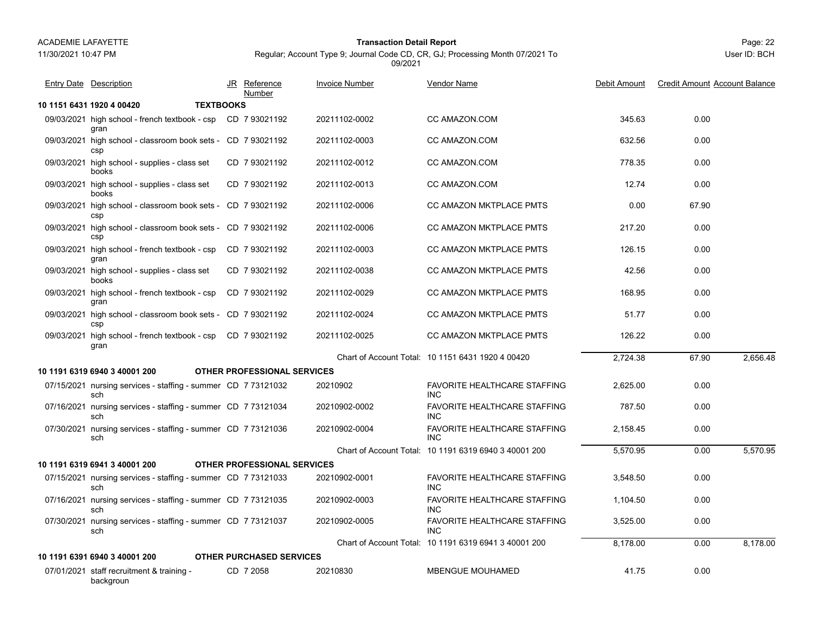11/30/2021 10:47 PM

### Page: 22 **Transaction Detail Report**

Regular; Account Type 9; Journal Code CD, CR, GJ; Processing Month 07/2021 To 09/2021

|            | <b>Entry Date Description</b>                                         | JR Reference<br>Number             | <b>Invoice Number</b> | <b>Vendor Name</b>                                    | Debit Amount | <b>Credit Amount Account Balance</b> |          |
|------------|-----------------------------------------------------------------------|------------------------------------|-----------------------|-------------------------------------------------------|--------------|--------------------------------------|----------|
|            | <b>TEXTBOOKS</b><br>10 1151 6431 1920 4 00420                         |                                    |                       |                                                       |              |                                      |          |
|            | 09/03/2021 high school - french textbook - csp  CD 7 93021192<br>gran |                                    | 20211102-0002         | CC AMAZON.COM                                         | 345.63       | 0.00                                 |          |
|            | 09/03/2021 high school - classroom book sets - CD 7 93021192<br>csp   |                                    | 20211102-0003         | CC AMAZON.COM                                         | 632.56       | 0.00                                 |          |
|            | 09/03/2021 high school - supplies - class set<br>books                | CD 7 93021192                      | 20211102-0012         | CC AMAZON.COM                                         | 778.35       | 0.00                                 |          |
|            | 09/03/2021 high school - supplies - class set<br>books                | CD 7 93021192                      | 20211102-0013         | CC AMAZON.COM                                         | 12.74        | 0.00                                 |          |
|            | 09/03/2021 high school - classroom book sets - CD 7 93021192<br>csp   |                                    | 20211102-0006         | CC AMAZON MKTPLACE PMTS                               | 0.00         | 67.90                                |          |
|            | 09/03/2021 high school - classroom book sets - CD 7 93021192<br>csp   |                                    | 20211102-0006         | CC AMAZON MKTPLACE PMTS                               | 217.20       | 0.00                                 |          |
|            | 09/03/2021 high school - french textbook - csp<br>gran                | CD 793021192                       | 20211102-0003         | CC AMAZON MKTPLACE PMTS                               | 126.15       | 0.00                                 |          |
|            | 09/03/2021 high school - supplies - class set<br>books                | CD 7 93021192                      | 20211102-0038         | CC AMAZON MKTPLACE PMTS                               | 42.56        | 0.00                                 |          |
|            | 09/03/2021 high school - french textbook - csp<br>gran                | CD 7 93021192                      | 20211102-0029         | <b>CC AMAZON MKTPLACE PMTS</b>                        | 168.95       | 0.00                                 |          |
|            | 09/03/2021 high school - classroom book sets - CD 7 93021192<br>csp   |                                    | 20211102-0024         | CC AMAZON MKTPLACE PMTS                               | 51.77        | 0.00                                 |          |
| 09/03/2021 | high school - french textbook - csp<br>gran                           | CD 7 93021192                      | 20211102-0025         | CC AMAZON MKTPLACE PMTS                               | 126.22       | 0.00                                 |          |
|            |                                                                       |                                    |                       | Chart of Account Total: 10 1151 6431 1920 4 00420     | 2,724.38     | 67.90                                | 2.656.48 |
|            | 10 1191 6319 6940 3 40001 200                                         | OTHER PROFESSIONAL SERVICES        |                       |                                                       |              |                                      |          |
|            | 07/15/2021 nursing services - staffing - summer CD 7 73121032<br>sch  |                                    | 20210902              | <b>FAVORITE HEALTHCARE STAFFING</b><br><b>INC</b>     | 2,625.00     | 0.00                                 |          |
|            | 07/16/2021 nursing services - staffing - summer CD 7 73121034<br>sch  |                                    | 20210902-0002         | <b>FAVORITE HEALTHCARE STAFFING</b><br><b>INC</b>     | 787.50       | 0.00                                 |          |
|            | 07/30/2021 nursing services - staffing - summer CD 7 73121036<br>sch  |                                    | 20210902-0004         | <b>FAVORITE HEALTHCARE STAFFING</b><br><b>INC</b>     | 2,158.45     | 0.00                                 |          |
|            |                                                                       |                                    |                       | Chart of Account Total: 10 1191 6319 6940 3 40001 200 | 5,570.95     | 0.00                                 | 5,570.95 |
|            | 10 1191 6319 6941 3 40001 200                                         | <b>OTHER PROFESSIONAL SERVICES</b> |                       |                                                       |              |                                      |          |
|            | 07/15/2021 nursing services - staffing - summer CD 7 73121033<br>sch  |                                    | 20210902-0001         | <b>FAVORITE HEALTHCARE STAFFING</b><br><b>INC</b>     | 3,548.50     | 0.00                                 |          |
|            | 07/16/2021 nursing services - staffing - summer CD 7 73121035<br>sch  |                                    | 20210902-0003         | <b>FAVORITE HEALTHCARE STAFFING</b><br>INC.           | 1,104.50     | 0.00                                 |          |
|            | 07/30/2021 nursing services - staffing - summer CD 7 73121037<br>sch  |                                    | 20210902-0005         | FAVORITE HEALTHCARE STAFFING<br><b>INC</b>            | 3,525.00     | 0.00                                 |          |
|            |                                                                       |                                    |                       | Chart of Account Total: 10 1191 6319 6941 3 40001 200 | 8,178.00     | 0.00                                 | 8,178.00 |
|            | 10 1191 6391 6940 3 40001 200                                         | <b>OTHER PURCHASED SERVICES</b>    |                       |                                                       |              |                                      |          |
|            | 07/01/2021 staff recruitment & training -<br>backgroun                | CD 7 2058                          | 20210830              | <b>MBENGUE MOUHAMED</b>                               | 41.75        | 0.00                                 |          |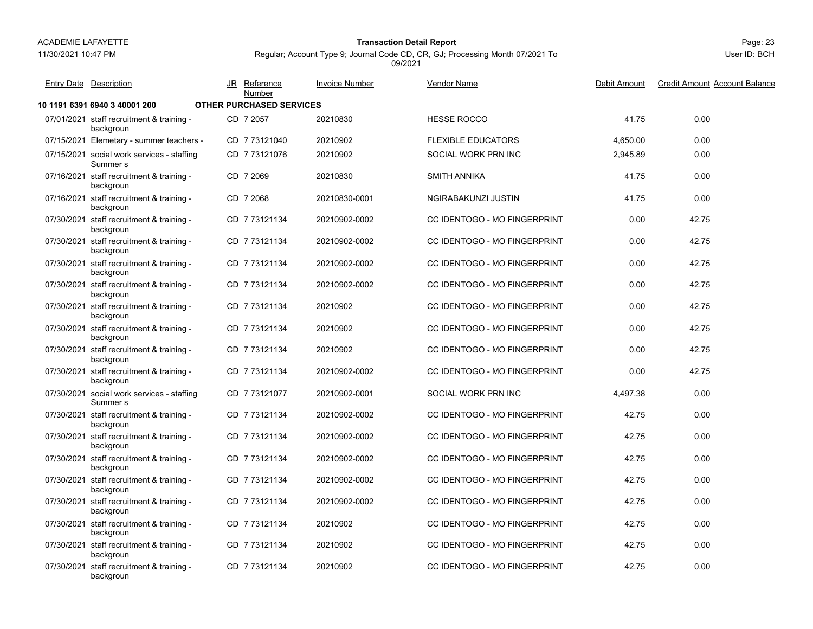## 11/30/2021 10:47 PM

# Page: 23 **Transaction Detail Report**

Regular; Account Type 9; Journal Code CD, CR, GJ; Processing Month 07/2021 To 09/2021

| <b>Entry Date Description</b>                                     | JR Reference<br>Number          | <b>Invoice Number</b> | <b>Vendor Name</b>                  | Debit Amount | <b>Credit Amount Account Balance</b> |
|-------------------------------------------------------------------|---------------------------------|-----------------------|-------------------------------------|--------------|--------------------------------------|
| 10 1191 6391 6940 3 40001 200                                     | <b>OTHER PURCHASED SERVICES</b> |                       |                                     |              |                                      |
| 07/01/2021 staff recruitment & training -<br>backgroun            | CD 7 2057                       | 20210830              | <b>HESSE ROCCO</b>                  | 41.75        | 0.00                                 |
| 07/15/2021 Elemetary - summer teachers -                          | CD 7 73121040                   | 20210902              | <b>FLEXIBLE EDUCATORS</b>           | 4,650.00     | 0.00                                 |
| 07/15/2021 social work services - staffing<br>Summer <sub>s</sub> | CD 773121076                    | 20210902              | SOCIAL WORK PRN INC                 | 2,945.89     | 0.00                                 |
| 07/16/2021 staff recruitment & training -<br>backgroun            | CD 7 2069                       | 20210830              | <b>SMITH ANNIKA</b>                 | 41.75        | 0.00                                 |
| 07/16/2021 staff recruitment & training -<br>backgroun            | CD 7 2068                       | 20210830-0001         | NGIRABAKUNZI JUSTIN                 | 41.75        | 0.00                                 |
| 07/30/2021 staff recruitment & training -<br>backgroun            | CD 773121134                    | 20210902-0002         | CC IDENTOGO - MO FINGERPRINT        | 0.00         | 42.75                                |
| 07/30/2021 staff recruitment & training -<br>backgroun            | CD 773121134                    | 20210902-0002         | CC IDENTOGO - MO FINGERPRINT        | 0.00         | 42.75                                |
| 07/30/2021 staff recruitment & training -<br>backgroun            | CD 773121134                    | 20210902-0002         | CC IDENTOGO - MO FINGERPRINT        | 0.00         | 42.75                                |
| 07/30/2021 staff recruitment & training -<br>backgroun            | CD 773121134                    | 20210902-0002         | CC IDENTOGO - MO FINGERPRINT        | 0.00         | 42.75                                |
| 07/30/2021 staff recruitment & training -<br>backgroun            | CD 773121134                    | 20210902              | CC IDENTOGO - MO FINGERPRINT        | 0.00         | 42.75                                |
| 07/30/2021 staff recruitment & training -<br>backgroun            | CD 773121134                    | 20210902              | CC IDENTOGO - MO FINGERPRINT        | 0.00         | 42.75                                |
| 07/30/2021 staff recruitment & training -<br>backgroun            | CD 7 73121134                   | 20210902              | CC IDENTOGO - MO FINGERPRINT        | 0.00         | 42.75                                |
| 07/30/2021 staff recruitment & training -<br>backgroun            | CD 7 73121134                   | 20210902-0002         | CC IDENTOGO - MO FINGERPRINT        | 0.00         | 42.75                                |
| 07/30/2021 social work services - staffing<br>Summer <sub>s</sub> | CD 7 73121077                   | 20210902-0001         | SOCIAL WORK PRN INC                 | 4.497.38     | 0.00                                 |
| 07/30/2021 staff recruitment & training -<br>backgroun            | CD 773121134                    | 20210902-0002         | CC IDENTOGO - MO FINGERPRINT        | 42.75        | 0.00                                 |
| 07/30/2021 staff recruitment & training -<br>backgroun            | CD 773121134                    | 20210902-0002         | CC IDENTOGO - MO FINGERPRINT        | 42.75        | 0.00                                 |
| 07/30/2021 staff recruitment & training -<br>backgroun            | CD 7 73121134                   | 20210902-0002         | CC IDENTOGO - MO FINGERPRINT        | 42.75        | 0.00                                 |
| 07/30/2021 staff recruitment & training -<br>backgroun            | CD 7 73121134                   | 20210902-0002         | <b>CC IDENTOGO - MO FINGERPRINT</b> | 42.75        | 0.00                                 |
| 07/30/2021 staff recruitment & training -<br>backgroun            | CD 7 73121134                   | 20210902-0002         | CC IDENTOGO - MO FINGERPRINT        | 42.75        | 0.00                                 |
| 07/30/2021 staff recruitment & training -<br>backgroun            | CD 773121134                    | 20210902              | CC IDENTOGO - MO FINGERPRINT        | 42.75        | 0.00                                 |
| 07/30/2021 staff recruitment & training -<br>backgroun            | CD 773121134                    | 20210902              | CC IDENTOGO - MO FINGERPRINT        | 42.75        | 0.00                                 |
| 07/30/2021 staff recruitment & training -<br>backgroun            | CD 7 73121134                   | 20210902              | <b>CC IDENTOGO - MO FINGERPRINT</b> | 42.75        | 0.00                                 |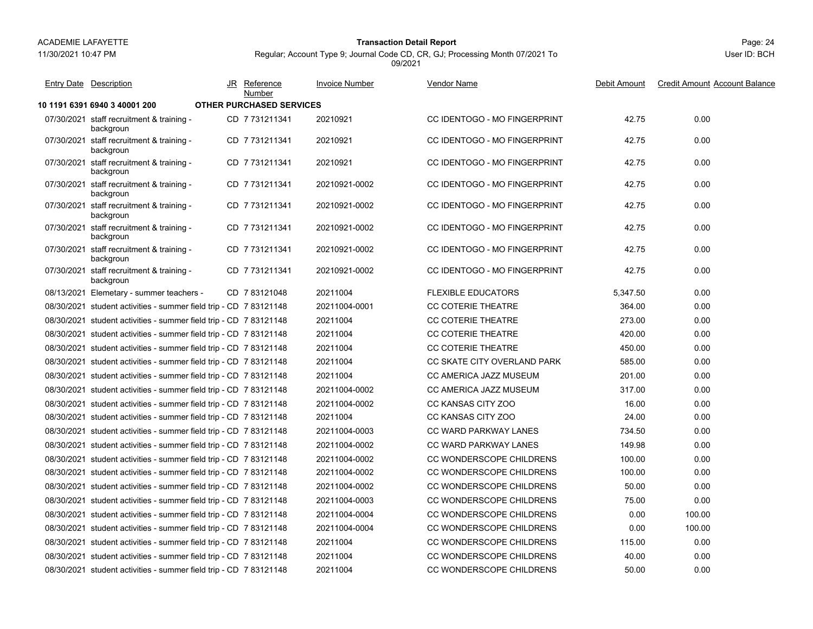11/30/2021 10:47 PM

# Page: 24 **Transaction Detail Report**

Regular; Account Type 9; Journal Code CD, CR, GJ; Processing Month 07/2021 To 09/2021

| <b>Entry Date Description</b>                                     | JR Reference<br>Number          | <b>Invoice Number</b> | <b>Vendor Name</b>           | Debit Amount | <b>Credit Amount Account Balance</b> |
|-------------------------------------------------------------------|---------------------------------|-----------------------|------------------------------|--------------|--------------------------------------|
| 10 1191 6391 6940 3 40001 200                                     | <b>OTHER PURCHASED SERVICES</b> |                       |                              |              |                                      |
| 07/30/2021 staff recruitment & training -<br>backgroun            | CD 7 731211341                  | 20210921              | CC IDENTOGO - MO FINGERPRINT | 42.75        | 0.00                                 |
| 07/30/2021 staff recruitment & training -<br>backgroun            | CD 7 731211341                  | 20210921              | CC IDENTOGO - MO FINGERPRINT | 42.75        | 0.00                                 |
| 07/30/2021 staff recruitment & training -<br>backgroun            | CD 7731211341                   | 20210921              | CC IDENTOGO - MO FINGERPRINT | 42.75        | 0.00                                 |
| 07/30/2021 staff recruitment & training -<br>backgroun            | CD 7731211341                   | 20210921-0002         | CC IDENTOGO - MO FINGERPRINT | 42.75        | 0.00                                 |
| 07/30/2021 staff recruitment & training -<br>backgroun            | CD 7731211341                   | 20210921-0002         | CC IDENTOGO - MO FINGERPRINT | 42.75        | 0.00                                 |
| 07/30/2021 staff recruitment & training -<br>backgroun            | CD 7731211341                   | 20210921-0002         | CC IDENTOGO - MO FINGERPRINT | 42.75        | 0.00                                 |
| 07/30/2021 staff recruitment & training -<br>backgroun            | CD 7 731211341                  | 20210921-0002         | CC IDENTOGO - MO FINGERPRINT | 42.75        | 0.00                                 |
| 07/30/2021 staff recruitment & training -<br>backgroun            | CD 7731211341                   | 20210921-0002         | CC IDENTOGO - MO FINGERPRINT | 42.75        | 0.00                                 |
| 08/13/2021 Elemetary - summer teachers -                          | CD 7 83121048                   | 20211004              | <b>FLEXIBLE EDUCATORS</b>    | 5,347.50     | 0.00                                 |
| 08/30/2021 student activities - summer field trip - CD 7 83121148 |                                 | 20211004-0001         | <b>CC COTERIE THEATRE</b>    | 364.00       | 0.00                                 |
| 08/30/2021 student activities - summer field trip - CD 7 83121148 |                                 | 20211004              | <b>CC COTERIE THEATRE</b>    | 273.00       | 0.00                                 |
| 08/30/2021 student activities - summer field trip - CD 7 83121148 |                                 | 20211004              | <b>CC COTERIE THEATRE</b>    | 420.00       | 0.00                                 |
| 08/30/2021 student activities - summer field trip - CD 7 83121148 |                                 | 20211004              | <b>CC COTERIE THEATRE</b>    | 450.00       | 0.00                                 |
| 08/30/2021 student activities - summer field trip - CD 7 83121148 |                                 | 20211004              | CC SKATE CITY OVERLAND PARK  | 585.00       | 0.00                                 |
| 08/30/2021 student activities - summer field trip - CD 7 83121148 |                                 | 20211004              | CC AMERICA JAZZ MUSEUM       | 201.00       | 0.00                                 |
| 08/30/2021 student activities - summer field trip - CD 7 83121148 |                                 | 20211004-0002         | CC AMERICA JAZZ MUSEUM       | 317.00       | 0.00                                 |
| 08/30/2021 student activities - summer field trip - CD 7 83121148 |                                 | 20211004-0002         | CC KANSAS CITY ZOO           | 16.00        | 0.00                                 |
| 08/30/2021 student activities - summer field trip - CD 7 83121148 |                                 | 20211004              | CC KANSAS CITY ZOO           | 24.00        | 0.00                                 |
| 08/30/2021 student activities - summer field trip - CD 7 83121148 |                                 | 20211004-0003         | <b>CC WARD PARKWAY LANES</b> | 734.50       | 0.00                                 |
| 08/30/2021 student activities - summer field trip - CD 7 83121148 |                                 | 20211004-0002         | <b>CC WARD PARKWAY LANES</b> | 149.98       | 0.00                                 |
| 08/30/2021 student activities - summer field trip - CD 7 83121148 |                                 | 20211004-0002         | CC WONDERSCOPE CHILDRENS     | 100.00       | 0.00                                 |
| 08/30/2021 student activities - summer field trip - CD 7 83121148 |                                 | 20211004-0002         | CC WONDERSCOPE CHILDRENS     | 100.00       | 0.00                                 |
| 08/30/2021 student activities - summer field trip - CD 7 83121148 |                                 | 20211004-0002         | CC WONDERSCOPE CHILDRENS     | 50.00        | 0.00                                 |
| 08/30/2021 student activities - summer field trip - CD 7 83121148 |                                 | 20211004-0003         | CC WONDERSCOPE CHILDRENS     | 75.00        | 0.00                                 |
| 08/30/2021 student activities - summer field trip - CD 7 83121148 |                                 | 20211004-0004         | CC WONDERSCOPE CHILDRENS     | 0.00         | 100.00                               |
| 08/30/2021 student activities - summer field trip - CD 7 83121148 |                                 | 20211004-0004         | CC WONDERSCOPE CHILDRENS     | 0.00         | 100.00                               |
| 08/30/2021 student activities - summer field trip - CD 7 83121148 |                                 | 20211004              | CC WONDERSCOPE CHILDRENS     | 115.00       | 0.00                                 |
| 08/30/2021 student activities - summer field trip - CD 7 83121148 |                                 | 20211004              | CC WONDERSCOPE CHILDRENS     | 40.00        | 0.00                                 |
| 08/30/2021 student activities - summer field trip - CD 7 83121148 |                                 | 20211004              | CC WONDERSCOPE CHILDRENS     | 50.00        | 0.00                                 |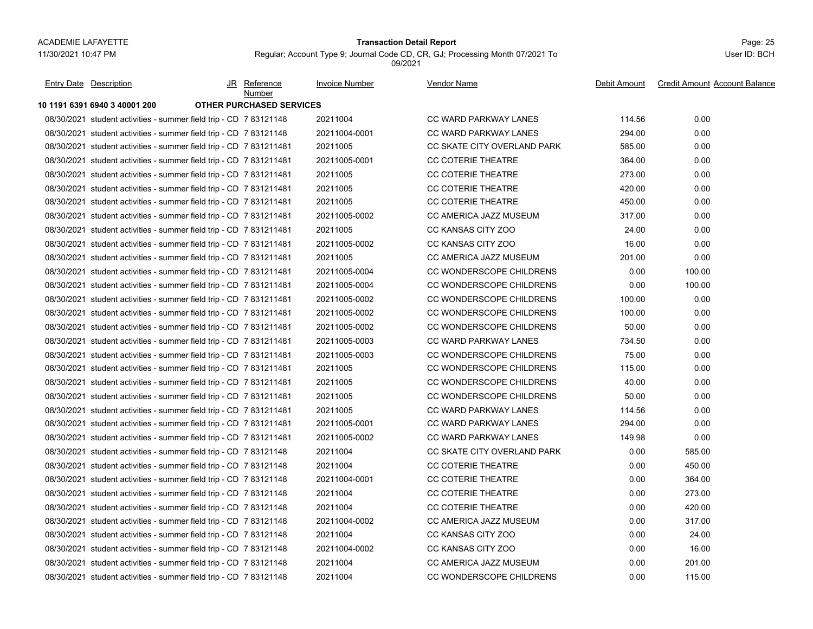## Page: 25 **Transaction Detail Report**

Regular; Account Type 9; Journal Code CD, CR, GJ; Processing Month 07/2021 To 09/2021

| <b>Entry Date</b> Description                                      | JR Reference<br>Number          | <b>Invoice Number</b> | <b>Vendor Name</b>           | Debit Amount | <b>Credit Amount Account Balance</b> |
|--------------------------------------------------------------------|---------------------------------|-----------------------|------------------------------|--------------|--------------------------------------|
| 10 1191 6391 6940 3 40001 200                                      | <b>OTHER PURCHASED SERVICES</b> |                       |                              |              |                                      |
| 08/30/2021 student activities - summer field trip - CD 7 83121148  |                                 | 20211004              | <b>CC WARD PARKWAY LANES</b> | 114.56       | 0.00                                 |
| 08/30/2021 student activities - summer field trip - CD 7 83121148  |                                 | 20211004-0001         | <b>CC WARD PARKWAY LANES</b> | 294.00       | 0.00                                 |
| 08/30/2021 student activities - summer field trip - CD 7 831211481 |                                 | 20211005              | CC SKATE CITY OVERLAND PARK  | 585.00       | 0.00                                 |
| 08/30/2021 student activities - summer field trip - CD 7 831211481 |                                 | 20211005-0001         | CC COTERIE THEATRE           | 364.00       | 0.00                                 |
| 08/30/2021 student activities - summer field trip - CD 7 831211481 |                                 | 20211005              | <b>CC COTERIE THEATRE</b>    | 273.00       | 0.00                                 |
| 08/30/2021 student activities - summer field trip - CD 7 831211481 |                                 | 20211005              | <b>CC COTERIE THEATRE</b>    | 420.00       | 0.00                                 |
| 08/30/2021 student activities - summer field trip - CD 7 831211481 |                                 | 20211005              | <b>CC COTERIE THEATRE</b>    | 450.00       | 0.00                                 |
| 08/30/2021 student activities - summer field trip - CD 7 831211481 |                                 | 20211005-0002         | CC AMERICA JAZZ MUSEUM       | 317.00       | 0.00                                 |
| 08/30/2021 student activities - summer field trip - CD 7 831211481 |                                 | 20211005              | CC KANSAS CITY ZOO           | 24.00        | 0.00                                 |
| 08/30/2021 student activities - summer field trip - CD 7 831211481 |                                 | 20211005-0002         | CC KANSAS CITY ZOO           | 16.00        | 0.00                                 |
| 08/30/2021 student activities - summer field trip - CD 7 831211481 |                                 | 20211005              | CC AMERICA JAZZ MUSEUM       | 201.00       | 0.00                                 |
| 08/30/2021 student activities - summer field trip - CD 7 831211481 |                                 | 20211005-0004         | CC WONDERSCOPE CHILDRENS     | 0.00         | 100.00                               |
| 08/30/2021 student activities - summer field trip - CD 7 831211481 |                                 | 20211005-0004         | CC WONDERSCOPE CHILDRENS     | 0.00         | 100.00                               |
| 08/30/2021 student activities - summer field trip - CD 7 831211481 |                                 | 20211005-0002         | CC WONDERSCOPE CHILDRENS     | 100.00       | 0.00                                 |
| 08/30/2021 student activities - summer field trip - CD 7 831211481 |                                 | 20211005-0002         | CC WONDERSCOPE CHILDRENS     | 100.00       | 0.00                                 |
| 08/30/2021 student activities - summer field trip - CD 7 831211481 |                                 | 20211005-0002         | CC WONDERSCOPE CHILDRENS     | 50.00        | 0.00                                 |
| 08/30/2021 student activities - summer field trip - CD 7 831211481 |                                 | 20211005-0003         | <b>CC WARD PARKWAY LANES</b> | 734.50       | 0.00                                 |
| 08/30/2021 student activities - summer field trip - CD 7 831211481 |                                 | 20211005-0003         | CC WONDERSCOPE CHILDRENS     | 75.00        | 0.00                                 |
| 08/30/2021 student activities - summer field trip - CD 7 831211481 |                                 | 20211005              | CC WONDERSCOPE CHILDRENS     | 115.00       | 0.00                                 |
| 08/30/2021 student activities - summer field trip - CD 7 831211481 |                                 | 20211005              | CC WONDERSCOPE CHILDRENS     | 40.00        | 0.00                                 |
| 08/30/2021 student activities - summer field trip - CD 7 831211481 |                                 | 20211005              | CC WONDERSCOPE CHILDRENS     | 50.00        | 0.00                                 |
| 08/30/2021 student activities - summer field trip - CD 7 831211481 |                                 | 20211005              | <b>CC WARD PARKWAY LANES</b> | 114.56       | 0.00                                 |
| 08/30/2021 student activities - summer field trip - CD 7 831211481 |                                 | 20211005-0001         | <b>CC WARD PARKWAY LANES</b> | 294.00       | 0.00                                 |
| 08/30/2021 student activities - summer field trip - CD 7 831211481 |                                 | 20211005-0002         | <b>CC WARD PARKWAY LANES</b> | 149.98       | 0.00                                 |
| 08/30/2021 student activities - summer field trip - CD 7 83121148  |                                 | 20211004              | CC SKATE CITY OVERLAND PARK  | 0.00         | 585.00                               |
| 08/30/2021 student activities - summer field trip - CD 7 83121148  |                                 | 20211004              | <b>CC COTERIE THEATRE</b>    | 0.00         | 450.00                               |
| 08/30/2021 student activities - summer field trip - CD 7 83121148  |                                 | 20211004-0001         | CC COTERIE THEATRE           | 0.00         | 364.00                               |
| 08/30/2021 student activities - summer field trip - CD 7 83121148  |                                 | 20211004              | <b>CC COTERIE THEATRE</b>    | 0.00         | 273.00                               |
| 08/30/2021 student activities - summer field trip - CD 7 83121148  |                                 | 20211004              | <b>CC COTERIE THEATRE</b>    | 0.00         | 420.00                               |
| 08/30/2021 student activities - summer field trip - CD 7 83121148  |                                 | 20211004-0002         | CC AMERICA JAZZ MUSEUM       | 0.00         | 317.00                               |
| 08/30/2021 student activities - summer field trip - CD 7 83121148  |                                 | 20211004              | CC KANSAS CITY ZOO           | 0.00         | 24.00                                |
| 08/30/2021 student activities - summer field trip - CD 7 83121148  |                                 | 20211004-0002         | CC KANSAS CITY ZOO           | 0.00         | 16.00                                |
| 08/30/2021 student activities - summer field trip - CD 7 83121148  |                                 | 20211004              | CC AMERICA JAZZ MUSEUM       | 0.00         | 201.00                               |
| 08/30/2021 student activities - summer field trip - CD 7 83121148  |                                 | 20211004              | CC WONDERSCOPE CHILDRENS     | 0.00         | 115.00                               |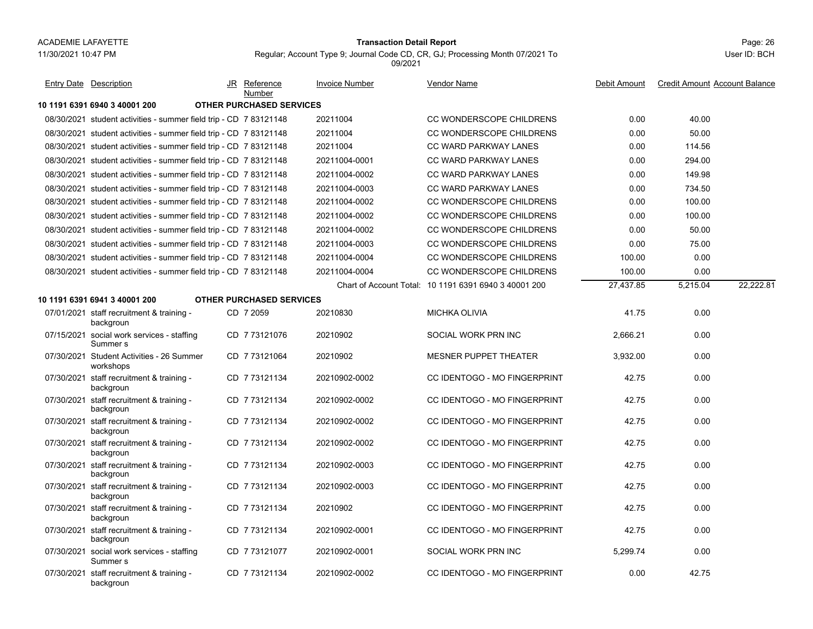## Page: 26 **Transaction Detail Report**

Regular; Account Type 9; Journal Code CD, CR, GJ; Processing Month 07/2021 To 09/2021

| Entry Date Description                                            | JR | Reference<br>Number             | Invoice Number | <b>Vendor Name</b>                                    | Debit Amount | <b>Credit Amount Account Balance</b> |  |
|-------------------------------------------------------------------|----|---------------------------------|----------------|-------------------------------------------------------|--------------|--------------------------------------|--|
| 10 1191 6391 6940 3 40001 200                                     |    | <b>OTHER PURCHASED SERVICES</b> |                |                                                       |              |                                      |  |
| 08/30/2021 student activities - summer field trip - CD 7 83121148 |    |                                 | 20211004       | CC WONDERSCOPE CHILDRENS                              | 0.00         | 40.00                                |  |
| 08/30/2021 student activities - summer field trip - CD 7 83121148 |    |                                 | 20211004       | CC WONDERSCOPE CHILDRENS                              | 0.00         | 50.00                                |  |
| 08/30/2021 student activities - summer field trip - CD 7 83121148 |    |                                 | 20211004       | <b>CC WARD PARKWAY LANES</b>                          | 0.00         | 114.56                               |  |
| 08/30/2021 student activities - summer field trip - CD 7 83121148 |    |                                 | 20211004-0001  | <b>CC WARD PARKWAY LANES</b>                          | 0.00         | 294.00                               |  |
| 08/30/2021 student activities - summer field trip - CD 7 83121148 |    |                                 | 20211004-0002  | <b>CC WARD PARKWAY LANES</b>                          | 0.00         | 149.98                               |  |
| 08/30/2021 student activities - summer field trip - CD 7 83121148 |    |                                 | 20211004-0003  | <b>CC WARD PARKWAY LANES</b>                          | 0.00         | 734.50                               |  |
| 08/30/2021 student activities - summer field trip - CD 7 83121148 |    |                                 | 20211004-0002  | CC WONDERSCOPE CHILDRENS                              | 0.00         | 100.00                               |  |
| 08/30/2021 student activities - summer field trip - CD 7 83121148 |    |                                 | 20211004-0002  | CC WONDERSCOPE CHILDRENS                              | 0.00         | 100.00                               |  |
| 08/30/2021 student activities - summer field trip - CD 7 83121148 |    |                                 | 20211004-0002  | CC WONDERSCOPE CHILDRENS                              | 0.00         | 50.00                                |  |
| 08/30/2021 student activities - summer field trip - CD 7 83121148 |    |                                 | 20211004-0003  | CC WONDERSCOPE CHILDRENS                              | 0.00         | 75.00                                |  |
| 08/30/2021 student activities - summer field trip - CD 7 83121148 |    |                                 | 20211004-0004  | CC WONDERSCOPE CHILDRENS                              | 100.00       | 0.00                                 |  |
| 08/30/2021 student activities - summer field trip - CD 7 83121148 |    |                                 | 20211004-0004  | CC WONDERSCOPE CHILDRENS                              | 100.00       | 0.00                                 |  |
|                                                                   |    |                                 |                | Chart of Account Total: 10 1191 6391 6940 3 40001 200 | 27,437.85    | 5,215.04<br>22,222.81                |  |
| 10 1191 6391 6941 3 40001 200                                     |    | <b>OTHER PURCHASED SERVICES</b> |                |                                                       |              |                                      |  |
| 07/01/2021 staff recruitment & training -<br>backgroun            |    | CD 7 2059                       | 20210830       | <b>MICHKA OLIVIA</b>                                  | 41.75        | 0.00                                 |  |
| 07/15/2021 social work services - staffing<br>Summer <sub>s</sub> |    | CD 7 73121076                   | 20210902       | SOCIAL WORK PRN INC                                   | 2,666.21     | 0.00                                 |  |
| 07/30/2021 Student Activities - 26 Summer<br>workshops            |    | CD 7 73121064                   | 20210902       | <b>MESNER PUPPET THEATER</b>                          | 3.932.00     | 0.00                                 |  |
| 07/30/2021 staff recruitment & training -<br>backgroun            |    | CD 773121134                    | 20210902-0002  | CC IDENTOGO - MO FINGERPRINT                          | 42.75        | 0.00                                 |  |
| 07/30/2021 staff recruitment & training -<br>backgroun            |    | CD 7 73121134                   | 20210902-0002  | CC IDENTOGO - MO FINGERPRINT                          | 42.75        | 0.00                                 |  |
| 07/30/2021 staff recruitment & training -<br>backgroun            |    | CD 773121134                    | 20210902-0002  | CC IDENTOGO - MO FINGERPRINT                          | 42.75        | 0.00                                 |  |
| 07/30/2021 staff recruitment & training -<br>backgroun            |    | CD 773121134                    | 20210902-0002  | CC IDENTOGO - MO FINGERPRINT                          | 42.75        | 0.00                                 |  |
| 07/30/2021 staff recruitment & training -<br>backgroun            |    | CD 773121134                    | 20210902-0003  | CC IDENTOGO - MO FINGERPRINT                          | 42.75        | 0.00                                 |  |
| 07/30/2021 staff recruitment & training -<br>backgroun            |    | CD 7 73121134                   | 20210902-0003  | CC IDENTOGO - MO FINGERPRINT                          | 42.75        | 0.00                                 |  |
| 07/30/2021 staff recruitment & training -<br>backgroun            |    | CD 773121134                    | 20210902       | CC IDENTOGO - MO FINGERPRINT                          | 42.75        | 0.00                                 |  |
| 07/30/2021 staff recruitment & training -<br>backgroun            |    | CD 7 73121134                   | 20210902-0001  | CC IDENTOGO - MO FINGERPRINT                          | 42.75        | 0.00                                 |  |
| 07/30/2021 social work services - staffing<br>Summer <sub>s</sub> |    | CD 7 73121077                   | 20210902-0001  | SOCIAL WORK PRN INC                                   | 5,299.74     | 0.00                                 |  |
| 07/30/2021 staff recruitment & training -<br>backgroun            |    | CD 7 73121134                   | 20210902-0002  | <b>CC IDENTOGO - MO FINGERPRINT</b>                   | 0.00         | 42.75                                |  |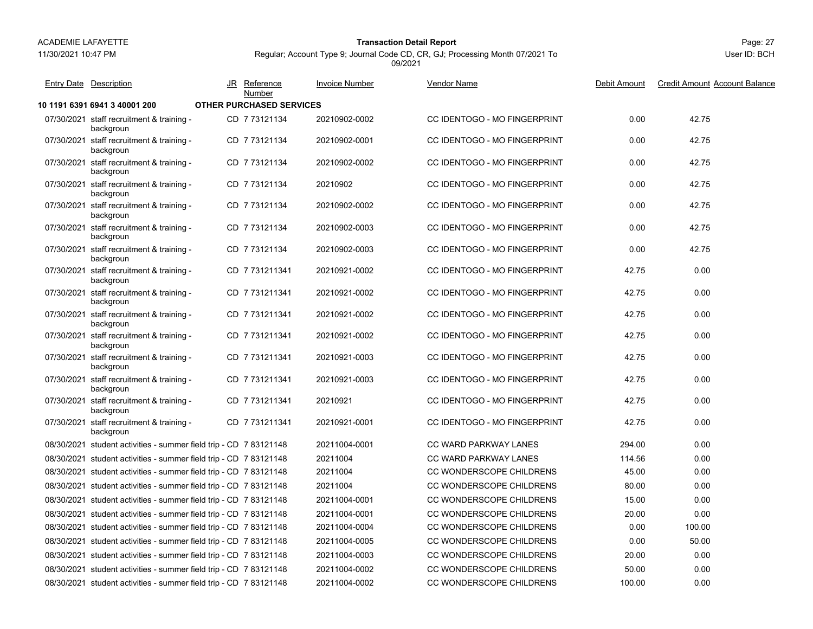11/30/2021 10:47 PM

# Page: 27 **Transaction Detail Report**

Regular; Account Type 9; Journal Code CD, CR, GJ; Processing Month 07/2021 To 09/2021

| <b>Entry Date Description</b>                                     | JR | <b>Reference</b><br>Number      | <b>Invoice Number</b> | <b>Vendor Name</b>                  | Debit Amount | <b>Credit Amount Account Balance</b> |
|-------------------------------------------------------------------|----|---------------------------------|-----------------------|-------------------------------------|--------------|--------------------------------------|
| 10 1191 6391 6941 3 40001 200                                     |    | <b>OTHER PURCHASED SERVICES</b> |                       |                                     |              |                                      |
| 07/30/2021 staff recruitment & training -<br>backgroun            |    | CD 773121134                    | 20210902-0002         | CC IDENTOGO - MO FINGERPRINT        | 0.00         | 42.75                                |
| 07/30/2021 staff recruitment & training -<br>backgroun            |    | CD 7 73121134                   | 20210902-0001         | CC IDENTOGO - MO FINGERPRINT        | 0.00         | 42.75                                |
| 07/30/2021 staff recruitment & training -<br>backgroun            |    | CD 773121134                    | 20210902-0002         | CC IDENTOGO - MO FINGERPRINT        | 0.00         | 42.75                                |
| 07/30/2021 staff recruitment & training -<br>backgroun            |    | CD 773121134                    | 20210902              | CC IDENTOGO - MO FINGERPRINT        | 0.00         | 42.75                                |
| 07/30/2021 staff recruitment & training -<br>backgroun            |    | CD 773121134                    | 20210902-0002         | CC IDENTOGO - MO FINGERPRINT        | 0.00         | 42.75                                |
| 07/30/2021 staff recruitment & training -<br>backgroun            |    | CD 7 73121134                   | 20210902-0003         | CC IDENTOGO - MO FINGERPRINT        | 0.00         | 42.75                                |
| 07/30/2021 staff recruitment & training -<br>backgroun            |    | CD 773121134                    | 20210902-0003         | CC IDENTOGO - MO FINGERPRINT        | 0.00         | 42.75                                |
| 07/30/2021 staff recruitment & training -<br>backgroun            |    | CD 7 731211341                  | 20210921-0002         | CC IDENTOGO - MO FINGERPRINT        | 42.75        | 0.00                                 |
| 07/30/2021 staff recruitment & training -<br>backgroun            |    | CD 7731211341                   | 20210921-0002         | CC IDENTOGO - MO FINGERPRINT        | 42.75        | 0.00                                 |
| 07/30/2021 staff recruitment & training -<br>backgroun            |    | CD 7 731211341                  | 20210921-0002         | CC IDENTOGO - MO FINGERPRINT        | 42.75        | 0.00                                 |
| 07/30/2021 staff recruitment & training -<br>backgroun            |    | CD 7731211341                   | 20210921-0002         | CC IDENTOGO - MO FINGERPRINT        | 42.75        | 0.00                                 |
| 07/30/2021 staff recruitment & training -<br>backgroun            |    | CD 7731211341                   | 20210921-0003         | CC IDENTOGO - MO FINGERPRINT        | 42.75        | 0.00                                 |
| 07/30/2021 staff recruitment & training -<br>backgroun            |    | CD 7 731211341                  | 20210921-0003         | <b>CC IDENTOGO - MO FINGERPRINT</b> | 42.75        | 0.00                                 |
| 07/30/2021 staff recruitment & training -<br>backgroun            |    | CD 7 731211341                  | 20210921              | CC IDENTOGO - MO FINGERPRINT        | 42.75        | 0.00                                 |
| 07/30/2021 staff recruitment & training -<br>backgroun            |    | CD 7731211341                   | 20210921-0001         | <b>CC IDENTOGO - MO FINGERPRINT</b> | 42.75        | 0.00                                 |
| 08/30/2021 student activities - summer field trip - CD 7 83121148 |    |                                 | 20211004-0001         | <b>CC WARD PARKWAY LANES</b>        | 294.00       | 0.00                                 |
| 08/30/2021 student activities - summer field trip - CD 7 83121148 |    |                                 | 20211004              | <b>CC WARD PARKWAY LANES</b>        | 114.56       | 0.00                                 |
| 08/30/2021 student activities - summer field trip - CD 7 83121148 |    |                                 | 20211004              | CC WONDERSCOPE CHILDRENS            | 45.00        | 0.00                                 |
| 08/30/2021 student activities - summer field trip - CD 7 83121148 |    |                                 | 20211004              | CC WONDERSCOPE CHILDRENS            | 80.00        | 0.00                                 |
| 08/30/2021 student activities - summer field trip - CD 7 83121148 |    |                                 | 20211004-0001         | CC WONDERSCOPE CHILDRENS            | 15.00        | 0.00                                 |
| 08/30/2021 student activities - summer field trip - CD 7 83121148 |    |                                 | 20211004-0001         | CC WONDERSCOPE CHILDRENS            | 20.00        | 0.00                                 |
| 08/30/2021 student activities - summer field trip - CD 7 83121148 |    |                                 | 20211004-0004         | CC WONDERSCOPE CHILDRENS            | 0.00         | 100.00                               |
| 08/30/2021 student activities - summer field trip - CD 7 83121148 |    |                                 | 20211004-0005         | CC WONDERSCOPE CHILDRENS            | 0.00         | 50.00                                |
| 08/30/2021 student activities - summer field trip - CD 7 83121148 |    |                                 | 20211004-0003         | CC WONDERSCOPE CHILDRENS            | 20.00        | 0.00                                 |
| 08/30/2021 student activities - summer field trip - CD 7 83121148 |    |                                 | 20211004-0002         | CC WONDERSCOPE CHILDRENS            | 50.00        | 0.00                                 |
| 08/30/2021 student activities - summer field trip - CD 7 83121148 |    |                                 | 20211004-0002         | CC WONDERSCOPE CHILDRENS            | 100.00       | 0.00                                 |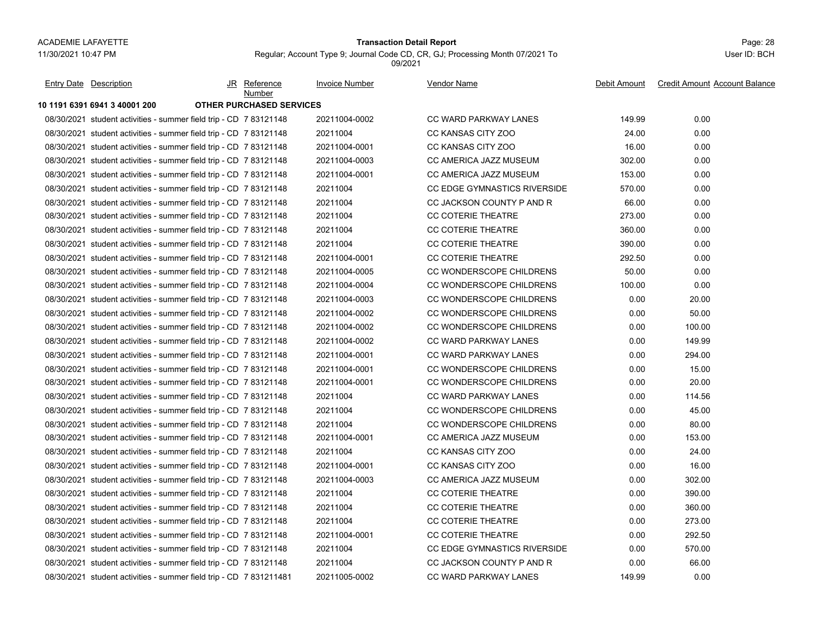### Page: 28 **Transaction Detail Report**

Regular; Account Type 9; Journal Code CD, CR, GJ; Processing Month 07/2021 To 09/2021

| <b>Entry Date</b> Description                                      | JR Reference<br>Number          | <b>Invoice Number</b> | <b>Vendor Name</b>                  | Debit Amount | <b>Credit Amount Account Balance</b> |
|--------------------------------------------------------------------|---------------------------------|-----------------------|-------------------------------------|--------------|--------------------------------------|
| 10 1191 6391 6941 3 40001 200                                      | <b>OTHER PURCHASED SERVICES</b> |                       |                                     |              |                                      |
| 08/30/2021 student activities - summer field trip - CD 7 83121148  |                                 | 20211004-0002         | <b>CC WARD PARKWAY LANES</b>        | 149.99       | 0.00                                 |
| 08/30/2021 student activities - summer field trip - CD 7 83121148  |                                 | 20211004              | CC KANSAS CITY ZOO                  | 24.00        | 0.00                                 |
| 08/30/2021 student activities - summer field trip - CD 7 83121148  |                                 | 20211004-0001         | CC KANSAS CITY ZOO                  | 16.00        | 0.00                                 |
| 08/30/2021 student activities - summer field trip - CD 7 83121148  |                                 | 20211004-0003         | CC AMERICA JAZZ MUSEUM              | 302.00       | 0.00                                 |
| 08/30/2021 student activities - summer field trip - CD 7 83121148  |                                 | 20211004-0001         | CC AMERICA JAZZ MUSEUM              | 153.00       | 0.00                                 |
| 08/30/2021 student activities - summer field trip - CD 7 83121148  |                                 | 20211004              | CC EDGE GYMNASTICS RIVERSIDE        | 570.00       | 0.00                                 |
| 08/30/2021 student activities - summer field trip - CD 7 83121148  |                                 | 20211004              | CC JACKSON COUNTY P AND R           | 66.00        | 0.00                                 |
| 08/30/2021 student activities - summer field trip - CD 7 83121148  |                                 | 20211004              | CC COTERIE THEATRE                  | 273.00       | 0.00                                 |
| 08/30/2021 student activities - summer field trip - CD 7 83121148  |                                 | 20211004              | <b>CC COTERIE THEATRE</b>           | 360.00       | 0.00                                 |
| 08/30/2021 student activities - summer field trip - CD 7 83121148  |                                 | 20211004              | <b>CC COTERIE THEATRE</b>           | 390.00       | 0.00                                 |
| 08/30/2021 student activities - summer field trip - CD 7 83121148  |                                 | 20211004-0001         | <b>CC COTERIE THEATRE</b>           | 292.50       | 0.00                                 |
| 08/30/2021 student activities - summer field trip - CD 7 83121148  |                                 | 20211004-0005         | CC WONDERSCOPE CHILDRENS            | 50.00        | 0.00                                 |
| 08/30/2021 student activities - summer field trip - CD 7 83121148  |                                 | 20211004-0004         | CC WONDERSCOPE CHILDRENS            | 100.00       | 0.00                                 |
| 08/30/2021 student activities - summer field trip - CD 7 83121148  |                                 | 20211004-0003         | CC WONDERSCOPE CHILDRENS            | 0.00         | 20.00                                |
| 08/30/2021 student activities - summer field trip - CD 7 83121148  |                                 | 20211004-0002         | CC WONDERSCOPE CHILDRENS            | 0.00         | 50.00                                |
| 08/30/2021 student activities - summer field trip - CD 7 83121148  |                                 | 20211004-0002         | CC WONDERSCOPE CHILDRENS            | 0.00         | 100.00                               |
| 08/30/2021 student activities - summer field trip - CD 7 83121148  |                                 | 20211004-0002         | <b>CC WARD PARKWAY LANES</b>        | 0.00         | 149.99                               |
| 08/30/2021 student activities - summer field trip - CD 7 83121148  |                                 | 20211004-0001         | <b>CC WARD PARKWAY LANES</b>        | 0.00         | 294.00                               |
| 08/30/2021 student activities - summer field trip - CD 7 83121148  |                                 | 20211004-0001         | CC WONDERSCOPE CHILDRENS            | 0.00         | 15.00                                |
| 08/30/2021 student activities - summer field trip - CD 7 83121148  |                                 | 20211004-0001         | CC WONDERSCOPE CHILDRENS            | 0.00         | 20.00                                |
| 08/30/2021 student activities - summer field trip - CD 7 83121148  |                                 | 20211004              | <b>CC WARD PARKWAY LANES</b>        | 0.00         | 114.56                               |
| 08/30/2021 student activities - summer field trip - CD 7 83121148  |                                 | 20211004              | CC WONDERSCOPE CHILDRENS            | 0.00         | 45.00                                |
| 08/30/2021 student activities - summer field trip - CD 7 83121148  |                                 | 20211004              | CC WONDERSCOPE CHILDRENS            | 0.00         | 80.00                                |
| 08/30/2021 student activities - summer field trip - CD 7 83121148  |                                 | 20211004-0001         | CC AMERICA JAZZ MUSEUM              | 0.00         | 153.00                               |
| 08/30/2021 student activities - summer field trip - CD 7 83121148  |                                 | 20211004              | CC KANSAS CITY ZOO                  | 0.00         | 24.00                                |
| 08/30/2021 student activities - summer field trip - CD 7 83121148  |                                 | 20211004-0001         | CC KANSAS CITY ZOO                  | 0.00         | 16.00                                |
| 08/30/2021 student activities - summer field trip - CD 7 83121148  |                                 | 20211004-0003         | CC AMERICA JAZZ MUSEUM              | 0.00         | 302.00                               |
| 08/30/2021 student activities - summer field trip - CD 7 83121148  |                                 | 20211004              | <b>CC COTERIE THEATRE</b>           | 0.00         | 390.00                               |
| 08/30/2021 student activities - summer field trip - CD 7 83121148  |                                 | 20211004              | <b>CC COTERIE THEATRE</b>           | 0.00         | 360.00                               |
| 08/30/2021 student activities - summer field trip - CD 7 83121148  |                                 | 20211004              | <b>CC COTERIE THEATRE</b>           | 0.00         | 273.00                               |
| 08/30/2021 student activities - summer field trip - CD 7 83121148  |                                 | 20211004-0001         | <b>CC COTERIE THEATRE</b>           | 0.00         | 292.50                               |
| 08/30/2021 student activities - summer field trip - CD 7 83121148  |                                 | 20211004              | <b>CC EDGE GYMNASTICS RIVERSIDE</b> | 0.00         | 570.00                               |
| 08/30/2021 student activities - summer field trip - CD 7 83121148  |                                 | 20211004              | CC JACKSON COUNTY P AND R           | 0.00         | 66.00                                |
| 08/30/2021 student activities - summer field trip - CD 7 831211481 |                                 | 20211005-0002         | <b>CC WARD PARKWAY LANES</b>        | 149.99       | 0.00                                 |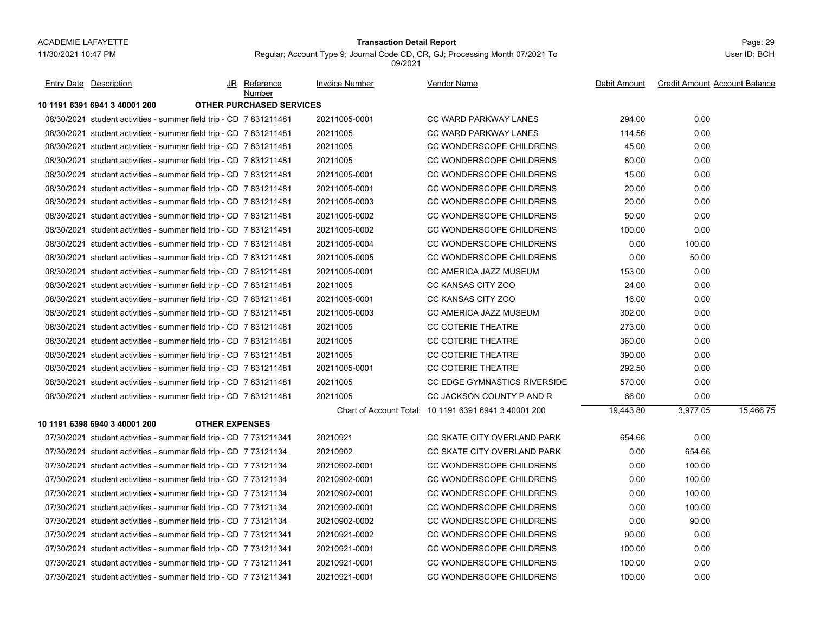### Page: 29 **Transaction Detail Report**

Regular; Account Type 9; Journal Code CD, CR, GJ; Processing Month 07/2021 To 09/2021

| <b>Entry Date Description</b>                                      |                       | JR Reference<br>Number          | Invoice Number | Vendor Name                                           | Debit Amount | <b>Credit Amount Account Balance</b> |  |
|--------------------------------------------------------------------|-----------------------|---------------------------------|----------------|-------------------------------------------------------|--------------|--------------------------------------|--|
| 10 1191 6391 6941 3 40001 200                                      |                       | <b>OTHER PURCHASED SERVICES</b> |                |                                                       |              |                                      |  |
| 08/30/2021 student activities - summer field trip - CD 7 831211481 |                       |                                 | 20211005-0001  | <b>CC WARD PARKWAY LANES</b>                          | 294.00       | 0.00                                 |  |
| 08/30/2021 student activities - summer field trip - CD 7 831211481 |                       |                                 | 20211005       | <b>CC WARD PARKWAY LANES</b>                          | 114.56       | 0.00                                 |  |
| 08/30/2021 student activities - summer field trip - CD 7 831211481 |                       |                                 | 20211005       | CC WONDERSCOPE CHILDRENS                              | 45.00        | 0.00                                 |  |
| 08/30/2021 student activities - summer field trip - CD 7 831211481 |                       |                                 | 20211005       | CC WONDERSCOPE CHILDRENS                              | 80.00        | 0.00                                 |  |
| 08/30/2021 student activities - summer field trip - CD 7 831211481 |                       |                                 | 20211005-0001  | CC WONDERSCOPE CHILDRENS                              | 15.00        | 0.00                                 |  |
| 08/30/2021 student activities - summer field trip - CD 7 831211481 |                       |                                 | 20211005-0001  | CC WONDERSCOPE CHILDRENS                              | 20.00        | 0.00                                 |  |
| 08/30/2021 student activities - summer field trip - CD 7 831211481 |                       |                                 | 20211005-0003  | CC WONDERSCOPE CHILDRENS                              | 20.00        | 0.00                                 |  |
| 08/30/2021 student activities - summer field trip - CD 7 831211481 |                       |                                 | 20211005-0002  | CC WONDERSCOPE CHILDRENS                              | 50.00        | 0.00                                 |  |
| 08/30/2021 student activities - summer field trip - CD 7 831211481 |                       |                                 | 20211005-0002  | CC WONDERSCOPE CHILDRENS                              | 100.00       | 0.00                                 |  |
| 08/30/2021 student activities - summer field trip - CD 7 831211481 |                       |                                 | 20211005-0004  | CC WONDERSCOPE CHILDRENS                              | 0.00         | 100.00                               |  |
| 08/30/2021 student activities - summer field trip - CD 7 831211481 |                       |                                 | 20211005-0005  | CC WONDERSCOPE CHILDRENS                              | 0.00         | 50.00                                |  |
| 08/30/2021 student activities - summer field trip - CD 7 831211481 |                       |                                 | 20211005-0001  | CC AMERICA JAZZ MUSEUM                                | 153.00       | 0.00                                 |  |
| 08/30/2021 student activities - summer field trip - CD 7 831211481 |                       |                                 | 20211005       | CC KANSAS CITY ZOO                                    | 24.00        | 0.00                                 |  |
| 08/30/2021 student activities - summer field trip - CD 7 831211481 |                       |                                 | 20211005-0001  | CC KANSAS CITY ZOO                                    | 16.00        | 0.00                                 |  |
| 08/30/2021 student activities - summer field trip - CD 7 831211481 |                       |                                 | 20211005-0003  | CC AMERICA JAZZ MUSEUM                                | 302.00       | 0.00                                 |  |
| 08/30/2021 student activities - summer field trip - CD 7 831211481 |                       |                                 | 20211005       | <b>CC COTERIE THEATRE</b>                             | 273.00       | 0.00                                 |  |
| 08/30/2021 student activities - summer field trip - CD 7 831211481 |                       |                                 | 20211005       | CC COTERIE THEATRE                                    | 360.00       | 0.00                                 |  |
| 08/30/2021 student activities - summer field trip - CD 7 831211481 |                       |                                 | 20211005       | <b>CC COTERIE THEATRE</b>                             | 390.00       | 0.00                                 |  |
| 08/30/2021 student activities - summer field trip - CD 7 831211481 |                       |                                 | 20211005-0001  | <b>CC COTERIE THEATRE</b>                             | 292.50       | 0.00                                 |  |
| 08/30/2021 student activities - summer field trip - CD 7 831211481 |                       |                                 | 20211005       | <b>CC EDGE GYMNASTICS RIVERSIDE</b>                   | 570.00       | 0.00                                 |  |
| 08/30/2021 student activities - summer field trip - CD 7 831211481 |                       |                                 | 20211005       | CC JACKSON COUNTY P AND R                             | 66.00        | 0.00                                 |  |
|                                                                    |                       |                                 |                | Chart of Account Total: 10 1191 6391 6941 3 40001 200 | 19,443.80    | 15,466.75<br>3,977.05                |  |
| 10 1191 6398 6940 3 40001 200                                      | <b>OTHER EXPENSES</b> |                                 |                |                                                       |              |                                      |  |
| 07/30/2021 student activities - summer field trip - CD 7 731211341 |                       |                                 | 20210921       | CC SKATE CITY OVERLAND PARK                           | 654.66       | 0.00                                 |  |
| 07/30/2021 student activities - summer field trip - CD 7 73121134  |                       |                                 | 20210902       | CC SKATE CITY OVERLAND PARK                           | 0.00         | 654.66                               |  |
| 07/30/2021 student activities - summer field trip - CD 7 73121134  |                       |                                 | 20210902-0001  | CC WONDERSCOPE CHILDRENS                              | 0.00         | 100.00                               |  |
| 07/30/2021 student activities - summer field trip - CD 7 73121134  |                       |                                 | 20210902-0001  | CC WONDERSCOPE CHILDRENS                              | 0.00         | 100.00                               |  |
| 07/30/2021 student activities - summer field trip - CD 7 73121134  |                       |                                 | 20210902-0001  | CC WONDERSCOPE CHILDRENS                              | 0.00         | 100.00                               |  |
| 07/30/2021 student activities - summer field trip - CD 7 73121134  |                       |                                 | 20210902-0001  | CC WONDERSCOPE CHILDRENS                              | 0.00         | 100.00                               |  |
| 07/30/2021 student activities - summer field trip - CD 7 73121134  |                       |                                 | 20210902-0002  | CC WONDERSCOPE CHILDRENS                              | 0.00         | 90.00                                |  |
| 07/30/2021 student activities - summer field trip - CD 7 731211341 |                       |                                 | 20210921-0002  | CC WONDERSCOPE CHILDRENS                              | 90.00        | 0.00                                 |  |
| 07/30/2021 student activities - summer field trip - CD 7 731211341 |                       |                                 | 20210921-0001  | CC WONDERSCOPE CHILDRENS                              | 100.00       | 0.00                                 |  |
| 07/30/2021 student activities - summer field trip - CD 7 731211341 |                       |                                 | 20210921-0001  | CC WONDERSCOPE CHILDRENS                              | 100.00       | 0.00                                 |  |
| 07/30/2021 student activities - summer field trip - CD 7 731211341 |                       |                                 | 20210921-0001  | CC WONDERSCOPE CHILDRENS                              | 100.00       | 0.00                                 |  |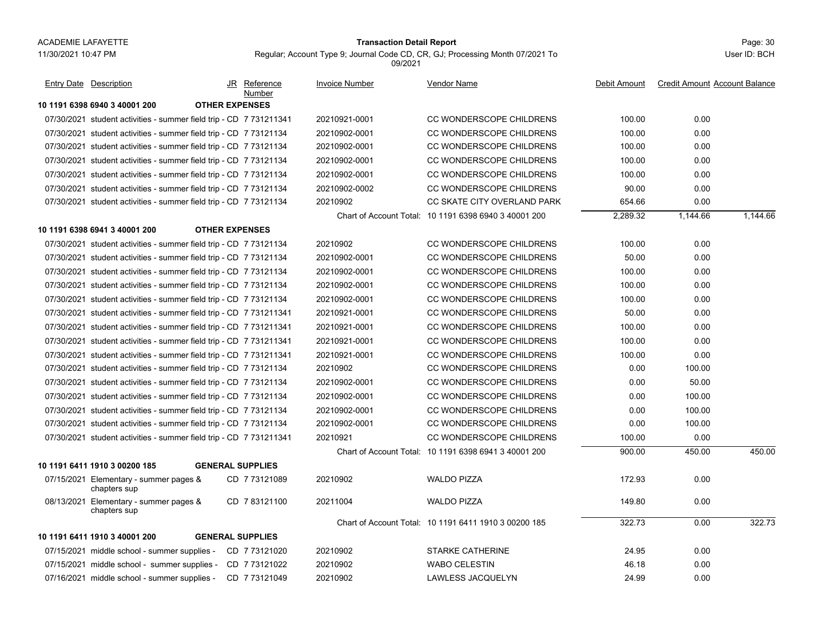# Page: 30 **Transaction Detail Report**

Regular; Account Type 9; Journal Code CD, CR, GJ; Processing Month 07/2021 To 09/2021

| Entry Date Description                                             |                         | JR Reference<br>Number | <b>Invoice Number</b> | Vendor Name                                           | Debit Amount | <b>Credit Amount Account Balance</b> |          |
|--------------------------------------------------------------------|-------------------------|------------------------|-----------------------|-------------------------------------------------------|--------------|--------------------------------------|----------|
| 10 1191 6398 6940 3 40001 200                                      | <b>OTHER EXPENSES</b>   |                        |                       |                                                       |              |                                      |          |
| 07/30/2021 student activities - summer field trip - CD 7 731211341 |                         |                        | 20210921-0001         | CC WONDERSCOPE CHILDRENS                              | 100.00       | 0.00                                 |          |
| 07/30/2021 student activities - summer field trip - CD 7 73121134  |                         |                        | 20210902-0001         | CC WONDERSCOPE CHILDRENS                              | 100.00       | 0.00                                 |          |
| 07/30/2021 student activities - summer field trip - CD 7 73121134  |                         |                        | 20210902-0001         | CC WONDERSCOPE CHILDRENS                              | 100.00       | 0.00                                 |          |
| 07/30/2021 student activities - summer field trip - CD 7 73121134  |                         |                        | 20210902-0001         | CC WONDERSCOPE CHILDRENS                              | 100.00       | 0.00                                 |          |
| 07/30/2021 student activities - summer field trip - CD 7 73121134  |                         |                        | 20210902-0001         | CC WONDERSCOPE CHILDRENS                              | 100.00       | 0.00                                 |          |
| 07/30/2021 student activities - summer field trip - CD 7 73121134  |                         |                        | 20210902-0002         | CC WONDERSCOPE CHILDRENS                              | 90.00        | 0.00                                 |          |
| 07/30/2021 student activities - summer field trip - CD 7 73121134  |                         |                        | 20210902              | CC SKATE CITY OVERLAND PARK                           | 654.66       | 0.00                                 |          |
|                                                                    |                         |                        |                       | Chart of Account Total: 10 1191 6398 6940 3 40001 200 | 2,289.32     | 1,144.66                             | 1,144.66 |
| 10 1191 6398 6941 3 40001 200                                      | <b>OTHER EXPENSES</b>   |                        |                       |                                                       |              |                                      |          |
| 07/30/2021 student activities - summer field trip - CD 7 73121134  |                         |                        | 20210902              | CC WONDERSCOPE CHILDRENS                              | 100.00       | 0.00                                 |          |
| 07/30/2021 student activities - summer field trip - CD 7 73121134  |                         |                        | 20210902-0001         | CC WONDERSCOPE CHILDRENS                              | 50.00        | 0.00                                 |          |
| 07/30/2021 student activities - summer field trip - CD 7 73121134  |                         |                        | 20210902-0001         | CC WONDERSCOPE CHILDRENS                              | 100.00       | 0.00                                 |          |
| 07/30/2021 student activities - summer field trip - CD 7 73121134  |                         |                        | 20210902-0001         | CC WONDERSCOPE CHILDRENS                              | 100.00       | 0.00                                 |          |
| 07/30/2021 student activities - summer field trip - CD 7 73121134  |                         |                        | 20210902-0001         | CC WONDERSCOPE CHILDRENS                              | 100.00       | 0.00                                 |          |
| 07/30/2021 student activities - summer field trip - CD 7 731211341 |                         |                        | 20210921-0001         | CC WONDERSCOPE CHILDRENS                              | 50.00        | 0.00                                 |          |
| 07/30/2021 student activities - summer field trip - CD 7 731211341 |                         |                        | 20210921-0001         | CC WONDERSCOPE CHILDRENS                              | 100.00       | 0.00                                 |          |
| 07/30/2021 student activities - summer field trip - CD 7 731211341 |                         |                        | 20210921-0001         | CC WONDERSCOPE CHILDRENS                              | 100.00       | 0.00                                 |          |
| 07/30/2021 student activities - summer field trip - CD 7 731211341 |                         |                        | 20210921-0001         | CC WONDERSCOPE CHILDRENS                              | 100.00       | 0.00                                 |          |
| 07/30/2021 student activities - summer field trip - CD 7 73121134  |                         |                        | 20210902              | CC WONDERSCOPE CHILDRENS                              | 0.00         | 100.00                               |          |
| 07/30/2021 student activities - summer field trip - CD 7 73121134  |                         |                        | 20210902-0001         | CC WONDERSCOPE CHILDRENS                              | 0.00         | 50.00                                |          |
| 07/30/2021 student activities - summer field trip - CD 7 73121134  |                         |                        | 20210902-0001         | CC WONDERSCOPE CHILDRENS                              | 0.00         | 100.00                               |          |
| 07/30/2021 student activities - summer field trip - CD 7 73121134  |                         |                        | 20210902-0001         | CC WONDERSCOPE CHILDRENS                              | 0.00         | 100.00                               |          |
| 07/30/2021 student activities - summer field trip - CD 7 73121134  |                         |                        | 20210902-0001         | CC WONDERSCOPE CHILDRENS                              | 0.00         | 100.00                               |          |
| 07/30/2021 student activities - summer field trip - CD 7 731211341 |                         |                        | 20210921              | CC WONDERSCOPE CHILDRENS                              | 100.00       | 0.00                                 |          |
|                                                                    |                         |                        |                       | Chart of Account Total: 10 1191 6398 6941 3 40001 200 | 900.00       | 450.00                               | 450.00   |
| 10 1191 6411 1910 3 00200 185                                      | <b>GENERAL SUPPLIES</b> |                        |                       |                                                       |              |                                      |          |
| 07/15/2021 Elementary - summer pages &<br>chapters sup             |                         | CD 7 73121089          | 20210902              | <b>WALDO PIZZA</b>                                    | 172.93       | 0.00                                 |          |
| 08/13/2021 Elementary - summer pages &<br>chapters sup             |                         | CD 783121100           | 20211004              | <b>WALDO PIZZA</b>                                    | 149.80       | 0.00                                 |          |
|                                                                    |                         |                        |                       | Chart of Account Total: 10 1191 6411 1910 3 00200 185 | 322.73       | 0.00                                 | 322.73   |
| 10 1191 6411 1910 3 40001 200                                      | <b>GENERAL SUPPLIES</b> |                        |                       |                                                       |              |                                      |          |
| 07/15/2021 middle school - summer supplies -                       |                         | CD 7 73121020          | 20210902              | <b>STARKE CATHERINE</b>                               | 24.95        | 0.00                                 |          |
| 07/15/2021 middle school - summer supplies -                       |                         | CD 7 73121022          | 20210902              | <b>WABO CELESTIN</b>                                  | 46.18        | 0.00                                 |          |
| 07/16/2021 middle school - summer supplies -                       |                         | CD 7 73121049          | 20210902              | <b>LAWLESS JACQUELYN</b>                              | 24.99        | 0.00                                 |          |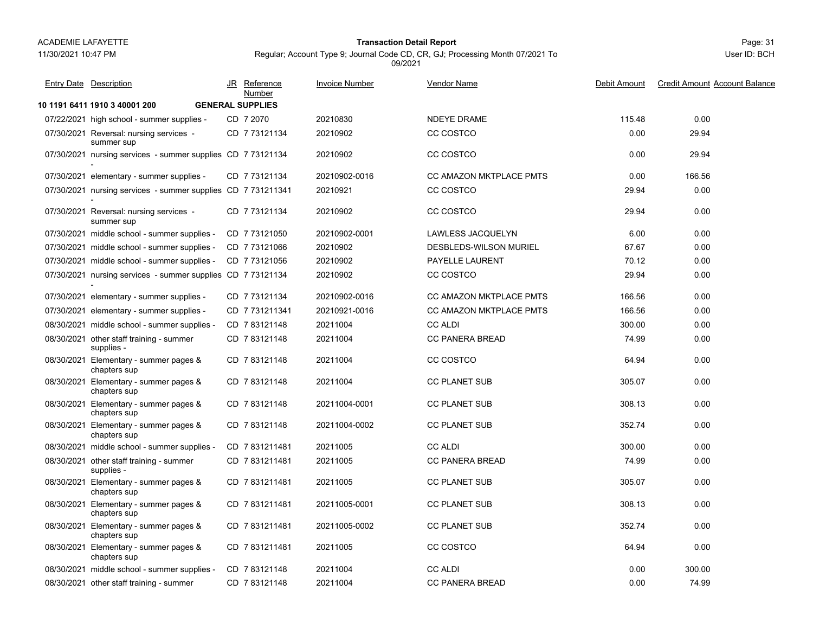# 11/30/2021 10:47 PM

# Page: 31 **Transaction Detail Report**

Regular; Account Type 9; Journal Code CD, CR, GJ; Processing Month 07/2021 To 09/2021

| <b>Entry Date Description</b>                                | JR Reference<br>Number  | <b>Invoice Number</b> | <b>Vendor Name</b>             | Debit Amount | <b>Credit Amount Account Balance</b> |
|--------------------------------------------------------------|-------------------------|-----------------------|--------------------------------|--------------|--------------------------------------|
| 10 1191 6411 1910 3 40001 200                                | <b>GENERAL SUPPLIES</b> |                       |                                |              |                                      |
| 07/22/2021 high school - summer supplies -                   | CD 7 2070               | 20210830              | <b>NDEYE DRAME</b>             | 115.48       | 0.00                                 |
| 07/30/2021 Reversal: nursing services -<br>summer sup        | CD 773121134            | 20210902              | CC COSTCO                      | 0.00         | 29.94                                |
| 07/30/2021 nursing services - summer supplies CD 7 73121134  |                         | 20210902              | CC COSTCO                      | 0.00         | 29.94                                |
| 07/30/2021 elementary - summer supplies -                    | CD 7 73121134           | 20210902-0016         | <b>CC AMAZON MKTPLACE PMTS</b> | 0.00         | 166.56                               |
| 07/30/2021 nursing services - summer supplies CD 7 731211341 |                         | 20210921              | CC COSTCO                      | 29.94        | 0.00                                 |
| 07/30/2021 Reversal: nursing services -<br>summer sup        | CD 773121134            | 20210902              | CC COSTCO                      | 29.94        | 0.00                                 |
| 07/30/2021 middle school - summer supplies -                 | CD 773121050            | 20210902-0001         | LAWLESS JACQUELYN              | 6.00         | 0.00                                 |
| 07/30/2021 middle school - summer supplies -                 | CD 773121066            | 20210902              | DESBLEDS-WILSON MURIEL         | 67.67        | 0.00                                 |
| 07/30/2021 middle school - summer supplies -                 | CD 773121056            | 20210902              | PAYELLE LAURENT                | 70.12        | 0.00                                 |
| 07/30/2021 nursing services - summer supplies CD 7 73121134  |                         | 20210902              | CC COSTCO                      | 29.94        | 0.00                                 |
| 07/30/2021 elementary - summer supplies -                    | CD 773121134            | 20210902-0016         | <b>CC AMAZON MKTPLACE PMTS</b> | 166.56       | 0.00                                 |
| 07/30/2021 elementary - summer supplies -                    | CD 7 731211341          | 20210921-0016         | CC AMAZON MKTPLACE PMTS        | 166.56       | 0.00                                 |
| 08/30/2021 middle school - summer supplies -                 | CD 783121148            | 20211004              | <b>CC ALDI</b>                 | 300.00       | 0.00                                 |
| 08/30/2021 other staff training - summer<br>supplies -       | CD 783121148            | 20211004              | <b>CC PANERA BREAD</b>         | 74.99        | 0.00                                 |
| 08/30/2021 Elementary - summer pages &<br>chapters sup       | CD 783121148            | 20211004              | CC COSTCO                      | 64.94        | 0.00                                 |
| 08/30/2021 Elementary - summer pages &<br>chapters sup       | CD 783121148            | 20211004              | <b>CC PLANET SUB</b>           | 305.07       | 0.00                                 |
| 08/30/2021 Elementary - summer pages &<br>chapters sup       | CD 783121148            | 20211004-0001         | <b>CC PLANET SUB</b>           | 308.13       | 0.00                                 |
| 08/30/2021 Elementary - summer pages &<br>chapters sup       | CD 783121148            | 20211004-0002         | <b>CC PLANET SUB</b>           | 352.74       | 0.00                                 |
| 08/30/2021 middle school - summer supplies -                 | CD 7831211481           | 20211005              | <b>CC ALDI</b>                 | 300.00       | 0.00                                 |
| 08/30/2021 other staff training - summer<br>supplies -       | CD 7831211481           | 20211005              | <b>CC PANERA BREAD</b>         | 74.99        | 0.00                                 |
| 08/30/2021 Elementary - summer pages &<br>chapters sup       | CD 7831211481           | 20211005              | <b>CC PLANET SUB</b>           | 305.07       | 0.00                                 |
| 08/30/2021 Elementary - summer pages &<br>chapters sup       | CD 7 831211481          | 20211005-0001         | <b>CC PLANET SUB</b>           | 308.13       | 0.00                                 |
| 08/30/2021 Elementary - summer pages &<br>chapters sup       | CD 7831211481           | 20211005-0002         | <b>CC PLANET SUB</b>           | 352.74       | 0.00                                 |
| 08/30/2021 Elementary - summer pages &<br>chapters sup       | CD 7831211481           | 20211005              | CC COSTCO                      | 64.94        | 0.00                                 |
| 08/30/2021 middle school - summer supplies -                 | CD 783121148            | 20211004              | <b>CC ALDI</b>                 | 0.00         | 300.00                               |
| 08/30/2021 other staff training - summer                     | CD 783121148            | 20211004              | <b>CC PANERA BREAD</b>         | 0.00         | 74.99                                |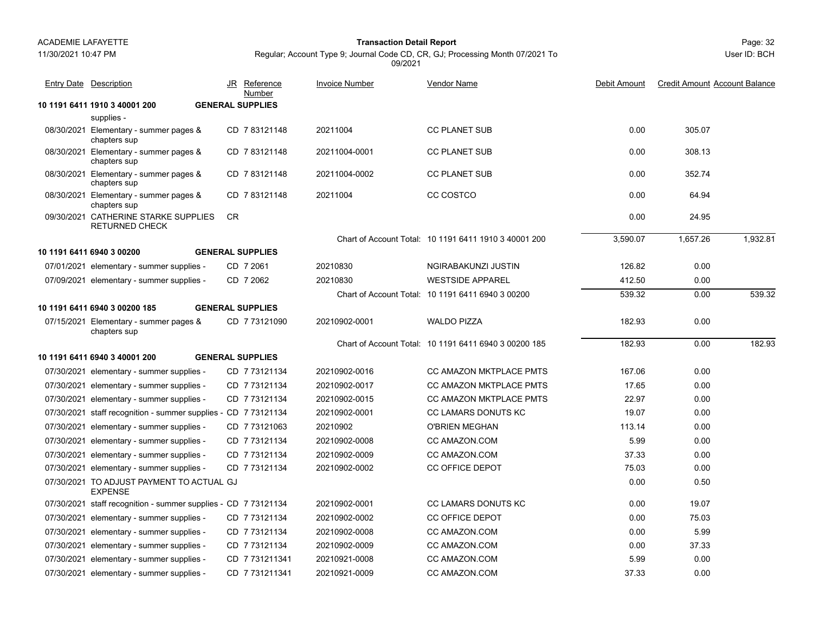### Page: 32 **Transaction Detail Report**

Regular; Account Type 9; Journal Code CD, CR, GJ; Processing Month 07/2021 To 09/2021

| <b>Entry Date Description</b>                                  | JR  | Reference<br>Number     | <b>Invoice Number</b> | Vendor Name                                           | Debit Amount | <b>Credit Amount Account Balance</b> |          |
|----------------------------------------------------------------|-----|-------------------------|-----------------------|-------------------------------------------------------|--------------|--------------------------------------|----------|
| 10 1191 6411 1910 3 40001 200                                  |     | <b>GENERAL SUPPLIES</b> |                       |                                                       |              |                                      |          |
| supplies -                                                     |     |                         |                       |                                                       |              |                                      |          |
| 08/30/2021 Elementary - summer pages &<br>chapters sup         |     | CD 783121148            | 20211004              | <b>CC PLANET SUB</b>                                  | 0.00         | 305.07                               |          |
| 08/30/2021 Elementary - summer pages &<br>chapters sup         |     | CD 783121148            | 20211004-0001         | <b>CC PLANET SUB</b>                                  | 0.00         | 308.13                               |          |
| 08/30/2021 Elementary - summer pages &<br>chapters sup         |     | CD 783121148            | 20211004-0002         | <b>CC PLANET SUB</b>                                  | 0.00         | 352.74                               |          |
| 08/30/2021 Elementary - summer pages &<br>chapters sup         |     | CD 783121148            | 20211004              | CC COSTCO                                             | 0.00         | 64.94                                |          |
| 09/30/2021 CATHERINE STARKE SUPPLIES<br><b>RETURNED CHECK</b>  | CR. |                         |                       |                                                       | 0.00         | 24.95                                |          |
|                                                                |     |                         |                       | Chart of Account Total: 10 1191 6411 1910 3 40001 200 | 3.590.07     | 1,657.26                             | 1,932.81 |
| 10 1191 6411 6940 3 00200                                      |     | <b>GENERAL SUPPLIES</b> |                       |                                                       |              |                                      |          |
| 07/01/2021 elementary - summer supplies -                      |     | CD 7 2061               | 20210830              | NGIRABAKUNZI JUSTIN                                   | 126.82       | 0.00                                 |          |
| 07/09/2021 elementary - summer supplies -                      |     | CD 7 2062               | 20210830              | <b>WESTSIDE APPAREL</b>                               | 412.50       | 0.00                                 |          |
|                                                                |     |                         |                       | Chart of Account Total: 10 1191 6411 6940 3 00200     | 539.32       | 0.00                                 | 539.32   |
| 10 1191 6411 6940 3 00200 185                                  |     | <b>GENERAL SUPPLIES</b> |                       |                                                       |              |                                      |          |
| 07/15/2021 Elementary - summer pages &<br>chapters sup         |     | CD 7 73121090           | 20210902-0001         | <b>WALDO PIZZA</b>                                    | 182.93       | 0.00                                 |          |
|                                                                |     |                         |                       | Chart of Account Total: 10 1191 6411 6940 3 00200 185 | 182.93       | 0.00                                 | 182.93   |
| 10 1191 6411 6940 3 40001 200                                  |     | <b>GENERAL SUPPLIES</b> |                       |                                                       |              |                                      |          |
| 07/30/2021 elementary - summer supplies -                      |     | CD 7 73121134           | 20210902-0016         | CC AMAZON MKTPLACE PMTS                               | 167.06       | 0.00                                 |          |
| 07/30/2021 elementary - summer supplies -                      |     | CD 7 73121134           | 20210902-0017         | CC AMAZON MKTPLACE PMTS                               | 17.65        | 0.00                                 |          |
| 07/30/2021 elementary - summer supplies -                      |     | CD 7 73121134           | 20210902-0015         | <b>CC AMAZON MKTPLACE PMTS</b>                        | 22.97        | 0.00                                 |          |
| 07/30/2021 staff recognition - summer supplies - CD 7 73121134 |     |                         | 20210902-0001         | <b>CC LAMARS DONUTS KC</b>                            | 19.07        | 0.00                                 |          |
| 07/30/2021 elementary - summer supplies -                      |     | CD 7 73121063           | 20210902              | <b>O'BRIEN MEGHAN</b>                                 | 113.14       | 0.00                                 |          |
| 07/30/2021 elementary - summer supplies -                      |     | CD 7 73121134           | 20210902-0008         | CC AMAZON.COM                                         | 5.99         | 0.00                                 |          |
| 07/30/2021 elementary - summer supplies -                      |     | CD 7 73121134           | 20210902-0009         | CC AMAZON.COM                                         | 37.33        | 0.00                                 |          |
| 07/30/2021 elementary - summer supplies -                      |     | CD 7 73121134           | 20210902-0002         | <b>CC OFFICE DEPOT</b>                                | 75.03        | 0.00                                 |          |
| 07/30/2021 TO ADJUST PAYMENT TO ACTUAL GJ<br><b>EXPENSE</b>    |     |                         |                       |                                                       | 0.00         | 0.50                                 |          |
| 07/30/2021 staff recognition - summer supplies - CD            |     | 7 73121134              | 20210902-0001         | CC LAMARS DONUTS KC                                   | 0.00         | 19.07                                |          |
| 07/30/2021 elementary - summer supplies -                      |     | CD 7 73121134           | 20210902-0002         | <b>CC OFFICE DEPOT</b>                                | 0.00         | 75.03                                |          |
| 07/30/2021 elementary - summer supplies -                      |     | CD 7 73121134           | 20210902-0008         | <b>CC AMAZON COM</b>                                  | 0.00         | 5.99                                 |          |
| 07/30/2021 elementary - summer supplies -                      |     | CD 7 73121134           | 20210902-0009         | CC AMAZON.COM                                         | 0.00         | 37.33                                |          |
| 07/30/2021 elementary - summer supplies -                      |     | CD 7 731211341          | 20210921-0008         | CC AMAZON.COM                                         | 5.99         | 0.00                                 |          |
| 07/30/2021 elementary - summer supplies -                      |     | CD 7 731211341          | 20210921-0009         | <b>CC AMAZON.COM</b>                                  | 37.33        | 0.00                                 |          |
|                                                                |     |                         |                       |                                                       |              |                                      |          |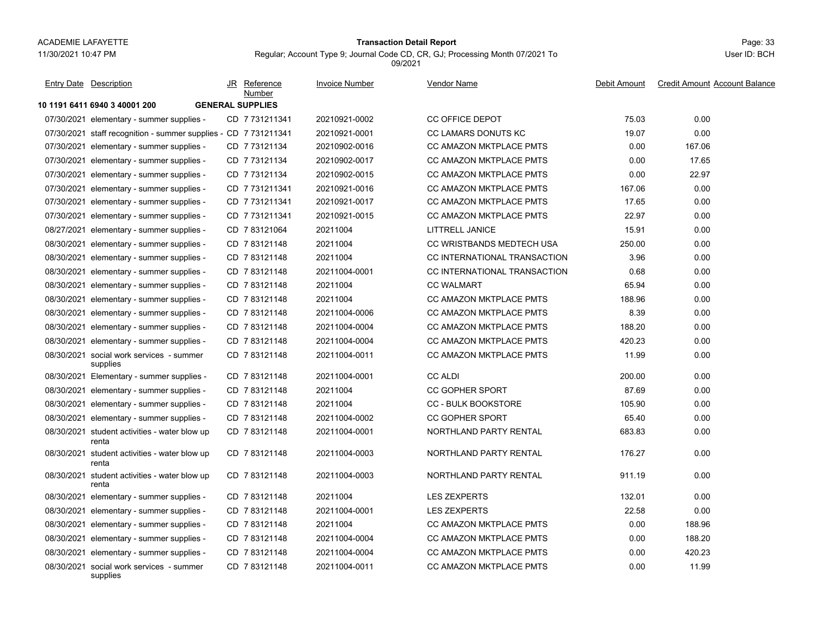# Page: 33 **Transaction Detail Report**

Regular; Account Type 9; Journal Code CD, CR, GJ; Processing Month 07/2021 To 09/2021

| <b>Entry Date Description</b>                                   | JR | Reference<br>Number     | <b>Invoice Number</b> | <b>Vendor Name</b>             | Debit Amount | <b>Credit Amount Account Balance</b> |
|-----------------------------------------------------------------|----|-------------------------|-----------------------|--------------------------------|--------------|--------------------------------------|
| 10 1191 6411 6940 3 40001 200                                   |    | <b>GENERAL SUPPLIES</b> |                       |                                |              |                                      |
| 07/30/2021 elementary - summer supplies -                       |    | CD 7 731211341          | 20210921-0002         | <b>CC OFFICE DEPOT</b>         | 75.03        | 0.00                                 |
| 07/30/2021 staff recognition - summer supplies - CD 7 731211341 |    |                         | 20210921-0001         | CC LAMARS DONUTS KC            | 19.07        | 0.00                                 |
| 07/30/2021 elementary - summer supplies -                       |    | CD 773121134            | 20210902-0016         | <b>CC AMAZON MKTPLACE PMTS</b> | 0.00         | 167.06                               |
| 07/30/2021 elementary - summer supplies -                       |    | CD 773121134            | 20210902-0017         | <b>CC AMAZON MKTPLACE PMTS</b> | 0.00         | 17.65                                |
| 07/30/2021 elementary - summer supplies -                       |    | CD 773121134            | 20210902-0015         | <b>CC AMAZON MKTPLACE PMTS</b> | 0.00         | 22.97                                |
| 07/30/2021 elementary - summer supplies -                       |    | CD 7731211341           | 20210921-0016         | <b>CC AMAZON MKTPLACE PMTS</b> | 167.06       | 0.00                                 |
| 07/30/2021 elementary - summer supplies -                       |    | CD 7731211341           | 20210921-0017         | <b>CC AMAZON MKTPLACE PMTS</b> | 17.65        | 0.00                                 |
| 07/30/2021 elementary - summer supplies -                       |    | CD 7731211341           | 20210921-0015         | CC AMAZON MKTPLACE PMTS        | 22.97        | 0.00                                 |
| 08/27/2021 elementary - summer supplies -                       |    | CD 7 83121064           | 20211004              | LITTRELL JANICE                | 15.91        | 0.00                                 |
| 08/30/2021 elementary - summer supplies -                       |    | CD 783121148            | 20211004              | CC WRISTBANDS MEDTECH USA      | 250.00       | 0.00                                 |
| 08/30/2021 elementary - summer supplies -                       |    | CD 783121148            | 20211004              | CC INTERNATIONAL TRANSACTION   | 3.96         | 0.00                                 |
| 08/30/2021 elementary - summer supplies -                       |    | CD 783121148            | 20211004-0001         | CC INTERNATIONAL TRANSACTION   | 0.68         | 0.00                                 |
| 08/30/2021 elementary - summer supplies -                       |    | CD 7 83121148           | 20211004              | <b>CC WALMART</b>              | 65.94        | 0.00                                 |
| 08/30/2021 elementary - summer supplies -                       |    | CD 783121148            | 20211004              | <b>CC AMAZON MKTPLACE PMTS</b> | 188.96       | 0.00                                 |
| 08/30/2021 elementary - summer supplies -                       |    | CD 7 83121148           | 20211004-0006         | CC AMAZON MKTPLACE PMTS        | 8.39         | 0.00                                 |
| 08/30/2021 elementary - summer supplies -                       |    | CD 783121148            | 20211004-0004         | <b>CC AMAZON MKTPLACE PMTS</b> | 188.20       | 0.00                                 |
| 08/30/2021 elementary - summer supplies -                       |    | CD 783121148            | 20211004-0004         | <b>CC AMAZON MKTPLACE PMTS</b> | 420.23       | 0.00                                 |
| 08/30/2021 social work services - summer<br>supplies            |    | CD 7 83121148           | 20211004-0011         | CC AMAZON MKTPLACE PMTS        | 11.99        | 0.00                                 |
| 08/30/2021 Elementary - summer supplies -                       |    | CD 783121148            | 20211004-0001         | <b>CC ALDI</b>                 | 200.00       | 0.00                                 |
| 08/30/2021 elementary - summer supplies -                       |    | CD 783121148            | 20211004              | <b>CC GOPHER SPORT</b>         | 87.69        | 0.00                                 |
| 08/30/2021 elementary - summer supplies -                       |    | CD 783121148            | 20211004              | <b>CC - BULK BOOKSTORE</b>     | 105.90       | 0.00                                 |
| 08/30/2021 elementary - summer supplies -                       |    | CD 783121148            | 20211004-0002         | <b>CC GOPHER SPORT</b>         | 65.40        | 0.00                                 |
| 08/30/2021 student activities - water blow up<br>renta          |    | CD 783121148            | 20211004-0001         | NORTHLAND PARTY RENTAL         | 683.83       | 0.00                                 |
| 08/30/2021 student activities - water blow up<br>renta          |    | CD 783121148            | 20211004-0003         | NORTHLAND PARTY RENTAL         | 176.27       | 0.00                                 |
| 08/30/2021 student activities - water blow up<br>renta          |    | CD 783121148            | 20211004-0003         | <b>NORTHLAND PARTY RENTAL</b>  | 911.19       | 0.00                                 |
| 08/30/2021 elementary - summer supplies -                       |    | CD 7 83121148           | 20211004              | <b>LES ZEXPERTS</b>            | 132.01       | 0.00                                 |
| 08/30/2021 elementary - summer supplies -                       |    | CD 783121148            | 20211004-0001         | <b>LES ZEXPERTS</b>            | 22.58        | 0.00                                 |
| 08/30/2021 elementary - summer supplies -                       |    | CD 783121148            | 20211004              | <b>CC AMAZON MKTPLACE PMTS</b> | 0.00         | 188.96                               |
| 08/30/2021 elementary - summer supplies -                       |    | CD 783121148            | 20211004-0004         | <b>CC AMAZON MKTPLACE PMTS</b> | 0.00         | 188.20                               |
| 08/30/2021 elementary - summer supplies -                       |    | CD 783121148            | 20211004-0004         | CC AMAZON MKTPLACE PMTS        | 0.00         | 420.23                               |
| 08/30/2021 social work services - summer<br>supplies            |    | CD 783121148            | 20211004-0011         | <b>CC AMAZON MKTPLACE PMTS</b> | 0.00         | 11.99                                |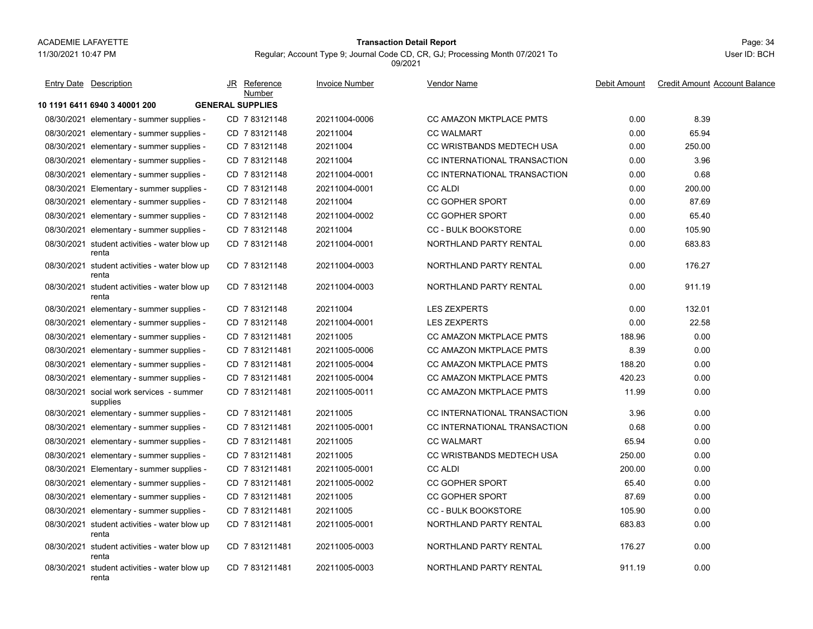#### Page: 34 **Transaction Detail Report**

Regular; Account Type 9; Journal Code CD, CR, GJ; Processing Month 07/2021 To 09/2021

| <b>Entry Date Description</b>                          | JR | Reference<br><b>Number</b> | <b>Invoice Number</b> | Vendor Name                    | Debit Amount | <b>Credit Amount Account Balance</b> |
|--------------------------------------------------------|----|----------------------------|-----------------------|--------------------------------|--------------|--------------------------------------|
| 10 1191 6411 6940 3 40001 200                          |    | <b>GENERAL SUPPLIES</b>    |                       |                                |              |                                      |
| 08/30/2021 elementary - summer supplies -              |    | CD 783121148               | 20211004-0006         | <b>CC AMAZON MKTPLACE PMTS</b> | 0.00         | 8.39                                 |
| 08/30/2021 elementary - summer supplies -              |    | CD 783121148               | 20211004              | <b>CC WALMART</b>              | 0.00         | 65.94                                |
| 08/30/2021 elementary - summer supplies -              |    | CD 783121148               | 20211004              | CC WRISTBANDS MEDTECH USA      | 0.00         | 250.00                               |
| 08/30/2021 elementary - summer supplies -              |    | CD 783121148               | 20211004              | CC INTERNATIONAL TRANSACTION   | 0.00         | 3.96                                 |
| 08/30/2021 elementary - summer supplies -              |    | CD 783121148               | 20211004-0001         | CC INTERNATIONAL TRANSACTION   | 0.00         | 0.68                                 |
| 08/30/2021 Elementary - summer supplies -              |    | CD 7 83121148              | 20211004-0001         | <b>CC ALDI</b>                 | 0.00         | 200.00                               |
| 08/30/2021 elementary - summer supplies -              |    | CD 783121148               | 20211004              | <b>CC GOPHER SPORT</b>         | 0.00         | 87.69                                |
| 08/30/2021 elementary - summer supplies -              |    | CD 783121148               | 20211004-0002         | <b>CC GOPHER SPORT</b>         | 0.00         | 65.40                                |
| 08/30/2021 elementary - summer supplies -              |    | CD 783121148               | 20211004              | <b>CC - BULK BOOKSTORE</b>     | 0.00         | 105.90                               |
| 08/30/2021 student activities - water blow up<br>renta |    | CD 783121148               | 20211004-0001         | NORTHLAND PARTY RENTAL         | 0.00         | 683.83                               |
| 08/30/2021 student activities - water blow up<br>renta |    | CD 783121148               | 20211004-0003         | NORTHLAND PARTY RENTAL         | 0.00         | 176.27                               |
| 08/30/2021 student activities - water blow up<br>renta |    | CD 783121148               | 20211004-0003         | NORTHLAND PARTY RENTAL         | 0.00         | 911.19                               |
| 08/30/2021 elementary - summer supplies -              |    | CD 783121148               | 20211004              | <b>LES ZEXPERTS</b>            | 0.00         | 132.01                               |
| 08/30/2021 elementary - summer supplies -              |    | CD 783121148               | 20211004-0001         | <b>LES ZEXPERTS</b>            | 0.00         | 22.58                                |
| 08/30/2021 elementary - summer supplies -              |    | CD 7831211481              | 20211005              | <b>CC AMAZON MKTPLACE PMTS</b> | 188.96       | 0.00                                 |
| 08/30/2021 elementary - summer supplies -              |    | CD 7831211481              | 20211005-0006         | <b>CC AMAZON MKTPLACE PMTS</b> | 8.39         | 0.00                                 |
| 08/30/2021 elementary - summer supplies -              |    | CD 7831211481              | 20211005-0004         | <b>CC AMAZON MKTPLACE PMTS</b> | 188.20       | 0.00                                 |
| 08/30/2021 elementary - summer supplies -              |    | CD 7831211481              | 20211005-0004         | <b>CC AMAZON MKTPLACE PMTS</b> | 420.23       | 0.00                                 |
| 08/30/2021 social work services - summer<br>supplies   |    | CD 7831211481              | 20211005-0011         | <b>CC AMAZON MKTPLACE PMTS</b> | 11.99        | 0.00                                 |
| 08/30/2021 elementary - summer supplies -              |    | CD 7831211481              | 20211005              | CC INTERNATIONAL TRANSACTION   | 3.96         | 0.00                                 |
| 08/30/2021 elementary - summer supplies -              |    | CD 7831211481              | 20211005-0001         | CC INTERNATIONAL TRANSACTION   | 0.68         | 0.00                                 |
| 08/30/2021 elementary - summer supplies -              |    | CD 7831211481              | 20211005              | <b>CC WALMART</b>              | 65.94        | 0.00                                 |
| 08/30/2021 elementary - summer supplies -              |    | CD 7831211481              | 20211005              | CC WRISTBANDS MEDTECH USA      | 250.00       | 0.00                                 |
| 08/30/2021 Elementary - summer supplies -              |    | CD 7831211481              | 20211005-0001         | <b>CC ALDI</b>                 | 200.00       | 0.00                                 |
| 08/30/2021 elementary - summer supplies -              |    | CD 7831211481              | 20211005-0002         | <b>CC GOPHER SPORT</b>         | 65.40        | 0.00                                 |
| 08/30/2021 elementary - summer supplies -              |    | CD 7831211481              | 20211005              | <b>CC GOPHER SPORT</b>         | 87.69        | 0.00                                 |
| 08/30/2021 elementary - summer supplies -              |    | CD 7831211481              | 20211005              | <b>CC - BULK BOOKSTORE</b>     | 105.90       | 0.00                                 |
| 08/30/2021 student activities - water blow up<br>renta |    | CD 7831211481              | 20211005-0001         | NORTHLAND PARTY RENTAL         | 683.83       | 0.00                                 |
| 08/30/2021 student activities - water blow up<br>renta |    | CD 7831211481              | 20211005-0003         | NORTHLAND PARTY RENTAL         | 176.27       | 0.00                                 |
| 08/30/2021 student activities - water blow up<br>renta |    | CD 7831211481              | 20211005-0003         | NORTHLAND PARTY RENTAL         | 911.19       | 0.00                                 |
|                                                        |    |                            |                       |                                |              |                                      |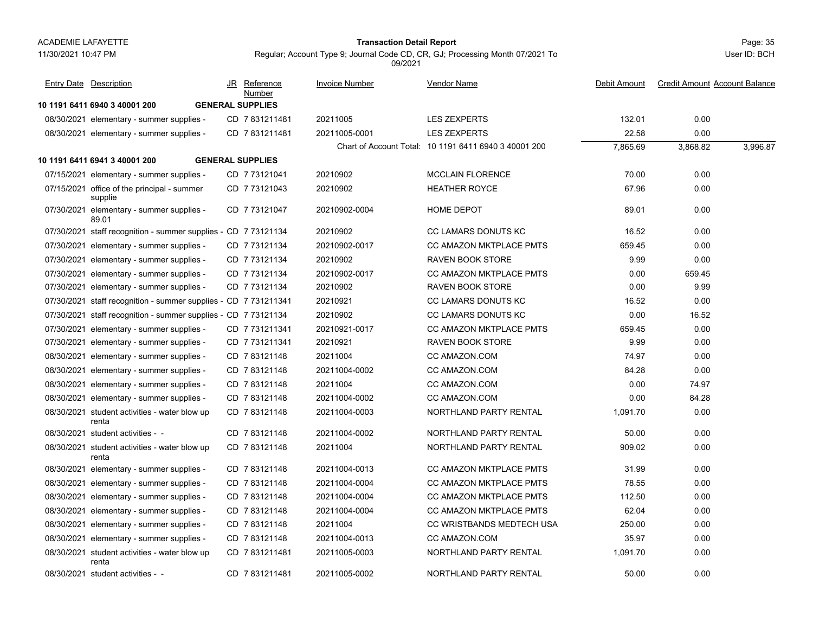#### Page: 35 **Transaction Detail Report**

Regular; Account Type 9; Journal Code CD, CR, GJ; Processing Month 07/2021 To

09/2021

**10 1191 6411 6940 3 40001 200 GENERAL SUPPLIES**08/30/2021 elementary - summer supplies - CD\_7 831211481 20211005 LES ZEXPERTS 132.01 0.00 08/30/2021 elementary - summer supplies - CD\_7 831211481 20211005-0001 LES ZEXPERTS 22.58 0.00 Chart of Account Total: 10 1191 6411 6940 3 40001 200 7,865.69 3,868.82 3,996.87 **10 1191 6411 6941 3 40001 200 GENERAL SUPPLIES**07/15/2021 elementary - summer supplies - CD\_7 73121041 20210902 MCCLAIN FLORENCE 70.00 0.00 07/15/2021 office of the principal - summer CD\_7 73121043 20210902 HEATHER ROYCE 67.96 0.00 supplie CD 20210902 HEATHER ROYCE 7 73121043 07/30/2021 elementary - summer supplies - CD\_7 73121047 20210902-0004 HOME DEPOT 0.00 89.01CD 7 73121047 20210902-0004 HOME DEPOT 20210902-0004 07/30/2021 staff recognition - summer supplies - CD 7 73121134 20210902 CC LAMARS DONUTS KC 16.52 0.00 07/30/2021elementary - summer supplies - CD 7 73121134 20210902-0017 CC AMAZON MKTPLACE PMTS 659.45 0.00 07/30/2021elementary - summer supplies - CD 7 73121134 20210902 RAVEN BOOK STORE 7 9.99 0.00 07/30/2021elementary - summer supplies - CD 7 73121134 20210902-0017 CC AMAZON MKTPLACE PMTS 0.00 659.45 07/30/2021elementary - summer supplies - CD 7 73121134 20210902 RAVEN BOOK STORE 7 0.00 9.99 07/30/2021staff recognition - summer supplies - CD 7 731211341 20210921 CC LAMARS DONUTS KC 76.52 0.00 07/30/2021staff recognition - summer supplies - CD 7 73121134 20210902 CC LAMARS DONUTS KC 0.00 16.52 07/30/2021elementary - summer supplies - CD 7 731211341 20210921-0017 CC AMAZON MKTPLACE PMTS 659.45 0.00 07/30/2021elementary - summer supplies - CD 7 731211341 20210921 RAVEN BOOK STORE 7 9.99 0.00 08/30/2021 elementary - summer supplies - CD\_7 83121148 20211004 CC AMAZON.COM 74.97 0.00 08/30/2021elementary - summer supplies - CD 7 83121148 20211004-0002 CC AMAZON.COM 84.28 84.28 0.00 08/30/2021elementary - summer supplies - CD 7 83121148 20211004 CC AMAZON.COM 0.00 74.97 08/30/2021elementary - summer supplies - CD 7 83121148 20211004-0002 CC AMAZON.COM 0.00 84.28 08/30/2021 student activities - water blow up CD\_7 83121148 20211004-0003 NORTHLAND PARTY RENTAL 1,091.70 0.00 rentaCD 7 83121148 20211004-0003 NORTHLAND PARTY RENTAL 08/30/2021 student activities - -CD 7 83121148 20211004-0002 NORTHLAND PARTY RENTAL 50.00 50.00 0.00 08/30/2021 student activities - water blow up CD\_7 83121148 20211004 NORTHLAND PARTY RENTAL 909.02 0.00 rentaCD 20211004 NORTHLAND PARTY RENTAL 7 83121148 08/30/2021elementary - summer supplies - CD 7 83121148 20211004-0013 CC AMAZON MKTPLACE PMTS 31.99 31.99 0.00 08/30/2021 elementary - summer supplies - CD 7 83121148 20211004-0004 CC AMAZON MKTPLACE PMTS 78.55 0.00 08/30/2021elementary - summer supplies - CD 7 83121148 20211004-0004 CC AMAZON MKTPLACE PMTS 112.50 0.00 08/30/2021elementary - summer supplies - CD 7 83121148 20211004-0004 CC AMAZON MKTPLACE PMTS 62.04 62.04 0.00 08/30/2021 elementary - summer supplies - CD\_7 83121148 20211004 CC WRISTBANDS MEDTECH USA 250.00 0.00 08/30/2021 elementary - summer supplies - CD\_7 83121148 20211004-0013 CC AMAZON.COM 35.97 0.00 08/30/2021 student activities - water blow up CD\_7 831211481 20211005-0003 NORTHLAND PARTY RENTAL 1,091.70 0.00 rentaCD 7 831211481 20211005-0003 NORTHLAND PARTY RENTAL 08/30/2021 student activities - student activities - - CD 20211005-0002 NORTHLAND PARTY RENTAL 7 831211481 50.00 0.00 JR Reference Invoice Number Vendor NameDebit Amount Credit Amount Account Balance NumberEntry Date Description JR Reference <u>Invoice Number</u> <u>Vendor Name</u> Debit Amount Credit Amount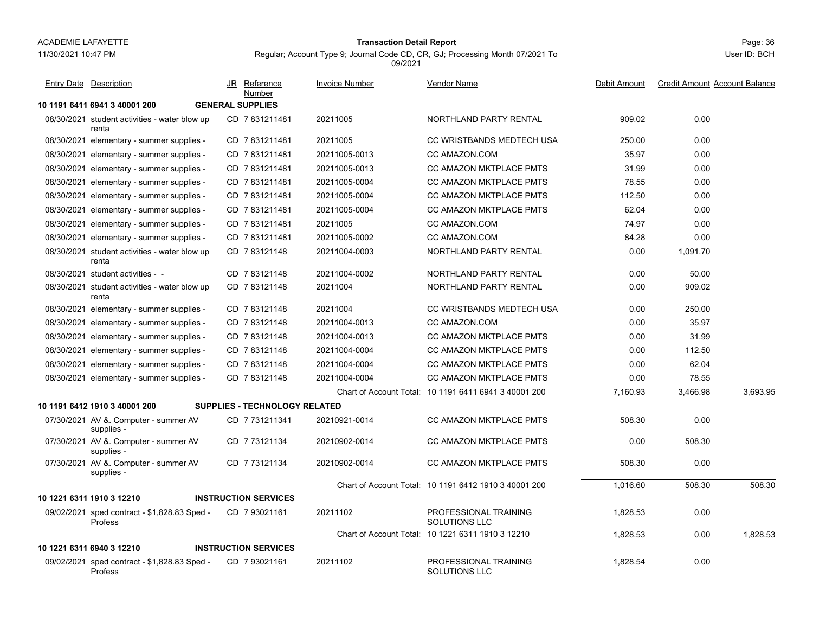11/30/2021 10:47 PM

# Page: 36 **Transaction Detail Report**

Regular; Account Type 9; Journal Code CD, CR, GJ; Processing Month 07/2021 To 09/2021

| <b>Entry Date Description</b>                                  | JR Reference<br>Number               | <b>Invoice Number</b> | <b>Vendor Name</b>                                    | Debit Amount | <b>Credit Amount Account Balance</b> |          |
|----------------------------------------------------------------|--------------------------------------|-----------------------|-------------------------------------------------------|--------------|--------------------------------------|----------|
| 10 1191 6411 6941 3 40001 200                                  | <b>GENERAL SUPPLIES</b>              |                       |                                                       |              |                                      |          |
| 08/30/2021 student activities - water blow up<br>renta         | CD 7831211481                        | 20211005              | NORTHLAND PARTY RENTAL                                | 909.02       | 0.00                                 |          |
| 08/30/2021 elementary - summer supplies -                      | CD 7831211481                        | 20211005              | CC WRISTBANDS MEDTECH USA                             | 250.00       | 0.00                                 |          |
| 08/30/2021 elementary - summer supplies -                      | CD 7831211481                        | 20211005-0013         | CC AMAZON.COM                                         | 35.97        | 0.00                                 |          |
| 08/30/2021 elementary - summer supplies -                      | CD 7831211481                        | 20211005-0013         | <b>CC AMAZON MKTPLACE PMTS</b>                        | 31.99        | 0.00                                 |          |
| 08/30/2021 elementary - summer supplies -                      | CD 7831211481                        | 20211005-0004         | <b>CC AMAZON MKTPLACE PMTS</b>                        | 78.55        | 0.00                                 |          |
| 08/30/2021 elementary - summer supplies -                      | CD 7 831211481                       | 20211005-0004         | CC AMAZON MKTPLACE PMTS                               | 112.50       | 0.00                                 |          |
| 08/30/2021 elementary - summer supplies -                      | CD 7 831211481                       | 20211005-0004         | CC AMAZON MKTPLACE PMTS                               | 62.04        | 0.00                                 |          |
| 08/30/2021 elementary - summer supplies -                      | CD 7831211481                        | 20211005              | CC AMAZON.COM                                         | 74.97        | 0.00                                 |          |
| 08/30/2021 elementary - summer supplies -                      | CD 7831211481                        | 20211005-0002         | <b>CC AMAZON.COM</b>                                  | 84.28        | 0.00                                 |          |
| 08/30/2021 student activities - water blow up<br>renta         | CD 783121148                         | 20211004-0003         | NORTHLAND PARTY RENTAL                                | 0.00         | 1.091.70                             |          |
| 08/30/2021 student activities - -                              | CD 783121148                         | 20211004-0002         | NORTHLAND PARTY RENTAL                                | 0.00         | 50.00                                |          |
| 08/30/2021 student activities - water blow up<br>renta         | CD 783121148                         | 20211004              | NORTHLAND PARTY RENTAL                                | 0.00         | 909.02                               |          |
| 08/30/2021 elementary - summer supplies -                      | CD 7 83121148                        | 20211004              | CC WRISTBANDS MEDTECH USA                             | 0.00         | 250.00                               |          |
| 08/30/2021 elementary - summer supplies -                      | CD 7 83121148                        | 20211004-0013         | CC AMAZON.COM                                         | 0.00         | 35.97                                |          |
| 08/30/2021 elementary - summer supplies -                      | CD 783121148                         | 20211004-0013         | <b>CC AMAZON MKTPLACE PMTS</b>                        | 0.00         | 31.99                                |          |
| 08/30/2021 elementary - summer supplies -                      | CD 783121148                         | 20211004-0004         | <b>CC AMAZON MKTPLACE PMTS</b>                        | 0.00         | 112.50                               |          |
| 08/30/2021 elementary - summer supplies -                      | CD 783121148                         | 20211004-0004         | <b>CC AMAZON MKTPLACE PMTS</b>                        | 0.00         | 62.04                                |          |
| 08/30/2021 elementary - summer supplies -                      | CD 7 83121148                        | 20211004-0004         | CC AMAZON MKTPLACE PMTS                               | 0.00         | 78.55                                |          |
|                                                                |                                      |                       | Chart of Account Total: 10 1191 6411 6941 3 40001 200 | 7,160.93     | 3,466.98                             | 3,693.95 |
| 10 1191 6412 1910 3 40001 200                                  | <b>SUPPLIES - TECHNOLOGY RELATED</b> |                       |                                                       |              |                                      |          |
| 07/30/2021 AV &. Computer - summer AV<br>supplies -            | CD 7 731211341                       | 20210921-0014         | <b>CC AMAZON MKTPLACE PMTS</b>                        | 508.30       | 0.00                                 |          |
| 07/30/2021 AV &. Computer - summer AV<br>supplies -            | CD 7 73121134                        | 20210902-0014         | CC AMAZON MKTPLACE PMTS                               | 0.00         | 508.30                               |          |
| 07/30/2021 AV &. Computer - summer AV<br>supplies -            | CD 7 73121134                        | 20210902-0014         | <b>CC AMAZON MKTPLACE PMTS</b>                        | 508.30       | 0.00                                 |          |
|                                                                |                                      |                       | Chart of Account Total: 10 1191 6412 1910 3 40001 200 | 1,016.60     | 508.30                               | 508.30   |
| 10 1221 6311 1910 3 12210                                      | <b>INSTRUCTION SERVICES</b>          |                       |                                                       |              |                                      |          |
| 09/02/2021 sped contract - \$1,828.83 Sped -<br><b>Profess</b> | CD 7 93021161                        | 20211102              | PROFESSIONAL TRAINING<br>SOLUTIONS LLC                | 1,828.53     | 0.00                                 |          |
|                                                                |                                      |                       | Chart of Account Total: 10 1221 6311 1910 3 12210     | 1,828.53     | 0.00                                 | 1,828.53 |
| 10 1221 6311 6940 3 12210                                      | <b>INSTRUCTION SERVICES</b>          |                       |                                                       |              |                                      |          |
| 09/02/2021 sped contract - \$1,828.83 Sped -<br>Profess        | CD 793021161                         | 20211102              | PROFESSIONAL TRAINING<br>SOLUTIONS LLC                | 1,828.54     | 0.00                                 |          |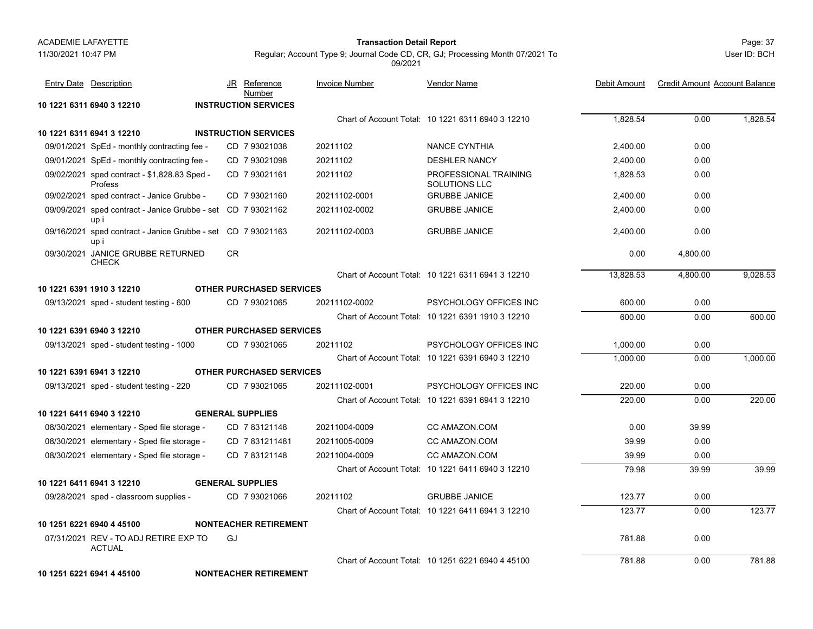#### Page: 37 **Transaction Detail Report**

Regular; Account Type 9; Journal Code CD, CR, GJ; Processing Month 07/2021 To 09/2021

User ID: BCH

|            | <b>Entry Date Description</b>                                        | Reference<br>JR<br>Number       | <b>Invoice Number</b> | Vendor Name                                       | Debit Amount | <b>Credit Amount Account Balance</b> |          |
|------------|----------------------------------------------------------------------|---------------------------------|-----------------------|---------------------------------------------------|--------------|--------------------------------------|----------|
|            | 10 1221 6311 6940 3 12210                                            | <b>INSTRUCTION SERVICES</b>     |                       |                                                   |              |                                      |          |
|            |                                                                      |                                 |                       | Chart of Account Total: 10 1221 6311 6940 3 12210 | 1,828.54     | 0.00                                 | 1,828.54 |
|            | 10 1221 6311 6941 3 12210                                            | <b>INSTRUCTION SERVICES</b>     |                       |                                                   |              |                                      |          |
|            | 09/01/2021 SpEd - monthly contracting fee -                          | CD 793021038                    | 20211102              | <b>NANCE CYNTHIA</b>                              | 2,400.00     | 0.00                                 |          |
|            | 09/01/2021 SpEd - monthly contracting fee -                          | CD 7 93021098                   | 20211102              | <b>DESHLER NANCY</b>                              | 2,400.00     | 0.00                                 |          |
|            | 09/02/2021 sped contract - \$1,828.83 Sped -<br>Profess              | CD 7 93021161                   | 20211102              | PROFESSIONAL TRAINING<br>SOLUTIONS LLC            | 1,828.53     | 0.00                                 |          |
|            | 09/02/2021 sped contract - Janice Grubbe -                           | CD 7 93021160                   | 20211102-0001         | <b>GRUBBE JANICE</b>                              | 2,400.00     | 0.00                                 |          |
| 09/09/2021 | sped contract - Janice Grubbe - set CD 7 93021162<br>up i            |                                 | 20211102-0002         | <b>GRUBBE JANICE</b>                              | 2,400.00     | 0.00                                 |          |
|            | 09/16/2021 sped contract - Janice Grubbe - set CD 7 93021163<br>up i |                                 | 20211102-0003         | <b>GRUBBE JANICE</b>                              | 2,400.00     | 0.00                                 |          |
|            | 09/30/2021 JANICE GRUBBE RETURNED<br><b>CHECK</b>                    | <b>CR</b>                       |                       |                                                   | 0.00         | 4,800.00                             |          |
|            |                                                                      |                                 |                       | Chart of Account Total: 10 1221 6311 6941 3 12210 | 13,828.53    | 4,800.00                             | 9,028.53 |
|            | 10 1221 6391 1910 3 12210                                            | <b>OTHER PURCHASED SERVICES</b> |                       |                                                   |              |                                      |          |
|            | 09/13/2021 sped - student testing - 600                              | CD 7 93021065                   | 20211102-0002         | PSYCHOLOGY OFFICES INC                            | 600.00       | 0.00                                 |          |
|            |                                                                      |                                 |                       | Chart of Account Total: 10 1221 6391 1910 3 12210 | 600.00       | 0.00                                 | 600.00   |
|            | 10 1221 6391 6940 3 12210                                            | <b>OTHER PURCHASED SERVICES</b> |                       |                                                   |              |                                      |          |
|            | 09/13/2021 sped - student testing - 1000                             | CD 793021065                    | 20211102              | PSYCHOLOGY OFFICES INC                            | 1,000.00     | 0.00                                 |          |
|            |                                                                      |                                 |                       | Chart of Account Total: 10 1221 6391 6940 3 12210 | 1,000.00     | 0.00                                 | 1,000.00 |
|            | 10 1221 6391 6941 3 12210                                            | <b>OTHER PURCHASED SERVICES</b> |                       |                                                   |              |                                      |          |
|            | 09/13/2021 sped - student testing - 220                              | CD 7 93021065                   | 20211102-0001         | PSYCHOLOGY OFFICES INC                            | 220.00       | 0.00                                 |          |
|            |                                                                      |                                 |                       | Chart of Account Total: 10 1221 6391 6941 3 12210 | 220.00       | 0.00                                 | 220.00   |
|            | 10 1221 6411 6940 3 12210                                            | <b>GENERAL SUPPLIES</b>         |                       |                                                   |              |                                      |          |
|            | 08/30/2021 elementary - Sped file storage -                          | CD 783121148                    | 20211004-0009         | CC AMAZON.COM                                     | 0.00         | 39.99                                |          |
|            | 08/30/2021 elementary - Sped file storage -                          | CD 7831211481                   | 20211005-0009         | CC AMAZON COM                                     | 39.99        | 0.00                                 |          |
|            | 08/30/2021 elementary - Sped file storage -                          | CD 783121148                    | 20211004-0009         | CC AMAZON.COM                                     | 39.99        | 0.00                                 |          |
|            |                                                                      |                                 |                       | Chart of Account Total: 10 1221 6411 6940 3 12210 | 79.98        | 39.99                                | 39.99    |
|            | 10 1221 6411 6941 3 12210                                            | <b>GENERAL SUPPLIES</b>         |                       |                                                   |              |                                      |          |
|            | 09/28/2021 sped - classroom supplies -                               | CD 7 93021066                   | 20211102              | <b>GRUBBE JANICE</b>                              | 123.77       | 0.00                                 |          |
|            |                                                                      |                                 |                       | Chart of Account Total: 10 1221 6411 6941 3 12210 | 123.77       | 0.00                                 | 123.77   |
|            | 10 1251 6221 6940 4 45100                                            | <b>NONTEACHER RETIREMENT</b>    |                       |                                                   |              |                                      |          |
|            | 07/31/2021 REV - TO ADJ RETIRE EXP TO<br><b>ACTUAL</b>               | GJ                              |                       |                                                   | 781.88       | 0.00                                 |          |
|            |                                                                      |                                 |                       | Chart of Account Total: 10 1251 6221 6940 4 45100 | 781.88       | 0.00                                 | 781.88   |

**10 1251 6221 6941 4 45100 NONTEACHER RETIREMENT**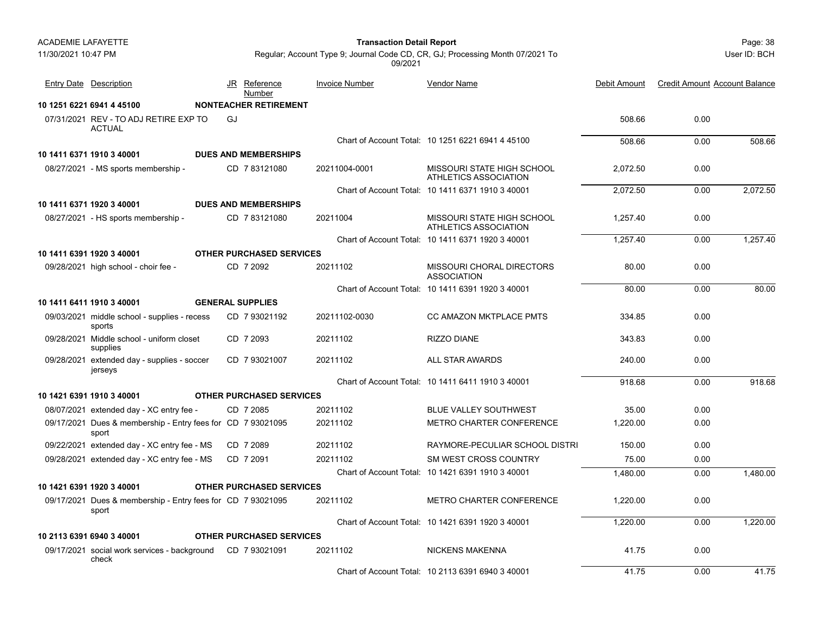11/30/2021 10:47 PM

## Page: 38 **Transaction Detail Report**

User ID: BCH

| <b>Entry Date Description</b>                                        |    | JR Reference<br>Number          | <b>Invoice Number</b> | <b>Vendor Name</b>                                  | Debit Amount | <b>Credit Amount Account Balance</b> |          |
|----------------------------------------------------------------------|----|---------------------------------|-----------------------|-----------------------------------------------------|--------------|--------------------------------------|----------|
| 10 1251 6221 6941 4 45100                                            |    | <b>NONTEACHER RETIREMENT</b>    |                       |                                                     |              |                                      |          |
| 07/31/2021 REV - TO ADJ RETIRE EXP TO<br><b>ACTUAL</b>               | GJ |                                 |                       |                                                     | 508.66       | 0.00                                 |          |
|                                                                      |    |                                 |                       | Chart of Account Total: 10 1251 6221 6941 4 45100   | 508.66       | 0.00                                 | 508.66   |
| 10 1411 6371 1910 3 40001                                            |    | <b>DUES AND MEMBERSHIPS</b>     |                       |                                                     |              |                                      |          |
| 08/27/2021 - MS sports membership -                                  |    | CD 783121080                    | 20211004-0001         | MISSOURI STATE HIGH SCHOOL<br>ATHLETICS ASSOCIATION | 2,072.50     | 0.00                                 |          |
|                                                                      |    |                                 |                       | Chart of Account Total: 10 1411 6371 1910 3 40001   | 2,072.50     | 0.00                                 | 2,072.50 |
| 10 1411 6371 1920 3 40001                                            |    | <b>DUES AND MEMBERSHIPS</b>     |                       |                                                     |              |                                      |          |
| 08/27/2021 - HS sports membership -                                  |    | CD 783121080                    | 20211004              | MISSOURI STATE HIGH SCHOOL<br>ATHLETICS ASSOCIATION | 1.257.40     | 0.00                                 |          |
|                                                                      |    |                                 |                       | Chart of Account Total: 10 1411 6371 1920 3 40001   | 1,257.40     | 0.00                                 | 1,257.40 |
| 10 1411 6391 1920 3 40001                                            |    | <b>OTHER PURCHASED SERVICES</b> |                       |                                                     |              |                                      |          |
| 09/28/2021 high school - choir fee -                                 |    | CD 7 2092                       | 20211102              | MISSOURI CHORAL DIRECTORS<br><b>ASSOCIATION</b>     | 80.00        | 0.00                                 |          |
|                                                                      |    |                                 |                       | Chart of Account Total: 10 1411 6391 1920 3 40001   | 80.00        | 0.00                                 | 80.00    |
| 10 1411 6411 1910 3 40001                                            |    | <b>GENERAL SUPPLIES</b>         |                       |                                                     |              |                                      |          |
| 09/03/2021 middle school - supplies - recess<br>sports               |    | CD 7 93021192                   | 20211102-0030         | CC AMAZON MKTPLACE PMTS                             | 334.85       | 0.00                                 |          |
| 09/28/2021 Middle school - uniform closet<br>supplies                |    | CD 7 2093                       | 20211102              | <b>RIZZO DIANE</b>                                  | 343.83       | 0.00                                 |          |
| 09/28/2021 extended day - supplies - soccer<br>jerseys               |    | CD 7 93021007                   | 20211102              | <b>ALL STAR AWARDS</b>                              | 240.00       | 0.00                                 |          |
|                                                                      |    |                                 |                       | Chart of Account Total: 10 1411 6411 1910 3 40001   | 918.68       | 0.00                                 | 918.68   |
| 10 1421 6391 1910 3 40001                                            |    | <b>OTHER PURCHASED SERVICES</b> |                       |                                                     |              |                                      |          |
| 08/07/2021 extended day - XC entry fee -                             |    | CD 7 2085                       | 20211102              | <b>BLUE VALLEY SOUTHWEST</b>                        | 35.00        | 0.00                                 |          |
| 09/17/2021 Dues & membership - Entry fees for CD 7 93021095<br>sport |    |                                 | 20211102              | METRO CHARTER CONFERENCE                            | 1.220.00     | 0.00                                 |          |
| 09/22/2021 extended day - XC entry fee - MS                          |    | CD 7 2089                       | 20211102              | RAYMORE-PECULIAR SCHOOL DISTRI                      | 150.00       | 0.00                                 |          |
| 09/28/2021 extended day - XC entry fee - MS                          |    | CD 7 2091                       | 20211102              | SM WEST CROSS COUNTRY                               | 75.00        | 0.00                                 |          |
|                                                                      |    |                                 |                       | Chart of Account Total: 10 1421 6391 1910 3 40001   | 1.480.00     | 0.00                                 | 1,480.00 |
| 10 1421 6391 1920 3 40001                                            |    | <b>OTHER PURCHASED SERVICES</b> |                       |                                                     |              |                                      |          |
| 09/17/2021 Dues & membership - Entry fees for CD 7 93021095<br>sport |    |                                 | 20211102              | <b>METRO CHARTER CONFERENCE</b>                     | 1,220.00     | 0.00                                 |          |
|                                                                      |    |                                 |                       | Chart of Account Total: 10 1421 6391 1920 3 40001   | 1,220.00     | 0.00                                 | 1,220.00 |
| 10 2113 6391 6940 3 40001                                            |    | <b>OTHER PURCHASED SERVICES</b> |                       |                                                     |              |                                      |          |
| 09/17/2021 social work services - background<br>check                |    | CD 793021091                    | 20211102              | <b>NICKENS MAKENNA</b>                              | 41.75        | 0.00                                 |          |
|                                                                      |    |                                 |                       | Chart of Account Total: 10 2113 6391 6940 3 40001   | 41.75        | 0.00                                 | 41.75    |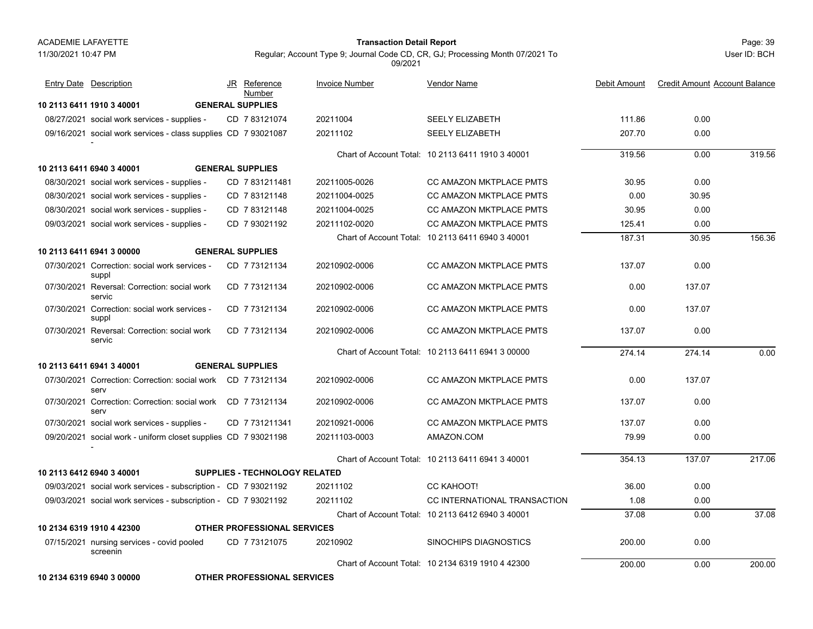#### Page: 39 **Transaction Detail Report**

Regular; Account Type 9; Journal Code CD, CR, GJ; Processing Month 07/2021 To 09/2021

User ID: BCH

| <b>Entry Date</b> Description                                        | JR | Reference<br>Number                  | <b>Invoice Number</b> | Vendor Name                                       | Debit Amount | <b>Credit Amount Account Balance</b> |        |
|----------------------------------------------------------------------|----|--------------------------------------|-----------------------|---------------------------------------------------|--------------|--------------------------------------|--------|
| 10 2113 6411 1910 3 40001                                            |    | <b>GENERAL SUPPLIES</b>              |                       |                                                   |              |                                      |        |
| 08/27/2021 social work services - supplies -                         |    | CD 783121074                         | 20211004              | <b>SEELY ELIZABETH</b>                            | 111.86       | 0.00                                 |        |
| 09/16/2021 social work services - class supplies CD 7 93021087       |    |                                      | 20211102              | <b>SEELY ELIZABETH</b>                            | 207.70       | 0.00                                 |        |
|                                                                      |    |                                      |                       | Chart of Account Total: 10 2113 6411 1910 3 40001 | 319.56       | 0.00                                 | 319.56 |
| 10 2113 6411 6940 3 40001                                            |    | <b>GENERAL SUPPLIES</b>              |                       |                                                   |              |                                      |        |
| 08/30/2021 social work services - supplies -                         |    | CD 7831211481                        | 20211005-0026         | CC AMAZON MKTPLACE PMTS                           | 30.95        | 0.00                                 |        |
| 08/30/2021 social work services - supplies -                         |    | CD 783121148                         | 20211004-0025         | <b>CC AMAZON MKTPLACE PMTS</b>                    | 0.00         | 30.95                                |        |
| 08/30/2021 social work services - supplies -                         |    | CD 783121148                         | 20211004-0025         | CC AMAZON MKTPLACE PMTS                           | 30.95        | 0.00                                 |        |
| 09/03/2021 social work services - supplies -                         |    | CD 793021192                         | 20211102-0020         | <b>CC AMAZON MKTPLACE PMTS</b>                    | 125.41       | 0.00                                 |        |
|                                                                      |    |                                      |                       | Chart of Account Total: 10 2113 6411 6940 3 40001 | 187.31       | 30.95                                | 156.36 |
| 10 2113 6411 6941 3 00000                                            |    | <b>GENERAL SUPPLIES</b>              |                       |                                                   |              |                                      |        |
| 07/30/2021 Correction: social work services -<br>suppl               |    | CD 7 73121134                        | 20210902-0006         | CC AMAZON MKTPLACE PMTS                           | 137.07       | 0.00                                 |        |
| 07/30/2021 Reversal: Correction: social work<br>servic               |    | CD 7 73121134                        | 20210902-0006         | <b>CC AMAZON MKTPLACE PMTS</b>                    | 0.00         | 137.07                               |        |
| 07/30/2021 Correction: social work services -<br>suppl               |    | CD 773121134                         | 20210902-0006         | CC AMAZON MKTPLACE PMTS                           | 0.00         | 137.07                               |        |
| 07/30/2021 Reversal: Correction: social work<br>servic               |    | CD 7 73121134                        | 20210902-0006         | CC AMAZON MKTPLACE PMTS                           | 137.07       | 0.00                                 |        |
|                                                                      |    |                                      |                       | Chart of Account Total: 10 2113 6411 6941 3 00000 | 274.14       | 274.14                               | 0.00   |
| 10 2113 6411 6941 3 40001                                            |    | <b>GENERAL SUPPLIES</b>              |                       |                                                   |              |                                      |        |
| 07/30/2021 Correction: Correction: social work CD 7 73121134<br>serv |    |                                      | 20210902-0006         | <b>CC AMAZON MKTPLACE PMTS</b>                    | 0.00         | 137.07                               |        |
| 07/30/2021 Correction: Correction: social work CD 7 73121134<br>serv |    |                                      | 20210902-0006         | <b>CC AMAZON MKTPLACE PMTS</b>                    | 137.07       | 0.00                                 |        |
| 07/30/2021 social work services - supplies -                         |    | CD 7731211341                        | 20210921-0006         | <b>CC AMAZON MKTPLACE PMTS</b>                    | 137.07       | 0.00                                 |        |
| 09/20/2021 social work - uniform closet supplies CD 7 93021198       |    |                                      | 20211103-0003         | AMAZON.COM                                        | 79.99        | 0.00                                 |        |
|                                                                      |    |                                      |                       | Chart of Account Total: 10 2113 6411 6941 3 40001 | 354.13       | 137.07                               | 217.06 |
| 10 2113 6412 6940 3 40001                                            |    | <b>SUPPLIES - TECHNOLOGY RELATED</b> |                       |                                                   |              |                                      |        |
| 09/03/2021 social work services - subscription - CD 7 93021192       |    |                                      | 20211102              | CC KAHOOT!                                        | 36.00        | 0.00                                 |        |
| 09/03/2021 social work services - subscription - CD 7 93021192       |    |                                      | 20211102              | CC INTERNATIONAL TRANSACTION                      | 1.08         | 0.00                                 |        |
|                                                                      |    |                                      |                       | Chart of Account Total: 10 2113 6412 6940 3 40001 | 37.08        | 0.00                                 | 37.08  |
| 10 2134 6319 1910 4 42300                                            |    | <b>OTHER PROFESSIONAL SERVICES</b>   |                       |                                                   |              |                                      |        |
| 07/15/2021 nursing services - covid pooled<br>screenin               |    | CD 773121075                         | 20210902              | SINOCHIPS DIAGNOSTICS                             | 200.00       | 0.00                                 |        |
|                                                                      |    |                                      |                       | Chart of Account Total: 10 2134 6319 1910 4 42300 | 200.00       | 0.00                                 | 200.00 |

**10 2134 6319 6940 3 00000 OTHER PROFESSIONAL SERVICES**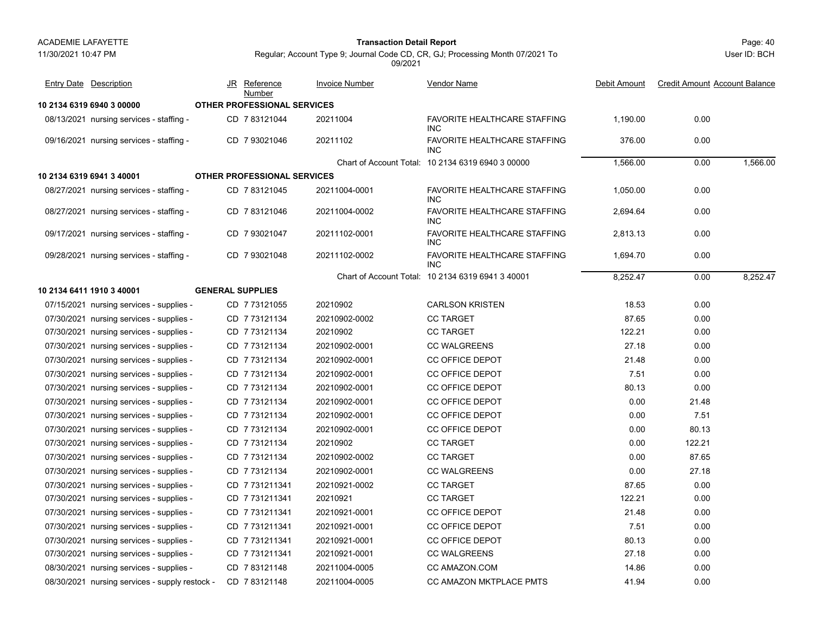## Page: 40 **Transaction Detail Report**

User ID: BCH

| <b>Entry Date Description</b>                  |                         | JR Reference<br>Number             | <b>Invoice Number</b> | Vendor Name                                       | Debit Amount | <b>Credit Amount Account Balance</b> |          |
|------------------------------------------------|-------------------------|------------------------------------|-----------------------|---------------------------------------------------|--------------|--------------------------------------|----------|
| 10 2134 6319 6940 3 00000                      |                         | <b>OTHER PROFESSIONAL SERVICES</b> |                       |                                                   |              |                                      |          |
| 08/13/2021 nursing services - staffing -       |                         | CD 7 83121044                      | 20211004              | FAVORITE HEALTHCARE STAFFING<br>INC.              | 1,190.00     | 0.00                                 |          |
| 09/16/2021 nursing services - staffing -       |                         | CD 7 93021046                      | 20211102              | <b>FAVORITE HEALTHCARE STAFFING</b><br><b>INC</b> | 376.00       | 0.00                                 |          |
|                                                |                         |                                    |                       | Chart of Account Total: 10 2134 6319 6940 3 00000 | 1,566.00     | 0.00                                 | 1,566.00 |
| 10 2134 6319 6941 3 40001                      |                         | <b>OTHER PROFESSIONAL SERVICES</b> |                       |                                                   |              |                                      |          |
| 08/27/2021 nursing services - staffing -       |                         | CD 7 83121045                      | 20211004-0001         | FAVORITE HEALTHCARE STAFFING<br>INC.              | 1,050.00     | 0.00                                 |          |
| 08/27/2021 nursing services - staffing -       |                         | CD 783121046                       | 20211004-0002         | FAVORITE HEALTHCARE STAFFING<br><b>INC</b>        | 2,694.64     | 0.00                                 |          |
| 09/17/2021 nursing services - staffing -       |                         | CD 7 93021047                      | 20211102-0001         | FAVORITE HEALTHCARE STAFFING<br>INC.              | 2,813.13     | 0.00                                 |          |
| 09/28/2021 nursing services - staffing -       |                         | CD 793021048                       | 20211102-0002         | FAVORITE HEALTHCARE STAFFING<br><b>INC</b>        | 1,694.70     | 0.00                                 |          |
|                                                |                         |                                    |                       | Chart of Account Total: 10 2134 6319 6941 3 40001 | 8,252.47     | 0.00                                 | 8,252.47 |
| 10 2134 6411 1910 3 40001                      | <b>GENERAL SUPPLIES</b> |                                    |                       |                                                   |              |                                      |          |
| 07/15/2021 nursing services - supplies -       |                         | CD 7 73121055                      | 20210902              | <b>CARLSON KRISTEN</b>                            | 18.53        | 0.00                                 |          |
| 07/30/2021 nursing services - supplies -       |                         | CD 773121134                       | 20210902-0002         | <b>CC TARGET</b>                                  | 87.65        | 0.00                                 |          |
| 07/30/2021 nursing services - supplies -       |                         | CD 7 73121134                      | 20210902              | <b>CC TARGET</b>                                  | 122.21       | 0.00                                 |          |
| 07/30/2021 nursing services - supplies -       |                         | CD 773121134                       | 20210902-0001         | <b>CC WALGREENS</b>                               | 27.18        | 0.00                                 |          |
| 07/30/2021 nursing services - supplies -       |                         | CD 773121134                       | 20210902-0001         | <b>CC OFFICE DEPOT</b>                            | 21.48        | 0.00                                 |          |
| 07/30/2021 nursing services - supplies -       |                         | CD 7 73121134                      | 20210902-0001         | <b>CC OFFICE DEPOT</b>                            | 7.51         | 0.00                                 |          |
| 07/30/2021 nursing services - supplies -       |                         | CD 7 73121134                      | 20210902-0001         | <b>CC OFFICE DEPOT</b>                            | 80.13        | 0.00                                 |          |
| 07/30/2021 nursing services - supplies -       |                         | CD 7 73121134                      | 20210902-0001         | <b>CC OFFICE DEPOT</b>                            | 0.00         | 21.48                                |          |
| 07/30/2021 nursing services - supplies -       |                         | CD 7 73121134                      | 20210902-0001         | <b>CC OFFICE DEPOT</b>                            | 0.00         | 7.51                                 |          |
| 07/30/2021 nursing services - supplies -       |                         | CD 7 73121134                      | 20210902-0001         | <b>CC OFFICE DEPOT</b>                            | 0.00         | 80.13                                |          |
| 07/30/2021 nursing services - supplies -       |                         | CD 7 73121134                      | 20210902              | <b>CC TARGET</b>                                  | 0.00         | 122.21                               |          |
| 07/30/2021 nursing services - supplies -       |                         | CD 7 73121134                      | 20210902-0002         | <b>CC TARGET</b>                                  | 0.00         | 87.65                                |          |
| 07/30/2021 nursing services - supplies -       |                         | CD 7 73121134                      | 20210902-0001         | <b>CC WALGREENS</b>                               | 0.00         | 27.18                                |          |
| 07/30/2021 nursing services - supplies -       |                         | CD 7 731211341                     | 20210921-0002         | <b>CC TARGET</b>                                  | 87.65        | 0.00                                 |          |
| 07/30/2021 nursing services - supplies -       |                         | CD 7731211341                      | 20210921              | <b>CC TARGET</b>                                  | 122.21       | 0.00                                 |          |
| 07/30/2021 nursing services - supplies -       |                         | CD 7731211341                      | 20210921-0001         | <b>CC OFFICE DEPOT</b>                            | 21.48        | 0.00                                 |          |
| 07/30/2021 nursing services - supplies -       |                         | CD 7 731211341                     | 20210921-0001         | <b>CC OFFICE DEPOT</b>                            | 7.51         | 0.00                                 |          |
| 07/30/2021 nursing services - supplies -       |                         | CD 7731211341                      | 20210921-0001         | <b>CC OFFICE DEPOT</b>                            | 80.13        | 0.00                                 |          |
| 07/30/2021 nursing services - supplies -       |                         | CD 7 731211341                     | 20210921-0001         | <b>CC WALGREENS</b>                               | 27.18        | 0.00                                 |          |
| 08/30/2021 nursing services - supplies -       |                         | CD 783121148                       | 20211004-0005         | CC AMAZON COM                                     | 14.86        | 0.00                                 |          |
| 08/30/2021 nursing services - supply restock - |                         | CD 7 83121148                      | 20211004-0005         | CC AMAZON MKTPLACE PMTS                           | 41.94        | 0.00                                 |          |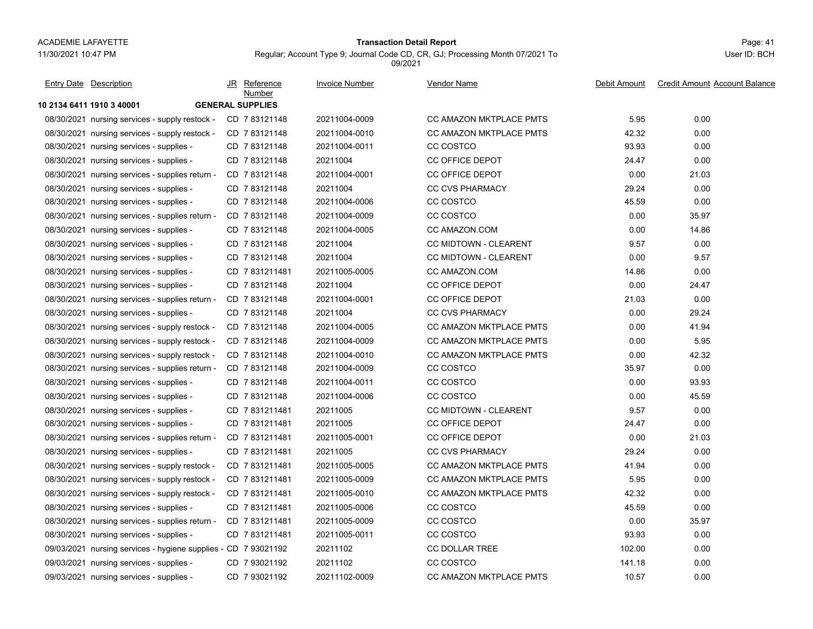# Page: 41 **Transaction Detail Report**

Regular; Account Type 9; Journal Code CD, CR, GJ; Processing Month 07/2021 To

Vendor Name

**10 2134 6411 1910 3 40001 GENERAL SUPPLIES**08/30/2021 nursing services - supply restock - CD 7 83121148 20211004-0009 CC AMAZON MKTPLACE PMTS 5.95 0.00 08/30/2021 nursing services - supply restock - CD 7 83121148 20211004-0010 CC AMAZON MKTPLACE PMTS 42.32 0.00 08/30/2021 nursing services - supplies - CD 7 83121148 20211004-0011 CC COSTCO 93.93 0.00 08/30/2021 nursing services - supplies - CD 7 83121148 20211004 CC OFFICE DEPOT 24.47 0.00 08/30/2021 nursing services - supplies return - CD 7 83121148 20211004-0001 CC OFFICE DEPOT 0.00 21.03 08/30/2021 nursing services - supplies - CD\_7 83121148 20211004 CC CVS PHARMACY 29.24 0.00 08/30/2021 nursing services - supplies - CD 7 83121148 20211004-0006 CC COSTCO 45.59 0.00 08/30/2021 nursing services - supplies return - CD 7 83121148 20211004-0009 CC COSTCO 0.00 35.97 08/30/2021 nursing services - supplies - CD 7 83121148 20211004-0005 CC AMAZON.COM 0.00 14.86 08/30/2021 nursing services - supplies - CD 7 83121148 20211004 CC MIDTOWN - CLEARENT 9.57 0.00 08/30/2021 nursing services - supplies - CD 7 83121148 20211004 CC MIDTOWN - CLEARENT 0.00 9.57 08/30/2021 nursing services - supplies - CD 7 831211481 20211005-0005 CC AMAZON.COM 0.00 08/30/2021 nursing services - supplies - CD 7 83121148 20211004 CC OFFICE DEPOT 0.00 24.47 08/30/2021 nursing services - supplies return - CD 7 83121148 20211004-0001 CC OFFICE DEPOT 21.03 0.00 08/30/2021 nursing services - supplies - CD\_7 83121148 20211004 CC CVS PHARMACY 0.00 29.24 08/30/2021nursing services - supply restock - CD 7 83121148 20211004-0005 CC AMAZON MKTPLACE PMTS 0.00 41.94 08/30/2021 nursing services - supply restock - CD 7 83121148 20211004-0009 CC AMAZON MKTPLACE PMTS 0.00 5.95 08/30/2021 nursing services - supply restock - CD 7 83121148 20211004-0010 CC AMAZON MKTPLACE PMTS 0.00 42.32 08/30/2021nursing services - supplies return - CD 7 83121148 20211004-0009 CC COSTCO 35.97 35.97 0.00 08/30/2021 nursing services - supplies - CD 7 83121148 20211004-0011 CC COSTCO 0.00 93.93 08/30/2021 nursing services - supplies - CD 7 83121148 20211004-0006 CC COSTCO 0.00 45.59 08/30/2021 nursing services - supplies -CD 7 831211481 20211005 CC MIDTOWN - CLEARENT 9.57 0.00 08/30/2021 nursing services - supplies - CD\_7 831211481 20211005 CC OFFICE DEPOT 24.47 0.00 08/30/2021 nursing services - supplies return - CD 7 831211481 20211005-0001 CC OFFICE DEPOT 0.00 21.03 08/30/2021 nursing services - supplies - CD\_7 831211481 20211005 CC CVS PHARMACY 29.24 0.00 08/30/2021 nursing services - supply restock - CD 7 831211481 20211005-0005 CC AMAZON MKTPLACE PMTS 0.00 08/30/2021nursing services - supply restock - CD 7 831211481 20211005-0009 CC AMAZON MKTPLACE PMTS 7 8395 0.00 08/30/2021 nursing services - supply restock - CD 7 831211481 20211005-0010 CC AMAZON MKTPLACE PMTS 42.32 0.00 08/30/2021 nursing services - supplies - CD\_7 831211481 20211005-0006 CC COSTCO 45.59 0.00 08/30/2021 nursing services - supplies return - CD 7 831211481 20211005-0009 CC COSTCO 0.00 35.97 08/30/2021 nursing services - supplies - CD\_7 831211481 20211005-0011 CC COSTCO 93.93 0.00 09/03/2021 nursing services - hygiene supplies - CD 7 93021192 20211102 CC DOLLAR TREE 0.00 JR Reference Invoice Number Debit Amount Credit Amount Account Balance NumberEntry Date Description JR Reference <u>Invoice Number</u> <u>Vendor Name</u> Debit Amount Credit Amount

09/03/2021 nursing services - supplies - CD\_7 93021192 CC COSTCO 0.00 09/03/2021 nursing services - supplies - CD 7 93021192 20211102-0009 CC AMAZON MKTPLACE PMTS 10.57 0.00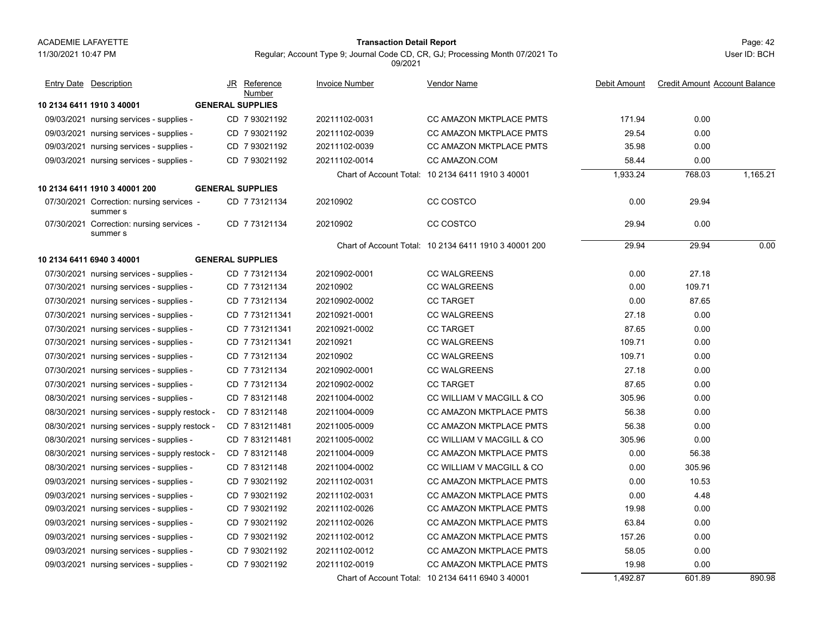#### Page: 42 **Transaction Detail Report**

Regular; Account Type 9; Journal Code CD, CR, GJ; Processing Month 07/2021 To 09/2021

User ID: BCH

| <b>Entry Date Description</b>                         |                         | JR Reference<br>Number | <b>Invoice Number</b> | Vendor Name                                           | Debit Amount | <b>Credit Amount Account Balance</b> |          |
|-------------------------------------------------------|-------------------------|------------------------|-----------------------|-------------------------------------------------------|--------------|--------------------------------------|----------|
| 10 2134 6411 1910 3 40001                             | <b>GENERAL SUPPLIES</b> |                        |                       |                                                       |              |                                      |          |
| 09/03/2021 nursing services - supplies -              |                         | CD 7 93021192          | 20211102-0031         | <b>CC AMAZON MKTPLACE PMTS</b>                        | 171.94       | 0.00                                 |          |
| 09/03/2021 nursing services - supplies -              |                         | CD 7 93021192          | 20211102-0039         | CC AMAZON MKTPLACE PMTS                               | 29.54        | 0.00                                 |          |
| 09/03/2021 nursing services - supplies -              |                         | CD 7 93021192          | 20211102-0039         | <b>CC AMAZON MKTPLACE PMTS</b>                        | 35.98        | 0.00                                 |          |
| 09/03/2021 nursing services - supplies -              |                         | CD 7 93021192          | 20211102-0014         | CC AMAZON.COM                                         | 58.44        | 0.00                                 |          |
|                                                       |                         |                        |                       | Chart of Account Total: 10 2134 6411 1910 3 40001     | 1,933.24     | 768.03                               | 1,165.21 |
| 10 2134 6411 1910 3 40001 200                         | <b>GENERAL SUPPLIES</b> |                        |                       |                                                       |              |                                      |          |
| 07/30/2021 Correction: nursing services -<br>summer s |                         | CD 7 73121134          | 20210902              | CC COSTCO                                             | 0.00         | 29.94                                |          |
| 07/30/2021 Correction: nursing services -<br>summer s |                         | CD 773121134           | 20210902              | CC COSTCO                                             | 29.94        | 0.00                                 |          |
|                                                       |                         |                        |                       | Chart of Account Total: 10 2134 6411 1910 3 40001 200 | 29.94        | 29.94                                | 0.00     |
| 10 2134 6411 6940 3 40001                             | <b>GENERAL SUPPLIES</b> |                        |                       |                                                       |              |                                      |          |
| 07/30/2021 nursing services - supplies -              |                         | CD 7 73121134          | 20210902-0001         | <b>CC WALGREENS</b>                                   | 0.00         | 27.18                                |          |
| 07/30/2021 nursing services - supplies -              |                         | CD 773121134           | 20210902              | <b>CC WALGREENS</b>                                   | 0.00         | 109.71                               |          |
| 07/30/2021 nursing services - supplies -              |                         | CD 773121134           | 20210902-0002         | <b>CC TARGET</b>                                      | 0.00         | 87.65                                |          |
| 07/30/2021 nursing services - supplies -              |                         | CD 7 731211341         | 20210921-0001         | <b>CC WALGREENS</b>                                   | 27.18        | 0.00                                 |          |
| 07/30/2021 nursing services - supplies -              |                         | CD 7731211341          | 20210921-0002         | <b>CC TARGET</b>                                      | 87.65        | 0.00                                 |          |
| 07/30/2021 nursing services - supplies -              |                         | CD 7 731211341         | 20210921              | <b>CC WALGREENS</b>                                   | 109.71       | 0.00                                 |          |
| 07/30/2021 nursing services - supplies -              |                         | CD 773121134           | 20210902              | <b>CC WALGREENS</b>                                   | 109.71       | 0.00                                 |          |
| 07/30/2021 nursing services - supplies -              |                         | CD 7 73121134          | 20210902-0001         | <b>CC WALGREENS</b>                                   | 27.18        | 0.00                                 |          |
| 07/30/2021 nursing services - supplies -              |                         | CD 7 73121134          | 20210902-0002         | <b>CC TARGET</b>                                      | 87.65        | 0.00                                 |          |
| 08/30/2021 nursing services - supplies -              |                         | CD 783121148           | 20211004-0002         | CC WILLIAM V MACGILL & CO                             | 305.96       | 0.00                                 |          |
| 08/30/2021 nursing services - supply restock -        |                         | CD 783121148           | 20211004-0009         | <b>CC AMAZON MKTPLACE PMTS</b>                        | 56.38        | 0.00                                 |          |
| 08/30/2021 nursing services - supply restock -        |                         | CD 7831211481          | 20211005-0009         | <b>CC AMAZON MKTPLACE PMTS</b>                        | 56.38        | 0.00                                 |          |
| 08/30/2021 nursing services - supplies -              |                         | CD 7831211481          | 20211005-0002         | CC WILLIAM V MACGILL & CO                             | 305.96       | 0.00                                 |          |
| 08/30/2021 nursing services - supply restock -        |                         | CD 783121148           | 20211004-0009         | CC AMAZON MKTPLACE PMTS                               | 0.00         | 56.38                                |          |
| 08/30/2021 nursing services - supplies -              |                         | CD 783121148           | 20211004-0002         | CC WILLIAM V MACGILL & CO                             | 0.00         | 305.96                               |          |
| 09/03/2021 nursing services - supplies -              |                         | CD 7 93021192          | 20211102-0031         | CC AMAZON MKTPLACE PMTS                               | 0.00         | 10.53                                |          |
| 09/03/2021 nursing services - supplies -              |                         | CD 7 93021192          | 20211102-0031         | CC AMAZON MKTPLACE PMTS                               | 0.00         | 4.48                                 |          |
| 09/03/2021 nursing services - supplies -              |                         | CD 7 93021192          | 20211102-0026         | CC AMAZON MKTPLACE PMTS                               | 19.98        | 0.00                                 |          |
| 09/03/2021 nursing services - supplies -              |                         | CD 7 93021192          | 20211102-0026         | CC AMAZON MKTPLACE PMTS                               | 63.84        | 0.00                                 |          |
| 09/03/2021 nursing services - supplies -              |                         | CD 7 93021192          | 20211102-0012         | CC AMAZON MKTPLACE PMTS                               | 157.26       | 0.00                                 |          |
| 09/03/2021 nursing services - supplies -              |                         | CD 7 93021192          | 20211102-0012         | CC AMAZON MKTPLACE PMTS                               | 58.05        | 0.00                                 |          |
| 09/03/2021 nursing services - supplies -              |                         | CD 7 93021192          | 20211102-0019         | <b>CC AMAZON MKTPLACE PMTS</b>                        | 19.98        | 0.00                                 |          |
|                                                       |                         |                        |                       | Chart of Account Total: 10 2134 6411 6940 3 40001     | 1,492.87     | 601.89                               | 890.98   |

Chart of Account Total: 10 2134 6411 6940 3 40001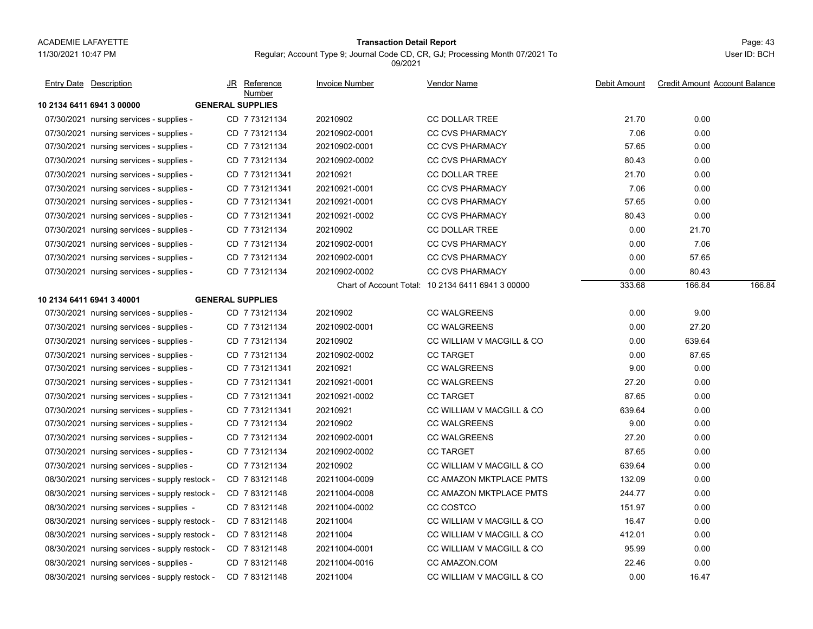#### Page: 43 **Transaction Detail Report**

Regular; Account Type 9; Journal Code CD, CR, GJ; Processing Month 07/2021 To 09/2021

| <b>Entry Date</b> Description                  |                         | JR Reference<br>Number | <b>Invoice Number</b> | Vendor Name                                       | Debit Amount | <b>Credit Amount Account Balance</b> |        |
|------------------------------------------------|-------------------------|------------------------|-----------------------|---------------------------------------------------|--------------|--------------------------------------|--------|
| 10 2134 6411 6941 3 00000                      | <b>GENERAL SUPPLIES</b> |                        |                       |                                                   |              |                                      |        |
| 07/30/2021 nursing services - supplies -       |                         | CD 773121134           | 20210902              | <b>CC DOLLAR TREE</b>                             | 21.70        | 0.00                                 |        |
| 07/30/2021 nursing services - supplies -       |                         | CD 7 73121134          | 20210902-0001         | <b>CC CVS PHARMACY</b>                            | 7.06         | 0.00                                 |        |
| 07/30/2021 nursing services - supplies -       |                         | CD 773121134           | 20210902-0001         | <b>CC CVS PHARMACY</b>                            | 57.65        | 0.00                                 |        |
| 07/30/2021 nursing services - supplies -       |                         | CD 7 73121134          | 20210902-0002         | <b>CC CVS PHARMACY</b>                            | 80.43        | 0.00                                 |        |
| 07/30/2021 nursing services - supplies -       |                         | CD 7 731211341         | 20210921              | <b>CC DOLLAR TREE</b>                             | 21.70        | 0.00                                 |        |
| 07/30/2021 nursing services - supplies -       |                         | CD 7 731211341         | 20210921-0001         | <b>CC CVS PHARMACY</b>                            | 7.06         | 0.00                                 |        |
| 07/30/2021 nursing services - supplies -       |                         | CD 7731211341          | 20210921-0001         | <b>CC CVS PHARMACY</b>                            | 57.65        | 0.00                                 |        |
| 07/30/2021 nursing services - supplies -       |                         | CD 7731211341          | 20210921-0002         | <b>CC CVS PHARMACY</b>                            | 80.43        | 0.00                                 |        |
| 07/30/2021 nursing services - supplies -       |                         | CD 7 73121134          | 20210902              | <b>CC DOLLAR TREE</b>                             | 0.00         | 21.70                                |        |
| 07/30/2021 nursing services - supplies -       |                         | CD 7 73121134          | 20210902-0001         | <b>CC CVS PHARMACY</b>                            | 0.00         | 7.06                                 |        |
| 07/30/2021 nursing services - supplies -       |                         | CD 773121134           | 20210902-0001         | <b>CC CVS PHARMACY</b>                            | 0.00         | 57.65                                |        |
| 07/30/2021 nursing services - supplies -       |                         | CD 7 73121134          | 20210902-0002         | <b>CC CVS PHARMACY</b>                            | 0.00         | 80.43                                |        |
|                                                |                         |                        |                       | Chart of Account Total: 10 2134 6411 6941 3 00000 | 333.68       | 166.84                               | 166.84 |
| 10 2134 6411 6941 3 40001                      | <b>GENERAL SUPPLIES</b> |                        |                       |                                                   |              |                                      |        |
| 07/30/2021 nursing services - supplies -       |                         | CD 773121134           | 20210902              | <b>CC WALGREENS</b>                               | 0.00         | 9.00                                 |        |
| 07/30/2021 nursing services - supplies -       |                         | CD 773121134           | 20210902-0001         | <b>CC WALGREENS</b>                               | 0.00         | 27.20                                |        |
| 07/30/2021 nursing services - supplies -       |                         | CD 773121134           | 20210902              | CC WILLIAM V MACGILL & CO                         | 0.00         | 639.64                               |        |
| 07/30/2021 nursing services - supplies -       |                         | CD 7 73121134          | 20210902-0002         | <b>CC TARGET</b>                                  | 0.00         | 87.65                                |        |
| 07/30/2021 nursing services - supplies -       |                         | CD 7731211341          | 20210921              | <b>CC WALGREENS</b>                               | 9.00         | 0.00                                 |        |
| 07/30/2021 nursing services - supplies -       |                         | CD 7 731211341         | 20210921-0001         | <b>CC WALGREENS</b>                               | 27.20        | 0.00                                 |        |
| 07/30/2021 nursing services - supplies -       |                         | CD 7731211341          | 20210921-0002         | <b>CC TARGET</b>                                  | 87.65        | 0.00                                 |        |
| 07/30/2021 nursing services - supplies -       |                         | CD 7 731211341         | 20210921              | CC WILLIAM V MACGILL & CO                         | 639.64       | 0.00                                 |        |
| 07/30/2021 nursing services - supplies -       |                         | CD 773121134           | 20210902              | <b>CC WALGREENS</b>                               | 9.00         | 0.00                                 |        |
| 07/30/2021 nursing services - supplies -       |                         | CD 773121134           | 20210902-0001         | <b>CC WALGREENS</b>                               | 27.20        | 0.00                                 |        |
| 07/30/2021 nursing services - supplies -       |                         | CD 7 73121134          | 20210902-0002         | <b>CC TARGET</b>                                  | 87.65        | 0.00                                 |        |
| 07/30/2021 nursing services - supplies -       |                         | CD 7 73121134          | 20210902              | CC WILLIAM V MACGILL & CO                         | 639.64       | 0.00                                 |        |
| 08/30/2021 nursing services - supply restock - |                         | CD 783121148           | 20211004-0009         | <b>CC AMAZON MKTPLACE PMTS</b>                    | 132.09       | 0.00                                 |        |
| 08/30/2021 nursing services - supply restock - |                         | CD 783121148           | 20211004-0008         | CC AMAZON MKTPLACE PMTS                           | 244.77       | 0.00                                 |        |
| 08/30/2021 nursing services - supplies -       |                         | CD 783121148           | 20211004-0002         | CC COSTCO                                         | 151.97       | 0.00                                 |        |
| 08/30/2021 nursing services - supply restock - |                         | CD 783121148           | 20211004              | CC WILLIAM V MACGILL & CO                         | 16.47        | 0.00                                 |        |
| 08/30/2021 nursing services - supply restock - |                         | CD 783121148           | 20211004              | CC WILLIAM V MACGILL & CO                         | 412.01       | 0.00                                 |        |
| 08/30/2021 nursing services - supply restock - |                         | CD 783121148           | 20211004-0001         | CC WILLIAM V MACGILL & CO                         | 95.99        | 0.00                                 |        |
| 08/30/2021 nursing services - supplies -       |                         | CD 783121148           | 20211004-0016         | CC AMAZON.COM                                     | 22.46        | 0.00                                 |        |
| 08/30/2021 nursing services - supply restock - |                         | CD 7 83121148          | 20211004              | CC WILLIAM V MACGILL & CO                         | 0.00         | 16.47                                |        |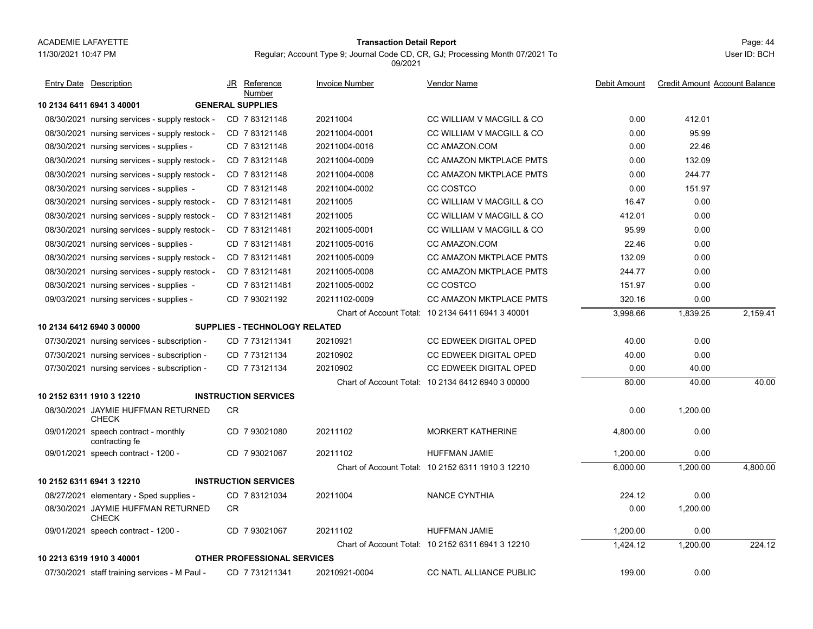#### Page: 44 **Transaction Detail Report**

Regular; Account Type 9; Journal Code CD, CR, GJ; Processing Month 07/2021 To

**10 2134 6411 6941 3 40001 GENERAL SUPPLIES**08/30/2021 nursing services - supply restock - CD 7 83121148 20211004 CC WILLIAM V MACGILL & CO 0.00 412.01 08/30/2021 nursing services - supply restock - CD 7 83121148 20211004-0001 CC WILLIAM V MACGILL & CO 0.00 95.99 08/30/2021nursing services - supplies - CD 7 83121148 20211004-0016 CC AMAZON.COM 0.00 22.46 08/30/2021 nursing services - supply restock - CD 7 83121148 20211004-0009 CC AMAZON MKTPLACE PMTS 0.00 132.09 08/30/2021 nursing services - supply restock - CD 7 83121148 20211004-0008 CC AMAZON MKTPLACE PMTS 0.00 244.77 08/30/2021 nursing services - supplies - CD 7 83121148 20211004-0002 CC COSTCO 0.00 151.97 08/30/2021 nursing services - supply restock - CD 7 831211481 20211005 CC WILLIAM V MACGILL & CO 16.47 0.00 08/30/2021 nursing services - supply restock - CD 7 831211481 20211005 CC WILLIAM V MACGILL & CO 0.00 08/30/2021 nursing services - supply restock - CD 7 831211481 20211005-0001 CC WILLIAM V MACGILL & CO 95.99 0.00 08/30/2021 nursing services - supplies - CD 7 831211481 20211005-0016 CC AMAZON.COM 22.46 0.00 08/30/2021 nursing services - supply restock - CD 7 831211481 20211005-0009 CC AMAZON MKTPLACE PMTS 0.00 08/30/2021nursing services - supply restock - CD 7 831211481 20211005-0008 CC AMAZON MKTPLACE PMTS 244.77 8 8300 08/30/2021 nursing services - supplies - CD\_7 831211481 20211005-0002 CC COSTCO 151.97 0.00 09/03/2021 nursing services - supplies - CD 7 93021192 20211102-0009 CC AMAZON MKTPLACE PMTS 320.16 0.00 Chart of Account Total: 10 2134 6411 6941 3 40001 3,998.66 1,839.25 2,159.41 **10 2134 6412 6940 3 00000 SUPPLIES - TECHNOLOGY RELATED**07/30/2021 nursing services - subscription - CD 7 731211341 20210921 CC EDWEEK DIGITAL OPED 40.00 0.00 07/30/2021 nursing services - subscription - CD 7 73121134 20210902 CC EDWEEK DIGITAL OPED 40.00 0.00 07/30/2021 nursing services - subscription - CD 7 73121134 20210902 CC EDWEEK DIGITAL OPED 0.00 40.00 Chart of Account Total: 10 2134 6412 6940 3 00000 80.00 40.0040.00 40.00 **10 2152 6311 1910 3 12210 INSTRUCTION SERVICES**08/30/2021 JAYMIE HUFFMAN RETURNED 0.00 1,200.00 CHECKCR09/01/2021 speech contract - monthly CD\_7 93021080 20211102 MORKERT KATHERINE 4,800.00 0.00 contracting fe CD 20211102 MORKERT KATHERINE 7 93021080 09/01/2021 speech contract - 1200 - CD 7 93021067 20211102 HUFFMAN JAMIE 1,200.00 0.00 Chart of Account Total: 10 2152 6311 1910 3 12210 6,000.00 1,200.00 4,800.00 **10 2152 6311 6941 3 12210 INSTRUCTION SERVICES**08/27/2021 elementary - Sped supplies - CD\_7 83121034 20211004 NANCE CYNTHIA 224.12 0.00 08/30/2021 JAYMIE HUFFMAN RETURNED 0.00 1,200.00 **CHECK** CR09/01/2021 speech contract - 1200 - CD 7 93021067 20211102 HUFFMAN JAMIE 1,200.00 0.00 Chart of Account Total: 10 2152 6311 6941 3 12210 1,424.12 1,200.00 224.12 **10 2213 6319 1910 3 40001 OTHER PROFESSIONAL SERVICES**07/30/2021 staff training services - M Paul - CD 7 731211341 20210921-0004 CC NATL ALLIANCE PUBLIC 0.00 JR Reference Invoice Number Vendor NameDebit Amount Credit Amount Account Balance NumberEntry Date Description JR Reference <u>Invoice Number</u> <u>Vendor Name</u> Debit Amount Credit Amount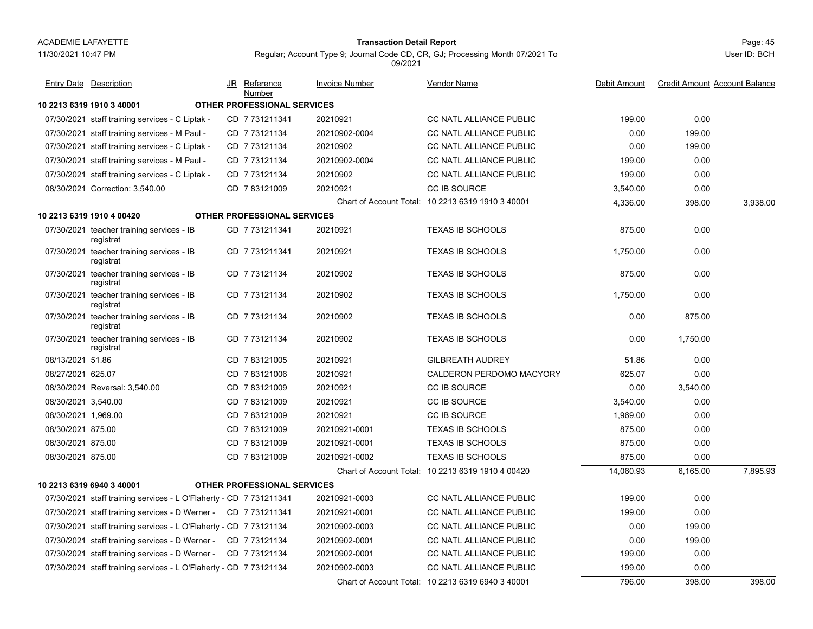11/30/2021 10:47 PM

## Page: 45 **Transaction Detail Report**

Regular; Account Type 9; Journal Code CD, CR, GJ; Processing Month 07/2021 To

09/2021

**10 2213 6319 1910 3 40001 OTHER PROFESSIONAL SERVICES**07/30/2021 staff training services - C Liptak - CD 7 731211341 20210921 CC NATL ALLIANCE PUBLIC 0.00 07/30/2021 staff training services - M Paul - CD 7 73121134 20210902-0004 CC NATL ALLIANCE PUBLIC 0.00 199.00 07/30/2021 staff training services - C Liptak - CD 7 73121134 20210902 CC NATL ALLIANCE PUBLIC 0.00 199.00 07/30/2021 staff training services - M Paul - CD 7 73121134 20210902-0004 CC NATL ALLIANCE PUBLIC 0.00 07/30/2021 staff training services - C Liptak - CD 7 73121134 20210902 CC NATL ALLIANCE PUBLIC 0.00 08/30/2021 Correction: 3,540.00 CD 7 83121009 20210921 CC IB SOURCE 3,540.00 0.00 Chart of Account Total: 10 2213 6319 1910 3 40001 4,336.00 398.00 3,938.00 **10 2213 6319 1910 4 00420 OTHER PROFESSIONAL SERVICES**07/30/2021 teacher training services - IB CD\_7 731211341 20210921 TEXAS IB SCHOOLS 875.00 0.00 registrat CD 20210921 TEXAS IB SCHOOLS 7 731211341 07/30/2021 teacher training services - IB CD\_7 731211341 20210921 TEXAS IB SCHOOLS 1,750.00 0.00 registrat CD 20210921 TEXAS IB SCHOOLS 7 731211341 07/30/2021 teacher training services - IB CD\_7 73121134 20210902 TEXAS IB SCHOOLS 875.00 0.00 registrat CD 20210902 TEXAS IB SCHOOLS 7 73121134 07/30/2021 teacher training services - IB CD\_7 73121134 20210902 TEXAS IB SCHOOLS 1,750.00 0.00 registrat CD 20210902 TEXAS IB SCHOOLS 7 73121134 07/30/2021 teacher training services - IB CD\_7 73121134 20210902 TEXAS IB SCHOOLS 0.00 875.00 registrat CD 20210902 TEXAS IB SCHOOLS 7 73121134 07/30/2021 teacher training services - IB CD\_7 73121134 20210902 TEXAS IB SCHOOLS 0.00 1,750.00 registrat CD 20210902 TEXAS IB SCHOOLS 7 73121134 08/13/2021 51.86 51.86 CD 20210921 GILBREATH AUDREY 7 83121005 51.86 0.00 08/27/2021 625.07 1 625.07 CD 7 83121006 20210921 CALDERON PERDOMO MACYORY 625.07 0.00 08/30/2021 Reversal: 3,540.00 CD\_7 83121009 20210921 CC IB SOURCE 0.00 3,540.00 08/30/2021 3.540.00 1 3,540.00 CD 7 83121009 20210921 CC IB SOURCE 3,540.00 0.00 08/30/2021 1.969.00 1 1,969.00 CD 7 83121009 20210921 CC IB SOURCE 1,969.00 0.00 08/30/2021 875.00 1 875.00 CD 7 83121009 20210921-0001 TEXAS IB SCHOOLS 875.00 0.00 08/30/2021 875.00 1 875.00 CD 7 83121009 20210921-0001 TEXAS IB SCHOOLS 875.00 0.00 08/30/20211 875.00 CD 7 83121009 20210921-0002 TEXAS IB SCHOOLS 875.00 0.00 Chart of Account Total: 10 2213 6319 1910 4 00420 14,060.93 6,165.00 7,895.93 **10 2213 6319 6940 3 40001 OTHER PROFESSIONAL SERVICES**07/30/2021 staff training services - L O'Flaherty - CD 7 731211341 20210921-0003 CC NATL ALLIANCE PUBLIC 199.00 0.00 07/30/2021 staff training services - D Werner - CD 7 731211341 20210921-0001 CC NATL ALLIANCE PUBLIC 0.00 07/30/2021 staff training services - L O'Flaherty - CD 7 73121134 20210902-0003 CC NATL ALLIANCE PUBLIC  $\,$  0.00  $\,$  199.00 199.00  $\,$ 07/30/2021 staff training services - D Werner - CD 7 73121134 20210902-0001 CC NATL ALLIANCE PUBLIC 0.00 199.00 07/30/2021 staff training services - D Werner - CD 7 73121134 20210902-0001 CC NATL ALLIANCE PUBLIC 0.00 07/30/2021 staff training services - L O'Flaherty - CD 7 73121134 20210902-0003 CC NATL ALLIANCE PUBLIC 199.00 0.00 Chart of Account Total: 10 2213 6319 6940 3 40001 796.00 398.00 398.00 JR Reference Invoice Number Vendor NameDebit Amount Credit Amount Account Balance NumberEntry Date Description JR Reference <u>Invoice Number</u> <u>Vendor Name</u> Debit Amount Credit Amount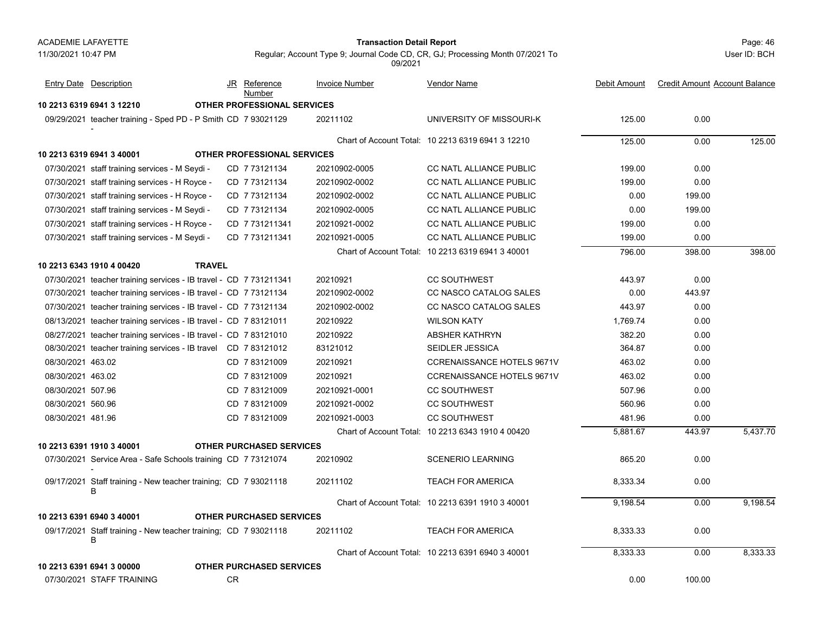#### Page: 46 **Transaction Detail Report**

User ID: BCH

|                   | <b>Entry Date</b> Description                                        | JR        | Reference<br>Number                | <b>Invoice Number</b> | Vendor Name                                       | Debit Amount | <b>Credit Amount Account Balance</b> |          |
|-------------------|----------------------------------------------------------------------|-----------|------------------------------------|-----------------------|---------------------------------------------------|--------------|--------------------------------------|----------|
|                   | 10 2213 6319 6941 3 12210                                            |           | <b>OTHER PROFESSIONAL SERVICES</b> |                       |                                                   |              |                                      |          |
|                   | 09/29/2021 teacher training - Sped PD - P Smith CD 7 93021129        |           |                                    | 20211102              | UNIVERSITY OF MISSOURI-K                          | 125.00       | 0.00                                 |          |
|                   |                                                                      |           |                                    |                       | Chart of Account Total: 10 2213 6319 6941 3 12210 | 125.00       | 0.00                                 | 125.00   |
|                   | 10 2213 6319 6941 3 40001                                            |           | OTHER PROFESSIONAL SERVICES        |                       |                                                   |              |                                      |          |
|                   | 07/30/2021 staff training services - M Seydi -                       |           | CD 7 73121134                      | 20210902-0005         | <b>CC NATL ALLIANCE PUBLIC</b>                    | 199.00       | 0.00                                 |          |
|                   | 07/30/2021 staff training services - H Royce -                       |           | CD 773121134                       | 20210902-0002         | CC NATL ALLIANCE PUBLIC                           | 199.00       | 0.00                                 |          |
|                   | 07/30/2021 staff training services - H Royce -                       |           | CD 773121134                       | 20210902-0002         | CC NATL ALLIANCE PUBLIC                           | 0.00         | 199.00                               |          |
|                   | 07/30/2021 staff training services - M Seydi -                       |           | CD 7 73121134                      | 20210902-0005         | <b>CC NATL ALLIANCE PUBLIC</b>                    | 0.00         | 199.00                               |          |
|                   | 07/30/2021 staff training services - H Royce -                       |           | CD 7 731211341                     | 20210921-0002         | CC NATL ALLIANCE PUBLIC                           | 199.00       | 0.00                                 |          |
|                   | 07/30/2021 staff training services - M Seydi -                       |           | CD 7731211341                      | 20210921-0005         | <b>CC NATL ALLIANCE PUBLIC</b>                    | 199.00       | 0.00                                 |          |
|                   |                                                                      |           |                                    |                       | Chart of Account Total: 10 2213 6319 6941 3 40001 | 796.00       | 398.00                               | 398.00   |
|                   | <b>TRAVEL</b><br>10 2213 6343 1910 4 00420                           |           |                                    |                       |                                                   |              |                                      |          |
|                   | 07/30/2021 teacher training services - IB travel - CD 7 731211341    |           |                                    | 20210921              | <b>CC SOUTHWEST</b>                               | 443.97       | 0.00                                 |          |
|                   | 07/30/2021 teacher training services - IB travel - CD 7 73121134     |           |                                    | 20210902-0002         | CC NASCO CATALOG SALES                            | 0.00         | 443.97                               |          |
|                   | 07/30/2021 teacher training services - IB travel - CD 7 73121134     |           |                                    | 20210902-0002         | CC NASCO CATALOG SALES                            | 443.97       | 0.00                                 |          |
|                   | 08/13/2021 teacher training services - IB travel - CD 7 83121011     |           |                                    | 20210922              | <b>WILSON KATY</b>                                | 1,769.74     | 0.00                                 |          |
|                   | 08/27/2021 teacher training services - IB travel - CD 7 83121010     |           |                                    | 20210922              | <b>ABSHER KATHRYN</b>                             | 382.20       | 0.00                                 |          |
|                   | 08/30/2021 teacher training services - IB travel CD 7 83121012       |           |                                    | 83121012              | <b>SEIDLER JESSICA</b>                            | 364.87       | 0.00                                 |          |
| 08/30/2021 463.02 |                                                                      |           | CD 783121009                       | 20210921              | <b>CCRENAISSANCE HOTELS 9671V</b>                 | 463.02       | 0.00                                 |          |
| 08/30/2021 463.02 |                                                                      |           | CD 783121009                       | 20210921              | CCRENAISSANCE HOTELS 9671V                        | 463.02       | 0.00                                 |          |
| 08/30/2021 507.96 |                                                                      |           | CD 7 83121009                      | 20210921-0001         | <b>CC SOUTHWEST</b>                               | 507.96       | 0.00                                 |          |
| 08/30/2021 560.96 |                                                                      |           | CD 7 83121009                      | 20210921-0002         | <b>CC SOUTHWEST</b>                               | 560.96       | 0.00                                 |          |
| 08/30/2021 481.96 |                                                                      |           | CD 7 83121009                      | 20210921-0003         | <b>CC SOUTHWEST</b>                               | 481.96       | 0.00                                 |          |
|                   |                                                                      |           |                                    |                       | Chart of Account Total: 10 2213 6343 1910 4 00420 | 5,881.67     | 443.97                               | 5,437.70 |
|                   | 10 2213 6391 1910 3 40001                                            |           | <b>OTHER PURCHASED SERVICES</b>    |                       |                                                   |              |                                      |          |
|                   | 07/30/2021 Service Area - Safe Schools training CD 773121074         |           |                                    | 20210902              | <b>SCENERIO LEARNING</b>                          | 865.20       | 0.00                                 |          |
|                   | 09/17/2021 Staff training - New teacher training; CD 7 93021118<br>B |           |                                    | 20211102              | <b>TEACH FOR AMERICA</b>                          | 8,333.34     | 0.00                                 |          |
|                   |                                                                      |           |                                    |                       | Chart of Account Total: 10 2213 6391 1910 3 40001 | 9,198.54     | 0.00                                 | 9.198.54 |
|                   | 10 2213 6391 6940 3 40001                                            |           | <b>OTHER PURCHASED SERVICES</b>    |                       |                                                   |              |                                      |          |
|                   | 09/17/2021 Staff training - New teacher training; CD 7 93021118<br>В |           |                                    | 20211102              | <b>TEACH FOR AMERICA</b>                          | 8,333.33     | 0.00                                 |          |
|                   |                                                                      |           |                                    |                       | Chart of Account Total: 10 2213 6391 6940 3 40001 | 8,333.33     | 0.00                                 | 8,333.33 |
|                   | 10 2213 6391 6941 3 00000                                            |           | <b>OTHER PURCHASED SERVICES</b>    |                       |                                                   |              |                                      |          |
|                   | 07/30/2021 STAFF TRAINING                                            | <b>CR</b> |                                    |                       |                                                   | 0.00         | 100.00                               |          |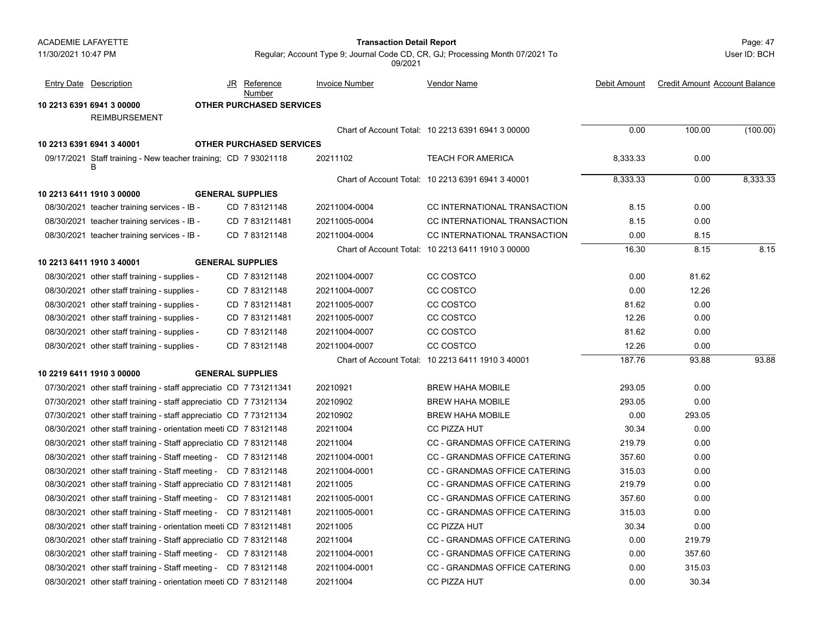| <b>ACADEMIE LAFAYETTE</b> |                                                                    |    |                                 | <b>Transaction Detail Report</b> | Page: 47                                                                      |              |                                      |              |
|---------------------------|--------------------------------------------------------------------|----|---------------------------------|----------------------------------|-------------------------------------------------------------------------------|--------------|--------------------------------------|--------------|
| 11/30/2021 10:47 PM       |                                                                    |    |                                 | 09/2021                          | Regular; Account Type 9; Journal Code CD, CR, GJ; Processing Month 07/2021 To |              |                                      | User ID: BCH |
|                           | <b>Entry Date Description</b>                                      | JR | <u>Reference</u><br>Number      | Invoice Number                   | <b>Vendor Name</b>                                                            | Debit Amount | <b>Credit Amount Account Balance</b> |              |
|                           | 10 2213 6391 6941 3 00000                                          |    | OTHER PURCHASED SERVICES        |                                  |                                                                               |              |                                      |              |
|                           | <b>REIMBURSEMENT</b>                                               |    |                                 |                                  |                                                                               |              |                                      |              |
|                           |                                                                    |    |                                 |                                  | Chart of Account Total: 10 2213 6391 6941 3 00000                             | 0.00         | 100.00                               | (100.00)     |
|                           | 10 2213 6391 6941 3 40001                                          |    | <b>OTHER PURCHASED SERVICES</b> |                                  |                                                                               |              |                                      |              |
|                           | 09/17/2021 Staff training - New teacher training; CD 7 93021118    |    |                                 | 20211102                         | <b>TEACH FOR AMERICA</b>                                                      | 8,333.33     | 0.00                                 |              |
|                           |                                                                    |    |                                 |                                  | Chart of Account Total: 10 2213 6391 6941 3 40001                             | 8,333.33     | 0.00                                 | 8,333.33     |
|                           | 10 2213 6411 1910 3 00000                                          |    | <b>GENERAL SUPPLIES</b>         |                                  |                                                                               |              |                                      |              |
|                           | 08/30/2021 teacher training services - IB -                        |    | CD 783121148                    | 20211004-0004                    | CC INTERNATIONAL TRANSACTION                                                  | 8.15         | 0.00                                 |              |
|                           | 08/30/2021 teacher training services - IB -                        |    | CD 7831211481                   | 20211005-0004                    | CC INTERNATIONAL TRANSACTION                                                  | 8.15         | 0.00                                 |              |
|                           | 08/30/2021 teacher training services - IB -                        |    | CD 783121148                    | 20211004-0004                    | CC INTERNATIONAL TRANSACTION                                                  | 0.00         | 8.15                                 |              |
|                           |                                                                    |    |                                 |                                  | Chart of Account Total: 10 2213 6411 1910 3 00000                             | 16.30        | 8.15                                 | 8.15         |
|                           | 10 2213 6411 1910 3 40001                                          |    | <b>GENERAL SUPPLIES</b>         |                                  |                                                                               |              |                                      |              |
|                           | 08/30/2021 other staff training - supplies -                       |    | CD 783121148                    | 20211004-0007                    | CC COSTCO                                                                     | 0.00         | 81.62                                |              |
|                           | 08/30/2021 other staff training - supplies -                       |    | CD 783121148                    | 20211004-0007                    | CC COSTCO                                                                     | 0.00         | 12.26                                |              |
|                           | 08/30/2021 other staff training - supplies -                       |    | CD 7831211481                   | 20211005-0007                    | CC COSTCO                                                                     | 81.62        | 0.00                                 |              |
|                           | 08/30/2021 other staff training - supplies -                       |    | CD 7831211481                   | 20211005-0007                    | CC COSTCO                                                                     | 12.26        | 0.00                                 |              |
|                           | 08/30/2021 other staff training - supplies -                       |    | CD 783121148                    | 20211004-0007                    | CC COSTCO                                                                     | 81.62        | 0.00                                 |              |
|                           | 08/30/2021 other staff training - supplies -                       |    | CD 783121148                    | 20211004-0007                    | CC COSTCO                                                                     | 12.26        | 0.00                                 |              |
|                           |                                                                    |    |                                 |                                  | Chart of Account Total: 10 2213 6411 1910 3 40001                             | 187.76       | 93.88                                | 93.88        |
|                           | 10 2219 6411 1910 3 00000                                          |    | <b>GENERAL SUPPLIES</b>         |                                  |                                                                               |              |                                      |              |
|                           | 07/30/2021 other staff training - staff appreciatio CD 7 731211341 |    |                                 | 20210921                         | <b>BREW HAHA MOBILE</b>                                                       | 293.05       | 0.00                                 |              |
|                           | 07/30/2021 other staff training - staff appreciatio CD 7 73121134  |    |                                 | 20210902                         | <b>BREW HAHA MOBILE</b>                                                       | 293.05       | 0.00                                 |              |
|                           | 07/30/2021 other staff training - staff appreciatio CD 7 73121134  |    |                                 | 20210902                         | <b>BREW HAHA MOBILE</b>                                                       | 0.00         | 293.05                               |              |
|                           | 08/30/2021 other staff training - orientation meeti CD 7 83121148  |    |                                 | 20211004                         | CC PIZZA HUT                                                                  | 30.34        | 0.00                                 |              |
|                           | 08/30/2021 other staff training - Staff appreciatio CD 7 83121148  |    |                                 | 20211004                         | CC - GRANDMAS OFFICE CATERING                                                 | 219.79       | 0.00                                 |              |
|                           | 08/30/2021 other staff training - Staff meeting - CD 7 83121148    |    |                                 | 20211004-0001                    | CC - GRANDMAS OFFICE CATERING                                                 | 357.60       | 0.00                                 |              |
|                           | 08/30/2021 other staff training - Staff meeting - CD 7 83121148    |    |                                 | 20211004-0001                    | CC - GRANDMAS OFFICE CATERING                                                 | 315.03       | 0.00                                 |              |
|                           | 08/30/2021 other staff training - Staff appreciatio CD 7 831211481 |    |                                 | 20211005                         | <b>CC - GRANDMAS OFFICE CATERING</b>                                          | 219.79       | 0.00                                 |              |
|                           | 08/30/2021 other staff training - Staff meeting - CD 7 831211481   |    |                                 | 20211005-0001                    | CC - GRANDMAS OFFICE CATERING                                                 | 357.60       | 0.00                                 |              |
|                           | 08/30/2021 other staff training - Staff meeting - CD 7 831211481   |    |                                 | 20211005-0001                    | CC - GRANDMAS OFFICE CATERING                                                 | 315.03       | 0.00                                 |              |
|                           | 08/30/2021 other staff training - orientation meeti CD 7 831211481 |    |                                 | 20211005                         | CC PIZZA HUT                                                                  | 30.34        | 0.00                                 |              |
|                           | 08/30/2021 other staff training - Staff appreciatio CD 7 83121148  |    |                                 | 20211004                         | CC - GRANDMAS OFFICE CATERING                                                 | 0.00         | 219.79                               |              |
|                           | 08/30/2021 other staff training - Staff meeting - CD 7 83121148    |    |                                 | 20211004-0001                    | CC - GRANDMAS OFFICE CATERING                                                 | 0.00         | 357.60                               |              |
|                           | 08/30/2021 other staff training - Staff meeting - CD 7 83121148    |    |                                 | 20211004-0001                    | CC - GRANDMAS OFFICE CATERING                                                 | 0.00         | 315.03                               |              |
|                           | 08/30/2021 other staff training - orientation meeti CD 7 83121148  |    |                                 | 20211004                         | CC PIZZA HUT                                                                  | 0.00         | 30.34                                |              |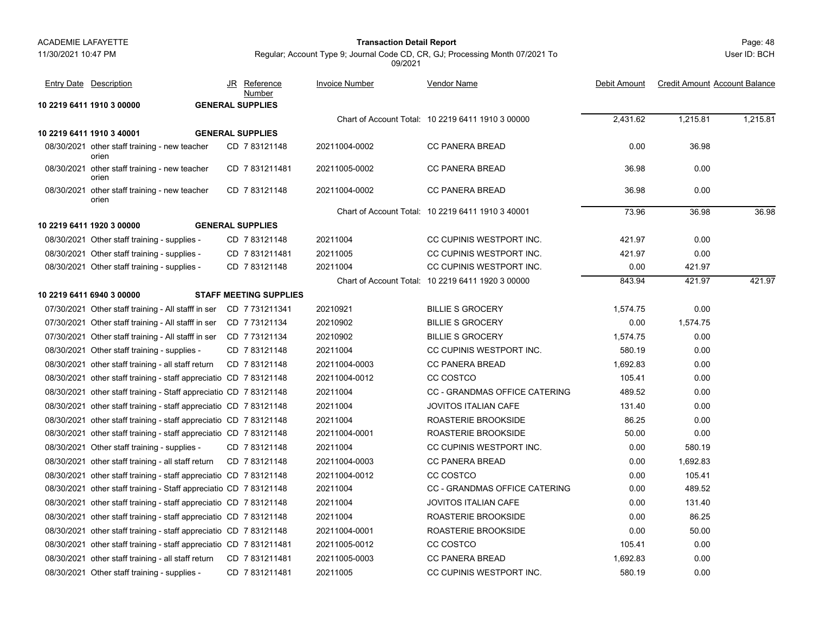#### 11/30/2021 10:47 PM

#### Page: 48 **Transaction Detail Report**

User ID: BCH

| <b>Entry Date Description</b>                                      | JR | Reference<br>Number           | <b>Invoice Number</b> | <b>Vendor Name</b>                                | Debit Amount | <b>Credit Amount Account Balance</b> |          |
|--------------------------------------------------------------------|----|-------------------------------|-----------------------|---------------------------------------------------|--------------|--------------------------------------|----------|
| 10 2219 6411 1910 3 00000                                          |    | <b>GENERAL SUPPLIES</b>       |                       |                                                   |              |                                      |          |
|                                                                    |    |                               |                       | Chart of Account Total: 10 2219 6411 1910 3 00000 | 2,431.62     | 1,215.81                             | 1,215.81 |
| 10 2219 6411 1910 3 40001                                          |    | <b>GENERAL SUPPLIES</b>       |                       |                                                   |              |                                      |          |
| 08/30/2021 other staff training - new teacher<br>orien             |    | CD 783121148                  | 20211004-0002         | CC PANERA BREAD                                   | 0.00         | 36.98                                |          |
| 08/30/2021 other staff training - new teacher<br>orien             |    | CD 7831211481                 | 20211005-0002         | <b>CC PANERA BREAD</b>                            | 36.98        | 0.00                                 |          |
| 08/30/2021 other staff training - new teacher<br>orien             |    | CD 783121148                  | 20211004-0002         | <b>CC PANERA BREAD</b>                            | 36.98        | 0.00                                 |          |
|                                                                    |    |                               |                       | Chart of Account Total: 10 2219 6411 1910 3 40001 | 73.96        | 36.98                                | 36.98    |
| 10 2219 6411 1920 3 00000                                          |    | <b>GENERAL SUPPLIES</b>       |                       |                                                   |              |                                      |          |
| 08/30/2021 Other staff training - supplies -                       |    | CD 783121148                  | 20211004              | CC CUPINIS WESTPORT INC.                          | 421.97       | 0.00                                 |          |
| 08/30/2021 Other staff training - supplies -                       |    | CD 7831211481                 | 20211005              | CC CUPINIS WESTPORT INC.                          | 421.97       | 0.00                                 |          |
| 08/30/2021 Other staff training - supplies -                       |    | CD 783121148                  | 20211004              | CC CUPINIS WESTPORT INC.                          | 0.00         | 421.97                               |          |
|                                                                    |    |                               |                       | Chart of Account Total: 10 2219 6411 1920 3 00000 | 843.94       | 421.97                               | 421.97   |
| 10 2219 6411 6940 3 00000                                          |    | <b>STAFF MEETING SUPPLIES</b> |                       |                                                   |              |                                      |          |
| 07/30/2021 Other staff training - All stafff in ser                |    | CD 7731211341                 | 20210921              | <b>BILLIE S GROCERY</b>                           | 1,574.75     | 0.00                                 |          |
| 07/30/2021 Other staff training - All stafff in ser                |    | CD 7 73121134                 | 20210902              | <b>BILLIE S GROCERY</b>                           | 0.00         | 1,574.75                             |          |
| 07/30/2021 Other staff training - All stafff in ser CD 773121134   |    |                               | 20210902              | <b>BILLIE S GROCERY</b>                           | 1,574.75     | 0.00                                 |          |
| 08/30/2021 Other staff training - supplies -                       |    | CD 783121148                  | 20211004              | CC CUPINIS WESTPORT INC.                          | 580.19       | 0.00                                 |          |
| 08/30/2021 other staff training - all staff return                 |    | CD 783121148                  | 20211004-0003         | <b>CC PANERA BREAD</b>                            | 1,692.83     | 0.00                                 |          |
| 08/30/2021 other staff training - staff appreciatio CD 783121148   |    |                               | 20211004-0012         | CC COSTCO                                         | 105.41       | 0.00                                 |          |
| 08/30/2021 other staff training - Staff appreciatio CD 7 83121148  |    |                               | 20211004              | <b>CC - GRANDMAS OFFICE CATERING</b>              | 489.52       | 0.00                                 |          |
| 08/30/2021 other staff training - staff appreciatio CD 7 83121148  |    |                               | 20211004              | <b>JOVITOS ITALIAN CAFE</b>                       | 131.40       | 0.00                                 |          |
| 08/30/2021 other staff training - staff appreciatio CD 7 83121148  |    |                               | 20211004              | ROASTERIE BROOKSIDE                               | 86.25        | 0.00                                 |          |
| 08/30/2021 other staff training - staff appreciatio CD 7 83121148  |    |                               | 20211004-0001         | ROASTERIE BROOKSIDE                               | 50.00        | 0.00                                 |          |
| 08/30/2021 Other staff training - supplies -                       |    | CD 783121148                  | 20211004              | CC CUPINIS WESTPORT INC.                          | 0.00         | 580.19                               |          |
| 08/30/2021 other staff training - all staff return                 |    | CD 783121148                  | 20211004-0003         | <b>CC PANERA BREAD</b>                            | 0.00         | 1,692.83                             |          |
| 08/30/2021 other staff training - staff appreciatio CD 7 83121148  |    |                               | 20211004-0012         | CC COSTCO                                         | 0.00         | 105.41                               |          |
| 08/30/2021 other staff training - Staff appreciatio CD 7 83121148  |    |                               | 20211004              | CC - GRANDMAS OFFICE CATERING                     | 0.00         | 489.52                               |          |
| 08/30/2021 other staff training - staff appreciatio CD 7 83121148  |    |                               | 20211004              | <b>JOVITOS ITALIAN CAFE</b>                       | 0.00         | 131.40                               |          |
| 08/30/2021 other staff training - staff appreciatio CD 7 83121148  |    |                               | 20211004              | ROASTERIE BROOKSIDE                               | 0.00         | 86.25                                |          |
| 08/30/2021 other staff training - staff appreciatio CD 7 83121148  |    |                               | 20211004-0001         | ROASTERIE BROOKSIDE                               | 0.00         | 50.00                                |          |
| 08/30/2021 other staff training - staff appreciatio CD 7 831211481 |    |                               | 20211005-0012         | CC COSTCO                                         | 105.41       | 0.00                                 |          |
| 08/30/2021 other staff training - all staff return                 |    | CD 7831211481                 | 20211005-0003         | <b>CC PANERA BREAD</b>                            | 1,692.83     | 0.00                                 |          |
| 08/30/2021 Other staff training - supplies -                       |    | CD 7 831211481                | 20211005              | CC CUPINIS WESTPORT INC.                          | 580.19       | 0.00                                 |          |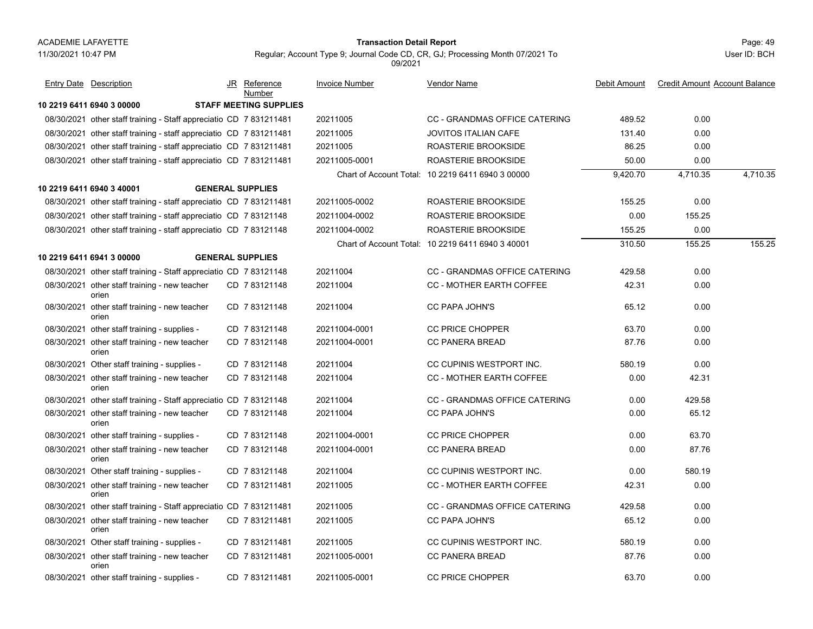#### Page: 49 **Transaction Detail Report**

Regular; Account Type 9; Journal Code CD, CR, GJ; Processing Month 07/2021 To

**10 2219 6411 6940 3 00000 STAFF MEETING SUPPLIES**08/30/2021 other staff training - Staff appreciatio CD 7 831211481 20211005 CC - GRANDMAS OFFICE CATERING 489.52 0.00 08/30/2021 other staff training - staff appreciatio CD 7 831211481 20211005 JOVITOS ITALIAN CAFE 0.00 08/30/2021 other staff training - staff appreciatio CD 7 831211481 20211005 ROASTERIE BROOKSIDE 86.25 0.00 08/30/2021 other staff training - staff appreciatio CD 7 831211481 20211005-0001 ROASTERIE BROOKSIDE 50.00 0.00 Chart of Account Total: 10 2219 6411 6940 3 00000 9,420.70 4,710.35 4,710.35 **10 2219 6411 6940 3 40001 GENERAL SUPPLIES**08/30/2021 other staff training - staff appreciatio CD 7 831211481 20211005-0002 ROASTERIE BROOKSIDE 155.25 0.00 08/30/2021 other staff training - staff appreciatio CD 7 83121148 20211004-0002 ROASTERIE BROOKSIDE 0.00 155.25 08/30/2021 other staff training - staff appreciatio CD 7 83121148 20211004-0002 ROASTERIE BROOKSIDE 155.25 0.00 Chart of Account Total: 10 2219 6411 6940 3 40001 310.50 155.25 155.25 **10 2219 6411 6941 3 00000 GENERAL SUPPLIES**08/30/2021 other staff training - Staff appreciatio CD 7 83121148 20211004 CC - GRANDMAS OFFICE CATERING 429.58 0.00 08/30/2021 other staff training - new teacher CD\_7 83121148 20211004 CC - MOTHER EARTH COFFEE 42.31 0.00 orienCD 20211004 CC - MOTHER EARTH COFFEE 7 83121148 08/30/2021 other staff training - new teacher CD\_7 83121148 20211004 CC PAPA JOHN'S 65.12 0.00 orienCD 20211004 CC PAPA JOHN'S 7 83121148 08/30/2021 other staff training - supplies - CD\_7 83121148 20211004-0001 CC PRICE CHOPPER 63.70 0.00 08/30/2021 other staff training - new teacher CD\_7 83121148 20211004-0001 CC PANERA BREAD 87.76 0.00 orienCD 20211004-0001 CC PANERA BREAD 7 83121148 08/30/2021 Other staff training - supplies - CD\_7 83121148 20211004 CC CUPINIS WESTPORT INC. 580.19 0.00 08/30/2021 other staff training - new teacher CD\_7 83121148 20211004 CC - MOTHER EARTH COFFEE 0.00 42.31 orienCD 20211004 CC - MOTHER EARTH COFFEE 7 83121148 08/30/2021 other staff training - Staff appreciatio CD 7 83121148 20211004 CC - GRANDMAS OFFICE CATERING 0.00 429.58 08/30/2021 other staff training - new teacher CD\_7 83121148 20211004 CC PAPA JOHN'S 0.00 65.12 orienCD 20211004 CC PAPA JOHN'S 7 83121148 08/30/2021 other staff training - supplies - CD\_7 83121148 20211004-0001 CC PRICE CHOPPER 0.00 63.70 08/30/2021 other staff training - new teacher CD\_7 83121148 20211004-0001 CC PANERA BREAD 0.00 87.76 orienCD 20211004-0001 CC PANERA BREAD 7 83121148 08/30/2021 Other staff training - supplies - CD\_7 83121148 20211004 CC CUPINIS WESTPORT INC. 0.00 580.19 08/30/2021 other staff training - new teacher CD\_7 831211481 20211005 CC - MOTHER EARTH COFFEE 42.31 0.00 orienCD 20211005 CC - MOTHER EARTH COFFEE 7 831211481 08/30/2021 other staff training - Staff appreciatio CD 7 831211481 20211005 CC - GRANDMAS OFFICE CATERING 429.58 0.00 08/30/2021 other staff training - new teacher CD\_7 831211481 20211005 CC PAPA JOHN'S 65.12 0.00 orienCD 20211005 CC PAPA JOHN'S 7 831211481 08/30/2021 Other staff training - supplies - CD\_7 831211481 20211005 CC CUPINIS WESTPORT INC. 580.19 0.00 08/30/2021 other staff training - new teacher CD\_7 831211481 20211005-0001 CC PANERA BREAD 87.76 0.00 orienCD 20211005-0001 CC PANERA BREAD 7 831211481 08/30/2021 other staff training - supplies - CD\_7 831211481 20211005-0001 CC PRICE CHOPPER 63.70 0.00 JR Reference Invoice Number Vendor NameDebit Amount Credit Amount Account Balance NumberEntry Date Description JR Reference <u>Invoice Number</u> <u>Vendor Name</u> Debit Amount Credit Amount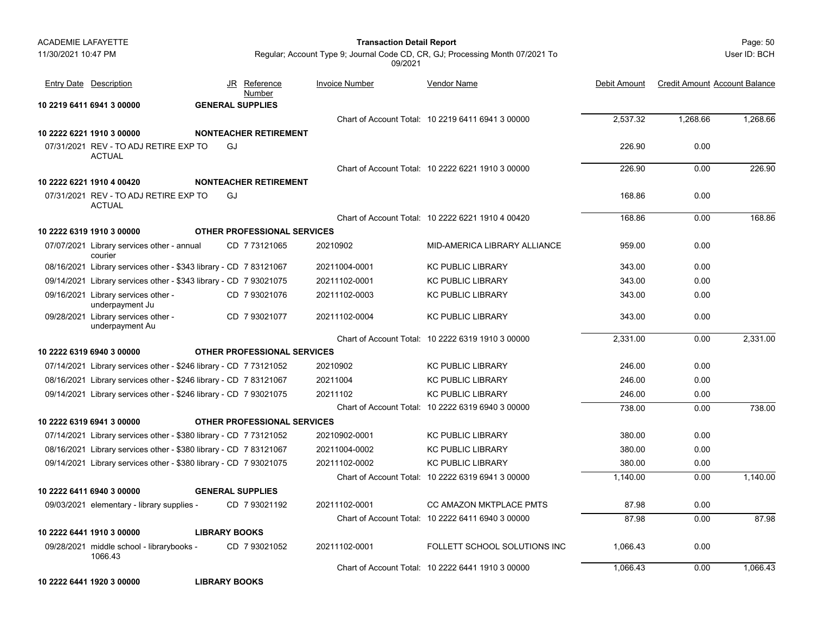| <b>ACADEMIE LAFAYETTE</b> |                                                                   |                      |                                    | <b>Transaction Detail Report</b> |                                                                               |              |                                      | Page: 50     |
|---------------------------|-------------------------------------------------------------------|----------------------|------------------------------------|----------------------------------|-------------------------------------------------------------------------------|--------------|--------------------------------------|--------------|
| 11/30/2021 10:47 PM       |                                                                   |                      |                                    | 09/2021                          | Regular; Account Type 9; Journal Code CD, CR, GJ; Processing Month 07/2021 To |              |                                      | User ID: BCH |
|                           | <b>Entry Date Description</b>                                     |                      | JR Reference<br>Number             | Invoice Number                   | Vendor Name                                                                   | Debit Amount | <b>Credit Amount Account Balance</b> |              |
|                           | 10 2219 6411 6941 3 00000                                         |                      | <b>GENERAL SUPPLIES</b>            |                                  |                                                                               |              |                                      |              |
|                           |                                                                   |                      |                                    |                                  | Chart of Account Total: 10 2219 6411 6941 3 00000                             | 2,537.32     | 1,268.66                             | 1,268.66     |
|                           | 10 2222 6221 1910 3 00000                                         |                      | <b>NONTEACHER RETIREMENT</b>       |                                  |                                                                               |              |                                      |              |
|                           | 07/31/2021 REV - TO ADJ RETIRE EXP TO<br><b>ACTUAL</b>            |                      | GJ                                 |                                  |                                                                               | 226.90       | 0.00                                 |              |
|                           |                                                                   |                      |                                    |                                  | Chart of Account Total: 10 2222 6221 1910 3 00000                             | 226.90       | 0.00                                 | 226.90       |
|                           | 10 2222 6221 1910 4 00420                                         |                      | <b>NONTEACHER RETIREMENT</b>       |                                  |                                                                               |              |                                      |              |
|                           | 07/31/2021 REV - TO ADJ RETIRE EXP TO<br><b>ACTUAL</b>            |                      | GJ                                 |                                  |                                                                               | 168.86       | 0.00                                 |              |
|                           |                                                                   |                      |                                    |                                  | Chart of Account Total: 10 2222 6221 1910 4 00420                             | 168.86       | 0.00                                 | 168.86       |
|                           | 10 2222 6319 1910 3 00000                                         |                      | <b>OTHER PROFESSIONAL SERVICES</b> |                                  |                                                                               |              |                                      |              |
|                           | 07/07/2021 Library services other - annual<br>courier             |                      | CD 7 73121065                      | 20210902                         | MID-AMERICA LIBRARY ALLIANCE                                                  | 959.00       | 0.00                                 |              |
|                           | 08/16/2021 Library services other - \$343 library - CD 7 83121067 |                      |                                    | 20211004-0001                    | <b>KC PUBLIC LIBRARY</b>                                                      | 343.00       | 0.00                                 |              |
|                           | 09/14/2021 Library services other - \$343 library - CD 7 93021075 |                      |                                    | 20211102-0001                    | <b>KC PUBLIC LIBRARY</b>                                                      | 343.00       | 0.00                                 |              |
|                           | 09/16/2021 Library services other -<br>underpayment Ju            |                      | CD 7 93021076                      | 20211102-0003                    | <b>KC PUBLIC LIBRARY</b>                                                      | 343.00       | 0.00                                 |              |
|                           | 09/28/2021 Library services other -<br>underpayment Au            |                      | CD 7 93021077                      | 20211102-0004                    | <b>KC PUBLIC LIBRARY</b>                                                      | 343.00       | 0.00                                 |              |
|                           |                                                                   |                      |                                    |                                  | Chart of Account Total: 10 2222 6319 1910 3 00000                             | 2,331.00     | 0.00                                 | 2,331.00     |
|                           | 10 2222 6319 6940 3 00000                                         |                      | <b>OTHER PROFESSIONAL SERVICES</b> |                                  |                                                                               |              |                                      |              |
|                           | 07/14/2021 Library services other - \$246 library - CD 7 73121052 |                      |                                    | 20210902                         | <b>KC PUBLIC LIBRARY</b>                                                      | 246.00       | 0.00                                 |              |
|                           | 08/16/2021 Library services other - \$246 library - CD 7 83121067 |                      |                                    | 20211004                         | <b>KC PUBLIC LIBRARY</b>                                                      | 246.00       | 0.00                                 |              |
|                           | 09/14/2021 Library services other - \$246 library - CD 7 93021075 |                      |                                    | 20211102                         | <b>KC PUBLIC LIBRARY</b>                                                      | 246.00       | 0.00                                 |              |
|                           |                                                                   |                      |                                    |                                  | Chart of Account Total: 10 2222 6319 6940 3 00000                             | 738.00       | 0.00                                 | 738.00       |
|                           | 10 2222 6319 6941 3 00000                                         |                      | <b>OTHER PROFESSIONAL SERVICES</b> |                                  |                                                                               |              |                                      |              |
|                           | 07/14/2021 Library services other - \$380 library - CD 7 73121052 |                      |                                    | 20210902-0001                    | <b>KC PUBLIC LIBRARY</b>                                                      | 380.00       | 0.00                                 |              |
|                           | 08/16/2021 Library services other - \$380 library - CD 7 83121067 |                      |                                    | 20211004-0002                    | <b>KC PUBLIC LIBRARY</b>                                                      | 380.00       | 0.00                                 |              |
|                           | 09/14/2021 Library services other - \$380 library - CD 7 93021075 |                      |                                    | 20211102-0002                    | <b>KC PUBLIC LIBRARY</b>                                                      | 380.00       | 0.00                                 |              |
|                           |                                                                   |                      |                                    |                                  | Chart of Account Total: 10 2222 6319 6941 3 00000                             | 1,140.00     | 0.00                                 | 1,140.00     |
|                           | 10 2222 6411 6940 3 00000                                         |                      | <b>GENERAL SUPPLIES</b>            |                                  |                                                                               |              |                                      |              |
|                           | 09/03/2021 elementary - library supplies -                        |                      | CD 7 93021192                      | 20211102-0001                    | <b>CC AMAZON MKTPLACE PMTS</b>                                                | 87.98        | 0.00                                 |              |
|                           |                                                                   |                      |                                    |                                  | Chart of Account Total: 10 2222 6411 6940 3 00000                             | 87.98        | 0.00                                 | 87.98        |
|                           | 10 2222 6441 1910 3 00000                                         | <b>LIBRARY BOOKS</b> |                                    |                                  |                                                                               |              |                                      |              |
|                           | 09/28/2021 middle school - librarybooks -<br>1066.43              |                      | CD 7 93021052                      | 20211102-0001                    | FOLLETT SCHOOL SOLUTIONS INC                                                  | 1,066.43     | 0.00                                 |              |
|                           |                                                                   |                      |                                    |                                  | Chart of Account Total: 10 2222 6441 1910 3 00000                             | 1,066.43     | 0.00                                 | 1,066.43     |

**10 2222 6441 1920 3 00000 LIBRARY BOOKS**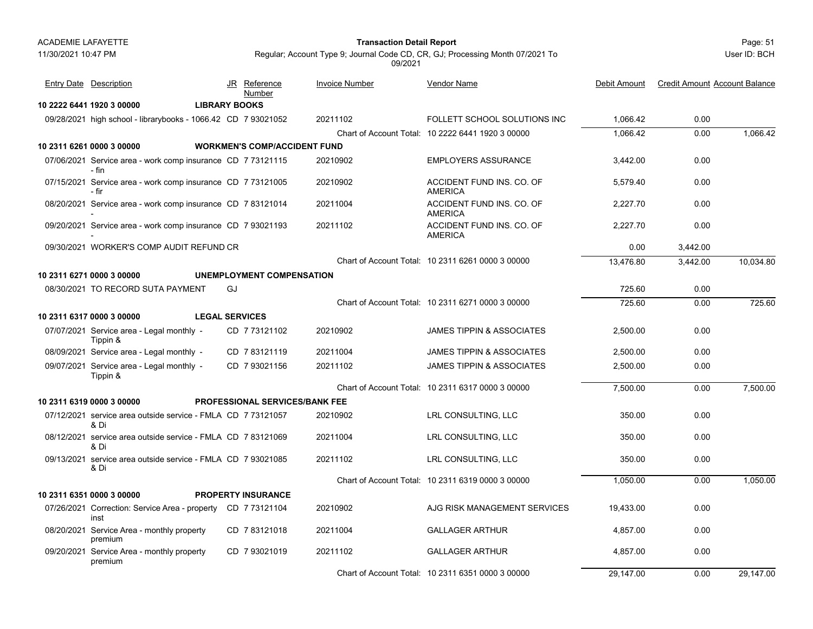#### Page: 51 **Transaction Detail Report**

User ID: BCH

Regular; Account Type 9; Journal Code CD, CR, GJ; Processing Month 07/2021 To 09/2021

| <b>Entry Date Description</b>                                        |                       | JR Reference<br>Number                | <b>Invoice Number</b> | Vendor Name                                       | Debit Amount | <b>Credit Amount Account Balance</b> |           |
|----------------------------------------------------------------------|-----------------------|---------------------------------------|-----------------------|---------------------------------------------------|--------------|--------------------------------------|-----------|
| 10 2222 6441 1920 3 00000                                            | <b>LIBRARY BOOKS</b>  |                                       |                       |                                                   |              |                                      |           |
| 09/28/2021 high school - librarybooks - 1066.42 CD 7 93021052        |                       |                                       | 20211102              | FOLLETT SCHOOL SOLUTIONS INC                      | 1,066.42     | 0.00                                 |           |
|                                                                      |                       |                                       |                       | Chart of Account Total: 10 2222 6441 1920 3 00000 | 1.066.42     | 0.00                                 | 1.066.42  |
| 10 2311 6261 0000 3 00000                                            |                       | <b>WORKMEN'S COMP/ACCIDENT FUND</b>   |                       |                                                   |              |                                      |           |
| 07/06/2021 Service area - work comp insurance CD 7 73121115<br>- fin |                       |                                       | 20210902              | <b>EMPLOYERS ASSURANCE</b>                        | 3,442.00     | 0.00                                 |           |
| 07/15/2021 Service area - work comp insurance CD 7 73121005<br>- fir |                       |                                       | 20210902              | ACCIDENT FUND INS. CO. OF<br><b>AMERICA</b>       | 5.579.40     | 0.00                                 |           |
| 08/20/2021 Service area - work comp insurance CD 783121014           |                       |                                       | 20211004              | ACCIDENT FUND INS. CO. OF<br><b>AMERICA</b>       | 2,227.70     | 0.00                                 |           |
| 09/20/2021 Service area - work comp insurance CD 7 93021193          |                       |                                       | 20211102              | ACCIDENT FUND INS. CO. OF<br><b>AMERICA</b>       | 2,227.70     | 0.00                                 |           |
| 09/30/2021 WORKER'S COMP AUDIT REFUND CR                             |                       |                                       |                       |                                                   | 0.00         | 3,442.00                             |           |
|                                                                      |                       |                                       |                       | Chart of Account Total: 10 2311 6261 0000 3 00000 | 13.476.80    | 3.442.00                             | 10.034.80 |
| 10 2311 6271 0000 3 00000                                            |                       | <b>UNEMPLOYMENT COMPENSATION</b>      |                       |                                                   |              |                                      |           |
| 08/30/2021 TO RECORD SUTA PAYMENT                                    | GJ                    |                                       |                       |                                                   | 725.60       | 0.00                                 |           |
|                                                                      |                       |                                       |                       | Chart of Account Total: 10 2311 6271 0000 3 00000 | 725.60       | 0.00                                 | 725.60    |
| 10 2311 6317 0000 3 00000                                            | <b>LEGAL SERVICES</b> |                                       |                       |                                                   |              |                                      |           |
| 07/07/2021 Service area - Legal monthly -<br>Tippin &                |                       | CD 773121102                          | 20210902              | <b>JAMES TIPPIN &amp; ASSOCIATES</b>              | 2,500.00     | 0.00                                 |           |
| 08/09/2021 Service area - Legal monthly -                            |                       | CD 783121119                          | 20211004              | <b>JAMES TIPPIN &amp; ASSOCIATES</b>              | 2,500.00     | 0.00                                 |           |
| 09/07/2021 Service area - Legal monthly -<br>Tippin &                |                       | CD 7 93021156                         | 20211102              | <b>JAMES TIPPIN &amp; ASSOCIATES</b>              | 2,500.00     | 0.00                                 |           |
|                                                                      |                       |                                       |                       | Chart of Account Total: 10 2311 6317 0000 3 00000 | 7.500.00     | 0.00                                 | 7.500.00  |
| 10 2311 6319 0000 3 00000                                            |                       | <b>PROFESSIONAL SERVICES/BANK FEE</b> |                       |                                                   |              |                                      |           |
| 07/12/2021 service area outside service - FMLA CD 7 73121057<br>& Di |                       |                                       | 20210902              | LRL CONSULTING, LLC                               | 350.00       | 0.00                                 |           |
| 08/12/2021 service area outside service - FMLA CD 7 83121069<br>& Di |                       |                                       | 20211004              | LRL CONSULTING, LLC                               | 350.00       | 0.00                                 |           |
| 09/13/2021 service area outside service - FMLA CD 7 93021085<br>& Di |                       |                                       | 20211102              | LRL CONSULTING, LLC                               | 350.00       | 0.00                                 |           |
|                                                                      |                       |                                       |                       | Chart of Account Total: 10 2311 6319 0000 3 00000 | 1,050.00     | 0.00                                 | 1,050.00  |
| 10 2311 6351 0000 3 00000                                            |                       | <b>PROPERTY INSURANCE</b>             |                       |                                                   |              |                                      |           |
| 07/26/2021 Correction: Service Area - property CD 773121104<br>inst  |                       |                                       | 20210902              | AJG RISK MANAGEMENT SERVICES                      | 19,433.00    | 0.00                                 |           |
| 08/20/2021 Service Area - monthly property<br>premium                |                       | CD 7 83121018                         | 20211004              | <b>GALLAGER ARTHUR</b>                            | 4,857.00     | 0.00                                 |           |
| 09/20/2021 Service Area - monthly property<br>premium                |                       | CD 7 93021019                         | 20211102              | <b>GALLAGER ARTHUR</b>                            | 4,857.00     | 0.00                                 |           |
|                                                                      |                       |                                       |                       | Chart of Account Total: 10 2311 6351 0000 3 00000 | 29.147.00    | 0.00                                 | 29.147.00 |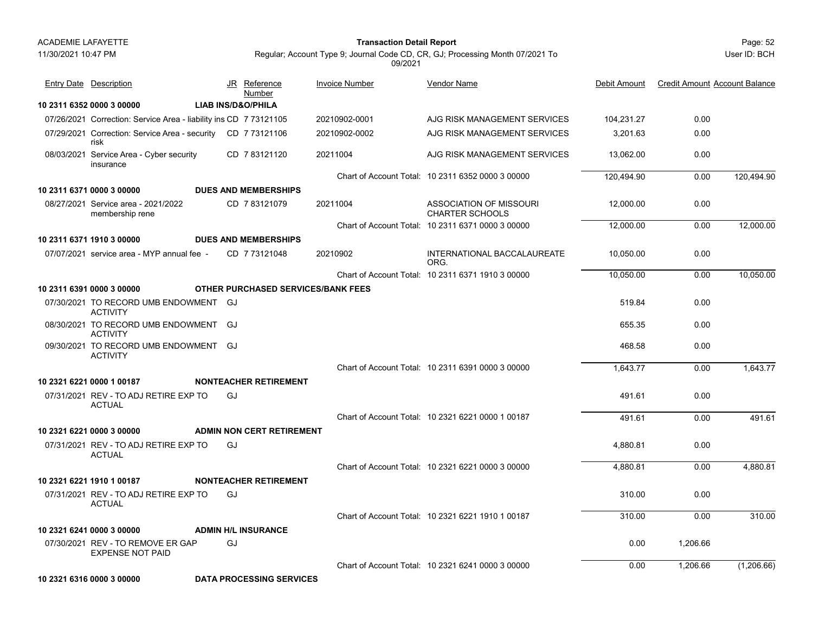11/30/2021 10:47 PM

# Page: 52 **Transaction Detail Report**

Regular; Account Type 9; Journal Code CD, CR, GJ; Processing Month 07/2021 To

09/2021

**10 2311 6352 0000 3 00000 LIAB INS/D&O/PHILA**07/26/2021 Correction: Service Area - liability ins CD 7 73121105 20210902-0001 AJG RISK MANAGEMENT SERVICES 104,231.27 0.00 07/29/2021 Correction: Service Area - security CD 7 73121106 20210902-0002 AJG RISK MANAGEMENT SERVICES 3,201.63 0.00 risk20210902-0002 AJG RISK MANAGEMENT SERVICES 08/03/2021 Service Area - Cyber security 1 Service Area - Cyber security CD 7 83121120 20211004 AJG RISK MANAGEMENT SERVICES 13,062.00 0.00 insuranceCD 20211004 7 83121120Chart of Account Total: 10 2311 6352 0000 3 00000 120,494.90 0.00 120,494.90 **10 2311 6371 0000 3 00000 DUES AND MEMBERSHIPS**08/27/2021 Service area - 2021/2022 1 Service area - 2021/2022 CD 7 83121079 20211004 ASSOCIATION OF MISSOURI 12,000.00 0.00 membership rene CD 7 83121079 20211004 CHARTER SCHOOLSChart of Account Total: 10 2311 6371 0000 3 00000 12,000.00 0.00 12,000.00 **10 2311 6371 1910 3 00000 DUES AND MEMBERSHIPS**07/07/2021 service area - MYP annual fee service area - MYP annual fee - CD 20210902 INTERNATIONAL BACCALAUREATE 10,050.00 0.00 ORG.CD 7 73121048 Chart of Account Total: 10 2311 6371 1910 3 00000 10,050.00 0.00 10,050.00 **10 2311 6391 0000 3 00000 OTHER PURCHASED SERVICES/BANK FEES**07/30/2021 TO RECORD UMB ENDOWMENT 519.84 0.00 GJACTIVITY08/30/2021 TO RECORD UMB ENDOWMENT 655.35 0.00 GJACTIVITY09/30/2021 TO RECORD UMB ENDOWMENT 468.58 0.00 GJACTIVITYChart of Account Total: 10 2311 6391 0000 3 00000 1,643.77 0.00 1,643.77 **10 2321 6221 0000 1 00187 NONTEACHER RETIREMENT**07/31/2021 REV - TO ADJ RETIRE EXP TO 491.61 0.00 **ACTUAL** GJChart of Account Total: 10 2321 6221 0000 1 00187 491.61 0.00 491.61 **10 2321 6221 0000 3 00000 ADMIN NON CERT RETIREMENT**07/31/2021 REV - TO ADJ RETIRE EXP TO 4,880.81 0.00 ACTUALGJ Chart of Account Total: 10 2321 6221 0000 3 00000 4,880.81 0.00 4,880.81 **10 2321 6221 1910 1 00187 NONTEACHER RETIREMENT**07/31/2021 REV - TO ADJ RETIRE EXP TO 310.00 0.00 ACTUALGJ Chart of Account Total: 10 2321 6221 1910 1 00187 310.00 0.00 310.00 **10 2321 6241 0000 3 00000 ADMIN H/L INSURANCE**07/30/2021 REV - TO REMOVE ER GAP 0.00 1,206.66 EXPENSE NOT PAIDGJChart of Account Total: 10 2321 6241 0000 3 00000 0.00 1,206.66 (1,206.66) **10 2321 6316 0000 3 00000 DATA PROCESSING SERVICES**JR Reference Invoice Number Vendor NameDebit Amount Credit Amount Account Balance NumberEntry Date Description JR Reference <u>Invoice Number</u> <u>Vendor Name</u> Debit Amount Credit Amount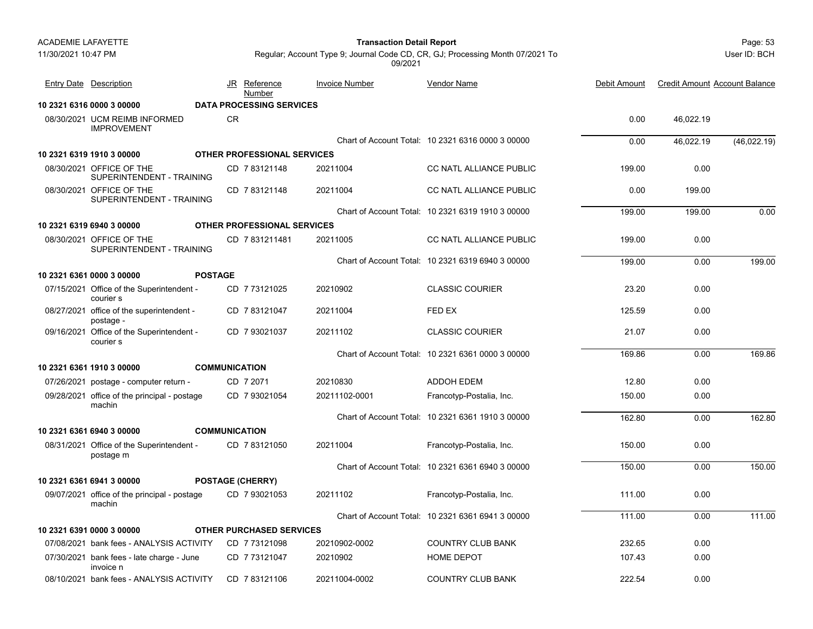Page: 53 **Transaction Detail Report**

User ID: BCH

| Entry Date Description                                 |                      | JR Reference<br>Number             | <b>Invoice Number</b> | Vendor Name                                       | Debit Amount | <b>Credit Amount Account Balance</b> |             |
|--------------------------------------------------------|----------------------|------------------------------------|-----------------------|---------------------------------------------------|--------------|--------------------------------------|-------------|
| 10 2321 6316 0000 3 00000                              |                      | <b>DATA PROCESSING SERVICES</b>    |                       |                                                   |              |                                      |             |
| 08/30/2021 UCM REIMB INFORMED<br><b>IMPROVEMENT</b>    | <b>CR</b>            |                                    |                       |                                                   | 0.00         | 46,022.19                            |             |
|                                                        |                      |                                    |                       | Chart of Account Total: 10 2321 6316 0000 3 00000 | 0.00         | 46.022.19                            | (46,022.19) |
| 10 2321 6319 1910 3 00000                              |                      | <b>OTHER PROFESSIONAL SERVICES</b> |                       |                                                   |              |                                      |             |
| 08/30/2021 OFFICE OF THE<br>SUPERINTENDENT - TRAINING  |                      | CD 7 83121148                      | 20211004              | CC NATL ALLIANCE PUBLIC                           | 199.00       | 0.00                                 |             |
| 08/30/2021 OFFICE OF THE<br>SUPERINTENDENT - TRAINING  |                      | CD 7 83121148                      | 20211004              | CC NATL ALLIANCE PUBLIC                           | 0.00         | 199.00                               |             |
|                                                        |                      |                                    |                       | Chart of Account Total: 10 2321 6319 1910 3 00000 | 199.00       | 199.00                               | 0.00        |
| 10 2321 6319 6940 3 00000                              |                      | OTHER PROFESSIONAL SERVICES        |                       |                                                   |              |                                      |             |
| 08/30/2021 OFFICE OF THE<br>SUPERINTENDENT - TRAINING  |                      | CD 7831211481                      | 20211005              | <b>CC NATL ALLIANCE PUBLIC</b>                    | 199.00       | 0.00                                 |             |
|                                                        |                      |                                    |                       | Chart of Account Total: 10 2321 6319 6940 3 00000 | 199.00       | 0.00                                 | 199.00      |
| 10 2321 6361 0000 3 00000                              | <b>POSTAGE</b>       |                                    |                       |                                                   |              |                                      |             |
| 07/15/2021 Office of the Superintendent -<br>courier s |                      | CD 7 73121025                      | 20210902              | <b>CLASSIC COURIER</b>                            | 23.20        | 0.00                                 |             |
| 08/27/2021 office of the superintendent -<br>postage - |                      | CD 7 83121047                      | 20211004              | FED EX                                            | 125.59       | 0.00                                 |             |
| 09/16/2021 Office of the Superintendent -<br>courier s |                      | CD 7 93021037                      | 20211102              | CLASSIC COURIER                                   | 21.07        | 0.00                                 |             |
|                                                        |                      |                                    |                       | Chart of Account Total: 10 2321 6361 0000 3 00000 | 169.86       | 0.00                                 | 169.86      |
| 10 2321 6361 1910 3 00000                              | <b>COMMUNICATION</b> |                                    |                       |                                                   |              |                                      |             |
| 07/26/2021 postage - computer return -                 |                      | CD 7 2071                          | 20210830              | <b>ADDOH EDEM</b>                                 | 12.80        | 0.00                                 |             |
| 09/28/2021 office of the principal - postage<br>machin |                      | CD 7 93021054                      | 20211102-0001         | Francotyp-Postalia, Inc.                          | 150.00       | 0.00                                 |             |
|                                                        |                      |                                    |                       | Chart of Account Total: 10 2321 6361 1910 3 00000 | 162.80       | 0.00                                 | 162.80      |
| 10 2321 6361 6940 3 00000                              | <b>COMMUNICATION</b> |                                    |                       |                                                   |              |                                      |             |
| 08/31/2021 Office of the Superintendent -<br>postage m |                      | CD 7 83121050                      | 20211004              | Francotyp-Postalia, Inc.                          | 150.00       | 0.00                                 |             |
|                                                        |                      |                                    |                       | Chart of Account Total: 10 2321 6361 6940 3 00000 | 150.00       | 0.00                                 | 150.00      |
| 10 2321 6361 6941 3 00000                              |                      | <b>POSTAGE (CHERRY)</b>            |                       |                                                   |              |                                      |             |
| 09/07/2021 office of the principal - postage<br>machin |                      | CD 793021053                       | 20211102              | Francotyp-Postalia, Inc.                          | 111.00       | 0.00                                 |             |
|                                                        |                      |                                    |                       | Chart of Account Total: 10 2321 6361 6941 3 00000 | 111.00       | 0.00                                 | 111.00      |
| 10 2321 6391 0000 3 00000                              |                      | <b>OTHER PURCHASED SERVICES</b>    |                       |                                                   |              |                                      |             |
| 07/08/2021 bank fees - ANALYSIS ACTIVITY               |                      | CD 7 73121098                      | 20210902-0002         | <b>COUNTRY CLUB BANK</b>                          | 232.65       | 0.00                                 |             |
| 07/30/2021 bank fees - late charge - June<br>invoice n |                      | CD 7 73121047                      | 20210902              | <b>HOME DEPOT</b>                                 | 107.43       | 0.00                                 |             |
| 08/10/2021 bank fees - ANALYSIS ACTIVITY               |                      | CD 7 83121106                      | 20211004-0002         | <b>COUNTRY CLUB BANK</b>                          | 222.54       | 0.00                                 |             |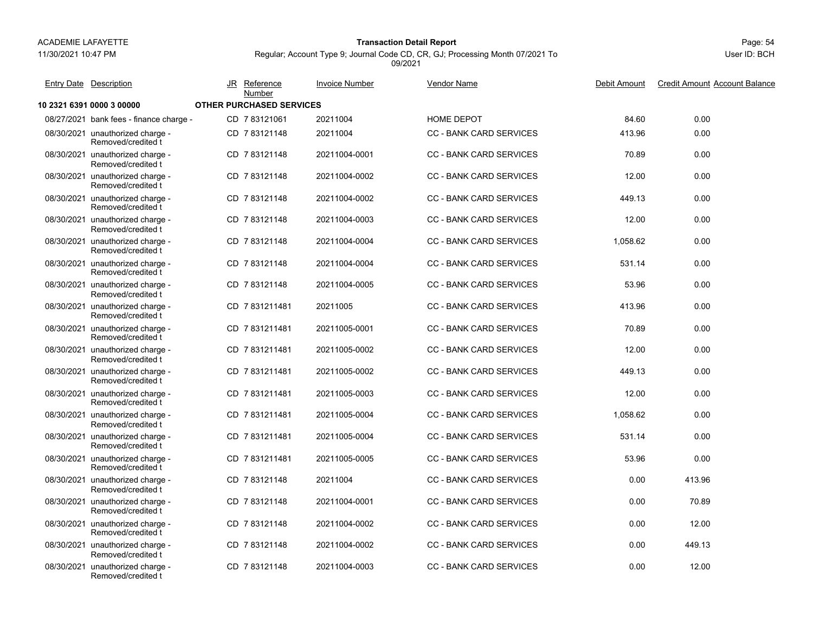11/30/2021 10:47 PM

# Page: 54 **Transaction Detail Report**

Regular; Account Type 9; Journal Code CD, CR, GJ; Processing Month 07/2021 To

Vendor Name

09/2021

Entry Date Description JR Reference <u>Invoice Number</u> <u>Vendor Name</u> Debit Amount Credit Amount

JR Reference Invoice Number

**10 2321 6391 0000 3 00000 OTHER PURCHASED SERVICES**08/27/2021 bank fees - finance charge - CD\_7 83121061 20211004 HOME DEPOT 0.00 08/30/2021 unauthorized charge unauthorized charge - 413.96 0.00 CD 20211004 CC - BANK CARD SERVICES 7 83121148 Removed/credited t 08/30/2021 unauthorized charge unauthorized charge - 70.89 0.00 CD 20211004-0001 CC - BANK CARD SERVICES 7 83121148 Removed/credited t08/30/2021 unauthorized charge -1 unauthorized charge - CD\_7 83121148 20211004-0002 CC - BANK CARD SERVICES 12.00 0.00 Removed/credited t08/30/2021 unauthorized charge unauthorized charge - 449.13 0.00 CD 20211004-0002 CC - BANK CARD SERVICES 7 83121148 Removed/credited t08/30/2021 unauthorized charge -1 unauthorized charge - CD 7 83121148 20211004-0003 CC - BANK CARD SERVICES 12.00 0.00 Removed/credited t08/30/2021 unauthorized charge -1 unauthorized charge - CD 7 83121148 20211004-0004 CC - BANK CARD SERVICES 1,058.62 0.00 Removed/credited t08/30/2021 unauthorized charge -1 unauthorized charge - CD 7 83121148 20211004-0004 CC - BANK CARD SERVICES 531.14 0.00 Removed/credited t08/30/2021 unauthorized charge -1 unauthorized charge - CD 7 83121148 20211004-0005 CC - BANK CARD SERVICES 53.96 0.00 Removed/credited t08/30/2021 unauthorized charge unauthorized charge - 413.96 0.00 CD 20211005 CC - BANK CARD SERVICES 7 831211481 Removed/credited t08/30/2021 unauthorized charge -1 unauthorized charge - CD\_7 831211481 20211005-0001 CC - BANK CARD SERVICES 70.89 0.00 Removed/credited t08/30/2021 unauthorized charge -1 unauthorized charge - CD\_7 831211481 20211005-0002 CC - BANK CARD SERVICES 12.00 0.00 Removed/credited t08/30/2021 unauthorized charge -1 unauthorized charge - CD 7 831211481 20211005-0002 CC - BANK CARD SERVICES 449.13 0.00 Removed/credited t08/30/2021 unauthorized charge -1 unauthorized charge - CD 7 831211481 20211005-0003 CC - BANK CARD SERVICES 12.00 0.00 Removed/credited t08/30/2021 unauthorized charge -1 unauthorized charge - CD 7 831211481 20211005-0004 CC - BANK CARD SERVICES 1,058.62 0.00 Removed/credited t08/30/2021 unauthorized charge -1 unauthorized charge - CD 7 831211481 20211005-0004 CC - BANK CARD SERVICES 531.14 0.00 Removed/credited t08/30/2021 unauthorized charge -1 unauthorized charge - CD 7 831211481 20211005-0005 CC - BANK CARD SERVICES 53.96 0.00 Removed/credited t08/30/2021 unauthorized charge -1 unauthorized charge - CD 7 83121148 20211004 CC - BANK CARD SERVICES 0.00 413.96 Removed/credited t08/30/2021 unauthorized charge -1 unauthorized charge - CD 7 83121148 20211004-0001 CC - BANK CARD SERVICES 70.89 Removed/credited t08/30/2021 unauthorized charge -1 unauthorized charge - CD 7 83121148 20211004-0002 CC - BANK CARD SERVICES 0.00 12.00 Removed/credited t08/30/2021 unauthorized charge -1 unauthorized charge - CD 7 83121148 20211004-0002 CC - BANK CARD SERVICES 0.00 449.13 Removed/credited t08/30/2021 unauthorized charge -1 unauthorized charge - CD 7 83121148 20211004-0003 CC - BANK CARD SERVICES 0.00 12.00 Removed/credited tNumber

Debit Amount Credit Amount Account Balance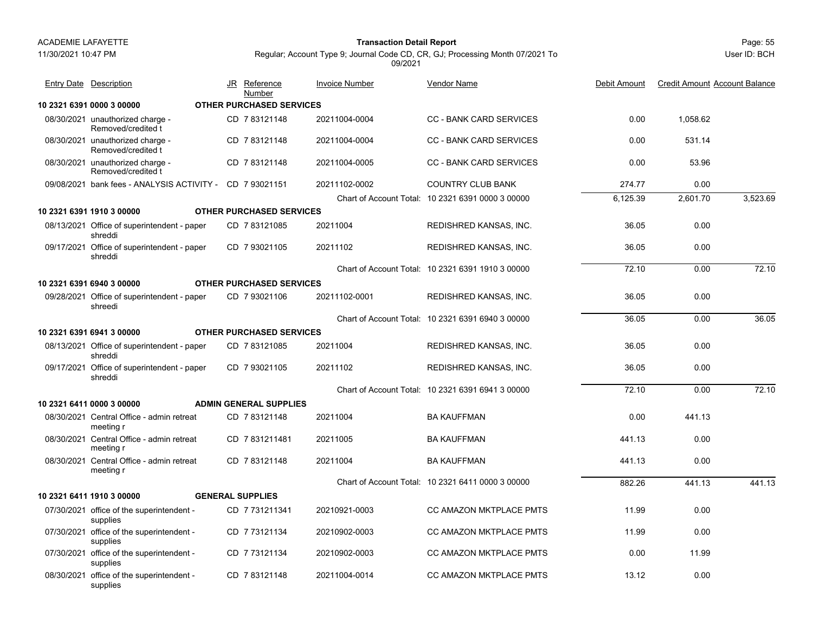11/30/2021 10:47 PM

#### Page: 55 **Transaction Detail Report**

User ID: BCH

| <b>Entry Date Description</b>                            | JR Reference<br>Number          | <b>Invoice Number</b> | <b>Vendor Name</b>                                | Debit Amount | <b>Credit Amount Account Balance</b> |          |
|----------------------------------------------------------|---------------------------------|-----------------------|---------------------------------------------------|--------------|--------------------------------------|----------|
| 10 2321 6391 0000 3 00000                                | <b>OTHER PURCHASED SERVICES</b> |                       |                                                   |              |                                      |          |
| 08/30/2021 unauthorized charge -<br>Removed/credited t   | CD 7 83121148                   | 20211004-0004         | <b>CC - BANK CARD SERVICES</b>                    | 0.00         | 1,058.62                             |          |
| 08/30/2021 unauthorized charge -<br>Removed/credited t   | CD 783121148                    | 20211004-0004         | <b>CC - BANK CARD SERVICES</b>                    | 0.00         | 531.14                               |          |
| 08/30/2021 unauthorized charge -<br>Removed/credited t   | CD 783121148                    | 20211004-0005         | <b>CC - BANK CARD SERVICES</b>                    | 0.00         | 53.96                                |          |
| 09/08/2021 bank fees - ANALYSIS ACTIVITY - CD 7 93021151 |                                 | 20211102-0002         | <b>COUNTRY CLUB BANK</b>                          | 274.77       | 0.00                                 |          |
|                                                          |                                 |                       | Chart of Account Total: 10 2321 6391 0000 3 00000 | 6,125.39     | 2,601.70                             | 3,523.69 |
| 10 2321 6391 1910 3 00000                                | <b>OTHER PURCHASED SERVICES</b> |                       |                                                   |              |                                      |          |
| 08/13/2021 Office of superintendent - paper<br>shreddi   | CD 7 83121085                   | 20211004              | REDISHRED KANSAS, INC.                            | 36.05        | 0.00                                 |          |
| 09/17/2021 Office of superintendent - paper<br>shreddi   | CD 7 93021105                   | 20211102              | REDISHRED KANSAS, INC.                            | 36.05        | 0.00                                 |          |
|                                                          |                                 |                       | Chart of Account Total: 10 2321 6391 1910 3 00000 | 72.10        | 0.00                                 | 72.10    |
| 10 2321 6391 6940 3 00000                                | <b>OTHER PURCHASED SERVICES</b> |                       |                                                   |              |                                      |          |
| 09/28/2021 Office of superintendent - paper<br>shreedi   | CD 7 93021106                   | 20211102-0001         | REDISHRED KANSAS, INC.                            | 36.05        | 0.00                                 |          |
|                                                          |                                 |                       | Chart of Account Total: 10 2321 6391 6940 3 00000 | 36.05        | 0.00                                 | 36.05    |
| 10 2321 6391 6941 3 00000                                | <b>OTHER PURCHASED SERVICES</b> |                       |                                                   |              |                                      |          |
| 08/13/2021 Office of superintendent - paper<br>shreddi   | CD 783121085                    | 20211004              | REDISHRED KANSAS, INC.                            | 36.05        | 0.00                                 |          |
| 09/17/2021 Office of superintendent - paper<br>shreddi   | CD 7 93021105                   | 20211102              | REDISHRED KANSAS, INC.                            | 36.05        | 0.00                                 |          |
|                                                          |                                 |                       | Chart of Account Total: 10 2321 6391 6941 3 00000 | 72.10        | 0.00                                 | 72.10    |
| 10 2321 6411 0000 3 00000                                | <b>ADMIN GENERAL SUPPLIES</b>   |                       |                                                   |              |                                      |          |
| 08/30/2021 Central Office - admin retreat<br>meeting r   | CD 783121148                    | 20211004              | <b>BA KAUFFMAN</b>                                | 0.00         | 441.13                               |          |
| 08/30/2021 Central Office - admin retreat<br>meeting r   | CD 7831211481                   | 20211005              | <b>BA KAUFFMAN</b>                                | 441.13       | 0.00                                 |          |
| 08/30/2021 Central Office - admin retreat<br>meeting r   | CD 783121148                    | 20211004              | <b>BA KAUFFMAN</b>                                | 441.13       | 0.00                                 |          |
|                                                          |                                 |                       | Chart of Account Total: 10 2321 6411 0000 3 00000 | 882.26       | 441.13                               | 441.13   |
| 10 2321 6411 1910 3 00000                                | <b>GENERAL SUPPLIES</b>         |                       |                                                   |              |                                      |          |
| 07/30/2021 office of the superintendent -<br>supplies    | CD 7731211341                   | 20210921-0003         | <b>CC AMAZON MKTPLACE PMTS</b>                    | 11.99        | 0.00                                 |          |
| 07/30/2021 office of the superintendent -<br>supplies    | CD 7 73121134                   | 20210902-0003         | CC AMAZON MKTPLACE PMTS                           | 11.99        | 0.00                                 |          |
| 07/30/2021 office of the superintendent -<br>supplies    | CD 7 73121134                   | 20210902-0003         | CC AMAZON MKTPLACE PMTS                           | 0.00         | 11.99                                |          |
| 08/30/2021 office of the superintendent -<br>supplies    | CD 783121148                    | 20211004-0014         | CC AMAZON MKTPLACE PMTS                           | 13.12        | 0.00                                 |          |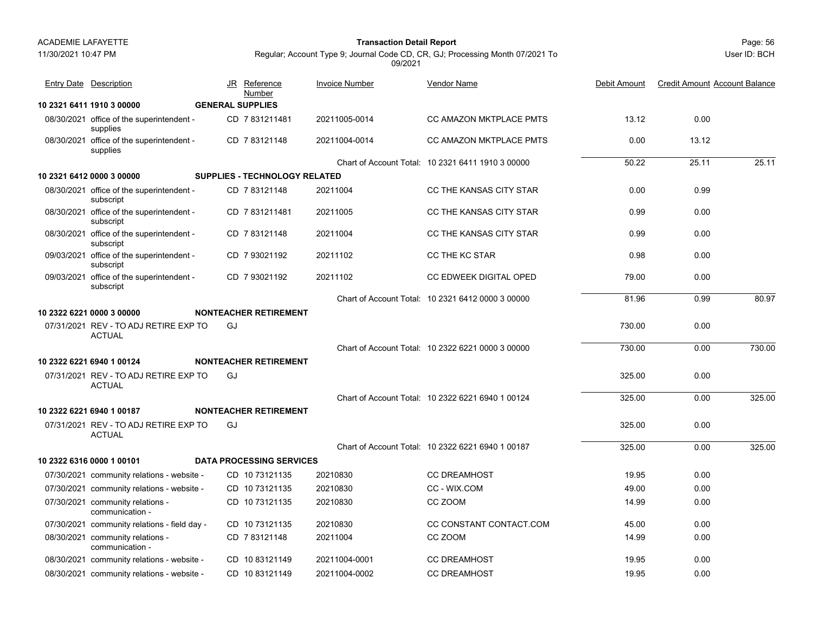11/30/2021 10:47 PM

#### Page: 56 **Transaction Detail Report**

Regular; Account Type 9; Journal Code CD, CR, GJ; Processing Month 07/2021 To 09/2021

| <b>Entry Date Description</b>                          |    | JR Reference<br>Number               | <b>Invoice Number</b> | <b>Vendor Name</b>                                | Debit Amount | <b>Credit Amount Account Balance</b> |        |
|--------------------------------------------------------|----|--------------------------------------|-----------------------|---------------------------------------------------|--------------|--------------------------------------|--------|
| 10 2321 6411 1910 3 00000                              |    | <b>GENERAL SUPPLIES</b>              |                       |                                                   |              |                                      |        |
| 08/30/2021 office of the superintendent -<br>supplies  |    | CD 7831211481                        | 20211005-0014         | <b>CC AMAZON MKTPLACE PMTS</b>                    | 13.12        | 0.00                                 |        |
| 08/30/2021 office of the superintendent -<br>supplies  |    | CD 7 83121148                        | 20211004-0014         | CC AMAZON MKTPLACE PMTS                           | 0.00         | 13.12                                |        |
|                                                        |    |                                      |                       | Chart of Account Total: 10 2321 6411 1910 3 00000 | 50.22        | 25.11                                | 25.11  |
| 10 2321 6412 0000 3 00000                              |    | <b>SUPPLIES - TECHNOLOGY RELATED</b> |                       |                                                   |              |                                      |        |
| 08/30/2021 office of the superintendent -<br>subscript |    | CD 7 83121148                        | 20211004              | CC THE KANSAS CITY STAR                           | 0.00         | 0.99                                 |        |
| 08/30/2021 office of the superintendent -<br>subscript |    | CD 7831211481                        | 20211005              | CC THE KANSAS CITY STAR                           | 0.99         | 0.00                                 |        |
| 08/30/2021 office of the superintendent -<br>subscript |    | CD 7 83121148                        | 20211004              | CC THE KANSAS CITY STAR                           | 0.99         | 0.00                                 |        |
| 09/03/2021 office of the superintendent -<br>subscript |    | CD 7 93021192                        | 20211102              | <b>CC THE KC STAR</b>                             | 0.98         | 0.00                                 |        |
| 09/03/2021 office of the superintendent -<br>subscript |    | CD 7 93021192                        | 20211102              | CC EDWEEK DIGITAL OPED                            | 79.00        | 0.00                                 |        |
|                                                        |    |                                      |                       | Chart of Account Total: 10 2321 6412 0000 3 00000 | 81.96        | 0.99                                 | 80.97  |
| 10 2322 6221 0000 3 00000                              |    | <b>NONTEACHER RETIREMENT</b>         |                       |                                                   |              |                                      |        |
| 07/31/2021 REV - TO ADJ RETIRE EXP TO<br><b>ACTUAL</b> | GJ |                                      |                       |                                                   | 730.00       | 0.00                                 |        |
|                                                        |    |                                      |                       | Chart of Account Total: 10 2322 6221 0000 3 00000 | 730.00       | 0.00                                 | 730.00 |
| 10 2322 6221 6940 1 00124                              |    | <b>NONTEACHER RETIREMENT</b>         |                       |                                                   |              |                                      |        |
| 07/31/2021 REV - TO ADJ RETIRE EXP TO<br><b>ACTUAL</b> | GJ |                                      |                       |                                                   | 325.00       | 0.00                                 |        |
|                                                        |    |                                      |                       | Chart of Account Total: 10 2322 6221 6940 1 00124 | 325.00       | 0.00                                 | 325.00 |
| 10 2322 6221 6940 1 00187                              |    | <b>NONTEACHER RETIREMENT</b>         |                       |                                                   |              |                                      |        |
| 07/31/2021 REV - TO ADJ RETIRE EXP TO<br><b>ACTUAL</b> | GJ |                                      |                       |                                                   | 325.00       | 0.00                                 |        |
|                                                        |    |                                      |                       | Chart of Account Total: 10 2322 6221 6940 1 00187 | 325.00       | 0.00                                 | 325.00 |
| 10 2322 6316 0000 1 00101                              |    | <b>DATA PROCESSING SERVICES</b>      |                       |                                                   |              |                                      |        |
| 07/30/2021 community relations - website -             |    | CD 10 73121135                       | 20210830              | <b>CC DREAMHOST</b>                               | 19.95        | 0.00                                 |        |
| 07/30/2021 community relations - website -             |    | CD 10 73121135                       | 20210830              | CC - WIX.COM                                      | 49.00        | 0.00                                 |        |
| 07/30/2021 community relations -<br>communication -    |    | CD 10 73121135                       | 20210830              | CC ZOOM                                           | 14.99        | 0.00                                 |        |
| 07/30/2021 community relations - field day -           |    | CD 10 73121135                       | 20210830              | CC CONSTANT CONTACT.COM                           | 45.00        | 0.00                                 |        |
| 08/30/2021 community relations -<br>communication -    |    | CD 783121148                         | 20211004              | CC ZOOM                                           | 14.99        | 0.00                                 |        |
| 08/30/2021 community relations - website -             |    | CD 1083121149                        | 20211004-0001         | <b>CC DREAMHOST</b>                               | 19.95        | 0.00                                 |        |
| 08/30/2021 community relations - website -             |    | CD 1083121149                        | 20211004-0002         | <b>CC DREAMHOST</b>                               | 19.95        | 0.00                                 |        |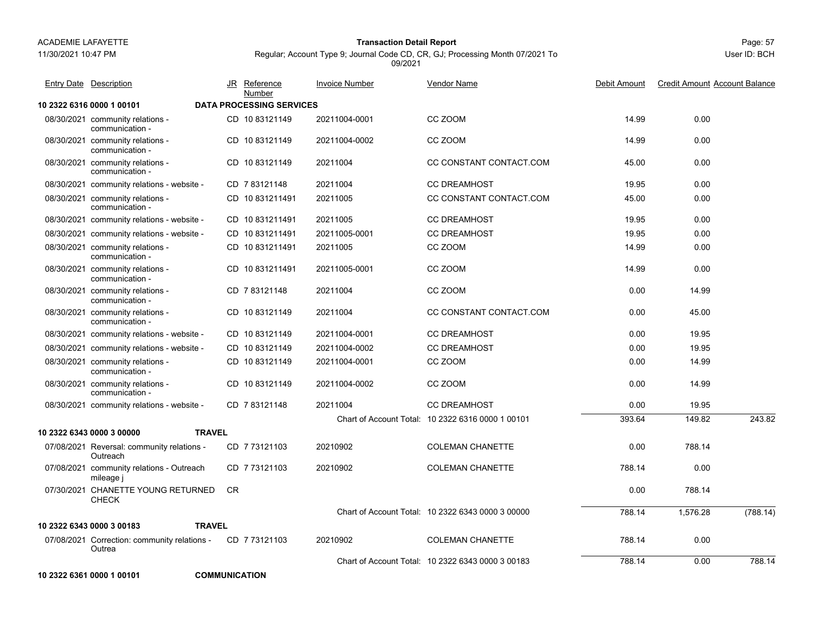11/30/2021 10:47 PM

## Page: 57 **Transaction Detail Report**

Regular; Account Type 9; Journal Code CD, CR, GJ; Processing Month 07/2021 To 09/2021

| Entry Date Description                                 |           | JR Reference                              | <b>Invoice Number</b> | Vendor Name                                       | Debit Amount | <b>Credit Amount Account Balance</b> |          |
|--------------------------------------------------------|-----------|-------------------------------------------|-----------------------|---------------------------------------------------|--------------|--------------------------------------|----------|
| 10 2322 6316 0000 1 00101                              |           | Number<br><b>DATA PROCESSING SERVICES</b> |                       |                                                   |              |                                      |          |
| 08/30/2021 community relations -<br>communication -    |           | CD 1083121149                             | 20211004-0001         | CC ZOOM                                           | 14.99        | 0.00                                 |          |
| 08/30/2021 community relations -<br>communication -    |           | CD 1083121149                             | 20211004-0002         | CC ZOOM                                           | 14.99        | 0.00                                 |          |
| 08/30/2021 community relations -<br>communication -    |           | CD 10 83121149                            | 20211004              | CC CONSTANT CONTACT.COM                           | 45.00        | 0.00                                 |          |
| 08/30/2021 community relations - website -             |           | CD 7 83121148                             | 20211004              | <b>CC DREAMHOST</b>                               | 19.95        | 0.00                                 |          |
| 08/30/2021 community relations -<br>communication -    |           | CD 10831211491                            | 20211005              | CC CONSTANT CONTACT COM                           | 45.00        | 0.00                                 |          |
| 08/30/2021 community relations - website -             |           | CD 10 831211491                           | 20211005              | <b>CC DREAMHOST</b>                               | 19.95        | 0.00                                 |          |
| 08/30/2021 community relations - website -             |           | CD 10831211491                            | 20211005-0001         | <b>CC DREAMHOST</b>                               | 19.95        | 0.00                                 |          |
| 08/30/2021 community relations -<br>communication -    |           | CD 10831211491                            | 20211005              | CC ZOOM                                           | 14.99        | 0.00                                 |          |
| 08/30/2021 community relations -<br>communication -    |           | CD 10831211491                            | 20211005-0001         | CC ZOOM                                           | 14.99        | 0.00                                 |          |
| 08/30/2021 community relations -<br>communication -    |           | CD 783121148                              | 20211004              | CC ZOOM                                           | 0.00         | 14.99                                |          |
| 08/30/2021 community relations -<br>communication -    |           | CD 10 83121149                            | 20211004              | CC CONSTANT CONTACT.COM                           | 0.00         | 45.00                                |          |
| 08/30/2021 community relations - website -             |           | CD 10 83121149                            | 20211004-0001         | <b>CC DREAMHOST</b>                               | 0.00         | 19.95                                |          |
| 08/30/2021 community relations - website -             |           | CD 10 83121149                            | 20211004-0002         | <b>CC DREAMHOST</b>                               | 0.00         | 19.95                                |          |
| 08/30/2021 community relations -<br>communication -    |           | CD 10 83121149                            | 20211004-0001         | CC ZOOM                                           | 0.00         | 14.99                                |          |
| 08/30/2021 community relations -<br>communication -    |           | CD 10 83121149                            | 20211004-0002         | CC ZOOM                                           | 0.00         | 14.99                                |          |
| 08/30/2021 community relations - website -             |           | CD 7 83121148                             | 20211004              | <b>CC DREAMHOST</b>                               | 0.00         | 19.95                                |          |
|                                                        |           |                                           |                       | Chart of Account Total: 10 2322 6316 0000 1 00101 | 393.64       | 149.82                               | 243.82   |
| <b>TRAVEL</b><br>10 2322 6343 0000 3 00000             |           |                                           |                       |                                                   |              |                                      |          |
| 07/08/2021 Reversal: community relations -<br>Outreach |           | CD 7 73121103                             | 20210902              | <b>COLEMAN CHANETTE</b>                           | 0.00         | 788.14                               |          |
| 07/08/2021 community relations - Outreach<br>mileage i |           | CD 7 73121103                             | 20210902              | <b>COLEMAN CHANETTE</b>                           | 788.14       | 0.00                                 |          |
| 07/30/2021 CHANETTE YOUNG RETURNED<br><b>CHECK</b>     | <b>CR</b> |                                           |                       |                                                   | 0.00         | 788.14                               |          |
|                                                        |           |                                           |                       | Chart of Account Total: 10 2322 6343 0000 3 00000 | 788.14       | 1,576.28                             | (788.14) |
| <b>TRAVEL</b><br>10 2322 6343 0000 3 00183             |           |                                           |                       |                                                   |              |                                      |          |
| 07/08/2021 Correction: community relations -<br>Outrea |           | CD 7 73121103                             | 20210902              | <b>COLEMAN CHANETTE</b>                           | 788.14       | 0.00                                 |          |
|                                                        |           |                                           |                       | Chart of Account Total: 10 2322 6343 0000 3 00183 | 788.14       | 0.00                                 | 788.14   |
| 10 2322 6361 0000 1 00101                              |           | <b>COMMUNICATION</b>                      |                       |                                                   |              |                                      |          |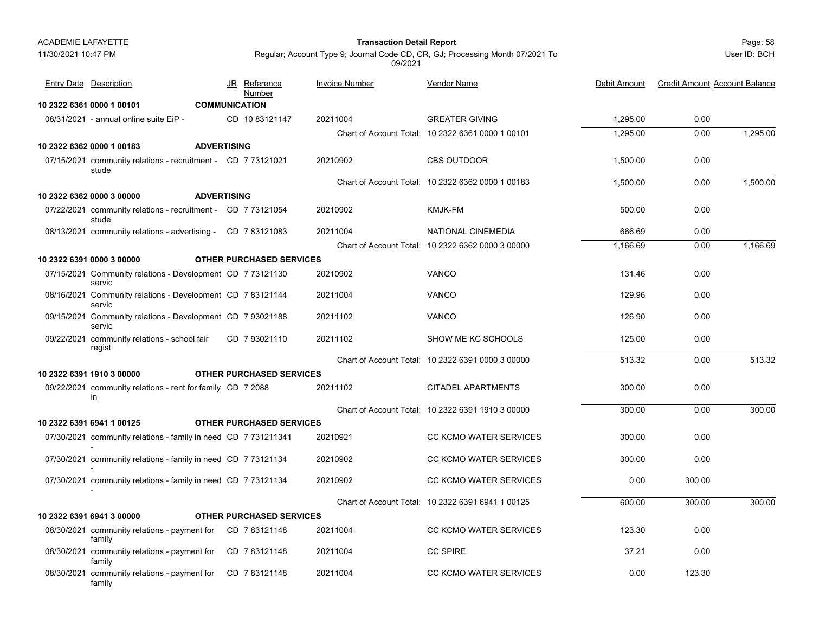11/30/2021 10:47 PM

## Page: 58 **Transaction Detail Report**

User ID: BCH

| <b>Entry Date</b> Description                                         |                    | JR Reference<br>Number          | <b>Invoice Number</b> | <b>Vendor Name</b>                                | <b>Debit Amount</b> | <b>Credit Amount Account Balance</b> |          |
|-----------------------------------------------------------------------|--------------------|---------------------------------|-----------------------|---------------------------------------------------|---------------------|--------------------------------------|----------|
| 10 2322 6361 0000 1 00101                                             |                    | <b>COMMUNICATION</b>            |                       |                                                   |                     |                                      |          |
| 08/31/2021 - annual online suite EiP -                                |                    | CD 10 83121147                  | 20211004              | <b>GREATER GIVING</b>                             | 1,295.00            | 0.00                                 |          |
|                                                                       |                    |                                 |                       | Chart of Account Total: 10 2322 6361 0000 1 00101 | 1,295.00            | 0.00                                 | 1,295.00 |
| 10 2322 6362 0000 1 00183                                             | <b>ADVERTISING</b> |                                 |                       |                                                   |                     |                                      |          |
| 07/15/2021 community relations - recruitment - CD 7 73121021<br>stude |                    |                                 | 20210902              | <b>CBS OUTDOOR</b>                                | 1,500.00            | 0.00                                 |          |
|                                                                       |                    |                                 |                       | Chart of Account Total: 10 2322 6362 0000 1 00183 | 1,500.00            | 0.00                                 | 1,500.00 |
| 10 2322 6362 0000 3 00000                                             | <b>ADVERTISING</b> |                                 |                       |                                                   |                     |                                      |          |
| 07/22/2021 community relations - recruitment - CD 7 73121054<br>stude |                    |                                 | 20210902              | KMJK-FM                                           | 500.00              | 0.00                                 |          |
| 08/13/2021 community relations - advertising - CD 7 83121083          |                    |                                 | 20211004              | NATIONAL CINEMEDIA                                | 666.69              | 0.00                                 |          |
|                                                                       |                    |                                 |                       | Chart of Account Total: 10 2322 6362 0000 3 00000 | 1,166.69            | 0.00                                 | 1,166.69 |
| 10 2322 6391 0000 3 00000                                             |                    | <b>OTHER PURCHASED SERVICES</b> |                       |                                                   |                     |                                      |          |
| 07/15/2021 Community relations - Development CD 7 73121130<br>servic  |                    |                                 | 20210902              | <b>VANCO</b>                                      | 131.46              | 0.00                                 |          |
| 08/16/2021 Community relations - Development CD 7 83121144<br>servic  |                    |                                 | 20211004              | <b>VANCO</b>                                      | 129.96              | 0.00                                 |          |
| 09/15/2021 Community relations - Development CD 7 93021188<br>servic  |                    |                                 | 20211102              | <b>VANCO</b>                                      | 126.90              | 0.00                                 |          |
| 09/22/2021 community relations - school fair<br>regist                |                    | CD 793021110                    | 20211102              | SHOW ME KC SCHOOLS                                | 125.00              | 0.00                                 |          |
|                                                                       |                    |                                 |                       | Chart of Account Total: 10 2322 6391 0000 3 00000 | 513.32              | 0.00                                 | 513.32   |
| 10 2322 6391 1910 3 00000                                             |                    | <b>OTHER PURCHASED SERVICES</b> |                       |                                                   |                     |                                      |          |
| 09/22/2021 community relations - rent for family CD 7 2088<br>in.     |                    |                                 | 20211102              | <b>CITADEL APARTMENTS</b>                         | 300.00              | 0.00                                 |          |
|                                                                       |                    |                                 |                       | Chart of Account Total: 10 2322 6391 1910 3 00000 | 300.00              | 0.00                                 | 300.00   |
| 10 2322 6391 6941 1 00125                                             |                    | <b>OTHER PURCHASED SERVICES</b> |                       |                                                   |                     |                                      |          |
| 07/30/2021 community relations - family in need CD 7 731211341        |                    |                                 | 20210921              | <b>CC KCMO WATER SERVICES</b>                     | 300.00              | 0.00                                 |          |
| 07/30/2021 community relations - family in need CD 7 73121134         |                    |                                 | 20210902              | <b>CC KCMO WATER SERVICES</b>                     | 300.00              | 0.00                                 |          |
| 07/30/2021 community relations - family in need CD 7 73121134         |                    |                                 | 20210902              | <b>CC KCMO WATER SERVICES</b>                     | 0.00                | 300.00                               |          |
|                                                                       |                    |                                 |                       | Chart of Account Total: 10 2322 6391 6941 1 00125 | 600.00              | 300.00                               | 300.00   |
| 10 2322 6391 6941 3 00000                                             |                    | <b>OTHER PURCHASED SERVICES</b> |                       |                                                   |                     |                                      |          |
| 08/30/2021 community relations - payment for CD 7 83121148<br>family  |                    |                                 | 20211004              | <b>CC KCMO WATER SERVICES</b>                     | 123.30              | 0.00                                 |          |
| 08/30/2021 community relations - payment for<br>family                |                    | CD 783121148                    | 20211004              | <b>CC SPIRE</b>                                   | 37.21               | 0.00                                 |          |
| 08/30/2021 community relations - payment for<br>family                |                    | CD 783121148                    | 20211004              | <b>CC KCMO WATER SERVICES</b>                     | 0.00                | 123.30                               |          |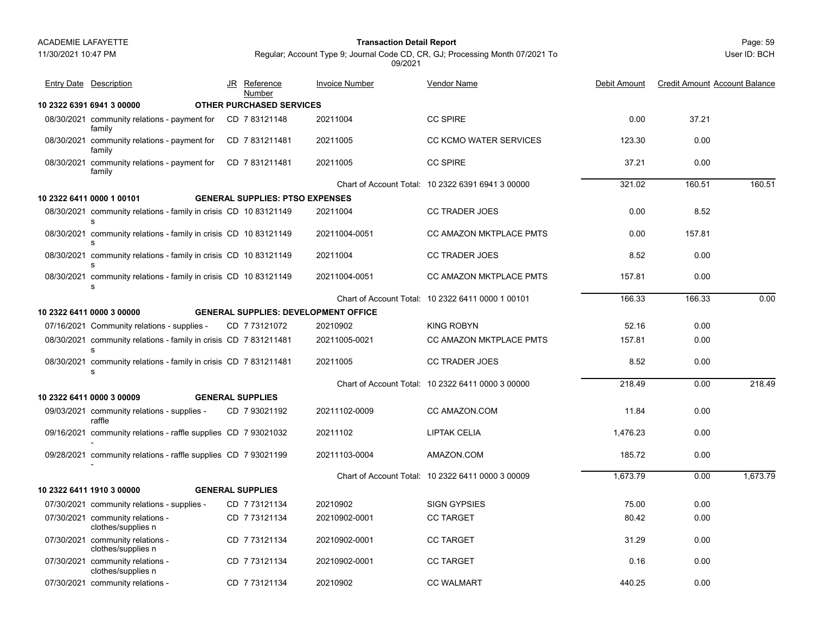11/30/2021 10:47 PM

## Page: 59 **Transaction Detail Report**

JR Reference Invoice Number

Entry Date Description **Entry Date Debit Amount** JR Reference Invoice Number Vendor Name

Regular; Account Type 9; Journal Code CD, CR, GJ; Processing Month 07/2021 To 09/2021

Vendor Name

|                                                                     | Number                          |          |                                                   |        |        |        |  |
|---------------------------------------------------------------------|---------------------------------|----------|---------------------------------------------------|--------|--------|--------|--|
| 2322 6391 6941 3 00000                                              | <b>OTHER PURCHASED SERVICES</b> |          |                                                   |        |        |        |  |
| 08/30/2021 community relations - payment for CD 783121148<br>family |                                 | 20211004 | <b>CC SPIRE</b>                                   | 0.00   | 37.21  |        |  |
| 08/30/2021 community relations - payment for<br>family              | CD 7831211481                   | 20211005 | <b>CC KCMO WATER SERVICES</b>                     | 123.30 | 0.00   |        |  |
| 08/30/2021 community relations - payment for<br>family              | CD 7831211481                   | 20211005 | <b>CC SPIRE</b>                                   | 37.21  | 0.00   |        |  |
|                                                                     |                                 |          | Chart of Account Total: 10 2322 6391 6941 3 00000 | 321.02 | 160.51 | 160.51 |  |

<u>e</u> Debit Amount Credit Amount Account Balance

|            | family                                                                |                                             |               |                                                   |          |        |          |
|------------|-----------------------------------------------------------------------|---------------------------------------------|---------------|---------------------------------------------------|----------|--------|----------|
|            |                                                                       |                                             |               | Chart of Account Total: 10 2322 6391 6941 3 00000 | 321.02   | 160.51 | 160.51   |
|            | 10 2322 6411 0000 1 00101                                             | <b>GENERAL SUPPLIES: PTSO EXPENSES</b>      |               |                                                   |          |        |          |
|            | 08/30/2021 community relations - family in crisis CD 10 83121149<br>s |                                             | 20211004      | <b>CC TRADER JOES</b>                             | 0.00     | 8.52   |          |
|            | 08/30/2021 community relations - family in crisis CD 10 83121149<br>s |                                             | 20211004-0051 | <b>CC AMAZON MKTPLACE PMTS</b>                    | 0.00     | 157.81 |          |
|            | 08/30/2021 community relations - family in crisis CD 10 83121149<br>s |                                             | 20211004      | <b>CC TRADER JOES</b>                             | 8.52     | 0.00   |          |
|            | 08/30/2021 community relations - family in crisis CD 10 83121149<br>s |                                             | 20211004-0051 | <b>CC AMAZON MKTPLACE PMTS</b>                    | 157.81   | 0.00   |          |
|            |                                                                       |                                             |               | Chart of Account Total: 10 2322 6411 0000 1 00101 | 166.33   | 166.33 | 0.00     |
|            | 10 2322 6411 0000 3 00000                                             | <b>GENERAL SUPPLIES: DEVELOPMENT OFFICE</b> |               |                                                   |          |        |          |
|            | 07/16/2021 Community relations - supplies -                           | CD 773121072                                | 20210902      | <b>KING ROBYN</b>                                 | 52.16    | 0.00   |          |
|            | 08/30/2021 community relations - family in crisis CD 7 831211481<br>s |                                             | 20211005-0021 | CC AMAZON MKTPLACE PMTS                           | 157.81   | 0.00   |          |
|            | 08/30/2021 community relations - family in crisis CD 7 831211481<br>s |                                             | 20211005      | <b>CC TRADER JOES</b>                             | 8.52     | 0.00   |          |
|            |                                                                       |                                             |               | Chart of Account Total: 10 2322 6411 0000 3 00000 | 218.49   | 0.00   | 218.49   |
|            | 10 2322 6411 0000 3 00009                                             | <b>GENERAL SUPPLIES</b>                     |               |                                                   |          |        |          |
|            | 09/03/2021 community relations - supplies -<br>raffle                 | CD 7 93021192                               | 20211102-0009 | CC AMAZON.COM                                     | 11.84    | 0.00   |          |
|            | 09/16/2021 community relations - raffle supplies CD 7 93021032        |                                             | 20211102      | <b>LIPTAK CELIA</b>                               | 1,476.23 | 0.00   |          |
|            | 09/28/2021 community relations - raffle supplies CD 7 93021199        |                                             | 20211103-0004 | AMAZON.COM                                        | 185.72   | 0.00   |          |
|            |                                                                       |                                             |               | Chart of Account Total: 10 2322 6411 0000 3 00009 | 1,673.79 | 0.00   | 1,673.79 |
|            | 10 2322 6411 1910 3 00000                                             | <b>GENERAL SUPPLIES</b>                     |               |                                                   |          |        |          |
|            | 07/30/2021 community relations - supplies -                           | CD 7 73121134                               | 20210902      | <b>SIGN GYPSIES</b>                               | 75.00    | 0.00   |          |
|            | 07/30/2021 community relations -<br>clothes/supplies n                | CD 7 73121134                               | 20210902-0001 | <b>CC TARGET</b>                                  | 80.42    | 0.00   |          |
|            | 07/30/2021 community relations -<br>clothes/supplies n                | CD 773121134                                | 20210902-0001 | <b>CC TARGET</b>                                  | 31.29    | 0.00   |          |
| 07/30/2021 | community relations -<br>clothes/supplies n                           | CD 7 73121134                               | 20210902-0001 | <b>CC TARGET</b>                                  | 0.16     | 0.00   |          |

07/30/2021 community relations - CD 7 73121134 20210902 CC WALMART 440.25 0.00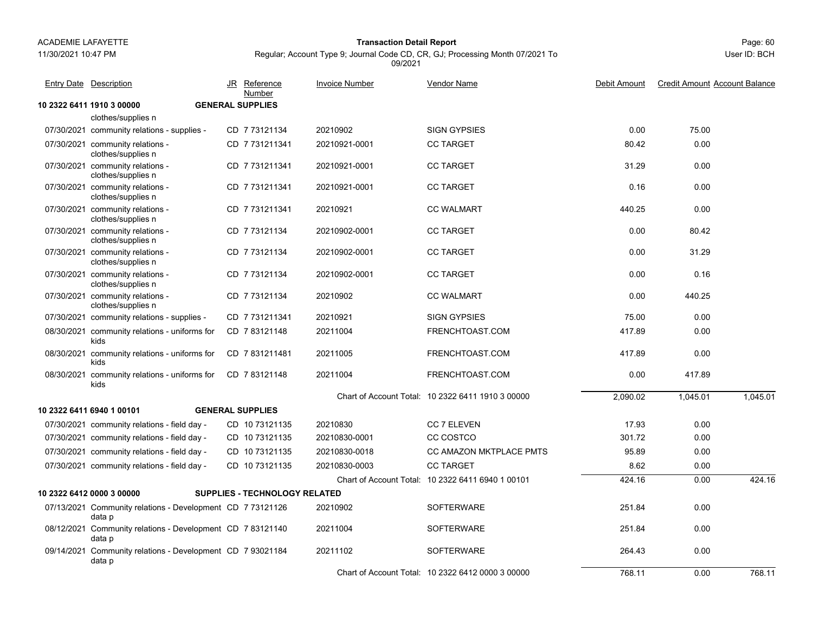11/30/2021 10:47 PM

## Page: 60 **Transaction Detail Report**

Regular; Account Type 9; Journal Code CD, CR, GJ; Processing Month 07/2021 To 09/2021

| <b>Entry Date Description</b>                                        | JR Reference<br>Number        | <b>Invoice Number</b> | Vendor Name                                       | Debit Amount | <b>Credit Amount Account Balance</b> |          |
|----------------------------------------------------------------------|-------------------------------|-----------------------|---------------------------------------------------|--------------|--------------------------------------|----------|
| 10 2322 6411 1910 3 00000                                            | <b>GENERAL SUPPLIES</b>       |                       |                                                   |              |                                      |          |
| clothes/supplies n                                                   |                               |                       |                                                   |              |                                      |          |
| 07/30/2021 community relations - supplies -                          | CD 7 73121134                 | 20210902              | <b>SIGN GYPSIES</b>                               | 0.00         | 75.00                                |          |
| 07/30/2021 community relations -<br>clothes/supplies n               | CD 7 731211341                | 20210921-0001         | <b>CC TARGET</b>                                  | 80.42        | 0.00                                 |          |
| 07/30/2021 community relations -<br>clothes/supplies n               | CD 7731211341                 | 20210921-0001         | <b>CC TARGET</b>                                  | 31.29        | 0.00                                 |          |
| 07/30/2021 community relations -<br>clothes/supplies n               | CD 7 731211341                | 20210921-0001         | <b>CC TARGET</b>                                  | 0.16         | 0.00                                 |          |
| 07/30/2021 community relations -<br>clothes/supplies n               | CD 7 731211341                | 20210921              | <b>CC WALMART</b>                                 | 440.25       | 0.00                                 |          |
| 07/30/2021 community relations -<br>clothes/supplies n               | CD 7 73121134                 | 20210902-0001         | <b>CC TARGET</b>                                  | 0.00         | 80.42                                |          |
| 07/30/2021 community relations -<br>clothes/supplies n               | CD 7 73121134                 | 20210902-0001         | <b>CC TARGET</b>                                  | 0.00         | 31.29                                |          |
| 07/30/2021 community relations -<br>clothes/supplies n               | CD 7 73121134                 | 20210902-0001         | <b>CC TARGET</b>                                  | 0.00         | 0.16                                 |          |
| 07/30/2021 community relations -<br>clothes/supplies n               | CD 7 73121134                 | 20210902              | <b>CC WALMART</b>                                 | 0.00         | 440.25                               |          |
| 07/30/2021 community relations - supplies -                          | CD 7731211341                 | 20210921              | <b>SIGN GYPSIES</b>                               | 75.00        | 0.00                                 |          |
| 08/30/2021 community relations - uniforms for<br>kids                | CD 7 83121148                 | 20211004              | FRENCHTOAST.COM                                   | 417.89       | 0.00                                 |          |
| 08/30/2021 community relations - uniforms for<br>kids                | CD 7831211481                 | 20211005              | FRENCHTOAST.COM                                   | 417.89       | 0.00                                 |          |
| 08/30/2021 community relations - uniforms for<br>kids                | CD 783121148                  | 20211004              | FRENCHTOAST.COM                                   | 0.00         | 417.89                               |          |
|                                                                      |                               |                       | Chart of Account Total: 10 2322 6411 1910 3 00000 | 2,090.02     | 1,045.01                             | 1,045.01 |
| 10 2322 6411 6940 1 00101                                            | <b>GENERAL SUPPLIES</b>       |                       |                                                   |              |                                      |          |
| 07/30/2021 community relations - field day -                         | CD 10 73121135                | 20210830              | <b>CC 7 ELEVEN</b>                                | 17.93        | 0.00                                 |          |
| 07/30/2021 community relations - field day -                         | CD 10 73121135                | 20210830-0001         | CC COSTCO                                         | 301.72       | 0.00                                 |          |
| 07/30/2021 community relations - field day -                         | CD 10 73121135                | 20210830-0018         | CC AMAZON MKTPLACE PMTS                           | 95.89        | 0.00                                 |          |
| 07/30/2021 community relations - field day -                         | CD 10 73121135                | 20210830-0003         | <b>CC TARGET</b>                                  | 8.62         | 0.00                                 |          |
|                                                                      |                               |                       | Chart of Account Total: 10 2322 6411 6940 1 00101 | 424.16       | 0.00                                 | 424.16   |
| 10 2322 6412 0000 3 00000                                            | SUPPLIES - TECHNOLOGY RELATED |                       |                                                   |              |                                      |          |
| 07/13/2021 Community relations - Development CD 7 73121126<br>data p |                               | 20210902              | <b>SOFTERWARE</b>                                 | 251.84       | 0.00                                 |          |
| 08/12/2021 Community relations - Development CD 7 83121140<br>data p |                               | 20211004              | <b>SOFTERWARE</b>                                 | 251.84       | 0.00                                 |          |
| 09/14/2021 Community relations - Development CD 7 93021184<br>data p |                               | 20211102              | <b>SOFTERWARE</b>                                 | 264.43       | 0.00                                 |          |
|                                                                      |                               |                       | Chart of Account Total: 10 2322 6412 0000 3 00000 | 768.11       | 0.00                                 | 768.11   |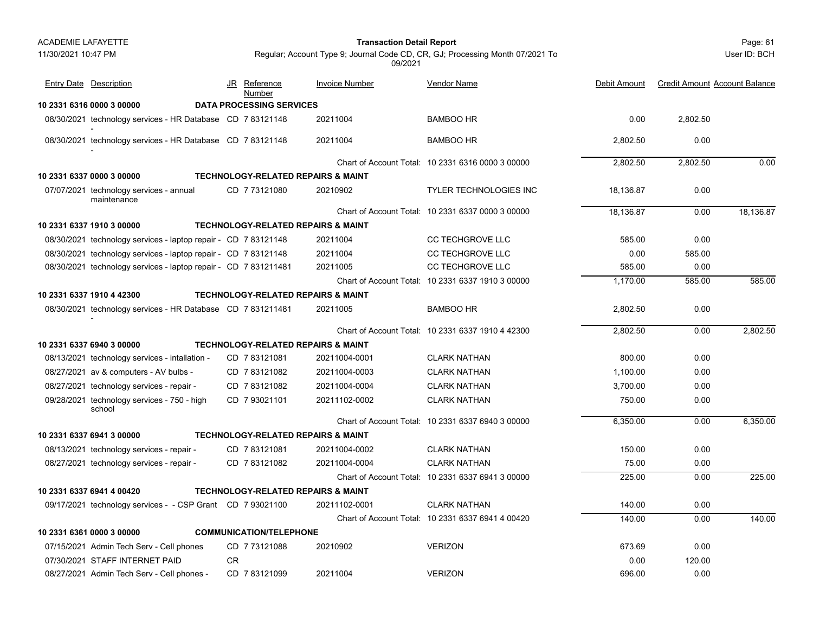#### Page: 61 **Transaction Detail Report**

User ID: BCH

| <b>Entry Date Description</b>                                   | JR | <b>Reference</b><br>Number      | <b>Invoice Number</b>                         | Vendor Name                                       | Debit Amount | <b>Credit Amount Account Balance</b> |           |
|-----------------------------------------------------------------|----|---------------------------------|-----------------------------------------------|---------------------------------------------------|--------------|--------------------------------------|-----------|
| 10 2331 6316 0000 3 00000                                       |    | <b>DATA PROCESSING SERVICES</b> |                                               |                                                   |              |                                      |           |
| 08/30/2021 technology services - HR Database CD 7 83121148      |    |                                 | 20211004                                      | <b>BAMBOO HR</b>                                  | 0.00         | 2,802.50                             |           |
| 08/30/2021 technology services - HR Database CD 7 83121148      |    |                                 | 20211004                                      | <b>BAMBOO HR</b>                                  | 2,802.50     | 0.00                                 |           |
|                                                                 |    |                                 |                                               | Chart of Account Total: 10 2331 6316 0000 3 00000 | 2,802.50     | 2,802.50                             | 0.00      |
| 10 2331 6337 0000 3 00000                                       |    |                                 | <b>TECHNOLOGY-RELATED REPAIRS &amp; MAINT</b> |                                                   |              |                                      |           |
| 07/07/2021 technology services - annual<br>maintenance          |    | CD 773121080                    | 20210902                                      | <b>TYLER TECHNOLOGIES INC</b>                     | 18,136.87    | 0.00                                 |           |
|                                                                 |    |                                 |                                               | Chart of Account Total: 10 2331 6337 0000 3 00000 | 18,136.87    | 0.00                                 | 18,136.87 |
| 10 2331 6337 1910 3 00000                                       |    |                                 | TECHNOLOGY-RELATED REPAIRS & MAINT            |                                                   |              |                                      |           |
| 08/30/2021 technology services - laptop repair - CD 783121148   |    |                                 | 20211004                                      | <b>CC TECHGROVE LLC</b>                           | 585.00       | 0.00                                 |           |
| 08/30/2021 technology services - laptop repair - CD 7 83121148  |    |                                 | 20211004                                      | <b>CC TECHGROVE LLC</b>                           | 0.00         | 585.00                               |           |
| 08/30/2021 technology services - laptop repair - CD 7 831211481 |    |                                 | 20211005                                      | <b>CC TECHGROVE LLC</b>                           | 585.00       | 0.00                                 |           |
|                                                                 |    |                                 |                                               | Chart of Account Total: 10 2331 6337 1910 3 00000 | 1,170.00     | 585.00                               | 585.00    |
| 10 2331 6337 1910 4 42300                                       |    |                                 | <b>TECHNOLOGY-RELATED REPAIRS &amp; MAINT</b> |                                                   |              |                                      |           |
| 08/30/2021 technology services - HR Database CD 7 831211481     |    |                                 | 20211005                                      | <b>BAMBOO HR</b>                                  | 2,802.50     | 0.00                                 |           |
|                                                                 |    |                                 |                                               | Chart of Account Total: 10 2331 6337 1910 4 42300 | 2.802.50     | 0.00                                 | 2.802.50  |
| 10 2331 6337 6940 3 00000                                       |    |                                 | <b>TECHNOLOGY-RELATED REPAIRS &amp; MAINT</b> |                                                   |              |                                      |           |
| 08/13/2021 technology services - intallation -                  |    | CD 783121081                    | 20211004-0001                                 | <b>CLARK NATHAN</b>                               | 800.00       | 0.00                                 |           |
| 08/27/2021 av & computers - AV bulbs -                          |    | CD 783121082                    | 20211004-0003                                 | <b>CLARK NATHAN</b>                               | 1.100.00     | 0.00                                 |           |
| 08/27/2021 technology services - repair -                       |    | CD 783121082                    | 20211004-0004                                 | <b>CLARK NATHAN</b>                               | 3,700.00     | 0.00                                 |           |
| 09/28/2021 technology services - 750 - high<br>school           |    | CD 7 93021101                   | 20211102-0002                                 | <b>CLARK NATHAN</b>                               | 750.00       | 0.00                                 |           |
|                                                                 |    |                                 |                                               | Chart of Account Total: 10 2331 6337 6940 3 00000 | 6,350.00     | 0.00                                 | 6,350.00  |
| 10 2331 6337 6941 3 00000                                       |    |                                 | <b>TECHNOLOGY-RELATED REPAIRS &amp; MAINT</b> |                                                   |              |                                      |           |
| 08/13/2021 technology services - repair -                       |    | CD 7 83121081                   | 20211004-0002                                 | <b>CLARK NATHAN</b>                               | 150.00       | 0.00                                 |           |
| 08/27/2021 technology services - repair -                       |    | CD 7 83121082                   | 20211004-0004                                 | <b>CLARK NATHAN</b>                               | 75.00        | 0.00                                 |           |
|                                                                 |    |                                 |                                               | Chart of Account Total: 10 2331 6337 6941 3 00000 | 225.00       | 0.00                                 | 225.00    |
| 10 2331 6337 6941 4 00420                                       |    |                                 | <b>TECHNOLOGY-RELATED REPAIRS &amp; MAINT</b> |                                                   |              |                                      |           |
| 09/17/2021 technology services - - CSP Grant CD 7 93021100      |    |                                 | 20211102-0001                                 | <b>CLARK NATHAN</b>                               | 140.00       | 0.00                                 |           |
|                                                                 |    |                                 |                                               | Chart of Account Total: 10 2331 6337 6941 4 00420 | 140.00       | 0.00                                 | 140.00    |
| 10 2331 6361 0000 3 00000                                       |    | <b>COMMUNICATION/TELEPHONE</b>  |                                               |                                                   |              |                                      |           |
| 07/15/2021 Admin Tech Serv - Cell phones                        |    | CD 773121088                    | 20210902                                      | <b>VERIZON</b>                                    | 673.69       | 0.00                                 |           |
| 07/30/2021 STAFF INTERNET PAID                                  | CR |                                 |                                               |                                                   | 0.00         | 120.00                               |           |
| 08/27/2021 Admin Tech Serv - Cell phones -                      |    | CD 7 83121099                   | 20211004                                      | <b>VERIZON</b>                                    | 696.00       | 0.00                                 |           |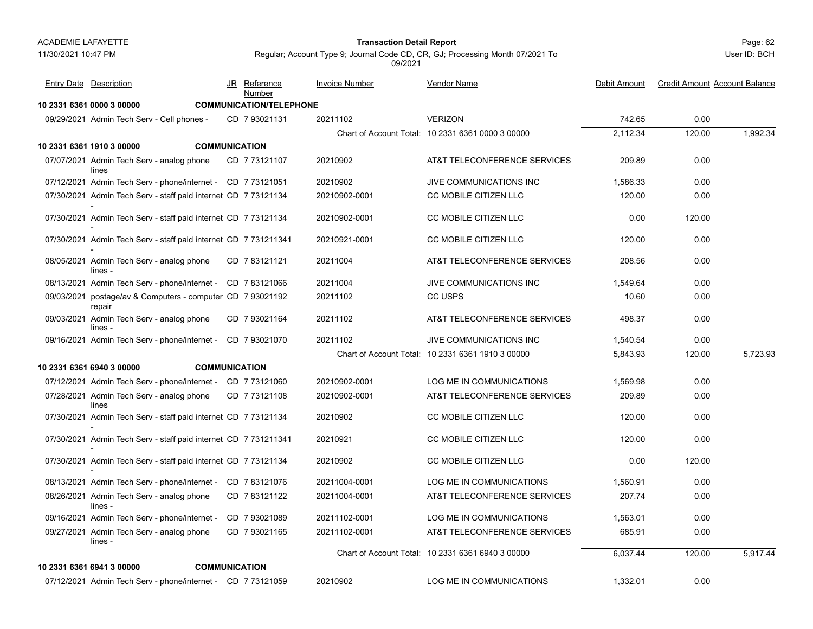11/30/2021 10:47 PM

## Page: 62 **Transaction Detail Report**

User ID: BCH

| <b>Entry Date Description</b>                                        | JR Reference<br>Number         | <b>Invoice Number</b> | Vendor Name                                       | Debit Amount | <b>Credit Amount Account Balance</b> |          |
|----------------------------------------------------------------------|--------------------------------|-----------------------|---------------------------------------------------|--------------|--------------------------------------|----------|
| 10 2331 6361 0000 3 00000                                            | <b>COMMUNICATION/TELEPHONE</b> |                       |                                                   |              |                                      |          |
| 09/29/2021 Admin Tech Serv - Cell phones -                           | CD 7 93021131                  | 20211102              | <b>VERIZON</b>                                    | 742.65       | 0.00                                 |          |
|                                                                      |                                |                       | Chart of Account Total: 10 2331 6361 0000 3 00000 | 2,112.34     | 120.00                               | 1,992.34 |
| 10 2331 6361 1910 3 00000                                            | <b>COMMUNICATION</b>           |                       |                                                   |              |                                      |          |
| 07/07/2021 Admin Tech Serv - analog phone<br>lines                   | CD 773121107                   | 20210902              | AT&T TELECONFERENCE SERVICES                      | 209.89       | 0.00                                 |          |
| 07/12/2021 Admin Tech Serv - phone/internet - CD 7 73121051          |                                | 20210902              | JIVE COMMUNICATIONS INC                           | 1,586.33     | 0.00                                 |          |
| 07/30/2021 Admin Tech Serv - staff paid internet CD 7 73121134       |                                | 20210902-0001         | CC MOBILE CITIZEN LLC                             | 120.00       | 0.00                                 |          |
| 07/30/2021 Admin Tech Serv - staff paid internet CD 773121134        |                                | 20210902-0001         | CC MOBILE CITIZEN LLC                             | 0.00         | 120.00                               |          |
| 07/30/2021 Admin Tech Serv - staff paid internet CD 7 731211341      |                                | 20210921-0001         | CC MOBILE CITIZEN LLC                             | 120.00       | 0.00                                 |          |
| 08/05/2021 Admin Tech Serv - analog phone<br>lines -                 | CD 7 83121121                  | 20211004              | AT&T TELECONFERENCE SERVICES                      | 208.56       | 0.00                                 |          |
| 08/13/2021 Admin Tech Serv - phone/internet -                        | CD 783121066                   | 20211004              | JIVE COMMUNICATIONS INC                           | 1,549.64     | 0.00                                 |          |
| 09/03/2021 postage/av & Computers - computer CD 7 93021192<br>repair |                                | 20211102              | CC USPS                                           | 10.60        | 0.00                                 |          |
| 09/03/2021 Admin Tech Serv - analog phone<br>lines -                 | CD 7 93021164                  | 20211102              | AT&T TELECONFERENCE SERVICES                      | 498.37       | 0.00                                 |          |
| 09/16/2021 Admin Tech Serv - phone/internet - CD 7 93021070          |                                | 20211102              | JIVE COMMUNICATIONS INC                           | 1,540.54     | 0.00                                 |          |
|                                                                      |                                |                       | Chart of Account Total: 10 2331 6361 1910 3 00000 | 5,843.93     | 120.00                               | 5,723.93 |
| 10 2331 6361 6940 3 00000                                            | <b>COMMUNICATION</b>           |                       |                                                   |              |                                      |          |
| 07/12/2021 Admin Tech Serv - phone/internet - CD 7 73121060          |                                | 20210902-0001         | LOG ME IN COMMUNICATIONS                          | 1,569.98     | 0.00                                 |          |
| 07/28/2021 Admin Tech Serv - analog phone<br>lines                   | CD 7 73121108                  | 20210902-0001         | AT&T TELECONFERENCE SERVICES                      | 209.89       | 0.00                                 |          |
| 07/30/2021 Admin Tech Serv - staff paid internet CD 7 73121134       |                                | 20210902              | CC MOBILE CITIZEN LLC                             | 120.00       | 0.00                                 |          |
| 07/30/2021 Admin Tech Serv - staff paid internet CD 7 731211341      |                                | 20210921              | CC MOBILE CITIZEN LLC                             | 120.00       | 0.00                                 |          |
| 07/30/2021 Admin Tech Serv - staff paid internet CD 7 73121134       |                                | 20210902              | CC MOBILE CITIZEN LLC                             | 0.00         | 120.00                               |          |
| 08/13/2021 Admin Tech Serv - phone/internet -                        | CD 783121076                   | 20211004-0001         | LOG ME IN COMMUNICATIONS                          | 1,560.91     | 0.00                                 |          |
| 08/26/2021 Admin Tech Serv - analog phone<br>lines -                 | CD 7 83121122                  | 20211004-0001         | AT&T TELECONFERENCE SERVICES                      | 207.74       | 0.00                                 |          |
| 09/16/2021 Admin Tech Serv - phone/internet -                        | CD 7 93021089                  | 20211102-0001         | LOG ME IN COMMUNICATIONS                          | 1,563.01     | 0.00                                 |          |
| 09/27/2021 Admin Tech Serv - analog phone<br>lines -                 | CD 7 93021165                  | 20211102-0001         | AT&T TELECONFERENCE SERVICES                      | 685.91       | 0.00                                 |          |
|                                                                      |                                |                       | Chart of Account Total: 10 2331 6361 6940 3 00000 | 6,037.44     | 120.00                               | 5,917.44 |
| 10 2331 6361 6941 3 00000                                            | <b>COMMUNICATION</b>           |                       |                                                   |              |                                      |          |
| 07/12/2021 Admin Tech Serv - phone/internet - CD 7 73121059          |                                | 20210902              | LOG ME IN COMMUNICATIONS                          | 1,332.01     | 0.00                                 |          |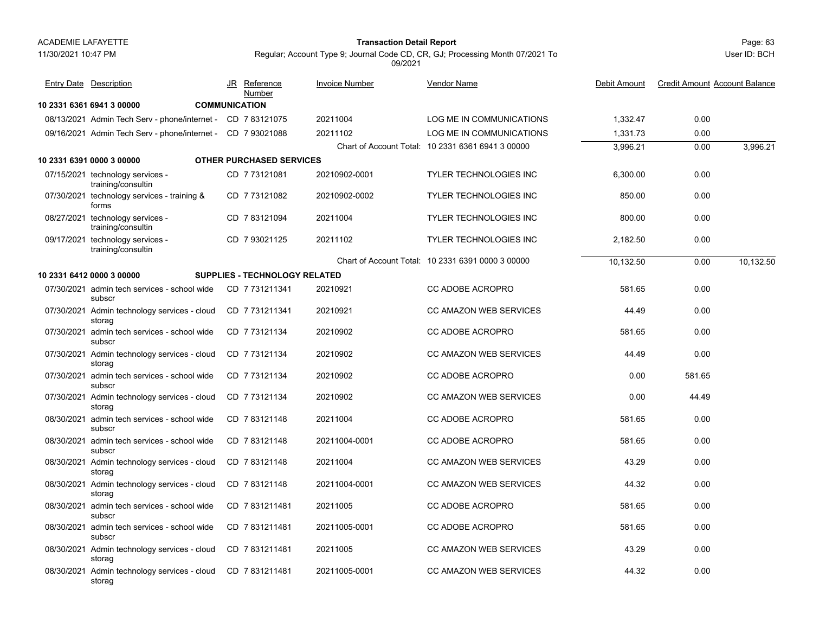#### 11/30/2021 10:47 PM

## Page: 63 **Transaction Detail Report**

Regular; Account Type 9; Journal Code CD, CR, GJ; Processing Month 07/2021 To 09/2021

|            | <b>Entry Date Description</b>                               | JR Reference<br>Number               | <b>Invoice Number</b> | <b>Vendor Name</b>                                | Debit Amount | <b>Credit Amount Account Balance</b> |           |
|------------|-------------------------------------------------------------|--------------------------------------|-----------------------|---------------------------------------------------|--------------|--------------------------------------|-----------|
|            | 10 2331 6361 6941 3 00000                                   | <b>COMMUNICATION</b>                 |                       |                                                   |              |                                      |           |
|            | 08/13/2021 Admin Tech Serv - phone/internet - CD 7 83121075 |                                      | 20211004              | LOG ME IN COMMUNICATIONS                          | 1,332.47     | 0.00                                 |           |
|            | 09/16/2021 Admin Tech Serv - phone/internet - CD 7 93021088 |                                      | 20211102              | LOG ME IN COMMUNICATIONS                          | 1,331.73     | 0.00                                 |           |
|            |                                                             |                                      |                       | Chart of Account Total: 10 2331 6361 6941 3 00000 | 3,996.21     | 0.00                                 | 3,996.21  |
|            | 10 2331 6391 0000 3 00000                                   | <b>OTHER PURCHASED SERVICES</b>      |                       |                                                   |              |                                      |           |
|            | 07/15/2021 technology services -<br>training/consultin      | CD 773121081                         | 20210902-0001         | <b>TYLER TECHNOLOGIES INC</b>                     | 6,300.00     | 0.00                                 |           |
|            | 07/30/2021 technology services - training &<br>forms        | CD 773121082                         | 20210902-0002         | <b>TYLER TECHNOLOGIES INC</b>                     | 850.00       | 0.00                                 |           |
|            | 08/27/2021 technology services -<br>training/consultin      | CD 783121094                         | 20211004              | <b>TYLER TECHNOLOGIES INC</b>                     | 800.00       | 0.00                                 |           |
|            | 09/17/2021 technology services -<br>training/consultin      | CD 7 93021125                        | 20211102              | <b>TYLER TECHNOLOGIES INC</b>                     | 2,182.50     | 0.00                                 |           |
|            |                                                             |                                      |                       | Chart of Account Total: 10 2331 6391 0000 3 00000 | 10,132.50    | 0.00                                 | 10,132.50 |
|            | 10 2331 6412 0000 3 00000                                   | <b>SUPPLIES - TECHNOLOGY RELATED</b> |                       |                                                   |              |                                      |           |
|            | 07/30/2021 admin tech services - school wide<br>subscr      | CD 7 731211341                       | 20210921              | CC ADOBE ACROPRO                                  | 581.65       | 0.00                                 |           |
|            | 07/30/2021 Admin technology services - cloud<br>storag      | CD 7 731211341                       | 20210921              | <b>CC AMAZON WEB SERVICES</b>                     | 44.49        | 0.00                                 |           |
|            | 07/30/2021 admin tech services - school wide<br>subscr      | CD 7 73121134                        | 20210902              | CC ADOBE ACROPRO                                  | 581.65       | 0.00                                 |           |
|            | 07/30/2021 Admin technology services - cloud<br>storag      | CD 773121134                         | 20210902              | <b>CC AMAZON WEB SERVICES</b>                     | 44.49        | 0.00                                 |           |
|            | 07/30/2021 admin tech services - school wide<br>subscr      | CD 773121134                         | 20210902              | CC ADOBE ACROPRO                                  | 0.00         | 581.65                               |           |
|            | 07/30/2021 Admin technology services - cloud<br>storag      | CD 773121134                         | 20210902              | <b>CC AMAZON WEB SERVICES</b>                     | 0.00         | 44.49                                |           |
| 08/30/2021 | admin tech services - school wide<br>subscr                 | CD 783121148                         | 20211004              | CC ADOBE ACROPRO                                  | 581.65       | 0.00                                 |           |
|            | 08/30/2021 admin tech services - school wide<br>subscr      | CD 783121148                         | 20211004-0001         | <b>CC ADOBE ACROPRO</b>                           | 581.65       | 0.00                                 |           |
|            | 08/30/2021 Admin technology services - cloud<br>storag      | CD 783121148                         | 20211004              | <b>CC AMAZON WEB SERVICES</b>                     | 43.29        | 0.00                                 |           |
|            | 08/30/2021 Admin technology services - cloud<br>storag      | CD 783121148                         | 20211004-0001         | <b>CC AMAZON WEB SERVICES</b>                     | 44.32        | 0.00                                 |           |
|            | 08/30/2021 admin tech services - school wide<br>subscr      | CD 7831211481                        | 20211005              | CC ADOBE ACROPRO                                  | 581.65       | 0.00                                 |           |
|            | 08/30/2021 admin tech services - school wide<br>subscr      | CD 7831211481                        | 20211005-0001         | CC ADOBE ACROPRO                                  | 581.65       | 0.00                                 |           |
|            | 08/30/2021 Admin technology services - cloud<br>storag      | CD 7831211481                        | 20211005              | <b>CC AMAZON WEB SERVICES</b>                     | 43.29        | 0.00                                 |           |
|            | 08/30/2021 Admin technology services - cloud<br>storag      | CD 7831211481                        | 20211005-0001         | <b>CC AMAZON WEB SERVICES</b>                     | 44.32        | 0.00                                 |           |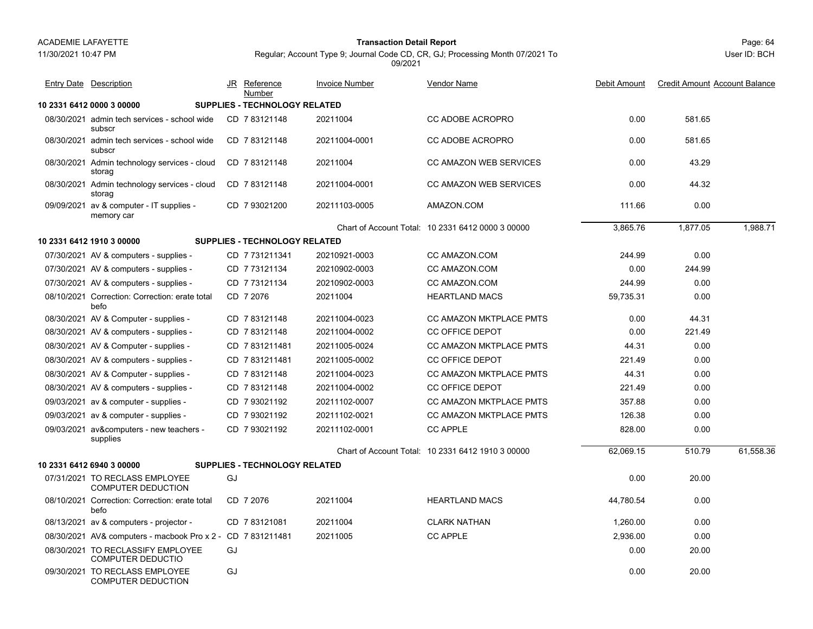11/30/2021 10:47 PM

## Page: 64 **Transaction Detail Report**

Regular; Account Type 9; Journal Code CD, CR, GJ; Processing Month 07/2021 To

|  |  | 09/2021 |  |  |
|--|--|---------|--|--|
|  |  |         |  |  |
|  |  |         |  |  |
|  |  |         |  |  |

| <b>Entry Date Description</b>                                 |    | JR Reference<br>Number               | <b>Invoice Number</b> | <b>Vendor Name</b>                                | Debit Amount | <b>Credit Amount Account Balance</b> |           |
|---------------------------------------------------------------|----|--------------------------------------|-----------------------|---------------------------------------------------|--------------|--------------------------------------|-----------|
| 10 2331 6412 0000 3 00000                                     |    | SUPPLIES - TECHNOLOGY RELATED        |                       |                                                   |              |                                      |           |
| 08/30/2021 admin tech services - school wide<br>subscr        |    | CD 783121148                         | 20211004              | <b>CC ADOBE ACROPRO</b>                           | 0.00         | 581.65                               |           |
| 08/30/2021 admin tech services - school wide<br>subscr        |    | CD 783121148                         | 20211004-0001         | <b>CC ADOBE ACROPRO</b>                           | 0.00         | 581.65                               |           |
| 08/30/2021 Admin technology services - cloud<br>storag        |    | CD 7 83121148                        | 20211004              | <b>CC AMAZON WEB SERVICES</b>                     | 0.00         | 43.29                                |           |
| 08/30/2021 Admin technology services - cloud<br>storag        |    | CD 783121148                         | 20211004-0001         | <b>CC AMAZON WEB SERVICES</b>                     | 0.00         | 44.32                                |           |
| 09/09/2021 av & computer - IT supplies -<br>memory car        |    | CD 7 93021200                        | 20211103-0005         | AMAZON.COM                                        | 111.66       | 0.00                                 |           |
|                                                               |    |                                      |                       | Chart of Account Total: 10 2331 6412 0000 3 00000 | 3,865.76     | 1,877.05                             | 1.988.71  |
| 10 2331 6412 1910 3 00000                                     |    | <b>SUPPLIES - TECHNOLOGY RELATED</b> |                       |                                                   |              |                                      |           |
| 07/30/2021 AV & computers - supplies -                        |    | CD 7731211341                        | 20210921-0003         | CC AMAZON.COM                                     | 244.99       | 0.00                                 |           |
| 07/30/2021 AV & computers - supplies -                        |    | CD 773121134                         | 20210902-0003         | CC AMAZON.COM                                     | 0.00         | 244.99                               |           |
| 07/30/2021 AV & computers - supplies -                        |    | CD 7 73121134                        | 20210902-0003         | CC AMAZON.COM                                     | 244.99       | 0.00                                 |           |
| 08/10/2021 Correction: Correction: erate total<br>befo        |    | CD 7 2076                            | 20211004              | <b>HEARTLAND MACS</b>                             | 59,735.31    | 0.00                                 |           |
| 08/30/2021 AV & Computer - supplies -                         |    | CD 783121148                         | 20211004-0023         | <b>CC AMAZON MKTPLACE PMTS</b>                    | 0.00         | 44.31                                |           |
| 08/30/2021 AV & computers - supplies -                        |    | CD 783121148                         | 20211004-0002         | <b>CC OFFICE DEPOT</b>                            | 0.00         | 221.49                               |           |
| 08/30/2021 AV & Computer - supplies -                         |    | CD 7831211481                        | 20211005-0024         | <b>CC AMAZON MKTPLACE PMTS</b>                    | 44.31        | 0.00                                 |           |
| 08/30/2021 AV & computers - supplies -                        |    | CD 7831211481                        | 20211005-0002         | <b>CC OFFICE DEPOT</b>                            | 221.49       | 0.00                                 |           |
| 08/30/2021 AV & Computer - supplies -                         |    | CD 783121148                         | 20211004-0023         | <b>CC AMAZON MKTPLACE PMTS</b>                    | 44.31        | 0.00                                 |           |
| 08/30/2021 AV & computers - supplies -                        |    | CD 7 83121148                        | 20211004-0002         | <b>CC OFFICE DEPOT</b>                            | 221.49       | 0.00                                 |           |
| 09/03/2021 av & computer - supplies -                         |    | CD 7 93021192                        | 20211102-0007         | <b>CC AMAZON MKTPLACE PMTS</b>                    | 357.88       | 0.00                                 |           |
| 09/03/2021 av & computer - supplies -                         |    | CD 7 93021192                        | 20211102-0021         | <b>CC AMAZON MKTPLACE PMTS</b>                    | 126.38       | 0.00                                 |           |
| 09/03/2021 av&computers - new teachers -<br>supplies          |    | CD 7 93021192                        | 20211102-0001         | <b>CC APPLE</b>                                   | 828.00       | 0.00                                 |           |
|                                                               |    |                                      |                       | Chart of Account Total: 10 2331 6412 1910 3 00000 | 62,069.15    | 510.79                               | 61,558.36 |
| 10 2331 6412 6940 3 00000                                     |    | <b>SUPPLIES - TECHNOLOGY RELATED</b> |                       |                                                   |              |                                      |           |
| 07/31/2021 TO RECLASS EMPLOYEE<br><b>COMPUTER DEDUCTION</b>   | GJ |                                      |                       |                                                   | 0.00         | 20.00                                |           |
| 08/10/2021 Correction: Correction: erate total<br>befo        |    | CD 7 2076                            | 20211004              | <b>HEARTLAND MACS</b>                             | 44,780.54    | 0.00                                 |           |
| 08/13/2021 av & computers - projector -                       |    | CD 783121081                         | 20211004              | <b>CLARK NATHAN</b>                               | 1,260.00     | 0.00                                 |           |
| 08/30/2021 AV& computers - macbook Pro x 2 - CD 7 831211481   |    |                                      | 20211005              | <b>CC APPLE</b>                                   | 2,936.00     | 0.00                                 |           |
| 08/30/2021 TO RECLASSIFY EMPLOYEE<br><b>COMPUTER DEDUCTIO</b> | GJ |                                      |                       |                                                   | 0.00         | 20.00                                |           |
| 09/30/2021 TO RECLASS EMPLOYEE<br><b>COMPUTER DEDUCTION</b>   | GJ |                                      |                       |                                                   | 0.00         | 20.00                                |           |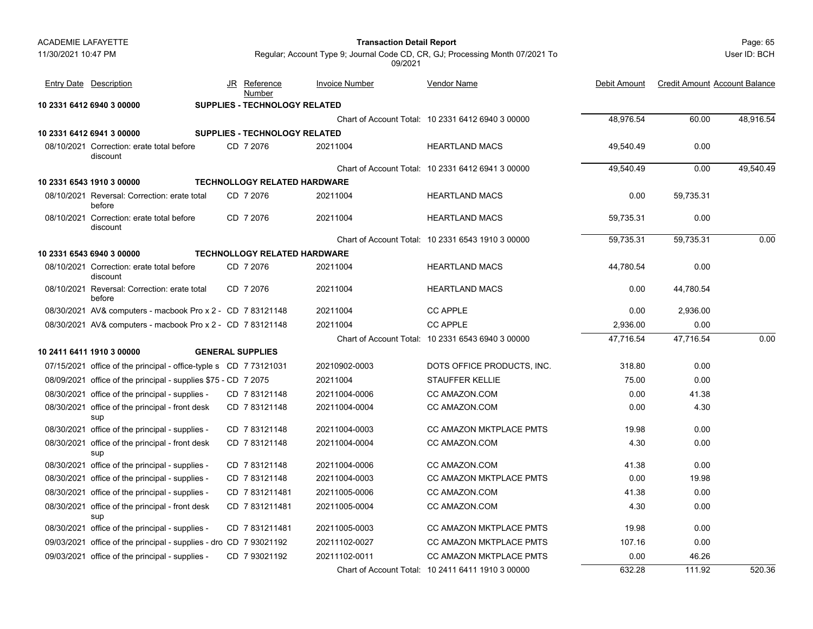#### Page: 65 **Transaction Detail Report**

User ID: BCH

| <b>Entry Date Description</b>                                     | JR | <b>Reference</b><br>Number           | <b>Invoice Number</b> | <b>Vendor Name</b>                                | Debit Amount | <b>Credit Amount Account Balance</b> |           |
|-------------------------------------------------------------------|----|--------------------------------------|-----------------------|---------------------------------------------------|--------------|--------------------------------------|-----------|
| 10 2331 6412 6940 3 00000                                         |    | SUPPLIES - TECHNOLOGY RELATED        |                       |                                                   |              |                                      |           |
|                                                                   |    |                                      |                       | Chart of Account Total: 10 2331 6412 6940 3 00000 | 48,976.54    | 60.00                                | 48,916.54 |
| 10 2331 6412 6941 3 00000                                         |    | <b>SUPPLIES - TECHNOLOGY RELATED</b> |                       |                                                   |              |                                      |           |
| 08/10/2021 Correction: erate total before<br>discount             |    | CD 7 2076                            | 20211004              | <b>HEARTLAND MACS</b>                             | 49,540.49    | 0.00                                 |           |
|                                                                   |    |                                      |                       | Chart of Account Total: 10 2331 6412 6941 3 00000 | 49,540.49    | 0.00                                 | 49,540.49 |
| 10 2331 6543 1910 3 00000                                         |    | <b>TECHNOLLOGY RELATED HARDWARE</b>  |                       |                                                   |              |                                      |           |
| 08/10/2021 Reversal: Correction: erate total<br>before            |    | CD 7 2076                            | 20211004              | <b>HEARTLAND MACS</b>                             | 0.00         | 59,735.31                            |           |
| 08/10/2021 Correction: erate total before<br>discount             |    | CD 7 2076                            | 20211004              | <b>HEARTLAND MACS</b>                             | 59,735.31    | 0.00                                 |           |
|                                                                   |    |                                      |                       | Chart of Account Total: 10 2331 6543 1910 3 00000 | 59,735.31    | 59,735.31                            | 0.00      |
| 10 2331 6543 6940 3 00000                                         |    | <b>TECHNOLLOGY RELATED HARDWARE</b>  |                       |                                                   |              |                                      |           |
| 08/10/2021 Correction: erate total before<br>discount             |    | CD 7 2076                            | 20211004              | <b>HEARTLAND MACS</b>                             | 44,780.54    | 0.00                                 |           |
| 08/10/2021 Reversal: Correction: erate total<br>before            |    | CD 7 2076                            | 20211004              | <b>HEARTLAND MACS</b>                             | 0.00         | 44,780.54                            |           |
| 08/30/2021 AV& computers - macbook Pro x 2 - CD 7 83121148        |    |                                      | 20211004              | <b>CC APPLE</b>                                   | 0.00         | 2,936.00                             |           |
| 08/30/2021 AV& computers - macbook Pro x 2 - CD 7 83121148        |    |                                      | 20211004              | <b>CC APPLE</b>                                   | 2,936.00     | 0.00                                 |           |
|                                                                   |    |                                      |                       | Chart of Account Total: 10 2331 6543 6940 3 00000 | 47,716.54    | 47,716.54                            | 0.00      |
| 10 2411 6411 1910 3 00000                                         |    | <b>GENERAL SUPPLIES</b>              |                       |                                                   |              |                                      |           |
| 07/15/2021 office of the principal - office-typle s CD 773121031  |    |                                      | 20210902-0003         | DOTS OFFICE PRODUCTS, INC.                        | 318.80       | 0.00                                 |           |
| 08/09/2021 office of the principal - supplies \$75 - CD 7 2075    |    |                                      | 20211004              | <b>STAUFFER KELLIE</b>                            | 75.00        | 0.00                                 |           |
| 08/30/2021 office of the principal - supplies -                   |    | CD 7 83121148                        | 20211004-0006         | CC AMAZON.COM                                     | 0.00         | 41.38                                |           |
| 08/30/2021 office of the principal - front desk<br>sup            |    | CD 783121148                         | 20211004-0004         | CC AMAZON.COM                                     | 0.00         | 4.30                                 |           |
| 08/30/2021 office of the principal - supplies -                   |    | CD 783121148                         | 20211004-0003         | <b>CC AMAZON MKTPLACE PMTS</b>                    | 19.98        | 0.00                                 |           |
| 08/30/2021 office of the principal - front desk<br>sup            |    | CD 783121148                         | 20211004-0004         | CC AMAZON.COM                                     | 4.30         | 0.00                                 |           |
| 08/30/2021 office of the principal - supplies -                   |    | CD 783121148                         | 20211004-0006         | CC AMAZON.COM                                     | 41.38        | 0.00                                 |           |
| 08/30/2021 office of the principal - supplies -                   |    | CD 783121148                         | 20211004-0003         | <b>CC AMAZON MKTPLACE PMTS</b>                    | 0.00         | 19.98                                |           |
| 08/30/2021 office of the principal - supplies -                   |    | CD 7831211481                        | 20211005-0006         | CC AMAZON.COM                                     | 41.38        | 0.00                                 |           |
| 08/30/2021 office of the principal - front desk<br>sup            |    | CD 7831211481                        | 20211005-0004         | <b>CC AMAZON.COM</b>                              | 4.30         | 0.00                                 |           |
| 08/30/2021 office of the principal - supplies -                   |    | CD 7 831211481                       | 20211005-0003         | <b>CC AMAZON MKTPLACE PMTS</b>                    | 19.98        | 0.00                                 |           |
| 09/03/2021 office of the principal - supplies - dro CD 7 93021192 |    |                                      | 20211102-0027         | CC AMAZON MKTPLACE PMTS                           | 107.16       | 0.00                                 |           |
| 09/03/2021 office of the principal - supplies -                   |    | CD 7 93021192                        | 20211102-0011         | <b>CC AMAZON MKTPLACE PMTS</b>                    | 0.00         | 46.26                                |           |
|                                                                   |    |                                      |                       | Chart of Account Total: 10 2411 6411 1910 3 00000 | 632.28       | 111.92                               | 520.36    |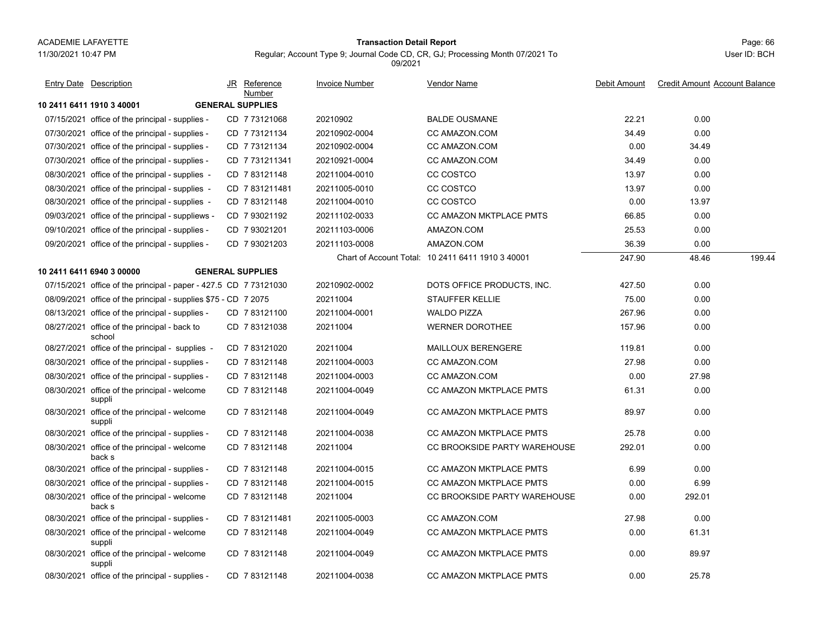08/30/2021 office of the principal - welcome

back s

suppli

suppli

## Page: 66 **Transaction Detail Report**

Entry Date Description JR Reference <u>Invoice Number</u> <u>Vendor Name</u> Debit Amount Credit Amount

JR Reference Invoice Number

Number

Regular; Account Type 9; Journal Code CD, CR, GJ; Processing Month 07/2021 To

Vendor Name

|              | Page: bb |  |
|--------------|----------|--|
| User ID: BCH |          |  |

Debit Amount Credit Amount Account Balance

**10 2411 6411 1910 3 40001 GENERAL SUPPLIES**07/15/2021 office of the principal - supplies - CD 7 73121068 20210902 BALDE OUSMANE 22.21 0.00 07/30/2021 office of the principal - supplies - CD 7 73121134 20210902-0004 CC AMAZON.COM 0.00 07/30/2021 office of the principal - supplies - CD 7 73121134 20210902-0004 CC AMAZON.COM 0.00 34.49 07/30/2021 office of the principal - supplies - CD 7 731211341 20210921-0004 CC AMAZON.COM 0.00 08/30/2021 office of the principal - supplies - CD\_7 83121148 20211004-0010 CC COSTCO 0.00 08/30/2021 office of the principal - supplies - CD\_7 831211481 20211005-0010 CC COSTCO 0.00 08/30/2021 office of the principal - supplies - CD\_7 83121148 20211004-0010 CC COSTCO 0.00 13.97 09/03/2021 office of the principal - suppliews - CD 7 93021192 20211102-0033 CC AMAZON MKTPLACE PMTS 66.85 0.00 09/10/2021 office of the principal - supplies - CD\_7 93021201 20211103-0006 AMAZON.COM 25.53 0.00 09/20/2021 office of the principal - supplies - CD 7 93021203 20211103-0008 AMAZON.COM 36.39 0.00 Chart of Account Total: 10 2411 6411 1910 3 40001 247.90 48.46 199.44 **10 2411 6411 6940 3 00000 GENERAL SUPPLIES**07/15/2021 office of the principal - paper - 427.5 CD 7 73121030 20210902-0002 DOTS OFFICE PRODUCTS, INC. 427.50 0.00 08/09/2021 office of the principal - supplies \$75 - CD\_7 2075 20211004 STAUFFER KELLIE 75.00 0.00 08/13/2021 office of the principal - supplies - CD 7 83121100 20211004-0001 WALDO PIZZA 267.96 0.00 08/27/2021 office of the principal - back to CD\_7 83121038 20211004 WERNER DOROTHEE 157.96 0.00 schoolCD 20211004 WERNER DOROTHEE 7 83121038 08/27/2021 office of the principal - supplies - CD 7 83121020 20211004 MAILLOUX BERENGERE 0.00 08/30/2021 office of the principal - supplies - CD\_7 83121148 20211004-0003 CC AMAZON.COM 27.98 0.00 08/30/2021 office of the principal - supplies - CD 7 83121148 20211004-0003 CC AMAZON.COM 0.00 27.98 08/30/2021 office of the principal - welcome CD\_7 83121148 20211004-0049 CC AMAZON MKTPLACE PMTS 61.31 0.00 suppli CD 7 83121148 20211004-0049 CC AMAZON MKTPLACE PMTS 08/30/2021 office of the principal - welcome CD\_7 83121148 20211004-0049 CC AMAZON MKTPLACE PMTS 89.97 0.00 suppli CD 7 83121148 20211004-0049 CC AMAZON MKTPLACE PMTS 08/30/2021 office of the principal - supplies - CD\_7 83121148 20211004-0038 CC AMAZON MKTPLACE PMTS 25.78 0.00 08/30/2021 office of the principal - welcome CD\_7 83121148 20211004 CC BROOKSIDE PARTY WAREHOUSE 292.01 0.00 back sCD 7 83121148 20211004 CC BROOKSIDE PARTY WAREHOUSE 08/30/2021 office of the principal - supplies - CD\_7 83121148 20211004-0015 CC AMAZON MKTPLACE PMTS 6.99 0.00 08/30/2021 office of the principal - supplies - CD\_7 83121148 20211004-0015 CC AMAZON MKTPLACE PMTS 0.00 6.99

1 office of the principal - welcome CD\_7 83121148 20211004 CC BROOKSIDE PARTY WAREHOUSE 0.00 292.01

08/30/2021 office of the principal - supplies - CD\_7 831211481 20211005-0003 CC AMAZON.COM 27.98 0.00 08/30/2021 office of the principal - welcome CD\_7 83121148 20211004-0049 CC AMAZON MKTPLACE PMTS 0.00 61.31

08/30/2021 office of the principal - welcome CD\_7 83121148 20211004-0049 CC AMAZON MKTPLACE PMTS 0.00 89.97

08/30/2021 office of the principal - supplies - CD\_7 83121148 20211004-0038 CC AMAZON MKTPLACE PMTS 0.00 25.78

CD 7 83121148 20211004-0049 CC AMAZON MKTPLACE PMTS

CD 7 83121148 20211004-0049 CC AMAZON MKTPLACE PMTS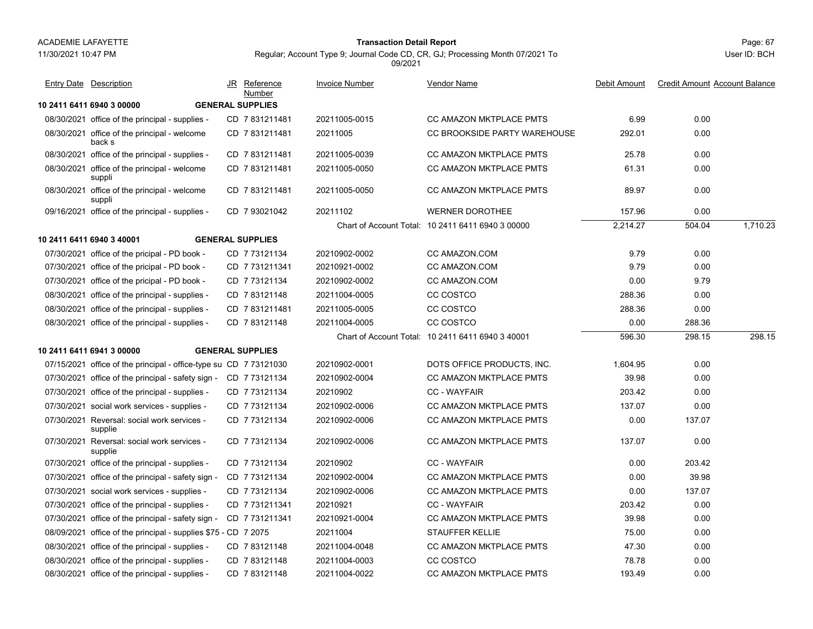11/30/2021 10:47 PM

# Page: 67 **Transaction Detail Report**

| <b>Entry Date Description</b>                                    | JR Reference<br>Number  | <b>Invoice Number</b> | <u>Vendor Name</u>                                | Debit Amount | <b>Credit Amount Account Balance</b> |          |
|------------------------------------------------------------------|-------------------------|-----------------------|---------------------------------------------------|--------------|--------------------------------------|----------|
| 10 2411 6411 6940 3 00000                                        | <b>GENERAL SUPPLIES</b> |                       |                                                   |              |                                      |          |
| 08/30/2021 office of the principal - supplies -                  | CD 7 831211481          | 20211005-0015         | CC AMAZON MKTPLACE PMTS                           | 6.99         | 0.00                                 |          |
| 08/30/2021 office of the principal - welcome<br>back s           | CD 7 831211481          | 20211005              | CC BROOKSIDE PARTY WAREHOUSE                      | 292.01       | 0.00                                 |          |
| 08/30/2021 office of the principal - supplies -                  | CD 7831211481           | 20211005-0039         | <b>CC AMAZON MKTPLACE PMTS</b>                    | 25.78        | 0.00                                 |          |
| 08/30/2021 office of the principal - welcome<br>suppli           | CD 7831211481           | 20211005-0050         | <b>CC AMAZON MKTPLACE PMTS</b>                    | 61.31        | 0.00                                 |          |
| 08/30/2021 office of the principal - welcome<br>suppli           | CD 7831211481           | 20211005-0050         | CC AMAZON MKTPLACE PMTS                           | 89.97        | 0.00                                 |          |
| 09/16/2021 office of the principal - supplies -                  | CD 7 93021042           | 20211102              | <b>WERNER DOROTHEE</b>                            | 157.96       | 0.00                                 |          |
|                                                                  |                         |                       | Chart of Account Total: 10 2411 6411 6940 3 00000 | 2,214.27     | 504.04                               | 1,710.23 |
| 10 2411 6411 6940 3 40001                                        | <b>GENERAL SUPPLIES</b> |                       |                                                   |              |                                      |          |
| 07/30/2021 office of the pricipal - PD book -                    | CD 7 73121134           | 20210902-0002         | CC AMAZON.COM                                     | 9.79         | 0.00                                 |          |
| 07/30/2021 office of the pricipal - PD book -                    | CD 7 731211341          | 20210921-0002         | CC AMAZON.COM                                     | 9.79         | 0.00                                 |          |
| 07/30/2021 office of the pricipal - PD book -                    | CD 773121134            | 20210902-0002         | CC AMAZON.COM                                     | 0.00         | 9.79                                 |          |
| 08/30/2021 office of the principal - supplies -                  | CD 783121148            | 20211004-0005         | CC COSTCO                                         | 288.36       | 0.00                                 |          |
| 08/30/2021 office of the principal - supplies -                  | CD 7831211481           | 20211005-0005         | CC COSTCO                                         | 288.36       | 0.00                                 |          |
| 08/30/2021 office of the principal - supplies -                  | CD 7 83121148           | 20211004-0005         | CC COSTCO                                         | 0.00         | 288.36                               |          |
|                                                                  |                         |                       | Chart of Account Total: 10 2411 6411 6940 3 40001 | 596.30       | 298.15                               | 298.15   |
| 10 2411 6411 6941 3 00000                                        | <b>GENERAL SUPPLIES</b> |                       |                                                   |              |                                      |          |
| 07/15/2021 office of the principal - office-type su CD 773121030 |                         | 20210902-0001         | DOTS OFFICE PRODUCTS, INC.                        | 1,604.95     | 0.00                                 |          |
| 07/30/2021 office of the principal - safety sign -               | CD 7 73121134           | 20210902-0004         | <b>CC AMAZON MKTPLACE PMTS</b>                    | 39.98        | 0.00                                 |          |
| 07/30/2021 office of the principal - supplies -                  | CD 7 73121134           | 20210902              | <b>CC - WAYFAIR</b>                               | 203.42       | 0.00                                 |          |
| 07/30/2021 social work services - supplies -                     | CD 7 73121134           | 20210902-0006         | <b>CC AMAZON MKTPLACE PMTS</b>                    | 137.07       | 0.00                                 |          |
| 07/30/2021 Reversal: social work services -<br>supplie           | CD 773121134            | 20210902-0006         | CC AMAZON MKTPLACE PMTS                           | 0.00         | 137.07                               |          |
| 07/30/2021 Reversal: social work services -<br>supplie           | CD 7 73121134           | 20210902-0006         | CC AMAZON MKTPLACE PMTS                           | 137.07       | 0.00                                 |          |
| 07/30/2021 office of the principal - supplies -                  | CD 773121134            | 20210902              | <b>CC - WAYFAIR</b>                               | 0.00         | 203.42                               |          |
| 07/30/2021 office of the principal - safety sign -               | CD 7 73121134           | 20210902-0004         | CC AMAZON MKTPLACE PMTS                           | 0.00         | 39.98                                |          |
| 07/30/2021 social work services - supplies -                     | CD 7 73121134           | 20210902-0006         | CC AMAZON MKTPLACE PMTS                           | 0.00         | 137.07                               |          |
| 07/30/2021 office of the principal - supplies -                  | CD 7 731211341          | 20210921              | <b>CC - WAYFAIR</b>                               | 203.42       | 0.00                                 |          |
| 07/30/2021 office of the principal - safety sign -               | CD 7731211341           | 20210921-0004         | CC AMAZON MKTPLACE PMTS                           | 39.98        | 0.00                                 |          |
| 08/09/2021 office of the principal - supplies \$75 - CD 7 2075   |                         | 20211004              | <b>STAUFFER KELLIE</b>                            | 75.00        | 0.00                                 |          |
| 08/30/2021 office of the principal - supplies -                  | CD 783121148            | 20211004-0048         | CC AMAZON MKTPLACE PMTS                           | 47.30        | 0.00                                 |          |
| 08/30/2021 office of the principal - supplies -                  | CD 783121148            | 20211004-0003         | CC COSTCO                                         | 78.78        | 0.00                                 |          |
| 08/30/2021 office of the principal - supplies -                  | CD 7 83121148           | 20211004-0022         | <b>CC AMAZON MKTPLACE PMTS</b>                    | 193.49       | 0.00                                 |          |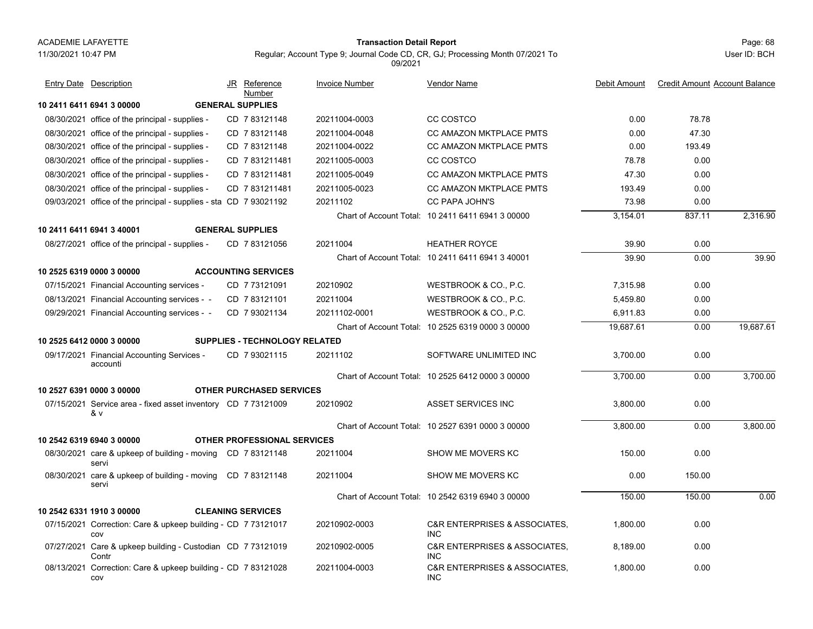#### Page: 68 **Transaction Detail Report**

Regular; Account Type 9; Journal Code CD, CR, GJ; Processing Month 07/2021 To

**10 2411 6411 6941 3 00000 GENERAL SUPPLIES**08/30/2021 office of the principal - supplies - CD\_7 83121148 20211004-0003 CC COSTCO 0.00 78.78 08/30/2021 office of the principal - supplies - CD\_7 83121148 20211004-0048 CC AMAZON MKTPLACE PMTS 0.00 47.30 08/30/2021 office of the principal - supplies - CD\_7 83121148 20211004-0022 CC AMAZON MKTPLACE PMTS 0.00 193.49 08/30/2021 office of the principal - supplies - CD\_7 831211481 20211005-0003 CC COSTCO 78.78 0.00 08/30/2021 office of the principal - supplies - CD\_7 831211481 20211005-0049 CC AMAZON MKTPLACE PMTS 47.30 0.00 08/30/2021 office of the principal - supplies - CD\_7 831211481 20211005-0023 CC AMAZON MKTPLACE PMTS 0.00 09/03/2021 office of the principal - supplies - sta CD 7 93021192 20211102 CC PAPA JOHN'S 73.98 0.00 Chart of Account Total: 10 2411 6411 6941 3 00000 3,154.01 837.11 2,316.90 **10 2411 6411 6941 3 40001 GENERAL SUPPLIES**08/27/2021 office of the principal - supplies - CD\_7 83121056 20211004 HEATHER ROYCE 39.90 0.00 Chart of Account Total: 10 2411 6411 6941 3 40001 39.90 0.00 39.90 **10 2525 6319 0000 3 00000 ACCOUNTING SERVICES**07/15/2021 Financial Accounting services - CD\_7 73121091 20210902 WESTBROOK & CO., P.C. 7,315.98 0.00 08/13/2021 Financial Accounting services - CD 7 83121101 20211004 WESTBROOK & CO., P.C. 5,459.80 0.00 09/29/2021 Financial Accounting services - CD 7 93021134 20211102-0001 WESTBROOK & CO., P.C. 6,911.83 0.00 Chart of Account Total: 10 2525 6319 0000 3 00000 19,687.61 0.00 19,687.61 **10 2525 6412 0000 3 00000 SUPPLIES - TECHNOLOGY RELATED**09/17/2021 Financial Accounting Services - CD\_7 93021115 20211102 SOFTWARE UNLIMITED INC 3,700.00 0.00 accountiCD 7 93021115 20211102 SOFTWARE UNLIMITED INC Chart of Account Total: 10 2525 6412 0000 3 00000 3,700.00 0.00 3,700.00 **10 2527 6391 0000 3 00000 OTHER PURCHASED SERVICES**07/15/2021 Service area - fixed asset inventory 3,800.00 0.00 CD 20210902 7 73121009& v ASSET SERVICES INCChart of Account Total: 10 2527 6391 0000 3 00000 3,800.00 0.00 3,800.00 **10 2542 6319 6940 3 00000 OTHER PROFESSIONAL SERVICES**08/30/2021 care & upkeep of building - moving CD 7 83121148 20211004 SHOW ME MOVERS KC 0.00 serviCD 20211004 SHOW ME MOVERS KC 7 83121148 08/30/2021 care & upkeep of building - moving CD 7 83121148 20211004 SHOW ME MOVERS KC 0.00 150.00 serviCD 20211004 SHOW ME MOVERS KC 7 83121148 Chart of Account Total: 10 2542 6319 6940 3 00000 150.00 150.00 0.00 **10 2542 6331 1910 3 00000 CLEANING SERVICES**07/15/2021 Correction: Care & upkeep building - CD\_7 73121017 20210902-0003 C&R ENTERPRISES & ASSOCIATES, 1,800.00 0.00 covCD 20210902-0003 C&R ENTERPRISES & ASSOCIATES, INC07/27/2021 Care & upkeep building - Custodian CD 7 73121019 20210902-0005 C&R ENTERPRISES & ASSOCIATES, 8,189.00 0.00 **Contr** CD 20210902-0005 C&R ENTERPRISES & ASSOCIATES, INC08/13/2021 Correction: Care & upkeep building - CD 7 83121028 20211004-0003 C&R ENTERPRISES & ASSOCIATES, 1,800.00 0.00 covCD 20211004-0003 C&R ENTERPRISES & ASSOCIATES, INCJR Reference Invoice Number Vendor NameDebit Amount Credit Amount Account Balance NumberEntry Date Description JR Reference <u>Invoice Number</u> <u>Vendor Name</u> Debit Amount Credit Amount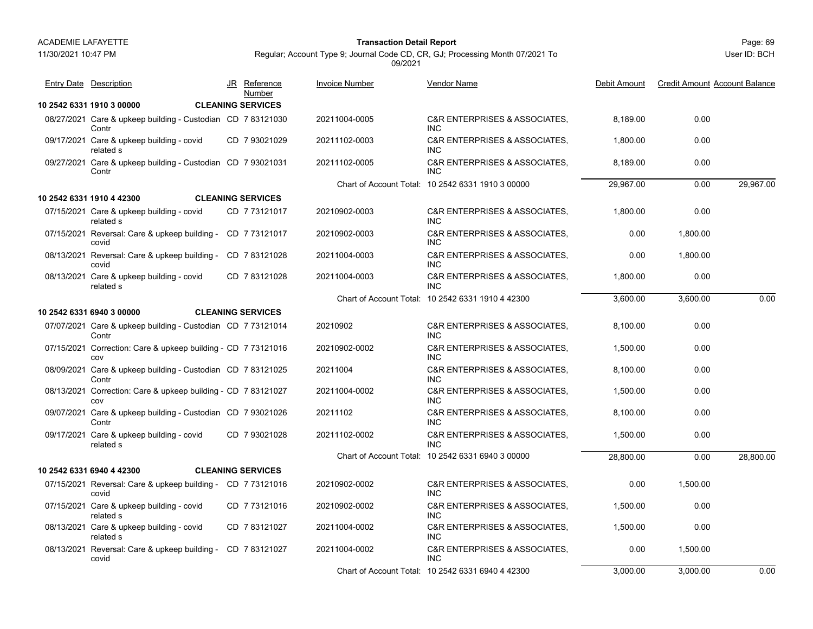11/30/2021 10:47 PM

## Page: 69 **Transaction Detail Report**

Regular; Account Type 9; Journal Code CD, CR, GJ; Processing Month 07/2021 To

09/2021

**10 2542 6331 1910 3 00000 CLEANING SERVICES**08/27/2021 Care & upkeep building - Custodian CD 7 83121030 20211004-0005 C&R ENTERPRISES & ASSOCIATES, 8,189.00 0.00 **Contr** CD 20211004-0005 C&R ENTERPRISES & ASSOCIATES, INC09/17/2021 Care & upkeep building - covid 1 Care & upkeep building - covid CD 7 93021029 20211102-0003 C&R ENTERPRISES & ASSOCIATES, 1,800.00 0.00 related sINC7 9302102909/27/2021 Care & upkeep building - Custodian 8,189.00 0.00 7 93021031 **Contr** CD 20211102-0005 C&R ENTERPRISES & ASSOCIATES, INCChart of Account Total: 10 2542 6331 1910 3 00000 29,967.00 0.00 29,967.00 **10 2542 6331 1910 4 42300 CLEANING SERVICES**07/15/2021 Care & upkeep building - covid 1 Care & upkeep building - covid CD 7 73121017 20210902-0003 C&R ENTERPRISES & ASSOCIATES, 1,800.00 0.00 related sINC7 7312101707/15/2021 Reversal: Care & upkeep building - CD 7 73121017 20210902-0003 C&R ENTERPRISES & ASSOCIATES, 0.00 1,800.00 covidCD 20210902-0003 C&R ENTERPRISES & ASSOCIATES, INC08/13/2021 Reversal: Care & upkeep building - CD 7 83121028 20211004-0003 C&R ENTERPRISES & ASSOCIATES, 0.00 1,800.00 covidCD 20211004-0003 C&R ENTERPRISES & ASSOCIATES, INC08/13/2021 Care & upkeep building - covid 1 Care & upkeep building - covid CD 7 83121028 20211004-0003 C&R ENTERPRISES & ASSOCIATES, 1,800.00 0.00 related sINC7 83121028Chart of Account Total: 10 2542 6331 1910 4 42300 3,600.00 3,600.00 0.00 **10 2542 6331 6940 3 00000 CLEANING SERVICES**07/07/2021 Care & upkeep building - Custodian 8,100.00 0.00 7 73121014**Contr** CD 20210902 C&R ENTERPRISES & ASSOCIATES, INC07/15/2021 Correction: Care & upkeep building - CD 7 73121016 20210902-0002 C&R ENTERPRISES & ASSOCIATES, 1,500.00 0.00 covCD 20210902-0002 C&R ENTERPRISES & ASSOCIATES, INC08/09/2021 Care & upkeep building - Custodian CD 7 83121025 20211004 C&R ENTERPRISES & ASSOCIATES, 8,100.00 0.00 Contr CD 20211004 C&R ENTERPRISES & ASSOCIATES, INC08/13/2021 Correction: Care & upkeep building - CD 7 83121027 20211004-0002 C&R ENTERPRISES & ASSOCIATES, 1,500.00 0.00 covCD 20211004-0002 C&R ENTERPRISES & ASSOCIATES, INC09/07/2021 Care & upkeep building - Custodian CD 7 93021026 20211102 C&R ENTERPRISES & ASSOCIATES, 8,100.00 0.00 **Contr** CD 20211102 C&R ENTERPRISES & ASSOCIATES, INC09/17/2021 Care & upkeep building - covid 1 Care & upkeep building - covid CD 7 93021028 20211102-0002 C&R ENTERPRISES & ASSOCIATES, 1,500.00 0.00 related sINC7 93021028Chart of Account Total: 10 2542 6331 6940 3 00000 28,800.00 0.00 28,800.00 **10 2542 6331 6940 4 42300 CLEANING SERVICES**07/15/2021 Reversal: Care & upkeep building - CD 7 73121016 20210902-0002 C&R ENTERPRISES & ASSOCIATES, 0.00 1,500.00 covidCD 20210902-0002 C&R ENTERPRISES & ASSOCIATES, INC07/15/2021 Care & upkeep building - covid 1 Care & upkeep building - covid CD 7 73121016 20210902-0002 C&R ENTERPRISES & ASSOCIATES, 1,500.00 0.00 related sINC7 7312101608/13/2021 Care & upkeep building - covid 1 Care & upkeep building - covid CD 7 83121027 20211004-0002 C&R ENTERPRISES & ASSOCIATES, 1,500.00 0.00 related sINC7 8312102708/13/2021 Reversal: Care & upkeep building - CD 7 83121027 20211004-0002 C&R ENTERPRISES & ASSOCIATES, 0.00 1,500.00 covidCD 20211004-0002 C&R ENTERPRISES & ASSOCIATES, INCChart of Account Total: 10 2542 6331 6940 4 42300 3,000.00 3,000.00 0.00 JR Reference Invoice Number Vendor NameDebit Amount Credit Amount Account Balance NumberEntry Date Description JR Reference <u>Invoice Number</u> <u>Vendor Name</u> Debit Amount Credit Amount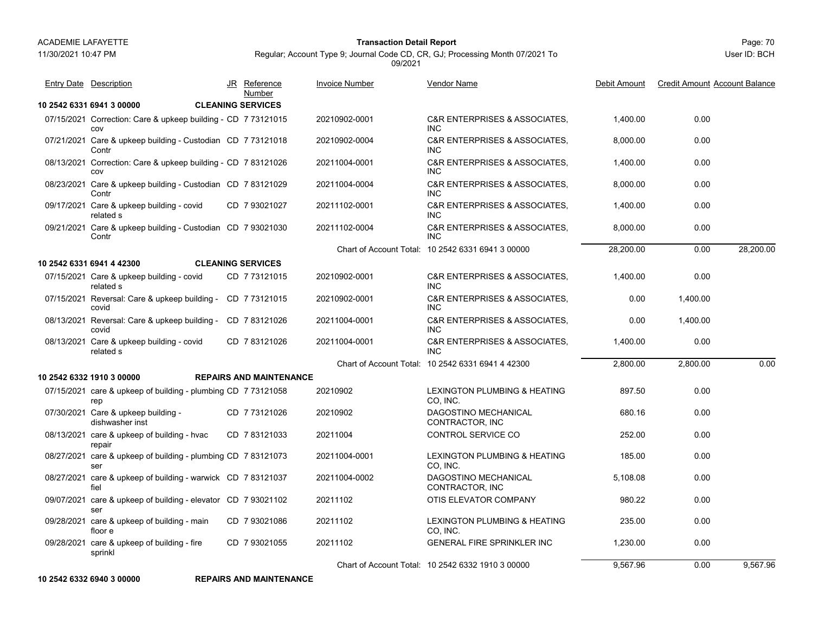11/30/2021 10:47 PM

## Page: 70 **Transaction Detail Report**

Regular; Account Type 9; Journal Code CD, CR, GJ; Processing Month 07/2021 To 09/2021

User ID: BCH

| <b>Entry Date Description</b>                                        | JR | <b>Reference</b><br>Number     | <b>Invoice Number</b> | Vendor Name                                                | Debit Amount | <b>Credit Amount Account Balance</b> |           |
|----------------------------------------------------------------------|----|--------------------------------|-----------------------|------------------------------------------------------------|--------------|--------------------------------------|-----------|
| 10 2542 6331 6941 3 00000                                            |    | <b>CLEANING SERVICES</b>       |                       |                                                            |              |                                      |           |
| 07/15/2021 Correction: Care & upkeep building - CD 7 73121015<br>COV |    |                                | 20210902-0001         | <b>C&amp;R ENTERPRISES &amp; ASSOCIATES.</b><br><b>INC</b> | 1,400.00     | 0.00                                 |           |
| 07/21/2021 Care & upkeep building - Custodian CD 7 73121018<br>Contr |    |                                | 20210902-0004         | <b>C&amp;R ENTERPRISES &amp; ASSOCIATES.</b><br><b>INC</b> | 8,000.00     | 0.00                                 |           |
| 08/13/2021 Correction: Care & upkeep building - CD 7 83121026<br>COV |    |                                | 20211004-0001         | C&R ENTERPRISES & ASSOCIATES.<br><b>INC</b>                | 1.400.00     | 0.00                                 |           |
| 08/23/2021 Care & upkeep building - Custodian CD 783121029<br>Contr  |    |                                | 20211004-0004         | <b>C&amp;R ENTERPRISES &amp; ASSOCIATES.</b><br><b>INC</b> | 8,000.00     | 0.00                                 |           |
| 09/17/2021 Care & upkeep building - covid<br>related s               |    | CD 7 93021027                  | 20211102-0001         | <b>C&amp;R ENTERPRISES &amp; ASSOCIATES.</b><br><b>INC</b> | 1,400.00     | 0.00                                 |           |
| 09/21/2021 Care & upkeep building - Custodian CD 7 93021030<br>Contr |    |                                | 20211102-0004         | C&R ENTERPRISES & ASSOCIATES,<br>INC.                      | 8.000.00     | 0.00                                 |           |
|                                                                      |    |                                |                       | Chart of Account Total: 10 2542 6331 6941 3 00000          | 28,200.00    | 0.00                                 | 28,200.00 |
| 10 2542 6331 6941 4 42300                                            |    | <b>CLEANING SERVICES</b>       |                       |                                                            |              |                                      |           |
| 07/15/2021 Care & upkeep building - covid<br>related s               |    | CD 773121015                   | 20210902-0001         | C&R ENTERPRISES & ASSOCIATES,<br><b>INC</b>                | 1,400.00     | 0.00                                 |           |
| 07/15/2021 Reversal: Care & upkeep building - CD 7 73121015<br>covid |    |                                | 20210902-0001         | <b>C&amp;R ENTERPRISES &amp; ASSOCIATES.</b><br><b>INC</b> | 0.00         | 1,400.00                             |           |
| 08/13/2021 Reversal: Care & upkeep building - CD 7 83121026<br>covid |    |                                | 20211004-0001         | <b>C&amp;R ENTERPRISES &amp; ASSOCIATES.</b><br><b>INC</b> | 0.00         | 1,400.00                             |           |
| 08/13/2021 Care & upkeep building - covid<br>related s               |    | CD 783121026                   | 20211004-0001         | <b>C&amp;R ENTERPRISES &amp; ASSOCIATES.</b><br><b>INC</b> | 1,400.00     | 0.00                                 |           |
|                                                                      |    |                                |                       | Chart of Account Total: 10 2542 6331 6941 4 42300          | 2,800.00     | 2,800.00                             | 0.00      |
| 10 2542 6332 1910 3 00000                                            |    | <b>REPAIRS AND MAINTENANCE</b> |                       |                                                            |              |                                      |           |
| 07/15/2021 care & upkeep of building - plumbing CD 7 73121058<br>rep |    |                                | 20210902              | LEXINGTON PLUMBING & HEATING<br>CO, INC.                   | 897.50       | 0.00                                 |           |
| 07/30/2021 Care & upkeep building -<br>dishwasher inst               |    | CD 773121026                   | 20210902              | DAGOSTINO MECHANICAL<br>CONTRACTOR, INC                    | 680.16       | 0.00                                 |           |
| 08/13/2021 care & upkeep of building - hvac<br>repair                |    | CD 783121033                   | 20211004              | CONTROL SERVICE CO                                         | 252.00       | 0.00                                 |           |
| 08/27/2021 care & upkeep of building - plumbing CD 7 83121073<br>ser |    |                                | 20211004-0001         | <b>LEXINGTON PLUMBING &amp; HEATING</b><br>CO. INC.        | 185.00       | 0.00                                 |           |
| 08/27/2021 care & upkeep of building - warwick CD 7 83121037<br>fiel |    |                                | 20211004-0002         | DAGOSTINO MECHANICAL<br>CONTRACTOR, INC                    | 5,108.08     | 0.00                                 |           |
| 09/07/2021 care & upkeep of building - elevator CD 7 93021102<br>ser |    |                                | 20211102              | OTIS ELEVATOR COMPANY                                      | 980.22       | 0.00                                 |           |
| 09/28/2021 care & upkeep of building - main<br>floor e               |    | CD 7 93021086                  | 20211102              | LEXINGTON PLUMBING & HEATING<br>CO, INC.                   | 235.00       | 0.00                                 |           |
| 09/28/2021 care & upkeep of building - fire<br>sprinkl               |    | CD 7 93021055                  | 20211102              | GENERAL FIRE SPRINKLER INC                                 | 1,230.00     | 0.00                                 |           |
|                                                                      |    |                                |                       | Chart of Account Total: 10 2542 6332 1910 3 00000          | 9.567.96     | 0.00                                 | 9.567.96  |

**10 2542 6332 6940 3 00000 REPAIRS AND MAINTENANCE**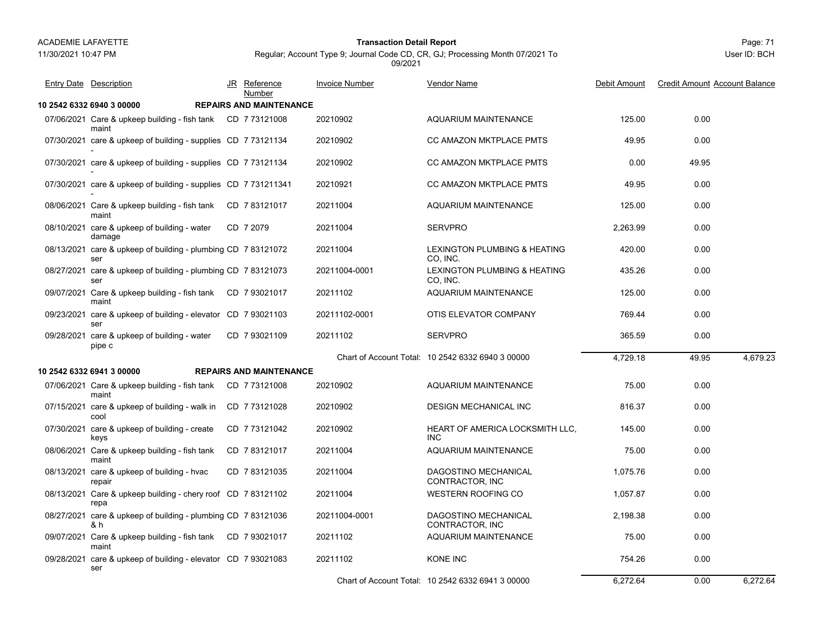# Page: 71 **Transaction Detail Report**

# Regular; Account Type 9; Journal Code CD, CR, GJ; Processing Month 07/2021 To 09/2021 JR Reference Invoice Number Vendor NameEntry Date Description JR Reference Invoice Number <u>Vendor Name</u> Debit Amount Credit Amount Account Balance

|                                                                      | <b>Number</b>                  |               |                                                   |          |       |          |
|----------------------------------------------------------------------|--------------------------------|---------------|---------------------------------------------------|----------|-------|----------|
| 10 2542 6332 6940 3 00000                                            | <b>REPAIRS AND MAINTENANCE</b> |               |                                                   |          |       |          |
| 07/06/2021 Care & upkeep building - fish tank CD 7 73121008<br>maint |                                | 20210902      | <b>AQUARIUM MAINTENANCE</b>                       | 125.00   | 0.00  |          |
| 07/30/2021 care & upkeep of building - supplies CD 773121134         |                                | 20210902      | CC AMAZON MKTPLACE PMTS                           | 49.95    | 0.00  |          |
| 07/30/2021 care & upkeep of building - supplies CD 773121134         |                                | 20210902      | CC AMAZON MKTPLACE PMTS                           | 0.00     | 49.95 |          |
| 07/30/2021 care & upkeep of building - supplies CD 7 731211341       |                                | 20210921      | CC AMAZON MKTPLACE PMTS                           | 49.95    | 0.00  |          |
| 08/06/2021 Care & upkeep building - fish tank<br>maint               | CD 783121017                   | 20211004      | <b>AQUARIUM MAINTENANCE</b>                       | 125.00   | 0.00  |          |
| 08/10/2021 care & upkeep of building - water<br>damage               | CD 7 2079                      | 20211004      | <b>SERVPRO</b>                                    | 2,263.99 | 0.00  |          |
| 08/13/2021 care & upkeep of building - plumbing CD 7 83121072<br>ser |                                | 20211004      | LEXINGTON PLUMBING & HEATING<br>CO, INC.          | 420.00   | 0.00  |          |
| 08/27/2021 care & upkeep of building - plumbing CD 7 83121073<br>ser |                                | 20211004-0001 | LEXINGTON PLUMBING & HEATING<br>CO, INC.          | 435.26   | 0.00  |          |
| 09/07/2021 Care & upkeep building - fish tank<br>maint               | CD 7 93021017                  | 20211102      | <b>AQUARIUM MAINTENANCE</b>                       | 125.00   | 0.00  |          |
| 09/23/2021 care & upkeep of building - elevator CD 7 93021103<br>ser |                                | 20211102-0001 | OTIS ELEVATOR COMPANY                             | 769.44   | 0.00  |          |
| 09/28/2021 care & upkeep of building - water<br>pipe c               | CD 7 93021109                  | 20211102      | <b>SERVPRO</b>                                    | 365.59   | 0.00  |          |
|                                                                      |                                |               | Chart of Account Total: 10 2542 6332 6940 3 00000 | 4,729.18 | 49.95 | 4,679.23 |
| 10 2542 6332 6941 3 00000                                            | <b>REPAIRS AND MAINTENANCE</b> |               |                                                   |          |       |          |
| 07/06/2021 Care & upkeep building - fish tank<br>maint               | CD 773121008                   | 20210902      | <b>AQUARIUM MAINTENANCE</b>                       | 75.00    | 0.00  |          |
| 07/15/2021 care & upkeep of building - walk in<br>cool               | CD 7 73121028                  | 20210902      | <b>DESIGN MECHANICAL INC</b>                      | 816.37   | 0.00  |          |
| 07/30/2021 care & upkeep of building - create<br>keys                | CD 7 73121042                  | 20210902      | HEART OF AMERICA LOCKSMITH LLC,<br><b>INC</b>     | 145.00   | 0.00  |          |
| 08/06/2021 Care & upkeep building - fish tank<br>maint               | CD 783121017                   | 20211004      | AQUARIUM MAINTENANCE                              | 75.00    | 0.00  |          |
| 08/13/2021 care & upkeep of building - hvac<br>repair                | CD 783121035                   | 20211004      | DAGOSTINO MECHANICAL<br>CONTRACTOR, INC           | 1,075.76 | 0.00  |          |
| 08/13/2021 Care & upkeep building - chery roof CD 783121102<br>repa  |                                | 20211004      | <b>WESTERN ROOFING CO</b>                         | 1,057.87 | 0.00  |          |
| 08/27/2021 care & upkeep of building - plumbing CD 7 83121036<br>& h |                                | 20211004-0001 | DAGOSTINO MECHANICAL<br>CONTRACTOR, INC           | 2.198.38 | 0.00  |          |
| 09/07/2021 Care & upkeep building - fish tank CD 7 93021017<br>maint |                                | 20211102      | <b>AQUARIUM MAINTENANCE</b>                       | 75.00    | 0.00  |          |
| 09/28/2021 care & upkeep of building - elevator CD 7 93021083<br>ser |                                | 20211102      | <b>KONE INC</b>                                   | 754.26   | 0.00  |          |
|                                                                      |                                |               | Chart of Account Total: 10 2542 6332 6941 3 00000 | 6.272.64 | 0.00  | 6.272.64 |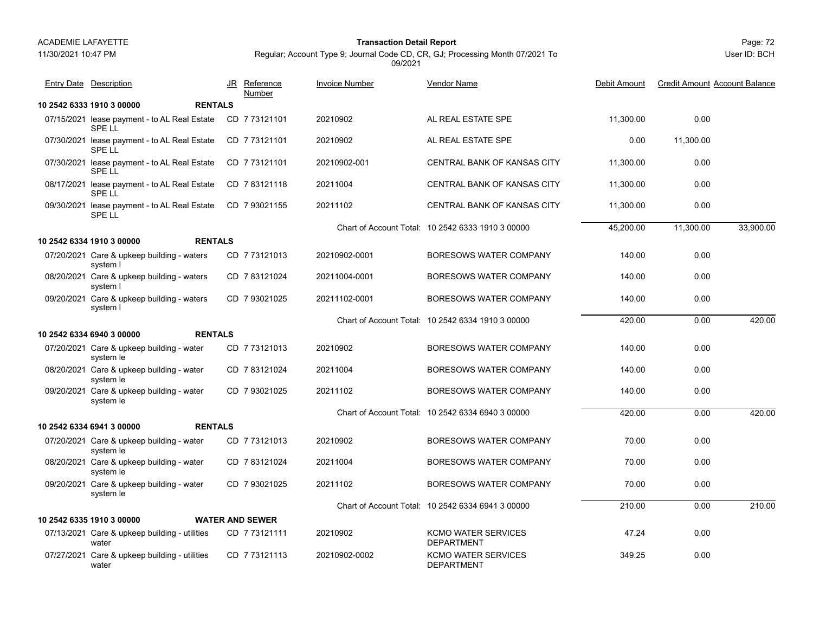11/30/2021 10:47 PM

### Page: 72 **Transaction Detail Report**

Regular; Account Type 9; Journal Code CD, CR, GJ; Processing Month 07/2021 To 09/2021

| <b>Entry Date</b> Description                                 | JR<br>Reference<br>Number | <b>Invoice Number</b> | <b>Vendor Name</b>                                | Debit Amount | <b>Credit Amount Account Balance</b> |           |
|---------------------------------------------------------------|---------------------------|-----------------------|---------------------------------------------------|--------------|--------------------------------------|-----------|
| 10 2542 6333 1910 3 00000<br><b>RENTALS</b>                   |                           |                       |                                                   |              |                                      |           |
| 07/15/2021 lease payment - to AL Real Estate<br><b>SPELL</b>  | CD 7 73121101             | 20210902              | AL REAL ESTATE SPE                                | 11,300.00    | 0.00                                 |           |
| 07/30/2021 lease payment - to AL Real Estate<br>SPE LL        | CD 773121101              | 20210902              | AL REAL ESTATE SPE                                | 0.00         | 11,300.00                            |           |
| 07/30/2021 lease payment - to AL Real Estate<br><b>SPELL</b>  | CD 7 73121101             | 20210902-001          | <b>CENTRAL BANK OF KANSAS CITY</b>                | 11.300.00    | 0.00                                 |           |
| 08/17/2021 lease payment - to AL Real Estate<br>SPE LL        | CD 783121118              | 20211004              | CENTRAL BANK OF KANSAS CITY                       | 11.300.00    | 0.00                                 |           |
| 09/30/2021 lease payment - to AL Real Estate<br><b>SPE LL</b> | CD 7 93021155             | 20211102              | <b>CENTRAL BANK OF KANSAS CITY</b>                | 11,300.00    | 0.00                                 |           |
|                                                               |                           |                       | Chart of Account Total: 10 2542 6333 1910 3 00000 | 45,200.00    | 11,300.00                            | 33,900.00 |
| <b>RENTALS</b><br>10 2542 6334 1910 3 00000                   |                           |                       |                                                   |              |                                      |           |
| 07/20/2021 Care & upkeep building - waters<br>system I        | CD 773121013              | 20210902-0001         | BORESOWS WATER COMPANY                            | 140.00       | 0.00                                 |           |
| 08/20/2021 Care & upkeep building - waters<br>system I        | CD 783121024              | 20211004-0001         | BORESOWS WATER COMPANY                            | 140.00       | 0.00                                 |           |
| 09/20/2021 Care & upkeep building - waters<br>system I        | CD 7 93021025             | 20211102-0001         | BORESOWS WATER COMPANY                            | 140.00       | 0.00                                 |           |
|                                                               |                           |                       | Chart of Account Total: 10 2542 6334 1910 3 00000 | 420.00       | 0.00                                 | 420.00    |
| 10 2542 6334 6940 3 00000<br><b>RENTALS</b>                   |                           |                       |                                                   |              |                                      |           |
| 07/20/2021 Care & upkeep building - water<br>system le        | CD 773121013              | 20210902              | BORESOWS WATER COMPANY                            | 140.00       | 0.00                                 |           |
| 08/20/2021 Care & upkeep building - water<br>system le        | CD 783121024              | 20211004              | BORESOWS WATER COMPANY                            | 140.00       | 0.00                                 |           |
| 09/20/2021 Care & upkeep building - water<br>system le        | CD 7 93021025             | 20211102              | BORESOWS WATER COMPANY                            | 140.00       | 0.00                                 |           |
|                                                               |                           |                       | Chart of Account Total: 10 2542 6334 6940 3 00000 | 420.00       | 0.00                                 | 420.00    |
| 10 2542 6334 6941 3 00000<br><b>RENTALS</b>                   |                           |                       |                                                   |              |                                      |           |
| 07/20/2021 Care & upkeep building - water<br>system le        | CD 773121013              | 20210902              | BORESOWS WATER COMPANY                            | 70.00        | 0.00                                 |           |
| 08/20/2021 Care & upkeep building - water<br>system le        | CD 783121024              | 20211004              | BORESOWS WATER COMPANY                            | 70.00        | 0.00                                 |           |
| 09/20/2021 Care & upkeep building - water<br>system le        | CD 7 93021025             | 20211102              | BORESOWS WATER COMPANY                            | 70.00        | 0.00                                 |           |
|                                                               |                           |                       | Chart of Account Total: 10 2542 6334 6941 3 00000 | 210.00       | 0.00                                 | 210.00    |
| 10 2542 6335 1910 3 00000                                     | <b>WATER AND SEWER</b>    |                       |                                                   |              |                                      |           |
| 07/13/2021 Care & upkeep building - utilities<br>water        | CD 773121111              | 20210902              | KCMO WATER SERVICES<br><b>DEPARTMENT</b>          | 47.24        | 0.00                                 |           |
| 07/27/2021 Care & upkeep building - utilities<br>water        | CD 773121113              | 20210902-0002         | <b>KCMO WATER SERVICES</b><br>DEPARTMENT          | 349.25       | 0.00                                 |           |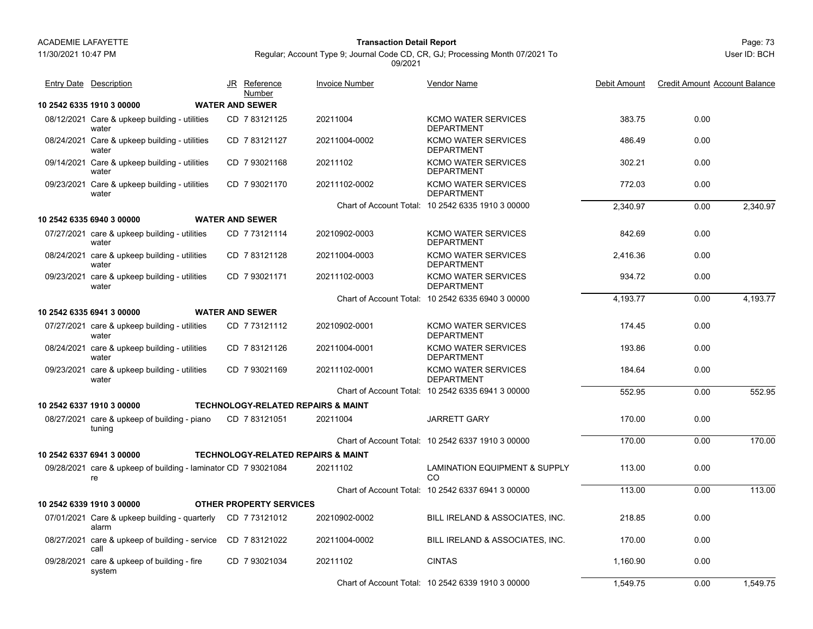11/30/2021 10:47 PM

# Page: 73 **Transaction Detail Report**

Regular; Account Type 9; Journal Code CD, CR, GJ; Processing Month 07/2021 To 09/2021

|            | <b>Entry Date Description</b>                                        | JR Reference<br>Number         | <b>Invoice Number</b>                         | Vendor Name                                       | Debit Amount | <b>Credit Amount Account Balance</b> |          |
|------------|----------------------------------------------------------------------|--------------------------------|-----------------------------------------------|---------------------------------------------------|--------------|--------------------------------------|----------|
|            | 10 2542 6335 1910 3 00000                                            | <b>WATER AND SEWER</b>         |                                               |                                                   |              |                                      |          |
|            | 08/12/2021 Care & upkeep building - utilities<br>water               | CD 7 83121125                  | 20211004                                      | <b>KCMO WATER SERVICES</b><br><b>DEPARTMENT</b>   | 383.75       | 0.00                                 |          |
|            | 08/24/2021 Care & upkeep building - utilities<br>water               | CD 783121127                   | 20211004-0002                                 | <b>KCMO WATER SERVICES</b><br><b>DEPARTMENT</b>   | 486.49       | 0.00                                 |          |
|            | 09/14/2021 Care & upkeep building - utilities<br>water               | CD 793021168                   | 20211102                                      | <b>KCMO WATER SERVICES</b><br><b>DEPARTMENT</b>   | 302.21       | 0.00                                 |          |
|            | 09/23/2021 Care & upkeep building - utilities<br>water               | CD 7 93021170                  | 20211102-0002                                 | <b>KCMO WATER SERVICES</b><br><b>DEPARTMENT</b>   | 772.03       | 0.00                                 |          |
|            |                                                                      |                                |                                               | Chart of Account Total: 10 2542 6335 1910 3 00000 | 2.340.97     | 0.00                                 | 2.340.97 |
|            | 10 2542 6335 6940 3 00000                                            | <b>WATER AND SEWER</b>         |                                               |                                                   |              |                                      |          |
|            | 07/27/2021 care & upkeep building - utilities<br>water               | CD 7 73121114                  | 20210902-0003                                 | <b>KCMO WATER SERVICES</b><br><b>DEPARTMENT</b>   | 842.69       | 0.00                                 |          |
|            | 08/24/2021 care & upkeep building - utilities<br>water               | CD 783121128                   | 20211004-0003                                 | <b>KCMO WATER SERVICES</b><br><b>DEPARTMENT</b>   | 2.416.36     | 0.00                                 |          |
|            | 09/23/2021 care & upkeep building - utilities<br>water               | CD 7 93021171                  | 20211102-0003                                 | <b>KCMO WATER SERVICES</b><br><b>DEPARTMENT</b>   | 934.72       | 0.00                                 |          |
|            |                                                                      |                                |                                               | Chart of Account Total: 10 2542 6335 6940 3 00000 | 4.193.77     | 0.00                                 | 4,193.77 |
|            | 10 2542 6335 6941 3 00000                                            | <b>WATER AND SEWER</b>         |                                               |                                                   |              |                                      |          |
|            | 07/27/2021 care & upkeep building - utilities<br>water               | CD 7 73121112                  | 20210902-0001                                 | <b>KCMO WATER SERVICES</b><br><b>DEPARTMENT</b>   | 174.45       | 0.00                                 |          |
|            | 08/24/2021 care & upkeep building - utilities<br>water               | CD 783121126                   | 20211004-0001                                 | <b>KCMO WATER SERVICES</b><br><b>DEPARTMENT</b>   | 193.86       | 0.00                                 |          |
|            | 09/23/2021 care & upkeep building - utilities<br>water               | CD 7 93021169                  | 20211102-0001                                 | <b>KCMO WATER SERVICES</b><br><b>DEPARTMENT</b>   | 184.64       | 0.00                                 |          |
|            |                                                                      |                                |                                               | Chart of Account Total: 10 2542 6335 6941 3 00000 | 552.95       | 0.00                                 | 552.95   |
|            | 10 2542 6337 1910 3 00000                                            |                                | <b>TECHNOLOGY-RELATED REPAIRS &amp; MAINT</b> |                                                   |              |                                      |          |
|            | 08/27/2021 care & upkeep of building - piano<br>tuning               | CD 783121051                   | 20211004                                      | <b>JARRETT GARY</b>                               | 170.00       | 0.00                                 |          |
|            |                                                                      |                                |                                               | Chart of Account Total: 10 2542 6337 1910 3 00000 | 170.00       | 0.00                                 | 170.00   |
|            | 10 2542 6337 6941 3 00000                                            |                                | <b>TECHNOLOGY-RELATED REPAIRS &amp; MAINT</b> |                                                   |              |                                      |          |
|            | 09/28/2021 care & upkeep of building - laminator CD 7 93021084<br>re |                                | 20211102                                      | <b>LAMINATION EQUIPMENT &amp; SUPPLY</b><br>CO    | 113.00       | 0.00                                 |          |
|            |                                                                      |                                |                                               | Chart of Account Total: 10 2542 6337 6941 3 00000 | 113.00       | 0.00                                 | 113.00   |
|            | 10 2542 6339 1910 3 00000                                            | <b>OTHER PROPERTY SERVICES</b> |                                               |                                                   |              |                                      |          |
|            | 07/01/2021 Care & upkeep building - quarterly<br>alarm               | CD 7 73121012                  | 20210902-0002                                 | BILL IRELAND & ASSOCIATES, INC.                   | 218.85       | 0.00                                 |          |
| 08/27/2021 | care & upkeep of building - service<br>call                          | CD 783121022                   | 20211004-0002                                 | BILL IRELAND & ASSOCIATES, INC.                   | 170.00       | 0.00                                 |          |
| 09/28/2021 | care & upkeep of building - fire<br>system                           | CD 7 93021034                  | 20211102                                      | <b>CINTAS</b>                                     | 1,160.90     | 0.00                                 |          |
|            |                                                                      |                                |                                               | Chart of Account Total: 10 2542 6339 1910 3 00000 | 1.549.75     | 0.00                                 | 1.549.75 |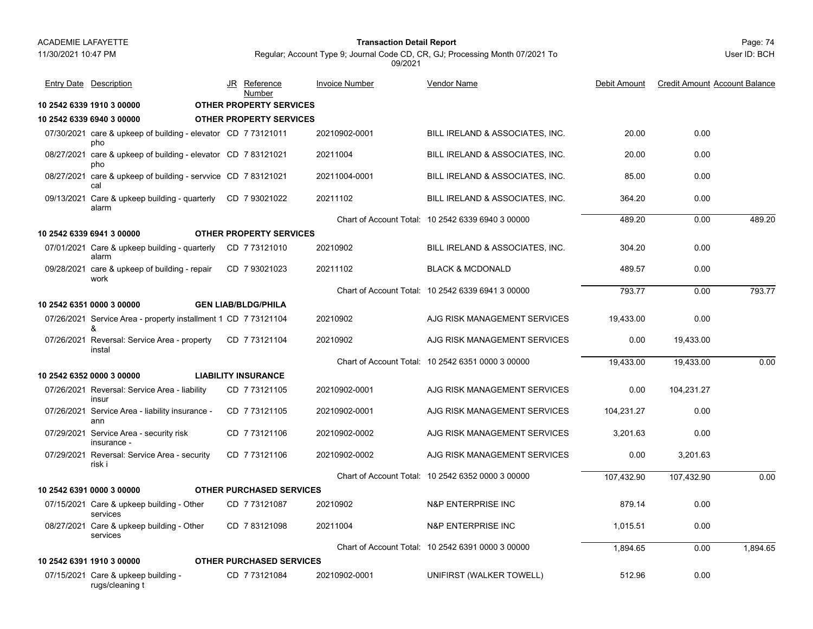### Page: 74 **Transaction Detail Report**

User ID: BCH

| <b>Entry Date</b> Description                                        |  | JR Reference<br>Number          | <b>Invoice Number</b> | Vendor Name                                       | Debit Amount | <b>Credit Amount Account Balance</b> |          |
|----------------------------------------------------------------------|--|---------------------------------|-----------------------|---------------------------------------------------|--------------|--------------------------------------|----------|
| 10 2542 6339 1910 3 00000                                            |  | <b>OTHER PROPERTY SERVICES</b>  |                       |                                                   |              |                                      |          |
| 10 2542 6339 6940 3 00000                                            |  | <b>OTHER PROPERTY SERVICES</b>  |                       |                                                   |              |                                      |          |
| 07/30/2021 care & upkeep of building - elevator CD 773121011<br>pho  |  |                                 | 20210902-0001         | BILL IRELAND & ASSOCIATES, INC.                   | 20.00        | 0.00                                 |          |
| 08/27/2021 care & upkeep of building - elevator CD 7 83121021<br>pho |  |                                 | 20211004              | BILL IRELAND & ASSOCIATES, INC.                   | 20.00        | 0.00                                 |          |
| 08/27/2021 care & upkeep of building - servvice CD 7 83121021<br>cal |  |                                 | 20211004-0001         | BILL IRELAND & ASSOCIATES, INC.                   | 85.00        | 0.00                                 |          |
| 09/13/2021 Care & upkeep building - quarterly CD 7 93021022<br>alarm |  |                                 | 20211102              | BILL IRELAND & ASSOCIATES, INC.                   | 364.20       | 0.00                                 |          |
|                                                                      |  |                                 |                       | Chart of Account Total: 10 2542 6339 6940 3 00000 | 489.20       | 0.00                                 | 489.20   |
| 10 2542 6339 6941 3 00000                                            |  | <b>OTHER PROPERTY SERVICES</b>  |                       |                                                   |              |                                      |          |
| 07/01/2021 Care & upkeep building - quarterly<br>alarm               |  | CD 7 73121010                   | 20210902              | BILL IRELAND & ASSOCIATES, INC.                   | 304.20       | 0.00                                 |          |
| 09/28/2021 care & upkeep of building - repair<br>work                |  | CD 7 93021023                   | 20211102              | <b>BLACK &amp; MCDONALD</b>                       | 489.57       | 0.00                                 |          |
|                                                                      |  |                                 |                       | Chart of Account Total: 10 2542 6339 6941 3 00000 | 793.77       | 0.00                                 | 793.77   |
| 10 2542 6351 0000 3 00000                                            |  | <b>GEN LIAB/BLDG/PHILA</b>      |                       |                                                   |              |                                      |          |
| 07/26/2021 Service Area - property installment 1 CD 7 73121104<br>&  |  |                                 | 20210902              | AJG RISK MANAGEMENT SERVICES                      | 19.433.00    | 0.00                                 |          |
| 07/26/2021 Reversal: Service Area - property<br>instal               |  | CD 773121104                    | 20210902              | AJG RISK MANAGEMENT SERVICES                      | 0.00         | 19,433.00                            |          |
|                                                                      |  |                                 |                       | Chart of Account Total: 10 2542 6351 0000 3 00000 | 19,433.00    | 19,433.00                            | 0.00     |
| 10 2542 6352 0000 3 00000                                            |  | <b>LIABILITY INSURANCE</b>      |                       |                                                   |              |                                      |          |
| 07/26/2021 Reversal: Service Area - liability<br>insur               |  | CD 773121105                    | 20210902-0001         | AJG RISK MANAGEMENT SERVICES                      | 0.00         | 104,231.27                           |          |
| 07/26/2021 Service Area - liability insurance -<br>ann               |  | CD 7 73121105                   | 20210902-0001         | AJG RISK MANAGEMENT SERVICES                      | 104,231.27   | 0.00                                 |          |
| 07/29/2021 Service Area - security risk<br>insurance -               |  | CD 7 73121106                   | 20210902-0002         | AJG RISK MANAGEMENT SERVICES                      | 3,201.63     | 0.00                                 |          |
| 07/29/2021 Reversal: Service Area - security<br>risk i               |  | CD 7 73121106                   | 20210902-0002         | AJG RISK MANAGEMENT SERVICES                      | 0.00         | 3.201.63                             |          |
|                                                                      |  |                                 |                       | Chart of Account Total: 10 2542 6352 0000 3 00000 | 107,432.90   | 107,432.90                           | 0.00     |
| 10 2542 6391 0000 3 00000                                            |  | <b>OTHER PURCHASED SERVICES</b> |                       |                                                   |              |                                      |          |
| 07/15/2021 Care & upkeep building - Other<br>services                |  | CD 7 73121087                   | 20210902              | <b>N&amp;P ENTERPRISE INC</b>                     | 879.14       | 0.00                                 |          |
| 08/27/2021 Care & upkeep building - Other<br>services                |  | CD 783121098                    | 20211004              | <b>N&amp;P ENTERPRISE INC</b>                     | 1,015.51     | 0.00                                 |          |
|                                                                      |  |                                 |                       | Chart of Account Total: 10 2542 6391 0000 3 00000 | 1,894.65     | 0.00                                 | 1,894.65 |
| 10 2542 6391 1910 3 00000                                            |  | OTHER PURCHASED SERVICES        |                       |                                                   |              |                                      |          |
| 07/15/2021 Care & upkeep building -<br>rugs/cleaning t               |  | CD 7 73121084                   | 20210902-0001         | UNIFIRST (WALKER TOWELL)                          | 512.96       | 0.00                                 |          |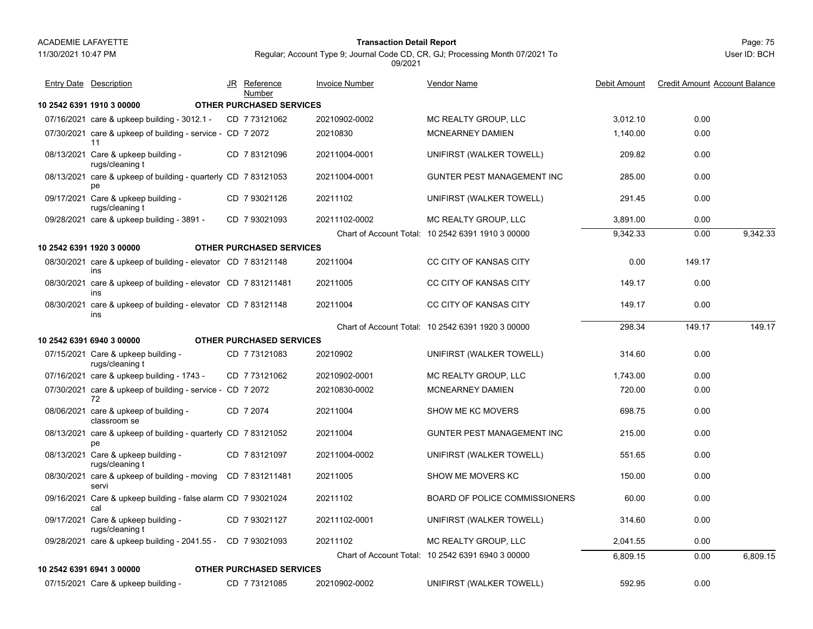11/30/2021 10:47 PM

# Page: 75 **Transaction Detail Report**

Regular; Account Type 9; Journal Code CD, CR, GJ; Processing Month 07/2021 To 09/2021

Vendor Name

Entry Date Description JR Reference <u>Invoice Number</u> <u>Vendor Name</u> Debit Amount Credit Amount Account Balance

JR Reference Invoice Number

|                                                                       | Number                          |               |                                                   |          |        |          |
|-----------------------------------------------------------------------|---------------------------------|---------------|---------------------------------------------------|----------|--------|----------|
| 10 2542 6391 1910 3 00000                                             | <b>OTHER PURCHASED SERVICES</b> |               |                                                   |          |        |          |
| 07/16/2021 care & upkeep building - 3012.1 -                          | CD 7 73121062                   | 20210902-0002 | MC REALTY GROUP, LLC                              | 3,012.10 | 0.00   |          |
| 07/30/2021 care & upkeep of building - service - CD 7 2072<br>11      |                                 | 20210830      | MCNEARNEY DAMIEN                                  | 1,140.00 | 0.00   |          |
| 08/13/2021 Care & upkeep building -<br>rugs/cleaning t                | CD 783121096                    | 20211004-0001 | UNIFIRST (WALKER TOWELL)                          | 209.82   | 0.00   |          |
| 08/13/2021 care & upkeep of building - quarterly CD 7 83121053<br>рe  |                                 | 20211004-0001 | <b>GUNTER PEST MANAGEMENT INC</b>                 | 285.00   | 0.00   |          |
| 09/17/2021 Care & upkeep building -<br>rugs/cleaning t                | CD 7 93021126                   | 20211102      | UNIFIRST (WALKER TOWELL)                          | 291.45   | 0.00   |          |
| 09/28/2021 care & upkeep building - 3891 -                            | CD 7 93021093                   | 20211102-0002 | MC REALTY GROUP, LLC                              | 3.891.00 | 0.00   |          |
|                                                                       |                                 |               | Chart of Account Total: 10 2542 6391 1910 3 00000 | 9,342.33 | 0.00   | 9,342.33 |
| 10 2542 6391 1920 3 00000                                             | <b>OTHER PURCHASED SERVICES</b> |               |                                                   |          |        |          |
| 08/30/2021 care & upkeep of building - elevator CD 783121148<br>ins   |                                 | 20211004      | CC CITY OF KANSAS CITY                            | 0.00     | 149.17 |          |
| 08/30/2021 care & upkeep of building - elevator CD 7 831211481<br>ins |                                 | 20211005      | <b>CC CITY OF KANSAS CITY</b>                     | 149.17   | 0.00   |          |
| 08/30/2021 care & upkeep of building - elevator CD 7 83121148<br>ins  |                                 | 20211004      | CC CITY OF KANSAS CITY                            | 149.17   | 0.00   |          |
|                                                                       |                                 |               | Chart of Account Total: 10 2542 6391 1920 3 00000 | 298.34   | 149.17 | 149.17   |
| 10 2542 6391 6940 3 00000                                             | <b>OTHER PURCHASED SERVICES</b> |               |                                                   |          |        |          |
| 07/15/2021 Care & upkeep building -<br>rugs/cleaning t                | CD 773121083                    | 20210902      | UNIFIRST (WALKER TOWELL)                          | 314.60   | 0.00   |          |
| 07/16/2021 care & upkeep building - 1743 -                            | CD 773121062                    | 20210902-0001 | MC REALTY GROUP, LLC                              | 1,743.00 | 0.00   |          |
| 07/30/2021 care & upkeep of building - service - CD 7 2072<br>72      |                                 | 20210830-0002 | <b>MCNEARNEY DAMIEN</b>                           | 720.00   | 0.00   |          |
| 08/06/2021 care & upkeep of building -<br>classroom se                | CD 7 2074                       | 20211004      | <b>SHOW ME KC MOVERS</b>                          | 698.75   | 0.00   |          |
| 08/13/2021 care & upkeep of building - quarterly CD 7 83121052<br>pe  |                                 | 20211004      | <b>GUNTER PEST MANAGEMENT INC</b>                 | 215.00   | 0.00   |          |
| 08/13/2021 Care & upkeep building -<br>rugs/cleaning t                | CD 783121097                    | 20211004-0002 | UNIFIRST (WALKER TOWELL)                          | 551.65   | 0.00   |          |
| 08/30/2021 care & upkeep of building - moving<br>servi                | CD 7831211481                   | 20211005      | SHOW ME MOVERS KC                                 | 150.00   | 0.00   |          |
| 09/16/2021 Care & upkeep building - false alarm CD 7 93021024<br>cal  |                                 | 20211102      | <b>BOARD OF POLICE COMMISSIONERS</b>              | 60.00    | 0.00   |          |
| 09/17/2021 Care & upkeep building -<br>rugs/cleaning t                | CD 7 93021127                   | 20211102-0001 | UNIFIRST (WALKER TOWELL)                          | 314.60   | 0.00   |          |
| 09/28/2021 care & upkeep building - 2041.55 -                         | CD 7 93021093                   | 20211102      | MC REALTY GROUP, LLC                              | 2,041.55 | 0.00   |          |
|                                                                       |                                 |               | Chart of Account Total: 10 2542 6391 6940 3 00000 | 6,809.15 | 0.00   | 6,809.15 |
| 10 2542 6391 6941 3 00000                                             | <b>OTHER PURCHASED SERVICES</b> |               |                                                   |          |        |          |
| 07/15/2021 Care & upkeep building -                                   | CD 773121085                    | 20210902-0002 | UNIFIRST (WALKER TOWELL)                          | 592.95   | 0.00   |          |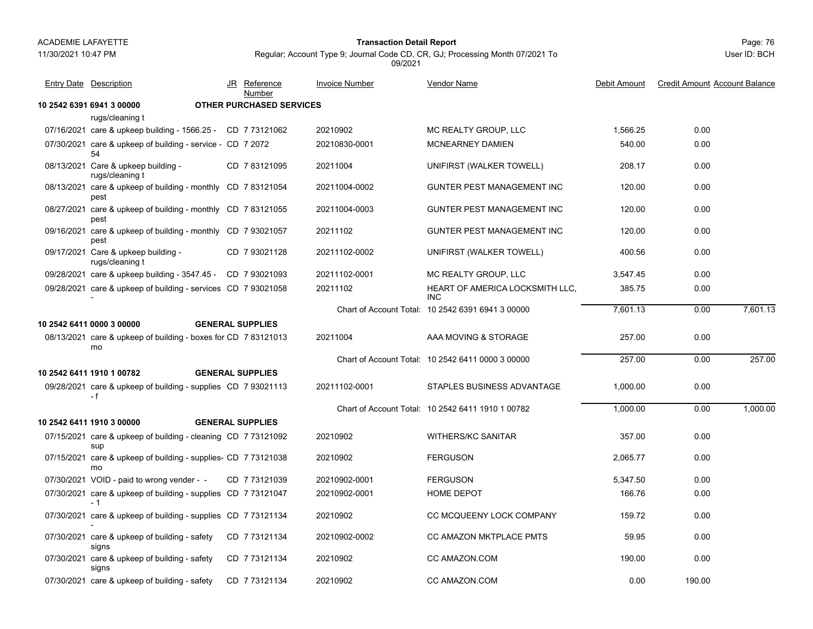### 11/30/2021 10:47 PM

### Page: 76 **Transaction Detail Report**

Regular; Account Type 9; Journal Code CD, CR, GJ; Processing Month 07/2021 To 09/2021

| <b>Entry Date</b> Description                                        | JR Reference                    | <b>Invoice Number</b> | Vendor Name                                       | Debit Amount | <b>Credit Amount Account Balance</b> |          |
|----------------------------------------------------------------------|---------------------------------|-----------------------|---------------------------------------------------|--------------|--------------------------------------|----------|
|                                                                      | Number                          |                       |                                                   |              |                                      |          |
| 10 2542 6391 6941 3 00000<br>rugs/cleaning t                         | <b>OTHER PURCHASED SERVICES</b> |                       |                                                   |              |                                      |          |
| 07/16/2021 care & upkeep building - 1566.25 - CD 7 73121062          |                                 | 20210902              | MC REALTY GROUP, LLC                              | 1,566.25     | 0.00                                 |          |
| 07/30/2021 care & upkeep of building - service - CD 7 2072           |                                 | 20210830-0001         | <b>MCNEARNEY DAMIEN</b>                           | 540.00       | 0.00                                 |          |
| 54                                                                   |                                 |                       |                                                   |              |                                      |          |
| 08/13/2021 Care & upkeep building -<br>rugs/cleaning t               | CD 783121095                    | 20211004              | UNIFIRST (WALKER TOWELL)                          | 208.17       | 0.00                                 |          |
| 08/13/2021 care & upkeep of building - monthly CD 783121054<br>pest  |                                 | 20211004-0002         | GUNTER PEST MANAGEMENT INC                        | 120.00       | 0.00                                 |          |
| 08/27/2021 care & upkeep of building - monthly CD 7 83121055<br>pest |                                 | 20211004-0003         | <b>GUNTER PEST MANAGEMENT INC</b>                 | 120.00       | 0.00                                 |          |
| 09/16/2021 care & upkeep of building - monthly CD 7 93021057<br>pest |                                 | 20211102              | GUNTER PEST MANAGEMENT INC                        | 120.00       | 0.00                                 |          |
| 09/17/2021 Care & upkeep building -<br>rugs/cleaning t               | CD 7 93021128                   | 20211102-0002         | UNIFIRST (WALKER TOWELL)                          | 400.56       | 0.00                                 |          |
| 09/28/2021 care & upkeep building - 3547.45 - CD 7 93021093          |                                 | 20211102-0001         | MC REALTY GROUP, LLC                              | 3,547.45     | 0.00                                 |          |
| 09/28/2021 care & upkeep of building - services CD 7 93021058        |                                 | 20211102              | HEART OF AMERICA LOCKSMITH LLC,<br><b>INC</b>     | 385.75       | 0.00                                 |          |
|                                                                      |                                 |                       | Chart of Account Total: 10 2542 6391 6941 3 00000 | 7.601.13     | 0.00                                 | 7.601.13 |
| 10 2542 6411 0000 3 00000                                            | <b>GENERAL SUPPLIES</b>         |                       |                                                   |              |                                      |          |
| 08/13/2021 care & upkeep of building - boxes for CD 7 83121013<br>mo |                                 | 20211004              | AAA MOVING & STORAGE                              | 257.00       | 0.00                                 |          |
|                                                                      |                                 |                       | Chart of Account Total: 10 2542 6411 0000 3 00000 | 257.00       | 0.00                                 | 257.00   |
| 10 2542 6411 1910 1 00782                                            | <b>GENERAL SUPPLIES</b>         |                       |                                                   |              |                                      |          |
| 09/28/2021 care & upkeep of building - supplies CD 7 93021113<br>- f |                                 | 20211102-0001         | STAPLES BUSINESS ADVANTAGE                        | 1,000.00     | 0.00                                 |          |
|                                                                      |                                 |                       | Chart of Account Total: 10 2542 6411 1910 1 00782 | 1,000.00     | 0.00                                 | 1.000.00 |
| 10 2542 6411 1910 3 00000                                            | <b>GENERAL SUPPLIES</b>         |                       |                                                   |              |                                      |          |
| 07/15/2021 care & upkeep of building - cleaning CD 773121092<br>sup  |                                 | 20210902              | <b>WITHERS/KC SANITAR</b>                         | 357.00       | 0.00                                 |          |
| 07/15/2021 care & upkeep of building - supplies- CD 7 73121038<br>mo |                                 | 20210902              | <b>FERGUSON</b>                                   | 2,065.77     | 0.00                                 |          |
| 07/30/2021 VOID - paid to wrong vender - -                           | CD 7 73121039                   | 20210902-0001         | <b>FERGUSON</b>                                   | 5,347.50     | 0.00                                 |          |
| 07/30/2021 care & upkeep of building - supplies CD 773121047<br>- 1  |                                 | 20210902-0001         | <b>HOME DEPOT</b>                                 | 166.76       | 0.00                                 |          |
| 07/30/2021 care & upkeep of building - supplies CD 7 73121134        |                                 | 20210902              | CC MCQUEENY LOCK COMPANY                          | 159.72       | 0.00                                 |          |
| 07/30/2021 care & upkeep of building - safety<br>signs               | CD 773121134                    | 20210902-0002         | CC AMAZON MKTPLACE PMTS                           | 59.95        | 0.00                                 |          |
| 07/30/2021 care & upkeep of building - safety<br>signs               | CD 773121134                    | 20210902              | CC AMAZON.COM                                     | 190.00       | 0.00                                 |          |
| 07/30/2021 care & upkeep of building - safety                        | CD 7 73121134                   | 20210902              | CC AMAZON.COM                                     | 0.00         | 190.00                               |          |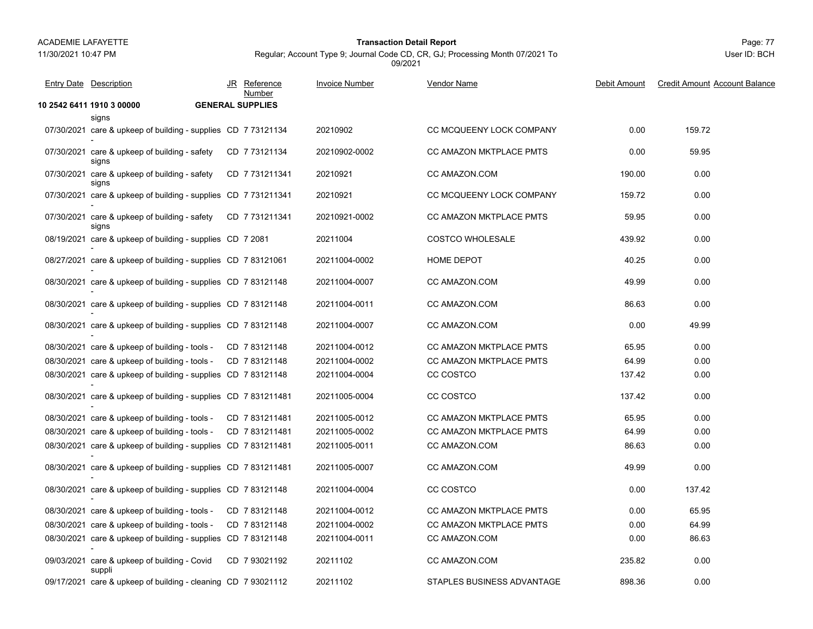11/30/2021 10:47 PM

# Page: 77 **Transaction Detail Report**

Regular; Account Type 9; Journal Code CD, CR, GJ; Processing Month 07/2021 To 09/2021

| <b>Entry Date</b> Description                                  | JR Reference<br>Number  | <b>Invoice Number</b> | <b>Vendor Name</b>             | Debit Amount | <b>Credit Amount Account Balance</b> |
|----------------------------------------------------------------|-------------------------|-----------------------|--------------------------------|--------------|--------------------------------------|
| 10 2542 6411 1910 3 00000                                      | <b>GENERAL SUPPLIES</b> |                       |                                |              |                                      |
| signs                                                          |                         |                       |                                |              |                                      |
| 07/30/2021 care & upkeep of building - supplies CD 7 73121134  |                         | 20210902              | CC MCQUEENY LOCK COMPANY       | 0.00         | 159.72                               |
| 07/30/2021 care & upkeep of building - safety<br>signs         | CD 773121134            | 20210902-0002         | CC AMAZON MKTPLACE PMTS        | 0.00         | 59.95                                |
| 07/30/2021 care & upkeep of building - safety<br>signs         | CD 7 731211341          | 20210921              | CC AMAZON.COM                  | 190.00       | 0.00                                 |
| 07/30/2021 care & upkeep of building - supplies CD 7 731211341 |                         | 20210921              | CC MCQUEENY LOCK COMPANY       | 159.72       | 0.00                                 |
| 07/30/2021 care & upkeep of building - safety<br>signs         | CD 7 731211341          | 20210921-0002         | CC AMAZON MKTPLACE PMTS        | 59.95        | 0.00                                 |
| 08/19/2021 care & upkeep of building - supplies CD 7 2081      |                         | 20211004              | <b>COSTCO WHOLESALE</b>        | 439.92       | 0.00                                 |
| 08/27/2021 care & upkeep of building - supplies CD 7 83121061  |                         | 20211004-0002         | HOME DEPOT                     | 40.25        | 0.00                                 |
| 08/30/2021 care & upkeep of building - supplies CD 7 83121148  |                         | 20211004-0007         | CC AMAZON.COM                  | 49.99        | 0.00                                 |
| 08/30/2021 care & upkeep of building - supplies CD 7 83121148  |                         | 20211004-0011         | CC AMAZON.COM                  | 86.63        | 0.00                                 |
| 08/30/2021 care & upkeep of building - supplies CD 7 83121148  |                         | 20211004-0007         | CC AMAZON.COM                  | 0.00         | 49.99                                |
| 08/30/2021 care & upkeep of building - tools -                 | CD 783121148            | 20211004-0012         | <b>CC AMAZON MKTPLACE PMTS</b> | 65.95        | 0.00                                 |
| 08/30/2021 care & upkeep of building - tools -                 | CD 783121148            | 20211004-0002         | CC AMAZON MKTPLACE PMTS        | 64.99        | 0.00                                 |
| 08/30/2021 care & upkeep of building - supplies CD 7 83121148  |                         | 20211004-0004         | CC COSTCO                      | 137.42       | 0.00                                 |
| 08/30/2021 care & upkeep of building - supplies CD 7 831211481 |                         | 20211005-0004         | CC COSTCO                      | 137.42       | 0.00                                 |
| 08/30/2021 care & upkeep of building - tools -                 | CD 7831211481           | 20211005-0012         | <b>CC AMAZON MKTPLACE PMTS</b> | 65.95        | 0.00                                 |
| 08/30/2021 care & upkeep of building - tools -                 | CD 7831211481           | 20211005-0002         | <b>CC AMAZON MKTPLACE PMTS</b> | 64.99        | 0.00                                 |
| 08/30/2021 care & upkeep of building - supplies CD 7 831211481 |                         | 20211005-0011         | CC AMAZON.COM                  | 86.63        | 0.00                                 |
| 08/30/2021 care & upkeep of building - supplies CD 7 831211481 |                         | 20211005-0007         | CC AMAZON.COM                  | 49.99        | 0.00                                 |
| 08/30/2021 care & upkeep of building - supplies CD 783121148   |                         | 20211004-0004         | CC COSTCO                      | 0.00         | 137.42                               |
| 08/30/2021 care & upkeep of building - tools -                 | CD 783121148            | 20211004-0012         | CC AMAZON MKTPLACE PMTS        | 0.00         | 65.95                                |
| 08/30/2021 care & upkeep of building - tools -                 | CD 783121148            | 20211004-0002         | CC AMAZON MKTPLACE PMTS        | 0.00         | 64.99                                |
| 08/30/2021 care & upkeep of building - supplies CD 7 83121148  |                         | 20211004-0011         | CC AMAZON.COM                  | 0.00         | 86.63                                |
| 09/03/2021 care & upkeep of building - Covid<br>suppli         | CD 7 93021192           | 20211102              | CC AMAZON.COM                  | 235.82       | 0.00                                 |
| 09/17/2021 care & upkeep of building - cleaning CD 7 93021112  |                         | 20211102              | STAPLES BUSINESS ADVANTAGE     | 898.36       | 0.00                                 |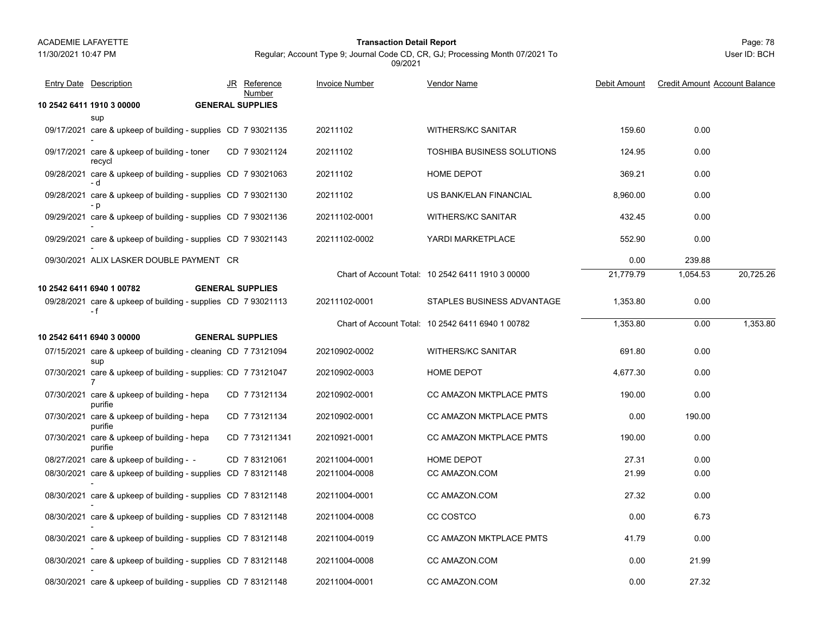### Page: 78 **Transaction Detail Report**

Regular; Account Type 9; Journal Code CD, CR, GJ; Processing Month 07/2021 To 09/2021

| <b>Entry Date Description</b>                                        | JR Reference<br>Number  | <b>Invoice Number</b> | <b>Vendor Name</b>                                | Debit Amount | <b>Credit Amount Account Balance</b> |           |
|----------------------------------------------------------------------|-------------------------|-----------------------|---------------------------------------------------|--------------|--------------------------------------|-----------|
| 10 2542 6411 1910 3 00000                                            | <b>GENERAL SUPPLIES</b> |                       |                                                   |              |                                      |           |
| sup                                                                  |                         |                       |                                                   |              |                                      |           |
| 09/17/2021 care & upkeep of building - supplies CD 7 93021135        |                         | 20211102              | <b>WITHERS/KC SANITAR</b>                         | 159.60       | 0.00                                 |           |
| 09/17/2021 care & upkeep of building - toner<br>recycl               | CD 7 93021124           | 20211102              | <b>TOSHIBA BUSINESS SOLUTIONS</b>                 | 124.95       | 0.00                                 |           |
| 09/28/2021 care & upkeep of building - supplies CD 7 93021063<br>- d |                         | 20211102              | HOME DEPOT                                        | 369.21       | 0.00                                 |           |
| 09/28/2021 care & upkeep of building - supplies CD 7 93021130        |                         | 20211102              | US BANK/ELAN FINANCIAL                            | 8,960.00     | 0.00                                 |           |
| 09/29/2021 care & upkeep of building - supplies CD 7 93021136        |                         | 20211102-0001         | <b>WITHERS/KC SANITAR</b>                         | 432.45       | 0.00                                 |           |
| 09/29/2021 care & upkeep of building - supplies CD 7 93021143        |                         | 20211102-0002         | YARDI MARKETPLACE                                 | 552.90       | 0.00                                 |           |
| 09/30/2021 ALIX LASKER DOUBLE PAYMENT CR                             |                         |                       |                                                   | 0.00         | 239.88                               |           |
|                                                                      |                         |                       | Chart of Account Total: 10 2542 6411 1910 3 00000 | 21,779.79    | 1,054.53                             | 20,725.26 |
| 10 2542 6411 6940 1 00782                                            | <b>GENERAL SUPPLIES</b> |                       |                                                   |              |                                      |           |
| 09/28/2021 care & upkeep of building - supplies CD 7 93021113<br>- f |                         | 20211102-0001         | STAPLES BUSINESS ADVANTAGE                        | 1,353.80     | 0.00                                 |           |
|                                                                      |                         |                       | Chart of Account Total: 10 2542 6411 6940 1 00782 | 1,353.80     | 0.00                                 | 1,353.80  |
| 10 2542 6411 6940 3 00000                                            | <b>GENERAL SUPPLIES</b> |                       |                                                   |              |                                      |           |
| 07/15/2021 care & upkeep of building - cleaning CD 773121094<br>sup  |                         | 20210902-0002         | <b>WITHERS/KC SANITAR</b>                         | 691.80       | 0.00                                 |           |
| 07/30/2021 care & upkeep of building - supplies: CD 7 73121047       |                         | 20210902-0003         | HOME DEPOT                                        | 4,677.30     | 0.00                                 |           |
| 07/30/2021 care & upkeep of building - hepa<br>purifie               | CD 773121134            | 20210902-0001         | CC AMAZON MKTPLACE PMTS                           | 190.00       | 0.00                                 |           |
| 07/30/2021 care & upkeep of building - hepa<br>purifie               | CD 773121134            | 20210902-0001         | CC AMAZON MKTPLACE PMTS                           | 0.00         | 190.00                               |           |
| 07/30/2021 care & upkeep of building - hepa<br>purifie               | CD 7731211341           | 20210921-0001         | CC AMAZON MKTPLACE PMTS                           | 190.00       | 0.00                                 |           |
| 08/27/2021 care & upkeep of building - -                             | CD 783121061            | 20211004-0001         | HOME DEPOT                                        | 27.31        | 0.00                                 |           |
| 08/30/2021 care & upkeep of building - supplies CD 783121148         |                         | 20211004-0008         | CC AMAZON.COM                                     | 21.99        | 0.00                                 |           |
| 08/30/2021 care & upkeep of building - supplies CD 7 83121148        |                         | 20211004-0001         | CC AMAZON.COM                                     | 27.32        | 0.00                                 |           |
| 08/30/2021 care & upkeep of building - supplies CD 783121148         |                         | 20211004-0008         | CC COSTCO                                         | 0.00         | 6.73                                 |           |
| 08/30/2021 care & upkeep of building - supplies CD 7 83121148        |                         | 20211004-0019         | CC AMAZON MKTPLACE PMTS                           | 41.79        | 0.00                                 |           |
| 08/30/2021 care & upkeep of building - supplies CD 783121148         |                         | 20211004-0008         | CC AMAZON.COM                                     | 0.00         | 21.99                                |           |
| 08/30/2021 care & upkeep of building - supplies CD 783121148         |                         | 20211004-0001         | CC AMAZON.COM                                     | 0.00         | 27.32                                |           |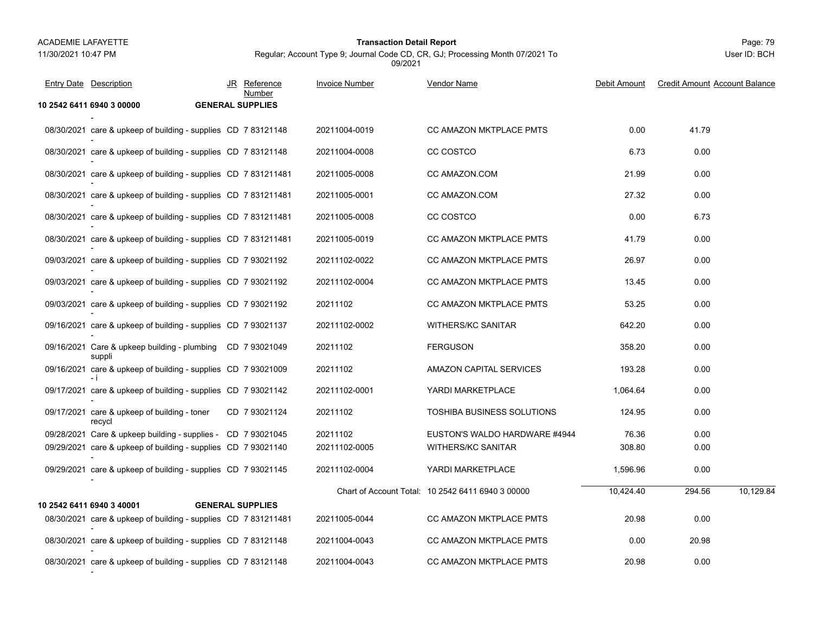### Page: 79 **Transaction Detail Report**

Regular; Account Type 9; Journal Code CD, CR, GJ; Processing Month 07/2021 To 09/2021

| <b>Entry Date</b> Description                                        | JR Reference<br>Number  | <b>Invoice Number</b> | Vendor Name                                       | Debit Amount | <b>Credit Amount Account Balance</b> |
|----------------------------------------------------------------------|-------------------------|-----------------------|---------------------------------------------------|--------------|--------------------------------------|
| 10 2542 6411 6940 3 00000                                            | <b>GENERAL SUPPLIES</b> |                       |                                                   |              |                                      |
| 08/30/2021 care & upkeep of building - supplies CD 783121148         |                         | 20211004-0019         | CC AMAZON MKTPLACE PMTS                           | 0.00         | 41.79                                |
| 08/30/2021 care & upkeep of building - supplies CD 7 83121148        |                         | 20211004-0008         | CC COSTCO                                         | 6.73         | 0.00                                 |
| 08/30/2021 care & upkeep of building - supplies CD 7 831211481       |                         | 20211005-0008         | CC AMAZON.COM                                     | 21.99        | 0.00                                 |
| 08/30/2021 care & upkeep of building - supplies CD 7 831211481       |                         | 20211005-0001         | CC AMAZON.COM                                     | 27.32        | 0.00                                 |
| 08/30/2021 care & upkeep of building - supplies CD 7 831211481       |                         | 20211005-0008         | CC COSTCO                                         | 0.00         | 6.73                                 |
| 08/30/2021 care & upkeep of building - supplies CD 7 831211481       |                         | 20211005-0019         | CC AMAZON MKTPLACE PMTS                           | 41.79        | 0.00                                 |
| 09/03/2021 care & upkeep of building - supplies CD 7 93021192        |                         | 20211102-0022         | CC AMAZON MKTPLACE PMTS                           | 26.97        | 0.00                                 |
| 09/03/2021 care & upkeep of building - supplies CD 7 93021192        |                         | 20211102-0004         | CC AMAZON MKTPLACE PMTS                           | 13.45        | 0.00                                 |
| 09/03/2021 care & upkeep of building - supplies CD 7 93021192        |                         | 20211102              | CC AMAZON MKTPLACE PMTS                           | 53.25        | 0.00                                 |
| 09/16/2021 care & upkeep of building - supplies CD 7 93021137        |                         | 20211102-0002         | <b>WITHERS/KC SANITAR</b>                         | 642.20       | 0.00                                 |
| 09/16/2021 Care & upkeep building - plumbing CD 7 93021049<br>suppli |                         | 20211102              | <b>FERGUSON</b>                                   | 358.20       | 0.00                                 |
| 09/16/2021 care & upkeep of building - supplies CD 7 93021009<br>- i |                         | 20211102              | AMAZON CAPITAL SERVICES                           | 193.28       | 0.00                                 |
| 09/17/2021 care & upkeep of building - supplies CD 7 93021142        |                         | 20211102-0001         | YARDI MARKETPLACE                                 | 1,064.64     | 0.00                                 |
| 09/17/2021 care & upkeep of building - toner<br>recycl               | CD 793021124            | 20211102              | TOSHIBA BUSINESS SOLUTIONS                        | 124.95       | 0.00                                 |
| 09/28/2021 Care & upkeep building - supplies - CD 7 93021045         |                         | 20211102              | EUSTON'S WALDO HARDWARE #4944                     | 76.36        | 0.00                                 |
| 09/29/2021 care & upkeep of building - supplies CD 7 93021140        |                         | 20211102-0005         | <b>WITHERS/KC SANITAR</b>                         | 308.80       | 0.00                                 |
| 09/29/2021 care & upkeep of building - supplies CD 7 93021145        |                         | 20211102-0004         | YARDI MARKETPLACE                                 | 1,596.96     | 0.00                                 |
|                                                                      |                         |                       | Chart of Account Total: 10 2542 6411 6940 3 00000 | 10.424.40    | 10.129.84<br>294.56                  |
| 10 2542 6411 6940 3 40001                                            | <b>GENERAL SUPPLIES</b> |                       |                                                   |              |                                      |
| 08/30/2021 care & upkeep of building - supplies CD 7831211481        |                         | 20211005-0044         | CC AMAZON MKTPLACE PMTS                           | 20.98        | 0.00                                 |
| 08/30/2021 care & upkeep of building - supplies CD 7 83121148        |                         | 20211004-0043         | CC AMAZON MKTPLACE PMTS                           | 0.00         | 20.98                                |
| 08/30/2021 care & upkeep of building - supplies CD 7 83121148        |                         | 20211004-0043         | CC AMAZON MKTPLACE PMTS                           | 20.98        | 0.00                                 |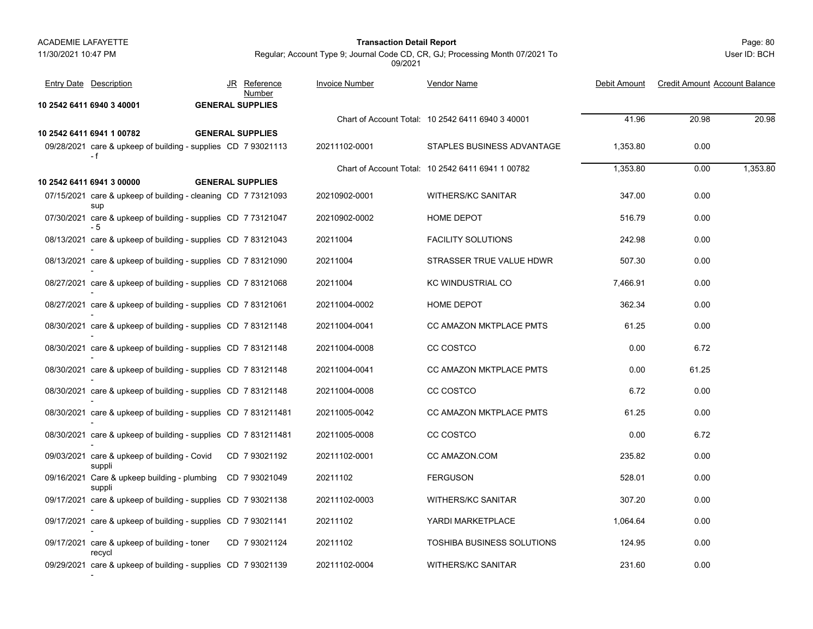### Page: 80 **Transaction Detail Report**

User ID: BCH

| <b>Entry Date Description</b>                                        |  | JR Reference<br>Number  | <b>Invoice Number</b> | Vendor Name                                       | Debit Amount | <b>Credit Amount Account Balance</b> |          |
|----------------------------------------------------------------------|--|-------------------------|-----------------------|---------------------------------------------------|--------------|--------------------------------------|----------|
| 10 2542 6411 6940 3 40001                                            |  | <b>GENERAL SUPPLIES</b> |                       |                                                   |              |                                      |          |
|                                                                      |  |                         |                       | Chart of Account Total: 10 2542 6411 6940 3 40001 | 41.96        | 20.98                                | 20.98    |
| 10 2542 6411 6941 1 00782                                            |  | <b>GENERAL SUPPLIES</b> |                       |                                                   |              |                                      |          |
| 09/28/2021 care & upkeep of building - supplies CD 7 93021113<br>- f |  |                         | 20211102-0001         | STAPLES BUSINESS ADVANTAGE                        | 1,353.80     | 0.00                                 |          |
|                                                                      |  |                         |                       | Chart of Account Total: 10 2542 6411 6941 1 00782 | 1,353.80     | 0.00                                 | 1,353.80 |
| 10 2542 6411 6941 3 00000                                            |  | <b>GENERAL SUPPLIES</b> |                       |                                                   |              |                                      |          |
| 07/15/2021 care & upkeep of building - cleaning CD 773121093<br>sup  |  |                         | 20210902-0001         | <b>WITHERS/KC SANITAR</b>                         | 347.00       | 0.00                                 |          |
| 07/30/2021 care & upkeep of building - supplies CD 773121047<br>- 5  |  |                         | 20210902-0002         | HOME DEPOT                                        | 516.79       | 0.00                                 |          |
| 08/13/2021 care & upkeep of building - supplies CD 783121043         |  |                         | 20211004              | <b>FACILITY SOLUTIONS</b>                         | 242.98       | 0.00                                 |          |
| 08/13/2021 care & upkeep of building - supplies CD 7 83121090        |  |                         | 20211004              | STRASSER TRUE VALUE HDWR                          | 507.30       | 0.00                                 |          |
| 08/27/2021 care & upkeep of building - supplies CD 783121068         |  |                         | 20211004              | KC WINDUSTRIAL CO                                 | 7,466.91     | 0.00                                 |          |
| 08/27/2021 care & upkeep of building - supplies CD 7 83121061        |  |                         | 20211004-0002         | HOME DEPOT                                        | 362.34       | 0.00                                 |          |
| 08/30/2021 care & upkeep of building - supplies CD 783121148         |  |                         | 20211004-0041         | CC AMAZON MKTPLACE PMTS                           | 61.25        | 0.00                                 |          |
| 08/30/2021 care & upkeep of building - supplies CD 7 83121148        |  |                         | 20211004-0008         | CC COSTCO                                         | 0.00         | 6.72                                 |          |
| 08/30/2021 care & upkeep of building - supplies CD 7 83121148        |  |                         | 20211004-0041         | CC AMAZON MKTPLACE PMTS                           | 0.00         | 61.25                                |          |
| 08/30/2021 care & upkeep of building - supplies CD 783121148         |  |                         | 20211004-0008         | CC COSTCO                                         | 6.72         | 0.00                                 |          |
| 08/30/2021 care & upkeep of building - supplies CD 7 831211481       |  |                         | 20211005-0042         | <b>CC AMAZON MKTPLACE PMTS</b>                    | 61.25        | 0.00                                 |          |
| 08/30/2021 care & upkeep of building - supplies CD 7 831211481       |  |                         | 20211005-0008         | CC COSTCO                                         | 0.00         | 6.72                                 |          |
| 09/03/2021 care & upkeep of building - Covid<br>suppli               |  | CD 7 93021192           | 20211102-0001         | CC AMAZON.COM                                     | 235.82       | 0.00                                 |          |
| 09/16/2021 Care & upkeep building - plumbing CD 7 93021049<br>suppli |  |                         | 20211102              | <b>FERGUSON</b>                                   | 528.01       | 0.00                                 |          |
| 09/17/2021 care & upkeep of building - supplies CD 7 93021138        |  |                         | 20211102-0003         | <b>WITHERS/KC SANITAR</b>                         | 307.20       | 0.00                                 |          |
| 09/17/2021 care & upkeep of building - supplies CD 7 93021141        |  |                         | 20211102              | YARDI MARKETPLACE                                 | 1,064.64     | 0.00                                 |          |
| 09/17/2021 care & upkeep of building - toner<br>recycl               |  | CD 793021124            | 20211102              | TOSHIBA BUSINESS SOLUTIONS                        | 124.95       | 0.00                                 |          |
| 09/29/2021 care & upkeep of building - supplies CD 7 93021139        |  |                         | 20211102-0004         | <b>WITHERS/KC SANITAR</b>                         | 231.60       | 0.00                                 |          |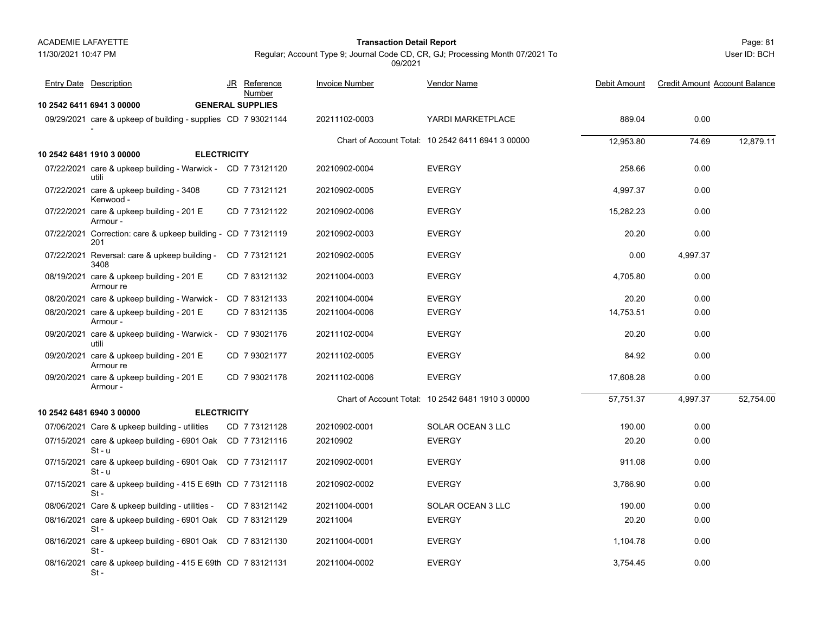11/30/2021 10:47 PM

### Page: 81 **Transaction Detail Report**

Regular; Account Type 9; Journal Code CD, CR, GJ; Processing Month 07/2021 To 09/2021

| <b>Entry Date Description</b>                                          | JR Reference<br>Number  | <b>Invoice Number</b> | Vendor Name                                       | Debit Amount | <b>Credit Amount Account Balance</b> |           |
|------------------------------------------------------------------------|-------------------------|-----------------------|---------------------------------------------------|--------------|--------------------------------------|-----------|
| 10 2542 6411 6941 3 00000                                              | <b>GENERAL SUPPLIES</b> |                       |                                                   |              |                                      |           |
| 09/29/2021 care & upkeep of building - supplies CD 7 93021144          |                         | 20211102-0003         | YARDI MARKETPLACE                                 | 889.04       | 0.00                                 |           |
|                                                                        |                         |                       | Chart of Account Total: 10 2542 6411 6941 3 00000 | 12,953.80    | 74.69                                | 12,879.11 |
| <b>ELECTRICITY</b><br>10 2542 6481 1910 3 00000                        |                         |                       |                                                   |              |                                      |           |
| 07/22/2021 care & upkeep building - Warwick - CD 7 73121120<br>utili   |                         | 20210902-0004         | <b>EVERGY</b>                                     | 258.66       | 0.00                                 |           |
| 07/22/2021 care & upkeep building - 3408<br>Kenwood -                  | CD 773121121            | 20210902-0005         | <b>EVERGY</b>                                     | 4,997.37     | 0.00                                 |           |
| 07/22/2021 care & upkeep building - 201 E<br>Armour -                  | CD 7 73121122           | 20210902-0006         | <b>EVERGY</b>                                     | 15,282.23    | 0.00                                 |           |
| 07/22/2021 Correction: care & upkeep building - CD 7 73121119<br>201   |                         | 20210902-0003         | <b>EVERGY</b>                                     | 20.20        | 0.00                                 |           |
| 07/22/2021 Reversal: care & upkeep building -<br>3408                  | CD 7 73121121           | 20210902-0005         | <b>EVERGY</b>                                     | 0.00         | 4,997.37                             |           |
| 08/19/2021 care & upkeep building - 201 E<br>Armour re                 | CD 7 83121132           | 20211004-0003         | <b>EVERGY</b>                                     | 4,705.80     | 0.00                                 |           |
| 08/20/2021 care & upkeep building - Warwick -                          | CD 783121133            | 20211004-0004         | <b>EVERGY</b>                                     | 20.20        | 0.00                                 |           |
| 08/20/2021 care & upkeep building - 201 E<br>Armour -                  | CD 783121135            | 20211004-0006         | <b>EVERGY</b>                                     | 14,753.51    | 0.00                                 |           |
| 09/20/2021 care & upkeep building - Warwick -<br>utili                 | CD 7 93021176           | 20211102-0004         | <b>EVERGY</b>                                     | 20.20        | 0.00                                 |           |
| 09/20/2021 care & upkeep building - 201 E<br>Armour re                 | CD 7 93021177           | 20211102-0005         | <b>EVERGY</b>                                     | 84.92        | 0.00                                 |           |
| 09/20/2021 care & upkeep building - 201 E<br>Armour -                  | CD 7 93021178           | 20211102-0006         | <b>EVERGY</b>                                     | 17,608.28    | 0.00                                 |           |
|                                                                        |                         |                       | Chart of Account Total: 10 2542 6481 1910 3 00000 | 57,751.37    | 4,997.37                             | 52,754.00 |
| 10 2542 6481 6940 3 00000<br><b>ELECTRICITY</b>                        |                         |                       |                                                   |              |                                      |           |
| 07/06/2021 Care & upkeep building - utilities                          | CD 7 73121128           | 20210902-0001         | SOLAR OCEAN 3 LLC                                 | 190.00       | 0.00                                 |           |
| 07/15/2021 care & upkeep building - 6901 Oak CD 7 73121116<br>$St - u$ |                         | 20210902              | <b>EVERGY</b>                                     | 20.20        | 0.00                                 |           |
| 07/15/2021 care & upkeep building - 6901 Oak CD 7 73121117<br>St - u   |                         | 20210902-0001         | <b>EVERGY</b>                                     | 911.08       | 0.00                                 |           |
| 07/15/2021 care & upkeep building - 415 E 69th CD 7 73121118<br>$St -$ |                         | 20210902-0002         | <b>EVERGY</b>                                     | 3,786.90     | 0.00                                 |           |
| 08/06/2021 Care & upkeep building - utilities -                        | CD 783121142            | 20211004-0001         | SOLAR OCEAN 3 LLC                                 | 190.00       | 0.00                                 |           |
| 08/16/2021 care & upkeep building - 6901 Oak CD 7 83121129<br>$St -$   |                         | 20211004              | <b>EVERGY</b>                                     | 20.20        | 0.00                                 |           |
| 08/16/2021 care & upkeep building - 6901 Oak CD 7 83121130<br>$St -$   |                         | 20211004-0001         | <b>EVERGY</b>                                     | 1,104.78     | 0.00                                 |           |
| 08/16/2021 care & upkeep building - 415 E 69th CD 7 83121131<br>St -   |                         | 20211004-0002         | <b>EVERGY</b>                                     | 3,754.45     | 0.00                                 |           |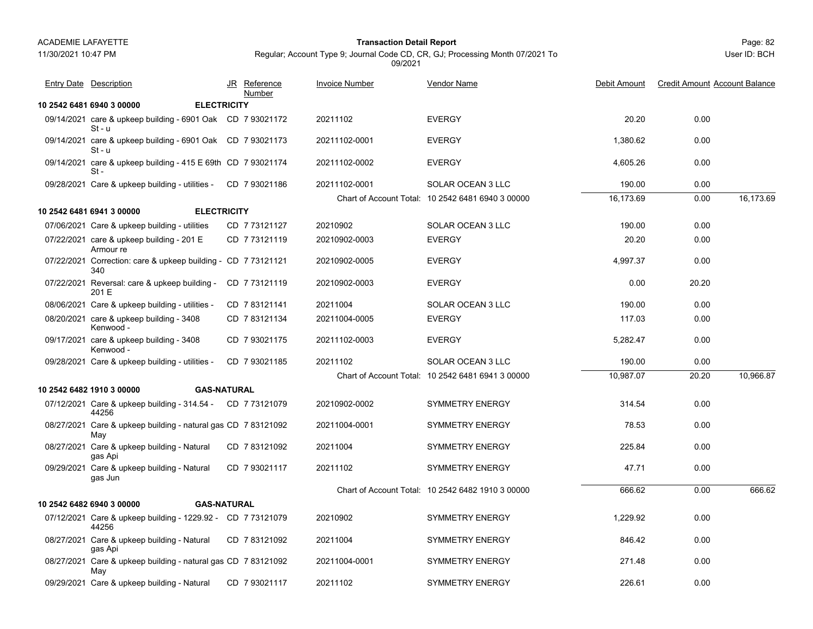11/30/2021 10:47 PM

# Page: 82 **Transaction Detail Report**

Regular; Account Type 9; Journal Code CD, CR, GJ; Processing Month 07/2021 To 09/2021

| <b>Entry Date Description</b>                                          | JR Reference<br>Number | <b>Invoice Number</b> | Vendor Name                                       | Debit Amount | <b>Credit Amount Account Balance</b> |           |
|------------------------------------------------------------------------|------------------------|-----------------------|---------------------------------------------------|--------------|--------------------------------------|-----------|
| 10 2542 6481 6940 3 00000<br><b>ELECTRICITY</b>                        |                        |                       |                                                   |              |                                      |           |
| 09/14/2021 care & upkeep building - 6901 Oak CD 7 93021172<br>$St - u$ |                        | 20211102              | <b>EVERGY</b>                                     | 20.20        | 0.00                                 |           |
| 09/14/2021 care & upkeep building - 6901 Oak CD 7 93021173<br>$St - u$ |                        | 20211102-0001         | <b>EVERGY</b>                                     | 1,380.62     | 0.00                                 |           |
| 09/14/2021 care & upkeep building - 415 E 69th CD 7 93021174<br>$St -$ |                        | 20211102-0002         | <b>EVERGY</b>                                     | 4,605.26     | 0.00                                 |           |
| 09/28/2021 Care & upkeep building - utilities -                        | CD 793021186           | 20211102-0001         | SOLAR OCEAN 3 LLC                                 | 190.00       | 0.00                                 |           |
|                                                                        |                        |                       | Chart of Account Total: 10 2542 6481 6940 3 00000 | 16,173.69    | 0.00                                 | 16,173.69 |
| <b>ELECTRICITY</b><br>10 2542 6481 6941 3 00000                        |                        |                       |                                                   |              |                                      |           |
| 07/06/2021 Care & upkeep building - utilities                          | CD 773121127           | 20210902              | SOLAR OCEAN 3 LLC                                 | 190.00       | 0.00                                 |           |
| 07/22/2021 care & upkeep building - 201 E<br>Armour re                 | CD 773121119           | 20210902-0003         | <b>EVERGY</b>                                     | 20.20        | 0.00                                 |           |
| 07/22/2021 Correction: care & upkeep building - CD 7 73121121<br>340   |                        | 20210902-0005         | <b>EVERGY</b>                                     | 4,997.37     | 0.00                                 |           |
| 07/22/2021 Reversal: care & upkeep building -<br>201 E                 | CD 773121119           | 20210902-0003         | <b>EVERGY</b>                                     | 0.00         | 20.20                                |           |
| 08/06/2021 Care & upkeep building - utilities -                        | CD 783121141           | 20211004              | <b>SOLAR OCEAN 3 LLC</b>                          | 190.00       | 0.00                                 |           |
| 08/20/2021 care & upkeep building - 3408<br>Kenwood -                  | CD 783121134           | 20211004-0005         | <b>EVERGY</b>                                     | 117.03       | 0.00                                 |           |
| 09/17/2021 care & upkeep building - 3408<br>Kenwood -                  | CD 793021175           | 20211102-0003         | <b>EVERGY</b>                                     | 5,282.47     | 0.00                                 |           |
| 09/28/2021 Care & upkeep building - utilities -                        | CD 7 93021185          | 20211102              | SOLAR OCEAN 3 LLC                                 | 190.00       | 0.00                                 |           |
|                                                                        |                        |                       | Chart of Account Total: 10 2542 6481 6941 3 00000 | 10,987.07    | 20.20                                | 10,966.87 |
| 10 2542 6482 1910 3 00000<br><b>GAS-NATURAL</b>                        |                        |                       |                                                   |              |                                      |           |
| 07/12/2021 Care & upkeep building - 314.54 - CD 7 73121079<br>44256    |                        | 20210902-0002         | <b>SYMMETRY ENERGY</b>                            | 314.54       | 0.00                                 |           |
| 08/27/2021 Care & upkeep building - natural gas CD 7 83121092<br>May   |                        | 20211004-0001         | <b>SYMMETRY ENERGY</b>                            | 78.53        | 0.00                                 |           |
| 08/27/2021 Care & upkeep building - Natural<br>gas Api                 | CD 783121092           | 20211004              | <b>SYMMETRY ENERGY</b>                            | 225.84       | 0.00                                 |           |
| 09/29/2021 Care & upkeep building - Natural<br>gas Jun                 | CD 793021117           | 20211102              | <b>SYMMETRY ENERGY</b>                            | 47.71        | 0.00                                 |           |
|                                                                        |                        |                       | Chart of Account Total: 10 2542 6482 1910 3 00000 | 666.62       | 0.00                                 | 666.62    |
| 10 2542 6482 6940 3 00000<br><b>GAS-NATURAL</b>                        |                        |                       |                                                   |              |                                      |           |
| 07/12/2021 Care & upkeep building - 1229.92 - CD 7 73121079<br>44256   |                        | 20210902              | <b>SYMMETRY ENERGY</b>                            | 1,229.92     | 0.00                                 |           |
| 08/27/2021 Care & upkeep building - Natural<br>gas Api                 | CD 783121092           | 20211004              | <b>SYMMETRY ENERGY</b>                            | 846.42       | 0.00                                 |           |
| 08/27/2021 Care & upkeep building - natural gas CD 7 83121092<br>May   |                        | 20211004-0001         | <b>SYMMETRY ENERGY</b>                            | 271.48       | 0.00                                 |           |
| 09/29/2021 Care & upkeep building - Natural                            | CD 793021117           | 20211102              | <b>SYMMETRY ENERGY</b>                            | 226.61       | 0.00                                 |           |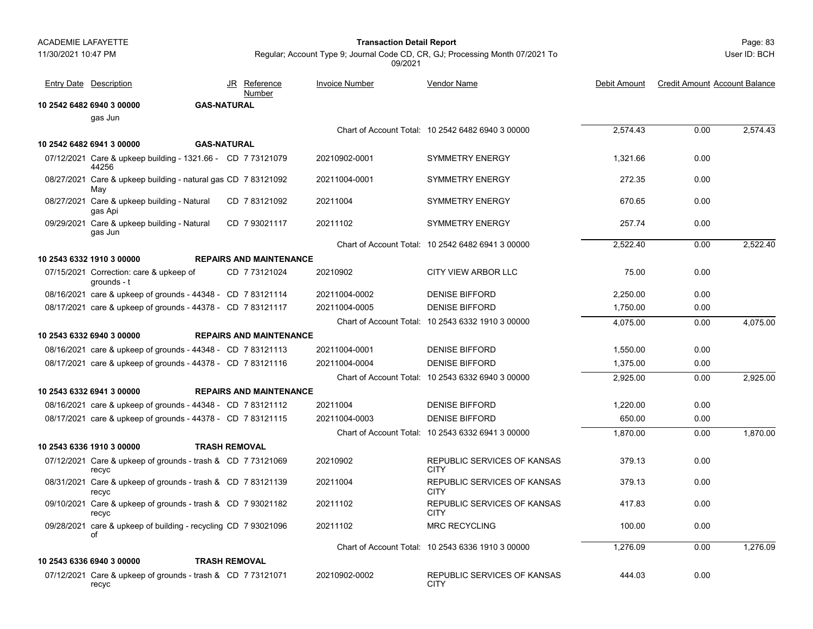gas Jun

44256

May

gas Api

**10 2542 6482 6940 3 00000 GAS-NATURAL**

<u>Number</u>

**10 2542 6482 6941 3 00000 GAS-NATURAL**

11/30/2021 10:47 PM

# Page: 83 **Transaction Detail Report**

User ID: BCH

Regular; Account Type 9; Journal Code CD, CR, GJ; Processing Month 07/2021 To 09/2021

Chart of Account Total: 10 2542 6482 6940 3 00000 2,574.43 0.00 2,574.43 07/12/2021 Care & upkeep building - 1321.66 - CD 7 73121079 20210902-0001 SYMMETRY ENERGY 1,321.66 0.00 CD 20210902-0001 SYMMETRY ENERGY 7 73121079 08/27/2021 Care & upkeep building - natural gas 272.35 0.00 CD 20211004-0001 SYMMETRY ENERGY 7 83121092 08/27/2021 Care & upkeep building - Natural CD\_7 83121092 20211004 SYMMETRY ENERGY 670.65 0.00 CD 20211004 SYMMETRY ENERGY 7 83121092 09/29/2021 Care & upkeep building - Natural CD\_7 93021117 20211102 SYMMETRY ENERGY 257.74 0.00 CD 20211102 SYMMETRY ENERGY 7 93021117 Chart of Account Total: 10 2542 6482 6941 3 00000 2,522.40 0.00 2,522.40 JR Reference Invoice Number Vendor Name<u>e</u> Debit Amount Credit Amount Account Balance Entry Date Description **Entry Debit Amount** JR Reference Invoice Number Vendor Name

| gas Jun                                                              |                                |               |                                                   |          |      |          |
|----------------------------------------------------------------------|--------------------------------|---------------|---------------------------------------------------|----------|------|----------|
|                                                                      |                                |               | Chart of Account Total: 10 2542 6482 6941 3 00000 | 2,522.40 | 0.00 | 2,522.40 |
| 10 2543 6332 1910 3 00000                                            | <b>REPAIRS AND MAINTENANCE</b> |               |                                                   |          |      |          |
| 07/15/2021 Correction: care & upkeep of<br>grounds - t               | CD 7 73121024                  | 20210902      | <b>CITY VIEW ARBOR LLC</b>                        | 75.00    | 0.00 |          |
| 08/16/2021 care & upkeep of grounds - 44348 - CD 7 83121114          |                                | 20211004-0002 | <b>DENISE BIFFORD</b>                             | 2,250.00 | 0.00 |          |
| 08/17/2021 care & upkeep of grounds - 44378 - CD 7 83121117          |                                | 20211004-0005 | <b>DENISE BIFFORD</b>                             | 1,750.00 | 0.00 |          |
|                                                                      |                                |               | Chart of Account Total: 10 2543 6332 1910 3 00000 | 4,075.00 | 0.00 | 4,075.00 |
| 10 2543 6332 6940 3 00000                                            | <b>REPAIRS AND MAINTENANCE</b> |               |                                                   |          |      |          |
| 08/16/2021 care & upkeep of grounds - 44348 - CD 7 83121113          |                                | 20211004-0001 | <b>DENISE BIFFORD</b>                             | 1,550.00 | 0.00 |          |
| 08/17/2021 care & upkeep of grounds - 44378 - CD 7 83121116          |                                | 20211004-0004 | <b>DENISE BIFFORD</b>                             | 1,375.00 | 0.00 |          |
|                                                                      |                                |               | Chart of Account Total: 10 2543 6332 6940 3 00000 | 2,925.00 | 0.00 | 2,925.00 |
| 10 2543 6332 6941 3 00000                                            | <b>REPAIRS AND MAINTENANCE</b> |               |                                                   |          |      |          |
| 08/16/2021 care & upkeep of grounds - 44348 - CD 783121112           |                                | 20211004      | <b>DENISE BIFFORD</b>                             | 1.220.00 | 0.00 |          |
| 08/17/2021 care & upkeep of grounds - 44378 - CD 7 83121115          |                                | 20211004-0003 | <b>DENISE BIFFORD</b>                             | 650.00   | 0.00 |          |
|                                                                      |                                |               | Chart of Account Total: 10 2543 6332 6941 3 00000 | 1.870.00 | 0.00 | 1.870.00 |
| 10 2543 6336 1910 3 00000                                            | <b>TRASH REMOVAL</b>           |               |                                                   |          |      |          |
| 07/12/2021 Care & upkeep of grounds - trash & CD 7 73121069<br>recyc |                                | 20210902      | REPUBLIC SERVICES OF KANSAS<br><b>CITY</b>        | 379.13   | 0.00 |          |
| 08/31/2021 Care & upkeep of grounds - trash & CD 7 83121139<br>recyc |                                | 20211004      | REPUBLIC SERVICES OF KANSAS<br><b>CITY</b>        | 379.13   | 0.00 |          |
| 09/10/2021 Care & upkeep of grounds - trash & CD 7 93021182<br>recyc |                                | 20211102      | REPUBLIC SERVICES OF KANSAS<br><b>CITY</b>        | 417.83   | 0.00 |          |
| 09/28/2021 care & upkeep of building - recycling CD 7 93021096<br>οf |                                | 20211102      | <b>MRC RECYCLING</b>                              | 100.00   | 0.00 |          |
|                                                                      |                                |               | Chart of Account Total: 10 2543 6336 1910 3 00000 | 1.276.09 | 0.00 | 1.276.09 |
| 10 2543 6336 6940 3 00000                                            | <b>TRASH REMOVAL</b>           |               |                                                   |          |      |          |

07/12/2021 Care & upkeep of grounds - trash & 444.03 0.00 7 73121071 recyc

CD 7 73121071 20210902-0002 REPUBLIC SERVICES OF KANSAS **CITY**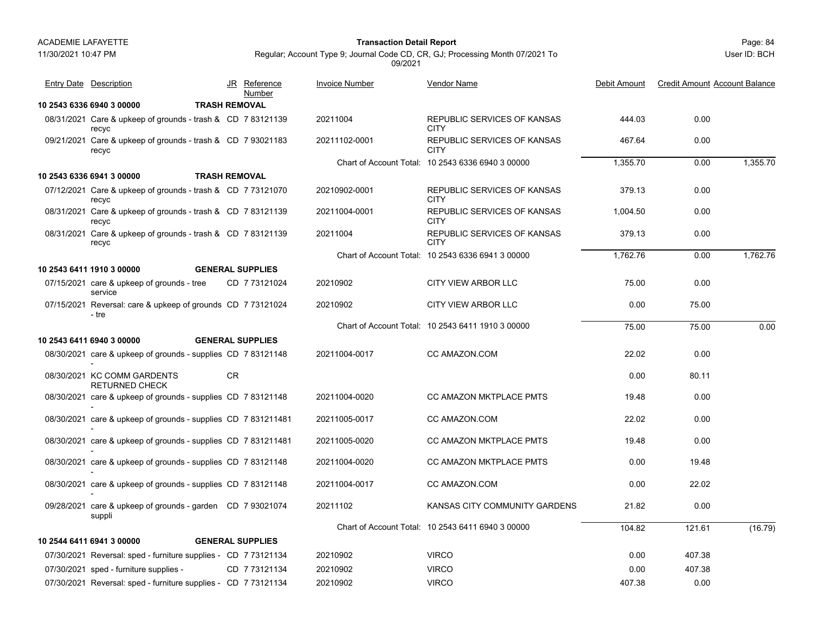11/30/2021 10:47 PM

# Page: 84 **Transaction Detail Report**

Regular; Account Type 9; Journal Code CD, CR, GJ; Processing Month 07/2021 To 09/2021

| <b>Entry Date Description</b>                                        |    | JR Reference<br>Number  | <b>Invoice Number</b> | Vendor Name                                       | Debit Amount | <b>Credit Amount Account Balance</b> |          |
|----------------------------------------------------------------------|----|-------------------------|-----------------------|---------------------------------------------------|--------------|--------------------------------------|----------|
| 10 2543 6336 6940 3 00000                                            |    | <b>TRASH REMOVAL</b>    |                       |                                                   |              |                                      |          |
| 08/31/2021 Care & upkeep of grounds - trash & CD 7 83121139<br>recyc |    |                         | 20211004              | REPUBLIC SERVICES OF KANSAS<br><b>CITY</b>        | 444.03       | 0.00                                 |          |
| 09/21/2021 Care & upkeep of grounds - trash & CD 7 93021183<br>recyc |    |                         | 20211102-0001         | REPUBLIC SERVICES OF KANSAS<br><b>CITY</b>        | 467.64       | 0.00                                 |          |
|                                                                      |    |                         |                       | Chart of Account Total: 10 2543 6336 6940 3 00000 | 1,355.70     | 0.00                                 | 1,355.70 |
| 10 2543 6336 6941 3 00000                                            |    | <b>TRASH REMOVAL</b>    |                       |                                                   |              |                                      |          |
| 07/12/2021 Care & upkeep of grounds - trash & CD 7 73121070<br>recyc |    |                         | 20210902-0001         | <b>REPUBLIC SERVICES OF KANSAS</b><br><b>CITY</b> | 379.13       | 0.00                                 |          |
| 08/31/2021 Care & upkeep of grounds - trash & CD 7 83121139<br>recvc |    |                         | 20211004-0001         | REPUBLIC SERVICES OF KANSAS<br><b>CITY</b>        | 1,004.50     | 0.00                                 |          |
| 08/31/2021 Care & upkeep of grounds - trash & CD 783121139<br>recyc  |    |                         | 20211004              | REPUBLIC SERVICES OF KANSAS<br><b>CITY</b>        | 379.13       | 0.00                                 |          |
|                                                                      |    |                         |                       | Chart of Account Total: 10 2543 6336 6941 3 00000 | 1.762.76     | 0.00                                 | 1,762.76 |
| 10 2543 6411 1910 3 00000                                            |    | <b>GENERAL SUPPLIES</b> |                       |                                                   |              |                                      |          |
| 07/15/2021 care & upkeep of grounds - tree<br>service                |    | CD 7 73121024           | 20210902              | <b>CITY VIEW ARBOR LLC</b>                        | 75.00        | 0.00                                 |          |
| 07/15/2021 Reversal: care & upkeep of grounds CD 7 73121024<br>- tre |    |                         | 20210902              | <b>CITY VIEW ARBOR LLC</b>                        | 0.00         | 75.00                                |          |
|                                                                      |    |                         |                       | Chart of Account Total: 10 2543 6411 1910 3 00000 | 75.00        | 75.00                                | 0.00     |
| 10 2543 6411 6940 3 00000                                            |    | <b>GENERAL SUPPLIES</b> |                       |                                                   |              |                                      |          |
| 08/30/2021 care & upkeep of grounds - supplies CD 7 83121148         |    |                         | 20211004-0017         | CC AMAZON.COM                                     | 22.02        | 0.00                                 |          |
| 08/30/2021 KC COMM GARDENTS<br><b>RETURNED CHECK</b>                 | CR |                         |                       |                                                   | 0.00         | 80.11                                |          |
| 08/30/2021 care & upkeep of grounds - supplies CD 7 83121148         |    |                         | 20211004-0020         | CC AMAZON MKTPLACE PMTS                           | 19.48        | 0.00                                 |          |
| 08/30/2021 care & upkeep of grounds - supplies CD 7 831211481        |    |                         | 20211005-0017         | CC AMAZON.COM                                     | 22.02        | 0.00                                 |          |
| 08/30/2021 care & upkeep of grounds - supplies CD 7 831211481        |    |                         | 20211005-0020         | CC AMAZON MKTPLACE PMTS                           | 19.48        | 0.00                                 |          |
| 08/30/2021 care & upkeep of grounds - supplies CD 7 83121148         |    |                         | 20211004-0020         | CC AMAZON MKTPLACE PMTS                           | 0.00         | 19.48                                |          |
| 08/30/2021 care & upkeep of grounds - supplies CD 7 83121148         |    |                         | 20211004-0017         | CC AMAZON.COM                                     | 0.00         | 22.02                                |          |
| 09/28/2021 care & upkeep of grounds - garden CD 7 93021074<br>suppli |    |                         | 20211102              | KANSAS CITY COMMUNITY GARDENS                     | 21.82        | 0.00                                 |          |
|                                                                      |    |                         |                       | Chart of Account Total: 10 2543 6411 6940 3 00000 | 104.82       | 121.61                               | (16.79)  |
| 10 2544 6411 6941 3 00000                                            |    | <b>GENERAL SUPPLIES</b> |                       |                                                   |              |                                      |          |
| 07/30/2021 Reversal: sped - furniture supplies - CD 7 73121134       |    |                         | 20210902              | <b>VIRCO</b>                                      | 0.00         | 407.38                               |          |
| 07/30/2021 sped - furniture supplies -                               |    | CD 7 73121134           | 20210902              | <b>VIRCO</b>                                      | 0.00         | 407.38                               |          |
| 07/30/2021 Reversal: sped - furniture supplies - CD 7 73121134       |    |                         | 20210902              | <b>VIRCO</b>                                      | 407.38       | 0.00                                 |          |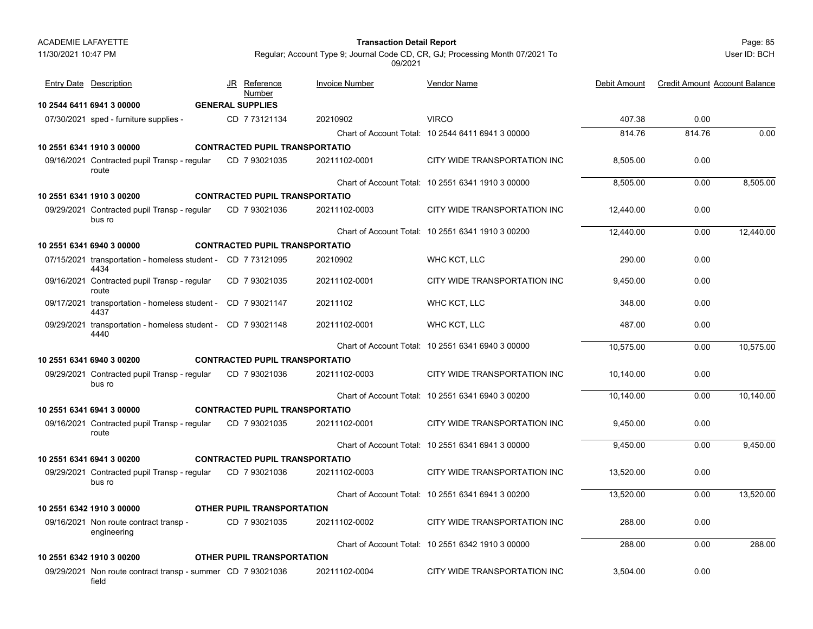| 11/30/2021 10:47 PM |                                                                      |                                       | 09/2021               | Regular; Account Type 9; Journal Code CD, CR, GJ; Processing Month 07/2021 To |              |                                      | User ID: BCH |
|---------------------|----------------------------------------------------------------------|---------------------------------------|-----------------------|-------------------------------------------------------------------------------|--------------|--------------------------------------|--------------|
|                     | <b>Entry Date Description</b>                                        | JR Reference<br>Number                | <b>Invoice Number</b> | Vendor Name                                                                   | Debit Amount | <b>Credit Amount Account Balance</b> |              |
|                     | 10 2544 6411 6941 3 00000                                            | <b>GENERAL SUPPLIES</b>               |                       |                                                                               |              |                                      |              |
|                     | 07/30/2021 sped - furniture supplies -                               | CD 7 73121134                         | 20210902              | <b>VIRCO</b>                                                                  | 407.38       | 0.00                                 |              |
|                     |                                                                      |                                       |                       | Chart of Account Total: 10 2544 6411 6941 3 00000                             | 814.76       | 814.76                               | 0.00         |
|                     | 10 2551 6341 1910 3 00000                                            | <b>CONTRACTED PUPIL TRANSPORTATIO</b> |                       |                                                                               |              |                                      |              |
|                     | 09/16/2021 Contracted pupil Transp - regular<br>route                | CD 7 93021035                         | 20211102-0001         | CITY WIDE TRANSPORTATION INC                                                  | 8,505.00     | 0.00                                 |              |
|                     |                                                                      |                                       |                       | Chart of Account Total: 10 2551 6341 1910 3 00000                             | 8,505.00     | 0.00                                 | 8,505.00     |
|                     | 10 2551 6341 1910 3 00200                                            | <b>CONTRACTED PUPIL TRANSPORTATIO</b> |                       |                                                                               |              |                                      |              |
|                     | 09/29/2021 Contracted pupil Transp - regular<br>bus ro               | CD 7 93021036                         | 20211102-0003         | CITY WIDE TRANSPORTATION INC                                                  | 12,440.00    | 0.00                                 |              |
|                     |                                                                      |                                       |                       | Chart of Account Total: 10 2551 6341 1910 3 00200                             | 12,440.00    | 0.00                                 | 12,440.00    |
|                     | 10 2551 6341 6940 3 00000                                            | <b>CONTRACTED PUPIL TRANSPORTATIO</b> |                       |                                                                               |              |                                      |              |
|                     | 07/15/2021 transportation - homeless student - CD 773121095<br>4434  |                                       | 20210902              | WHC KCT, LLC                                                                  | 290.00       | 0.00                                 |              |
|                     | 09/16/2021 Contracted pupil Transp - regular<br>route                | CD 7 93021035                         | 20211102-0001         | CITY WIDE TRANSPORTATION INC                                                  | 9.450.00     | 0.00                                 |              |
|                     | 09/17/2021 transportation - homeless student - CD 7 93021147<br>4437 |                                       | 20211102              | WHC KCT, LLC                                                                  | 348.00       | 0.00                                 |              |
|                     | 09/29/2021 transportation - homeless student - CD 7 93021148<br>4440 |                                       | 20211102-0001         | WHC KCT, LLC                                                                  | 487.00       | 0.00                                 |              |
|                     |                                                                      |                                       |                       | Chart of Account Total: 10 2551 6341 6940 3 00000                             | 10,575.00    | 0.00                                 | 10,575.00    |
|                     | 10 2551 6341 6940 3 00200                                            | <b>CONTRACTED PUPIL TRANSPORTATIO</b> |                       |                                                                               |              |                                      |              |
|                     | 09/29/2021 Contracted pupil Transp - regular<br>bus ro               | CD 7 93021036                         | 20211102-0003         | CITY WIDE TRANSPORTATION INC                                                  | 10.140.00    | 0.00                                 |              |
|                     |                                                                      |                                       |                       | Chart of Account Total: 10 2551 6341 6940 3 00200                             | 10,140.00    | 0.00                                 | 10,140.00    |
|                     | 10 2551 6341 6941 3 00000                                            | <b>CONTRACTED PUPIL TRANSPORTATIO</b> |                       |                                                                               |              |                                      |              |
|                     | 09/16/2021 Contracted pupil Transp - regular<br>route                | CD 7 93021035                         | 20211102-0001         | CITY WIDE TRANSPORTATION INC                                                  | 9,450.00     | 0.00                                 |              |
|                     |                                                                      |                                       |                       | Chart of Account Total: 10 2551 6341 6941 3 00000                             | 9.450.00     | 0.00                                 | 9,450.00     |
|                     | 10 2551 6341 6941 3 00200                                            | <b>CONTRACTED PUPIL TRANSPORTATIO</b> |                       |                                                                               |              |                                      |              |
|                     | 09/29/2021 Contracted pupil Transp - regular<br>bus ro               | CD 7 93021036                         | 20211102-0003         | CITY WIDE TRANSPORTATION INC                                                  | 13,520.00    | 0.00                                 |              |
|                     |                                                                      |                                       |                       | Chart of Account Total: 10 2551 6341 6941 3 00200                             | 13,520.00    | 0.00                                 | 13,520.00    |
|                     | 10 2551 6342 1910 3 00000                                            | OTHER PUPIL TRANSPORTATION            |                       |                                                                               |              |                                      |              |
|                     | 09/16/2021 Non route contract transp -<br>engineering                | CD 7 93021035                         | 20211102-0002         | CITY WIDE TRANSPORTATION INC                                                  | 288.00       | 0.00                                 |              |
|                     |                                                                      |                                       |                       | Chart of Account Total: 10 2551 6342 1910 3 00000                             | 288.00       | 0.00                                 | 288.00       |
|                     | 10 2551 6342 1910 3 00200                                            | <b>OTHER PUPIL TRANSPORTATION</b>     |                       |                                                                               |              |                                      |              |
|                     |                                                                      |                                       | 0.00111000001         | $Q(T) / M \Gamma T T R M Q D Q T T M T Q M M Q$                               | 0.50100      | $\sim$ $\sim$                        |              |

09/29/2021 Non route contract transp - summer CD 7 93021036 20211102-0004 CITY WIDE TRANSPORTATION INC 3,504.00 0.00 fieldCD\_7 93021036 20211102-0004 CITY WIDE TRANSPORTATION INC

Page: 85 **Transaction Detail Report**

ACADEMIE LAFAYETTE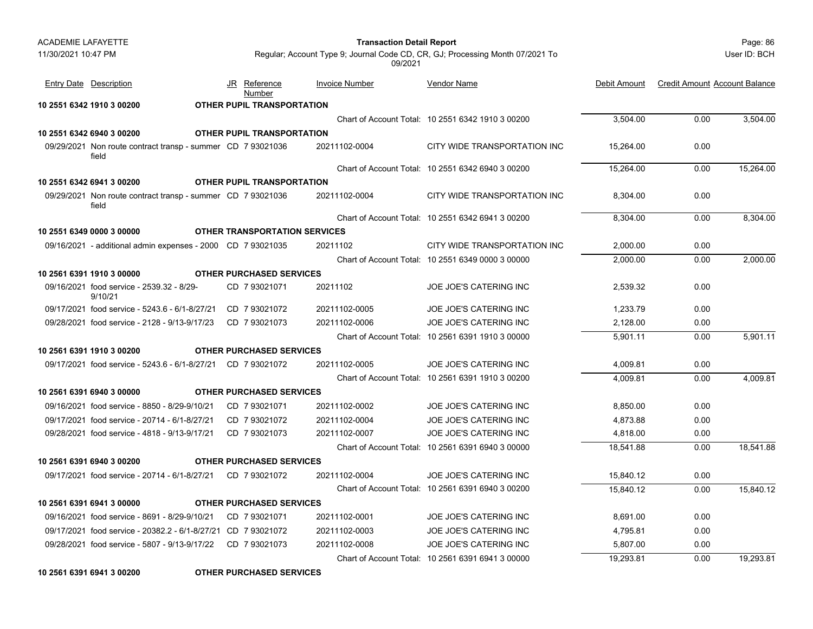| <b>ACADEMIE LAFAYETTE</b> |                                                                      |                                   |                                                                                          | Page: 86<br><b>Transaction Detail Report</b>      |              |                                      |              |
|---------------------------|----------------------------------------------------------------------|-----------------------------------|------------------------------------------------------------------------------------------|---------------------------------------------------|--------------|--------------------------------------|--------------|
| 11/30/2021 10:47 PM       |                                                                      |                                   | Regular; Account Type 9; Journal Code CD, CR, GJ; Processing Month 07/2021 To<br>09/2021 |                                                   |              |                                      | User ID: BCH |
|                           | <b>Entry Date Description</b>                                        | JR<br><u>Reference</u><br>Number  | <b>Invoice Number</b>                                                                    | <b>Vendor Name</b>                                | Debit Amount | <b>Credit Amount Account Balance</b> |              |
|                           | 10 2551 6342 1910 3 00200                                            | <b>OTHER PUPIL TRANSPORTATION</b> |                                                                                          |                                                   |              |                                      |              |
|                           |                                                                      |                                   |                                                                                          | Chart of Account Total: 10 2551 6342 1910 3 00200 | 3,504.00     | 0.00                                 | 3,504.00     |
|                           | 10 2551 6342 6940 3 00200                                            | <b>OTHER PUPIL TRANSPORTATION</b> |                                                                                          |                                                   |              |                                      |              |
|                           | 09/29/2021 Non route contract transp - summer CD 7 93021036<br>field |                                   | 20211102-0004                                                                            | CITY WIDE TRANSPORTATION INC                      | 15,264.00    | 0.00                                 |              |
|                           |                                                                      |                                   |                                                                                          | Chart of Account Total: 10 2551 6342 6940 3 00200 | 15,264.00    | 0.00                                 | 15,264.00    |
|                           | 10 2551 6342 6941 3 00200                                            | <b>OTHER PUPIL TRANSPORTATION</b> |                                                                                          |                                                   |              |                                      |              |
|                           | 09/29/2021 Non route contract transp - summer CD 7 93021036<br>field |                                   | 20211102-0004                                                                            | CITY WIDE TRANSPORTATION INC                      | 8,304.00     | 0.00                                 |              |
|                           |                                                                      |                                   |                                                                                          | Chart of Account Total: 10 2551 6342 6941 3 00200 | 8,304.00     | 0.00                                 | 8.304.00     |
|                           | 10 2551 6349 0000 3 00000                                            |                                   | <b>OTHER TRANSPORTATION SERVICES</b>                                                     |                                                   |              |                                      |              |
|                           | 09/16/2021 - additional admin expenses - 2000 CD 7 93021035          |                                   | 20211102                                                                                 | CITY WIDE TRANSPORTATION INC                      | 2,000.00     | 0.00                                 |              |
|                           |                                                                      |                                   |                                                                                          | Chart of Account Total: 10 2551 6349 0000 3 00000 | 2,000.00     | 0.00                                 | 2,000.00     |
|                           | 10 2561 6391 1910 3 00000                                            | <b>OTHER PURCHASED SERVICES</b>   |                                                                                          |                                                   |              |                                      |              |
|                           | 09/16/2021 food service - 2539.32 - 8/29-<br>9/10/21                 | CD 7 93021071                     | 20211102                                                                                 | <b>JOE JOE'S CATERING INC</b>                     | 2,539.32     | 0.00                                 |              |
|                           | 09/17/2021 food service - 5243.6 - 6/1-8/27/21                       | CD 7 93021072                     | 20211102-0005                                                                            | JOE JOE'S CATERING INC                            | 1,233.79     | 0.00                                 |              |
|                           | 09/28/2021 food service - 2128 - 9/13-9/17/23                        | CD 7 93021073                     | 20211102-0006                                                                            | JOE JOE'S CATERING INC                            | 2,128.00     | 0.00                                 |              |
|                           |                                                                      |                                   |                                                                                          | Chart of Account Total: 10 2561 6391 1910 3 00000 | 5,901.11     | 0.00                                 | 5,901.11     |
|                           | 10 2561 6391 1910 3 00200                                            | <b>OTHER PURCHASED SERVICES</b>   |                                                                                          |                                                   |              |                                      |              |
|                           | 09/17/2021 food service - 5243.6 - 6/1-8/27/21 CD 7 93021072         |                                   | 20211102-0005                                                                            | JOE JOE'S CATERING INC                            | 4,009.81     | 0.00                                 |              |
|                           |                                                                      |                                   |                                                                                          | Chart of Account Total: 10 2561 6391 1910 3 00200 | 4,009.81     | 0.00                                 | 4,009.81     |
|                           | 10 2561 6391 6940 3 00000                                            | <b>OTHER PURCHASED SERVICES</b>   |                                                                                          |                                                   |              |                                      |              |
|                           | 09/16/2021 food service - 8850 - 8/29-9/10/21                        | CD 793021071                      | 20211102-0002                                                                            | JOE JOE'S CATERING INC                            | 8,850.00     | 0.00                                 |              |
|                           | 09/17/2021 food service - 20714 - 6/1-8/27/21                        | CD 793021072                      | 20211102-0004                                                                            | JOE JOE'S CATERING INC                            | 4,873.88     | 0.00                                 |              |
|                           | 09/28/2021 food service - 4818 - 9/13-9/17/21                        | CD 793021073                      | 20211102-0007                                                                            | <b>JOE JOE'S CATERING INC</b>                     | 4,818.00     | 0.00                                 |              |
|                           |                                                                      |                                   |                                                                                          | Chart of Account Total: 10 2561 6391 6940 3 00000 | 18,541.88    | 0.00                                 | 18,541.88    |
|                           | 10 2561 6391 6940 3 00200                                            | <b>OTHER PURCHASED SERVICES</b>   |                                                                                          |                                                   |              |                                      |              |
|                           | 09/17/2021 food service - 20714 - 6/1-8/27/21                        | CD 793021072                      | 20211102-0004                                                                            | <b>JOE JOE'S CATERING INC</b>                     | 15,840.12    | 0.00                                 |              |
|                           |                                                                      |                                   |                                                                                          | Chart of Account Total: 10 2561 6391 6940 3 00200 | 15,840.12    | 0.00                                 | 15,840.12    |
|                           | 10 2561 6391 6941 3 00000                                            | <b>OTHER PURCHASED SERVICES</b>   |                                                                                          |                                                   |              |                                      |              |
|                           | 09/16/2021 food service - 8691 - 8/29-9/10/21                        | CD 793021071                      | 20211102-0001                                                                            | JOE JOE'S CATERING INC                            | 8,691.00     | 0.00                                 |              |
|                           | 09/17/2021 food service - 20382.2 - 6/1-8/27/21 CD 7 93021072        |                                   | 20211102-0003                                                                            | <b>JOE JOE'S CATERING INC</b>                     | 4,795.81     | 0.00                                 |              |
|                           | 09/28/2021 food service - 5807 - 9/13-9/17/22                        | CD 793021073                      | 20211102-0008                                                                            | JOE JOE'S CATERING INC                            | 5,807.00     | 0.00                                 |              |
|                           |                                                                      |                                   |                                                                                          | Chart of Account Total: 10 2561 6391 6941 3 00000 | 19,293.81    | 0.00                                 | 19,293.81    |
|                           |                                                                      |                                   |                                                                                          |                                                   |              |                                      |              |

**10 2561 6391 6941 3 00200 OTHER PURCHASED SERVICES**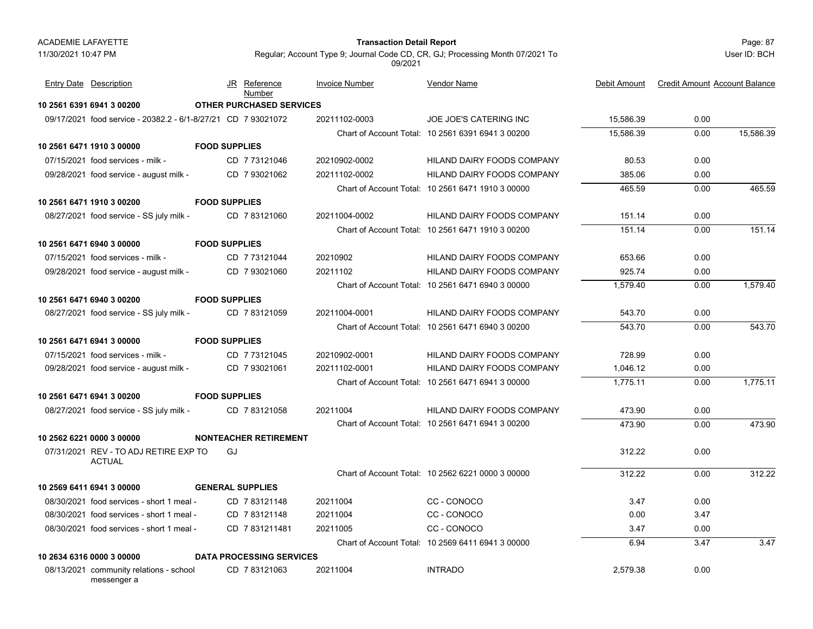# Page: 87 **Transaction Detail Report**

User ID: BCH

| <b>Entry Date Description</b>                                 |                      | JR Reference<br>Number          | <b>Invoice Number</b> | Vendor Name                                       | Debit Amount | <b>Credit Amount Account Balance</b> |           |
|---------------------------------------------------------------|----------------------|---------------------------------|-----------------------|---------------------------------------------------|--------------|--------------------------------------|-----------|
| 10 2561 6391 6941 3 00200                                     |                      | <b>OTHER PURCHASED SERVICES</b> |                       |                                                   |              |                                      |           |
| 09/17/2021 food service - 20382.2 - 6/1-8/27/21 CD 7 93021072 |                      |                                 | 20211102-0003         | <b>JOE JOE'S CATERING INC</b>                     | 15,586.39    | 0.00                                 |           |
|                                                               |                      |                                 |                       | Chart of Account Total: 10 2561 6391 6941 3 00200 | 15,586.39    | 0.00                                 | 15,586.39 |
| 10 2561 6471 1910 3 00000                                     | <b>FOOD SUPPLIES</b> |                                 |                       |                                                   |              |                                      |           |
| $07/15/2021$ food services - milk -                           |                      | CD 773121046                    | 20210902-0002         | HILAND DAIRY FOODS COMPANY                        | 80.53        | 0.00                                 |           |
| 09/28/2021 food service - august milk -                       |                      | CD 7 93021062                   | 20211102-0002         | <b>HILAND DAIRY FOODS COMPANY</b>                 | 385.06       | 0.00                                 |           |
|                                                               |                      |                                 |                       | Chart of Account Total: 10 2561 6471 1910 3 00000 | 465.59       | 0.00                                 | 465.59    |
| 10 2561 6471 1910 3 00200                                     | <b>FOOD SUPPLIES</b> |                                 |                       |                                                   |              |                                      |           |
| 08/27/2021 food service - SS july milk -                      |                      | CD 783121060                    | 20211004-0002         | HILAND DAIRY FOODS COMPANY                        | 151.14       | 0.00                                 |           |
|                                                               |                      |                                 |                       | Chart of Account Total: 10 2561 6471 1910 3 00200 | 151.14       | 0.00                                 | 151.14    |
| 10 2561 6471 6940 3 00000                                     | <b>FOOD SUPPLIES</b> |                                 |                       |                                                   |              |                                      |           |
| 07/15/2021 food services - milk -                             |                      | CD 7 73121044                   | 20210902              | HILAND DAIRY FOODS COMPANY                        | 653.66       | 0.00                                 |           |
| 09/28/2021 food service - august milk -                       |                      | CD 7 93021060                   | 20211102              | HILAND DAIRY FOODS COMPANY                        | 925.74       | 0.00                                 |           |
|                                                               |                      |                                 |                       | Chart of Account Total: 10 2561 6471 6940 3 00000 | 1,579.40     | 0.00                                 | 1,579.40  |
| 10 2561 6471 6940 3 00200                                     | <b>FOOD SUPPLIES</b> |                                 |                       |                                                   |              |                                      |           |
| 08/27/2021 food service - SS july milk -                      |                      | CD 783121059                    | 20211004-0001         | HILAND DAIRY FOODS COMPANY                        | 543.70       | 0.00                                 |           |
|                                                               |                      |                                 |                       | Chart of Account Total: 10 2561 6471 6940 3 00200 | 543.70       | 0.00                                 | 543.70    |
| 10 2561 6471 6941 3 00000                                     | <b>FOOD SUPPLIES</b> |                                 |                       |                                                   |              |                                      |           |
| 07/15/2021 food services - milk -                             |                      | CD 7 73121045                   | 20210902-0001         | HILAND DAIRY FOODS COMPANY                        | 728.99       | 0.00                                 |           |
| 09/28/2021 food service - august milk -                       |                      | CD 793021061                    | 20211102-0001         | <b>HILAND DAIRY FOODS COMPANY</b>                 | 1,046.12     | 0.00                                 |           |
|                                                               |                      |                                 |                       | Chart of Account Total: 10 2561 6471 6941 3 00000 | 1,775.11     | 0.00                                 | 1,775.11  |
| 10 2561 6471 6941 3 00200                                     | <b>FOOD SUPPLIES</b> |                                 |                       |                                                   |              |                                      |           |
| 08/27/2021 food service - SS july milk -                      |                      | CD 7 83121058                   | 20211004              | <b>HILAND DAIRY FOODS COMPANY</b>                 | 473.90       | 0.00                                 |           |
|                                                               |                      |                                 |                       | Chart of Account Total: 10 2561 6471 6941 3 00200 | 473.90       | 0.00                                 | 473.90    |
| 10 2562 6221 0000 3 00000                                     |                      | <b>NONTEACHER RETIREMENT</b>    |                       |                                                   |              |                                      |           |
| 07/31/2021 REV - TO ADJ RETIRE EXP TO<br><b>ACTUAL</b>        | GJ                   |                                 |                       |                                                   | 312.22       | 0.00                                 |           |
|                                                               |                      |                                 |                       | Chart of Account Total: 10 2562 6221 0000 3 00000 | 312.22       | 0.00                                 | 312.22    |
| 10 2569 6411 6941 3 00000                                     |                      | <b>GENERAL SUPPLIES</b>         |                       |                                                   |              |                                      |           |
| 08/30/2021 food services - short 1 meal -                     |                      | CD 7 83121148                   | 20211004              | CC-CONOCO                                         | 3.47         | 0.00                                 |           |
| 08/30/2021 food services - short 1 meal -                     |                      | CD 7 83121148                   | 20211004              | CC-CONOCO                                         | 0.00         | 3.47                                 |           |
| 08/30/2021 food services - short 1 meal -                     |                      | CD 7831211481                   | 20211005              | CC-CONOCO                                         | 3.47         | 0.00                                 |           |
|                                                               |                      |                                 |                       | Chart of Account Total: 10 2569 6411 6941 3 00000 | 6.94         | 3.47                                 | 3.47      |
| 10 2634 6316 0000 3 00000                                     |                      | <b>DATA PROCESSING SERVICES</b> |                       |                                                   |              |                                      |           |
| 08/13/2021 community relations - school<br>messenger a        |                      | CD 783121063                    | 20211004              | <b>INTRADO</b>                                    | 2,579.38     | 0.00                                 |           |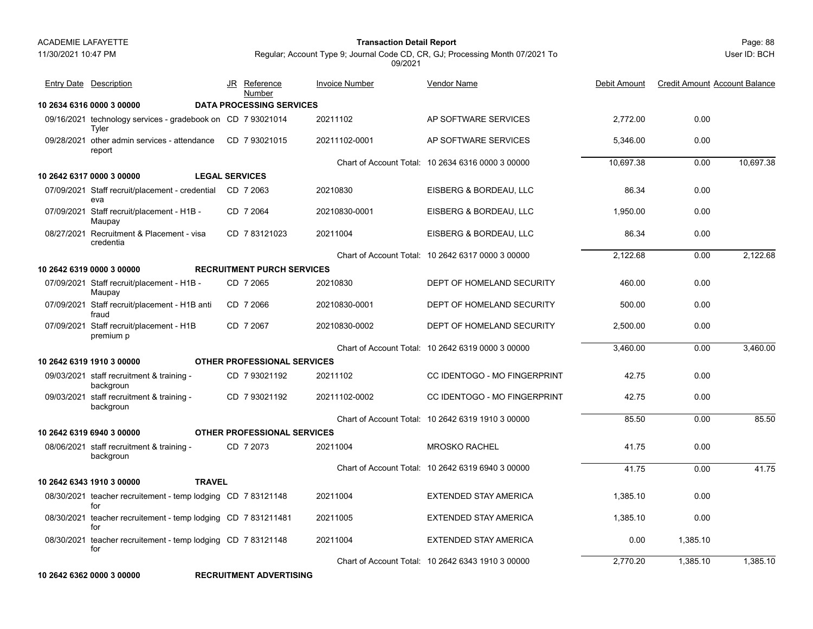11/30/2021 10:47 PM

# Page: 88 **Transaction Detail Report**

Regular; Account Type 9; Journal Code CD, CR, GJ; Processing Month 07/2021 To 09/2021

User ID: BCH

| <b>Entry Date</b> Description                                        |               | JR Reference<br>Number             | <b>Invoice Number</b> | <b>Vendor Name</b>                                | Debit Amount | <b>Credit Amount Account Balance</b> |           |
|----------------------------------------------------------------------|---------------|------------------------------------|-----------------------|---------------------------------------------------|--------------|--------------------------------------|-----------|
| 10 2634 6316 0000 3 00000                                            |               | <b>DATA PROCESSING SERVICES</b>    |                       |                                                   |              |                                      |           |
| 09/16/2021 technology services - gradebook on CD 7 93021014<br>Tyler |               |                                    | 20211102              | AP SOFTWARE SERVICES                              | 2.772.00     | 0.00                                 |           |
| 09/28/2021 other admin services - attendance<br>report               |               | CD 793021015                       | 20211102-0001         | AP SOFTWARE SERVICES                              | 5,346.00     | 0.00                                 |           |
|                                                                      |               |                                    |                       | Chart of Account Total: 10 2634 6316 0000 3 00000 | 10,697.38    | 0.00                                 | 10,697.38 |
| 10 2642 6317 0000 3 00000                                            |               | <b>LEGAL SERVICES</b>              |                       |                                                   |              |                                      |           |
| 07/09/2021 Staff recruit/placement - credential<br>eva               |               | CD 7 2063                          | 20210830              | EISBERG & BORDEAU, LLC                            | 86.34        | 0.00                                 |           |
| 07/09/2021 Staff recruit/placement - H1B -<br>Maupay                 |               | CD 7 2064                          | 20210830-0001         | EISBERG & BORDEAU, LLC                            | 1,950.00     | 0.00                                 |           |
| 08/27/2021 Recruitment & Placement - visa<br>credentia               |               | CD 783121023                       | 20211004              | EISBERG & BORDEAU, LLC                            | 86.34        | 0.00                                 |           |
|                                                                      |               |                                    |                       | Chart of Account Total: 10 2642 6317 0000 3 00000 | 2.122.68     | 0.00                                 | 2,122.68  |
| 10 2642 6319 0000 3 00000                                            |               | <b>RECRUITMENT PURCH SERVICES</b>  |                       |                                                   |              |                                      |           |
| 07/09/2021 Staff recruit/placement - H1B -<br>Maupay                 |               | CD 7 2065                          | 20210830              | DEPT OF HOMELAND SECURITY                         | 460.00       | 0.00                                 |           |
| 07/09/2021 Staff recruit/placement - H1B anti<br>fraud               |               | CD 7 2066                          | 20210830-0001         | DEPT OF HOMELAND SECURITY                         | 500.00       | 0.00                                 |           |
| 07/09/2021 Staff recruit/placement - H1B<br>premium p                |               | CD 7 2067                          | 20210830-0002         | DEPT OF HOMELAND SECURITY                         | 2,500.00     | 0.00                                 |           |
|                                                                      |               |                                    |                       | Chart of Account Total: 10 2642 6319 0000 3 00000 | 3,460.00     | 0.00                                 | 3,460.00  |
| 10 2642 6319 1910 3 00000                                            |               | <b>OTHER PROFESSIONAL SERVICES</b> |                       |                                                   |              |                                      |           |
| 09/03/2021 staff recruitment & training -<br>backgroun               |               | CD 7 93021192                      | 20211102              | <b>CC IDENTOGO - MO FINGERPRINT</b>               | 42.75        | 0.00                                 |           |
| 09/03/2021 staff recruitment & training -<br>backgroun               |               | CD 7 93021192                      | 20211102-0002         | <b>CC IDENTOGO - MO FINGERPRINT</b>               | 42.75        | 0.00                                 |           |
|                                                                      |               |                                    |                       | Chart of Account Total: 10 2642 6319 1910 3 00000 | 85.50        | 0.00                                 | 85.50     |
| 10 2642 6319 6940 3 00000                                            |               | <b>OTHER PROFESSIONAL SERVICES</b> |                       |                                                   |              |                                      |           |
| 08/06/2021 staff recruitment & training -<br>backgroun               |               | CD 7 2073                          | 20211004              | <b>MROSKO RACHEL</b>                              | 41.75        | 0.00                                 |           |
|                                                                      |               |                                    |                       | Chart of Account Total: 10 2642 6319 6940 3 00000 | 41.75        | 0.00                                 | 41.75     |
| 10 2642 6343 1910 3 00000                                            | <b>TRAVEL</b> |                                    |                       |                                                   |              |                                      |           |
| 08/30/2021 teacher recruitement - temp lodging CD 7 83121148<br>for  |               |                                    | 20211004              | <b>EXTENDED STAY AMERICA</b>                      | 1.385.10     | 0.00                                 |           |
| 08/30/2021 teacher recruitement - temp lodging CD 7 831211481<br>for |               |                                    | 20211005              | <b>EXTENDED STAY AMERICA</b>                      | 1.385.10     | 0.00                                 |           |
| 08/30/2021 teacher recruitement - temp lodging CD 783121148<br>for   |               |                                    | 20211004              | <b>EXTENDED STAY AMERICA</b>                      | 0.00         | 1,385.10                             |           |
|                                                                      |               |                                    |                       | Chart of Account Total: 10 2642 6343 1910 3 00000 | 2,770.20     | 1,385.10                             | 1,385.10  |

**10 2642 6362 0000 3 00000 RECRUITMENT ADVERTISING**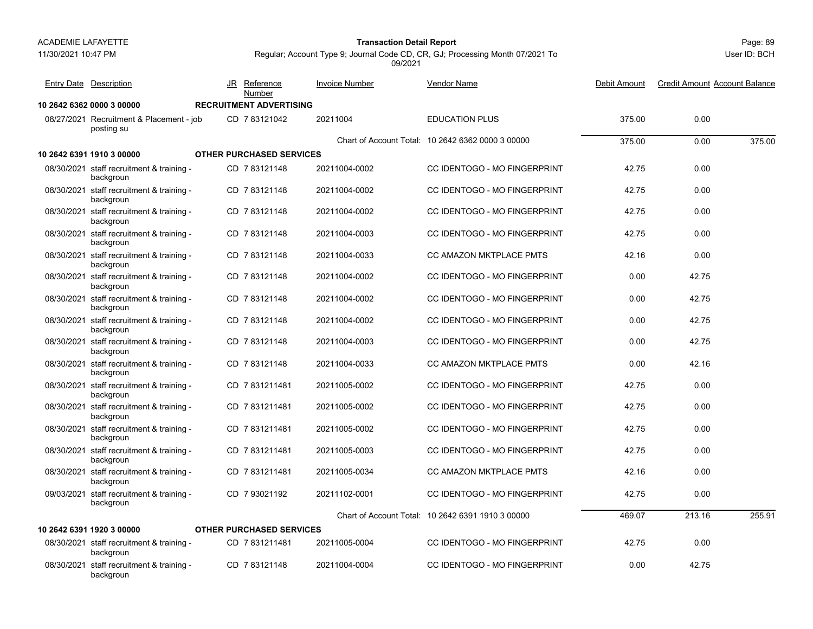11/30/2021 10:47 PM

### Page: 89 **Transaction Detail Report**

Regular; Account Type 9; Journal Code CD, CR, GJ; Processing Month 07/2021 To 09/2021

|            | <b>Entry Date Description</b>                          | JR  | Reference<br>Number             | <b>Invoice Number</b> | <b>Vendor Name</b>                                | Debit Amount | <b>Credit Amount Account Balance</b> |        |
|------------|--------------------------------------------------------|-----|---------------------------------|-----------------------|---------------------------------------------------|--------------|--------------------------------------|--------|
|            | 10 2642 6362 0000 3 00000                              |     | <b>RECRUITMENT ADVERTISING</b>  |                       |                                                   |              |                                      |        |
|            | 08/27/2021 Recruitment & Placement - job<br>posting su |     | CD 783121042                    | 20211004              | <b>EDUCATION PLUS</b>                             | 375.00       | 0.00                                 |        |
|            |                                                        |     |                                 |                       | Chart of Account Total: 10 2642 6362 0000 3 00000 | 375.00       | 0.00                                 | 375.00 |
|            | 10 2642 6391 1910 3 00000                              |     | <b>OTHER PURCHASED SERVICES</b> |                       |                                                   |              |                                      |        |
|            | 08/30/2021 staff recruitment & training -<br>backgroun |     | CD 7 83121148                   | 20211004-0002         | CC IDENTOGO - MO FINGERPRINT                      | 42.75        | 0.00                                 |        |
|            | 08/30/2021 staff recruitment & training -<br>backgroun |     | CD 783121148                    | 20211004-0002         | <b>CC IDENTOGO - MO FINGERPRINT</b>               | 42.75        | 0.00                                 |        |
|            | 08/30/2021 staff recruitment & training -<br>backgroun |     | CD 783121148                    | 20211004-0002         | <b>CC IDENTOGO - MO FINGERPRINT</b>               | 42.75        | 0.00                                 |        |
|            | 08/30/2021 staff recruitment & training -<br>backgroun |     | CD 783121148                    | 20211004-0003         | <b>CC IDENTOGO - MO FINGERPRINT</b>               | 42.75        | 0.00                                 |        |
|            | 08/30/2021 staff recruitment & training -<br>backgroun |     | CD 783121148                    | 20211004-0033         | <b>CC AMAZON MKTPLACE PMTS</b>                    | 42.16        | 0.00                                 |        |
|            | 08/30/2021 staff recruitment & training -<br>backgroun |     | CD 783121148                    | 20211004-0002         | <b>CC IDENTOGO - MO FINGERPRINT</b>               | 0.00         | 42.75                                |        |
|            | 08/30/2021 staff recruitment & training -<br>backgroun |     | CD 7 83121148                   | 20211004-0002         | CC IDENTOGO - MO FINGERPRINT                      | 0.00         | 42.75                                |        |
|            | 08/30/2021 staff recruitment & training -<br>backgroun |     | CD 7 83121148                   | 20211004-0002         | CC IDENTOGO - MO FINGERPRINT                      | 0.00         | 42.75                                |        |
|            | 08/30/2021 staff recruitment & training -<br>backgroun |     | CD 7 83121148                   | 20211004-0003         | CC IDENTOGO - MO FINGERPRINT                      | 0.00         | 42.75                                |        |
|            | 08/30/2021 staff recruitment & training -<br>backgroun |     | CD 7 83121148                   | 20211004-0033         | CC AMAZON MKTPLACE PMTS                           | 0.00         | 42.16                                |        |
|            | 08/30/2021 staff recruitment & training -<br>backgroun |     | CD 7831211481                   | 20211005-0002         | <b>CC IDENTOGO - MO FINGERPRINT</b>               | 42.75        | 0.00                                 |        |
|            | 08/30/2021 staff recruitment & training -<br>backgroun |     | CD 7831211481                   | 20211005-0002         | CC IDENTOGO - MO FINGERPRINT                      | 42.75        | 0.00                                 |        |
|            | 08/30/2021 staff recruitment & training -<br>backgroun |     | CD 7831211481                   | 20211005-0002         | <b>CC IDENTOGO - MO FINGERPRINT</b>               | 42.75        | 0.00                                 |        |
|            | 08/30/2021 staff recruitment & training -<br>backgroun | CD. | 7831211481                      | 20211005-0003         | CC IDENTOGO - MO FINGERPRINT                      | 42.75        | 0.00                                 |        |
|            | 08/30/2021 staff recruitment & training -<br>backgroun |     | CD 7 831211481                  | 20211005-0034         | CC AMAZON MKTPLACE PMTS                           | 42.16        | 0.00                                 |        |
| 09/03/2021 | staff recruitment & training -<br>backgroun            |     | CD 7 93021192                   | 20211102-0001         | CC IDENTOGO - MO FINGERPRINT                      | 42.75        | 0.00                                 |        |
|            |                                                        |     |                                 |                       | Chart of Account Total: 10 2642 6391 1910 3 00000 | 469.07       | 213.16                               | 255.91 |
|            | 10 2642 6391 1920 3 00000                              |     | <b>OTHER PURCHASED SERVICES</b> |                       |                                                   |              |                                      |        |
|            | 08/30/2021 staff recruitment & training -<br>backgroun |     | CD 7 831211481                  | 20211005-0004         | CC IDENTOGO - MO FINGERPRINT                      | 42.75        | 0.00                                 |        |
|            | 08/30/2021 staff recruitment & training -<br>backgroun |     | CD 7 83121148                   | 20211004-0004         | CC IDENTOGO - MO FINGERPRINT                      | 0.00         | 42.75                                |        |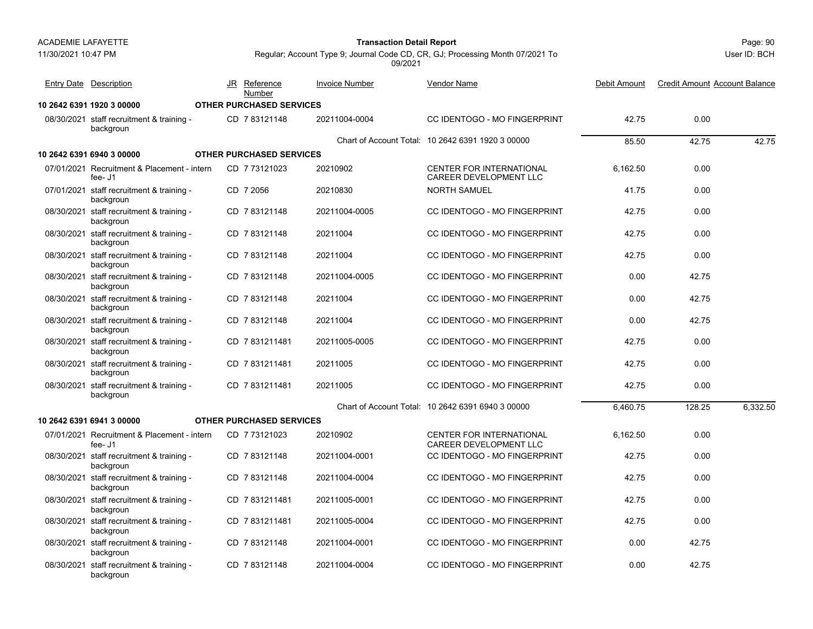11/30/2021 10:47 PM

# Page: 90 **Transaction Detail Report**

| Entry Date Description                                 | JR  | Reference<br>Number             | <b>Invoice Number</b> | Vendor Name                                               | Debit Amount | <b>Credit Amount Account Balance</b> |          |
|--------------------------------------------------------|-----|---------------------------------|-----------------------|-----------------------------------------------------------|--------------|--------------------------------------|----------|
| 10 2642 6391 1920 3 00000                              |     | <b>OTHER PURCHASED SERVICES</b> |                       |                                                           |              |                                      |          |
| 08/30/2021 staff recruitment & training -<br>backgroun |     | CD 783121148                    | 20211004-0004         | <b>CC IDENTOGO - MO FINGERPRINT</b>                       | 42.75        | 0.00                                 |          |
|                                                        |     |                                 |                       | Chart of Account Total: 10 2642 6391 1920 3 00000         | 85.50        | 42.75                                | 42.75    |
| 10 2642 6391 6940 3 00000                              |     | <b>OTHER PURCHASED SERVICES</b> |                       |                                                           |              |                                      |          |
| 07/01/2021 Recruitment & Placement - intern<br>fee- J1 |     | CD 7 73121023                   | 20210902              | <b>CENTER FOR INTERNATIONAL</b><br>CAREER DEVELOPMENT LLC | 6.162.50     | 0.00                                 |          |
| 07/01/2021 staff recruitment & training -<br>backgroun |     | CD 7 2056                       | 20210830              | <b>NORTH SAMUEL</b>                                       | 41.75        | 0.00                                 |          |
| 08/30/2021 staff recruitment & training -<br>backgroun | CD. | 783121148                       | 20211004-0005         | CC IDENTOGO - MO FINGERPRINT                              | 42.75        | 0.00                                 |          |
| 08/30/2021 staff recruitment & training -<br>backgroun |     | CD 783121148                    | 20211004              | <b>CC IDENTOGO - MO FINGERPRINT</b>                       | 42.75        | 0.00                                 |          |
| 08/30/2021 staff recruitment & training -<br>backgroun |     | CD 7 83121148                   | 20211004              | CC IDENTOGO - MO FINGERPRINT                              | 42.75        | 0.00                                 |          |
| 08/30/2021 staff recruitment & training -<br>backgroun |     | CD 783121148                    | 20211004-0005         | CC IDENTOGO - MO FINGERPRINT                              | 0.00         | 42.75                                |          |
| 08/30/2021 staff recruitment & training -<br>backgroun |     | CD 7 83121148                   | 20211004              | CC IDENTOGO - MO FINGERPRINT                              | 0.00         | 42.75                                |          |
| 08/30/2021 staff recruitment & training -<br>backgroun | CD. | 783121148                       | 20211004              | CC IDENTOGO - MO FINGERPRINT                              | 0.00         | 42.75                                |          |
| 08/30/2021 staff recruitment & training -<br>backgroun |     | CD 7831211481                   | 20211005-0005         | CC IDENTOGO - MO FINGERPRINT                              | 42.75        | 0.00                                 |          |
| 08/30/2021 staff recruitment & training -<br>backgroun |     | CD 7 831211481                  | 20211005              | CC IDENTOGO - MO FINGERPRINT                              | 42.75        | 0.00                                 |          |
| 08/30/2021 staff recruitment & training -<br>backgroun |     | CD 7831211481                   | 20211005              | CC IDENTOGO - MO FINGERPRINT                              | 42.75        | 0.00                                 |          |
|                                                        |     |                                 |                       | Chart of Account Total: 10 2642 6391 6940 3 00000         | 6.460.75     | 128.25                               | 6.332.50 |
| 10 2642 6391 6941 3 00000                              |     | <b>OTHER PURCHASED SERVICES</b> |                       |                                                           |              |                                      |          |
| 07/01/2021 Recruitment & Placement - intern<br>fee- J1 |     | CD 773121023                    | 20210902              | CENTER FOR INTERNATIONAL<br>CAREER DEVELOPMENT LLC        | 6,162.50     | 0.00                                 |          |
| 08/30/2021 staff recruitment & training -<br>backgroun |     | CD 783121148                    | 20211004-0001         | <b>CC IDENTOGO - MO FINGERPRINT</b>                       | 42.75        | 0.00                                 |          |
| 08/30/2021 staff recruitment & training -<br>backgroun |     | CD 7 83121148                   | 20211004-0004         | CC IDENTOGO - MO FINGERPRINT                              | 42.75        | 0.00                                 |          |
| 08/30/2021 staff recruitment & training -<br>backgroun |     | CD 7831211481                   | 20211005-0001         | CC IDENTOGO - MO FINGERPRINT                              | 42.75        | 0.00                                 |          |
| 08/30/2021 staff recruitment & training -<br>backgroun |     | CD 7831211481                   | 20211005-0004         | <b>CC IDENTOGO - MO FINGERPRINT</b>                       | 42.75        | 0.00                                 |          |
| 08/30/2021 staff recruitment & training -<br>backgroun |     | CD 7 83121148                   | 20211004-0001         | CC IDENTOGO - MO FINGERPRINT                              | 0.00         | 42.75                                |          |
| 08/30/2021 staff recruitment & training -<br>backgroun |     | CD 783121148                    | 20211004-0004         | CC IDENTOGO - MO FINGERPRINT                              | 0.00         | 42.75                                |          |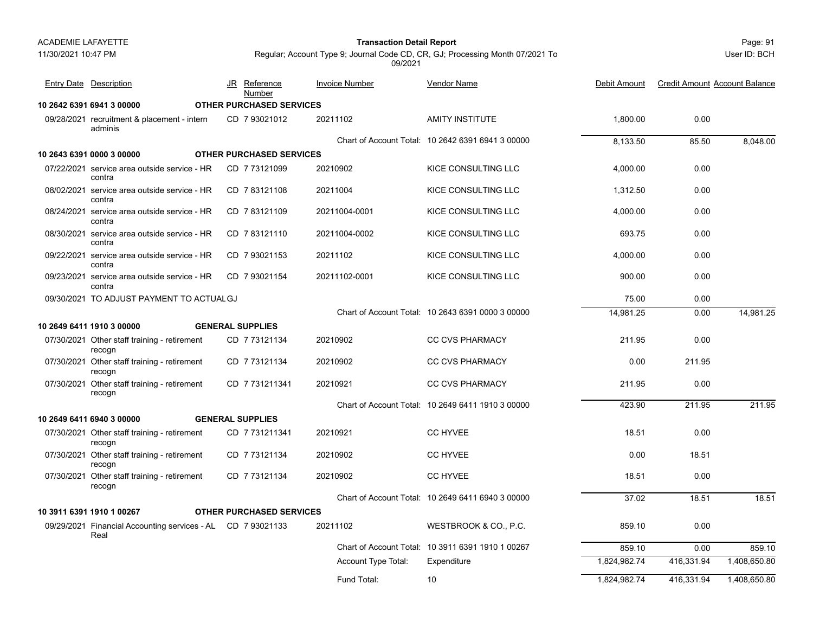Page: 91 **Transaction Detail Report**

User ID: BCH

| <b>Entry Date Description</b>                                       | JR Reference<br>Number          | <b>Invoice Number</b> | <b>Vendor Name</b>                                | Debit Amount | <b>Credit Amount Account Balance</b> |              |
|---------------------------------------------------------------------|---------------------------------|-----------------------|---------------------------------------------------|--------------|--------------------------------------|--------------|
| 10 2642 6391 6941 3 00000                                           | OTHER PURCHASED SERVICES        |                       |                                                   |              |                                      |              |
| 09/28/2021 recruitment & placement - intern<br>adminis              | CD 7 93021012                   | 20211102              | AMITY INSTITUTE                                   | 1,800.00     | 0.00                                 |              |
|                                                                     |                                 |                       | Chart of Account Total: 10 2642 6391 6941 3 00000 | 8,133.50     | 85.50                                | 8,048.00     |
| 10 2643 6391 0000 3 00000                                           | <b>OTHER PURCHASED SERVICES</b> |                       |                                                   |              |                                      |              |
| 07/22/2021 service area outside service - HR<br>contra              | CD 7 73121099                   | 20210902              | KICE CONSULTING LLC                               | 4,000.00     | 0.00                                 |              |
| 08/02/2021 service area outside service - HR<br>contra              | CD 783121108                    | 20211004              | KICE CONSULTING LLC                               | 1.312.50     | 0.00                                 |              |
| 08/24/2021 service area outside service - HR<br>contra              | CD 783121109                    | 20211004-0001         | KICE CONSULTING LLC                               | 4,000.00     | 0.00                                 |              |
| 08/30/2021 service area outside service - HR<br>contra              | CD 783121110                    | 20211004-0002         | KICE CONSULTING LLC                               | 693.75       | 0.00                                 |              |
| 09/22/2021 service area outside service - HR<br>contra              | CD 7 93021153                   | 20211102              | KICE CONSULTING LLC                               | 4,000.00     | 0.00                                 |              |
| 09/23/2021 service area outside service - HR<br>contra              | CD 793021154                    | 20211102-0001         | KICE CONSULTING LLC                               | 900.00       | 0.00                                 |              |
| 09/30/2021 TO ADJUST PAYMENT TO ACTUAL GJ                           |                                 |                       |                                                   | 75.00        | 0.00                                 |              |
|                                                                     |                                 |                       | Chart of Account Total: 10 2643 6391 0000 3 00000 | 14,981.25    | 0.00                                 | 14,981.25    |
| 10 2649 6411 1910 3 00000                                           | <b>GENERAL SUPPLIES</b>         |                       |                                                   |              |                                      |              |
| 07/30/2021 Other staff training - retirement<br>recogn              | CD 7 73121134                   | 20210902              | <b>CC CVS PHARMACY</b>                            | 211.95       | 0.00                                 |              |
| 07/30/2021 Other staff training - retirement<br>recogn              | CD 7 73121134                   | 20210902              | <b>CC CVS PHARMACY</b>                            | 0.00         | 211.95                               |              |
| 07/30/2021 Other staff training - retirement<br>recogn              | CD 7731211341                   | 20210921              | <b>CC CVS PHARMACY</b>                            | 211.95       | 0.00                                 |              |
|                                                                     |                                 |                       | Chart of Account Total: 10 2649 6411 1910 3 00000 | 423.90       | 211.95                               | 211.95       |
| 10 2649 6411 6940 3 00000                                           | <b>GENERAL SUPPLIES</b>         |                       |                                                   |              |                                      |              |
| 07/30/2021 Other staff training - retirement<br>recogn              | CD 7731211341                   | 20210921              | <b>CC HYVEE</b>                                   | 18.51        | 0.00                                 |              |
| 07/30/2021 Other staff training - retirement<br>recogn              | CD 773121134                    | 20210902              | <b>CC HYVEE</b>                                   | 0.00         | 18.51                                |              |
| 07/30/2021 Other staff training - retirement<br>recogn              | CD 7 73121134                   | 20210902              | <b>CC HYVEE</b>                                   | 18.51        | 0.00                                 |              |
|                                                                     |                                 |                       | Chart of Account Total: 10 2649 6411 6940 3 00000 | 37.02        | 18.51                                | 18.51        |
| 10 3911 6391 1910 1 00267                                           | <b>OTHER PURCHASED SERVICES</b> |                       |                                                   |              |                                      |              |
| 09/29/2021 Financial Accounting services - AL CD 7 93021133<br>Real |                                 | 20211102              | WESTBROOK & CO., P.C.                             | 859.10       | 0.00                                 |              |
|                                                                     |                                 |                       | Chart of Account Total: 10 3911 6391 1910 1 00267 | 859.10       | 0.00                                 | 859.10       |
|                                                                     |                                 | Account Type Total:   | Expenditure                                       | 1,824,982.74 | 416,331.94                           | 1,408,650.80 |
|                                                                     |                                 | Fund Total:           | 10                                                | 1,824,982.74 | 416,331.94                           | 1,408,650.80 |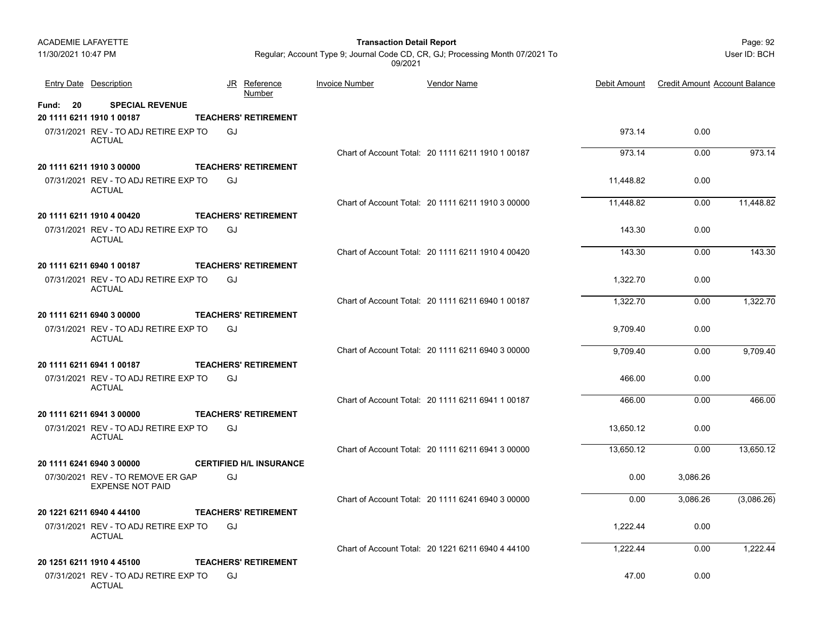11/30/2021 10:47 PM

### Page: 92 **Transaction Detail Report**

JR Reference Invoice Number

User ID: BCH

Regular; Account Type 9; Journal Code CD, CR, GJ; Processing Month 07/2021 To 09/2021

Entry Date Description JR Reference <u>Invoice Number</u> <u>Vendor Name</u> Debit Amount Credit Amount Account Balance

Vendor Name

|                 |                                                              |    | Number                         |                                                   |           |          |            |
|-----------------|--------------------------------------------------------------|----|--------------------------------|---------------------------------------------------|-----------|----------|------------|
| <b>Fund: 20</b> | <b>SPECIAL REVENUE</b><br>20 1111 6211 1910 1 00187          |    | <b>TEACHERS' RETIREMENT</b>    |                                                   |           |          |            |
|                 | 07/31/2021 REV - TO ADJ RETIRE EXP TO<br><b>ACTUAL</b>       | GJ |                                |                                                   | 973.14    | 0.00     |            |
|                 |                                                              |    |                                | Chart of Account Total: 20 1111 6211 1910 1 00187 | 973.14    | 0.00     | 973.14     |
|                 | 20 1111 6211 1910 3 00000                                    |    | <b>TEACHERS' RETIREMENT</b>    |                                                   |           |          |            |
|                 | 07/31/2021 REV - TO ADJ RETIRE EXP TO<br><b>ACTUAL</b>       | GJ |                                |                                                   | 11,448.82 | 0.00     |            |
|                 |                                                              |    |                                | Chart of Account Total: 20 1111 6211 1910 3 00000 | 11.448.82 | 0.00     | 11,448.82  |
|                 | 20 1111 6211 1910 4 00420                                    |    | <b>TEACHERS' RETIREMENT</b>    |                                                   |           |          |            |
|                 | 07/31/2021 REV - TO ADJ RETIRE EXP TO<br><b>ACTUAL</b>       | GJ |                                |                                                   | 143.30    | 0.00     |            |
|                 |                                                              |    |                                | Chart of Account Total: 20 1111 6211 1910 4 00420 | 143.30    | 0.00     | 143.30     |
|                 | 20 1111 6211 6940 1 00187                                    |    | <b>TEACHERS' RETIREMENT</b>    |                                                   |           |          |            |
|                 | 07/31/2021 REV - TO ADJ RETIRE EXP TO<br><b>ACTUAL</b>       | GJ |                                |                                                   | 1.322.70  | 0.00     |            |
|                 |                                                              |    |                                | Chart of Account Total: 20 1111 6211 6940 1 00187 | 1,322.70  | 0.00     | 1,322.70   |
|                 | 20 1111 6211 6940 3 00000                                    |    | <b>TEACHERS' RETIREMENT</b>    |                                                   |           |          |            |
|                 | 07/31/2021 REV - TO ADJ RETIRE EXP TO<br><b>ACTUAL</b>       | GJ |                                |                                                   | 9,709.40  | 0.00     |            |
|                 |                                                              |    |                                | Chart of Account Total: 20 1111 6211 6940 3 00000 | 9.709.40  | 0.00     | 9.709.40   |
|                 | 20 1111 6211 6941 1 00187                                    |    | <b>TEACHERS' RETIREMENT</b>    |                                                   |           |          |            |
|                 | 07/31/2021 REV - TO ADJ RETIRE EXP TO<br><b>ACTUAL</b>       | GJ |                                |                                                   | 466.00    | 0.00     |            |
|                 |                                                              |    |                                | Chart of Account Total: 20 1111 6211 6941 1 00187 | 466.00    | 0.00     | 466.00     |
|                 | 20 1111 6211 6941 3 00000                                    |    | <b>TEACHERS' RETIREMENT</b>    |                                                   |           |          |            |
|                 | 07/31/2021 REV - TO ADJ RETIRE EXP TO<br><b>ACTUAL</b>       | GJ |                                |                                                   | 13.650.12 | 0.00     |            |
|                 |                                                              |    |                                | Chart of Account Total: 20 1111 6211 6941 3 00000 | 13,650.12 | 0.00     | 13,650.12  |
|                 | 20 1111 6241 6940 3 00000                                    |    | <b>CERTIFIED H/L INSURANCE</b> |                                                   |           |          |            |
|                 | 07/30/2021 REV - TO REMOVE ER GAP<br><b>EXPENSE NOT PAID</b> | GJ |                                |                                                   | 0.00      | 3,086.26 |            |
|                 |                                                              |    |                                | Chart of Account Total: 20 1111 6241 6940 3 00000 | 0.00      | 3.086.26 | (3,086.26) |
|                 | 20 1221 6211 6940 4 44100                                    |    | <b>TEACHERS' RETIREMENT</b>    |                                                   |           |          |            |
|                 | 07/31/2021 REV - TO ADJ RETIRE EXP TO<br><b>ACTUAL</b>       | GJ |                                |                                                   | 1,222.44  | 0.00     |            |
|                 |                                                              |    |                                | Chart of Account Total: 20 1221 6211 6940 4 44100 | 1,222.44  | 0.00     | 1,222.44   |
|                 | 20 1251 6211 1910 4 45100                                    |    | <b>TEACHERS' RETIREMENT</b>    |                                                   |           |          |            |

07/31/2021 REV - TO ADJ RETIRE EXP TO 47.00 0.00 ACTUALGJ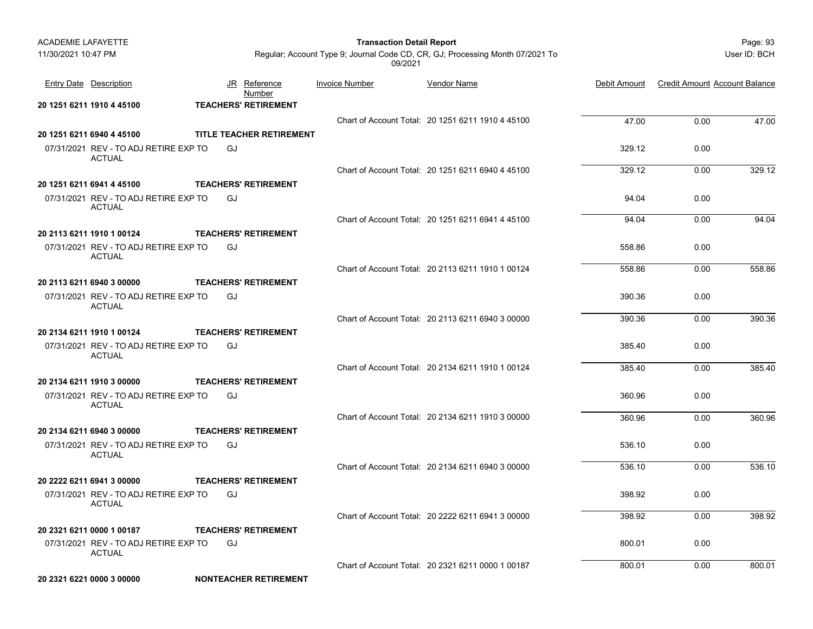| <b>ACADEMIE LAFAYETTE</b>                                          |                                   | <b>Transaction Detail Report</b> |                                                                               |                  |                                      | Page: 93     |
|--------------------------------------------------------------------|-----------------------------------|----------------------------------|-------------------------------------------------------------------------------|------------------|--------------------------------------|--------------|
| 11/30/2021 10:47 PM                                                |                                   | 09/2021                          | Regular; Account Type 9; Journal Code CD, CR, GJ; Processing Month 07/2021 To |                  |                                      | User ID: BCH |
| <b>Entry Date Description</b>                                      | JR<br><u>Reference</u><br>Number  | <b>Invoice Number</b>            | <b>Vendor Name</b>                                                            | Debit Amount     | <b>Credit Amount Account Balance</b> |              |
| 20 1251 6211 1910 4 45100                                          | <b>TEACHERS' RETIREMENT</b>       |                                  |                                                                               |                  |                                      |              |
|                                                                    |                                   |                                  | Chart of Account Total: 20 1251 6211 1910 4 45100                             | 47.00            | 0.00                                 | 47.00        |
| 20 1251 6211 6940 4 45100                                          | TITLE TEACHER RETIREMENT          |                                  |                                                                               |                  |                                      |              |
| 07/31/2021 REV - TO ADJ RETIRE EXP TO<br><b>ACTUAL</b>             | GJ                                |                                  |                                                                               | 329.12           | 0.00                                 |              |
|                                                                    |                                   |                                  | Chart of Account Total: 20 1251 6211 6940 4 45100                             | 329.12           | 0.00                                 | 329.12       |
| 20 1251 6211 6941 4 45100                                          | <b>TEACHERS' RETIREMENT</b>       |                                  |                                                                               |                  |                                      |              |
| 07/31/2021 REV - TO ADJ RETIRE EXP TO<br>ACTUAL                    | GJ                                |                                  |                                                                               | 94.04            | 0.00                                 |              |
|                                                                    |                                   |                                  | Chart of Account Total: 20 1251 6211 6941 4 45100                             | 94.04            | 0.00                                 | 94.04        |
| 20 2113 6211 1910 1 00124<br>07/31/2021 REV - TO ADJ RETIRE EXP TO | <b>TEACHERS' RETIREMENT</b><br>GJ |                                  |                                                                               | 558.86           | 0.00                                 |              |
| <b>ACTUAL</b>                                                      |                                   |                                  | Chart of Account Total: 20 2113 6211 1910 1 00124                             | 558.86           | 0.00                                 | 558.86       |
| 20 2113 6211 6940 3 00000                                          | <b>TEACHERS' RETIREMENT</b>       |                                  |                                                                               |                  |                                      |              |
| 07/31/2021 REV - TO ADJ RETIRE EXP TO<br><b>ACTUAL</b>             | GJ                                |                                  |                                                                               | 390.36           | 0.00                                 |              |
|                                                                    |                                   |                                  | Chart of Account Total: 20 2113 6211 6940 3 00000                             | 390.36           | 0.00                                 | 390.36       |
| 20 2134 6211 1910 1 00124                                          | <b>TEACHERS' RETIREMENT</b>       |                                  |                                                                               |                  |                                      |              |
| 07/31/2021 REV - TO ADJ RETIRE EXP TO<br><b>ACTUAL</b>             | GJ                                |                                  |                                                                               | 385.40           | 0.00                                 |              |
|                                                                    |                                   |                                  | Chart of Account Total: 20 2134 6211 1910 1 00124                             | 385.40           | 0.00                                 | 385.40       |
| 20 2134 6211 1910 3 00000                                          | <b>TEACHERS' RETIREMENT</b>       |                                  |                                                                               |                  |                                      |              |
| 07/31/2021 REV - TO ADJ RETIRE EXP TO<br><b>ACTUAL</b>             | GJ                                |                                  |                                                                               | 360.96           | 0.00                                 |              |
|                                                                    |                                   |                                  | Chart of Account Total: 20 2134 6211 1910 3 00000                             | 360.96           | 0.00                                 | 360.96       |
| 20 2134 6211 6940 3 00000                                          | <b>TEACHERS' RETIREMENT</b>       |                                  |                                                                               |                  |                                      |              |
| 07/31/2021 REV - TO ADJ RETIRE EXP TO<br><b>ACTUAL</b>             | GJ                                |                                  |                                                                               | 536.10           | 0.00                                 |              |
|                                                                    |                                   |                                  | Chart of Account Total: 20 2134 6211 6940 3 00000                             | 536.10           | 0.00                                 | 536.10       |
| 20 2222 6211 6941 3 00000                                          | <b>TEACHERS' RETIREMENT</b>       |                                  |                                                                               |                  |                                      |              |
| 07/31/2021 REV - TO ADJ RETIRE EXP TO GJ<br><b>ACTUAL</b>          |                                   |                                  |                                                                               | 398.92           | 0.00                                 |              |
|                                                                    |                                   |                                  | Chart of Account Total: 20 2222 6211 6941 3 00000                             | 398.92           | 0.00                                 | 398.92       |
| 20 2321 6211 0000 1 00187                                          | <b>TEACHERS' RETIREMENT</b>       |                                  |                                                                               |                  |                                      |              |
| 07/31/2021 REV - TO ADJ RETIRE EXP TO<br>ACTUAL                    | GJ                                |                                  | Chart of Account Total: 20 2321 6211 0000 1 00187                             | 800.01<br>800.01 | 0.00<br>0.00                         | 800.01       |
| 20 2321 6221 0000 3 00000                                          | <b>NONTEACHER RETIREMENT</b>      |                                  |                                                                               |                  |                                      |              |
|                                                                    |                                   |                                  |                                                                               |                  |                                      |              |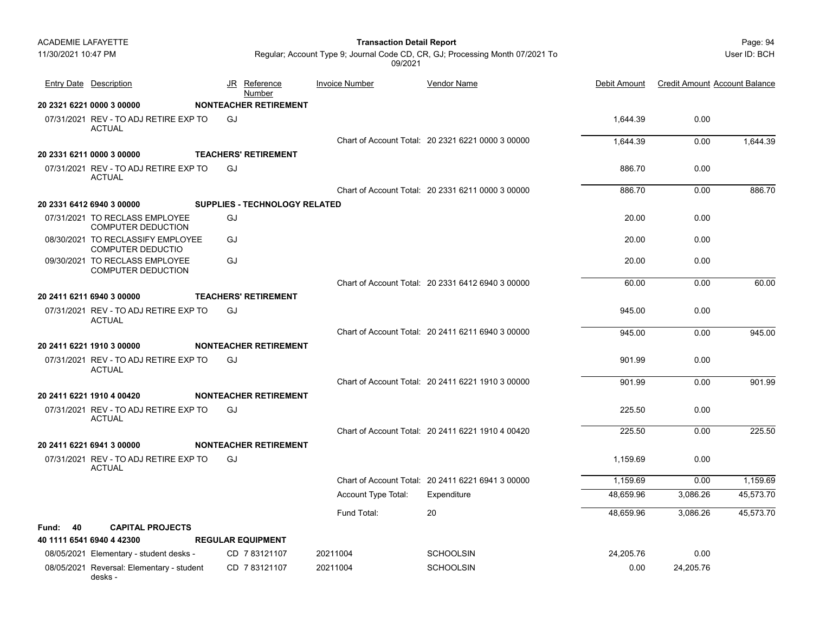| <b>ACADEMIE LAFAYETTE</b> |                                                             |           |                               | <b>Transaction Detail Report</b> |                                                                               |              |                                      | Page: 94     |
|---------------------------|-------------------------------------------------------------|-----------|-------------------------------|----------------------------------|-------------------------------------------------------------------------------|--------------|--------------------------------------|--------------|
| 11/30/2021 10:47 PM       |                                                             |           |                               | 09/2021                          | Regular; Account Type 9; Journal Code CD, CR, GJ; Processing Month 07/2021 To |              |                                      | User ID: BCH |
|                           | <b>Entry Date Description</b>                               | <u>JR</u> | Reference<br>Number           | <b>Invoice Number</b>            | <b>Vendor Name</b>                                                            | Debit Amount | <b>Credit Amount Account Balance</b> |              |
|                           | 20 2321 6221 0000 3 00000                                   |           | <b>NONTEACHER RETIREMENT</b>  |                                  |                                                                               |              |                                      |              |
|                           | 07/31/2021 REV - TO ADJ RETIRE EXP TO<br><b>ACTUAL</b>      | GJ        |                               |                                  |                                                                               | 1,644.39     | 0.00                                 |              |
|                           |                                                             |           |                               |                                  | Chart of Account Total: 20 2321 6221 0000 3 00000                             | 1,644.39     | 0.00                                 | 1,644.39     |
|                           | 20 2331 6211 0000 3 00000                                   |           | <b>TEACHERS' RETIREMENT</b>   |                                  |                                                                               |              |                                      |              |
|                           | 07/31/2021 REV - TO ADJ RETIRE EXP TO<br><b>ACTUAL</b>      | GJ        |                               |                                  |                                                                               | 886.70       | 0.00                                 |              |
|                           |                                                             |           |                               |                                  | Chart of Account Total: 20 2331 6211 0000 3 00000                             | 886.70       | 0.00                                 | 886.70       |
|                           | 20 2331 6412 6940 3 00000                                   |           | SUPPLIES - TECHNOLOGY RELATED |                                  |                                                                               |              |                                      |              |
|                           | 07/31/2021 TO RECLASS EMPLOYEE<br><b>COMPUTER DEDUCTION</b> | GJ        |                               |                                  |                                                                               | 20.00        | 0.00                                 |              |
|                           | 08/30/2021 TO RECLASSIFY EMPLOYEE<br>COMPUTER DEDUCTIO      | GJ        |                               |                                  |                                                                               | 20.00        | 0.00                                 |              |
|                           | 09/30/2021 TO RECLASS EMPLOYEE<br><b>COMPUTER DEDUCTION</b> | GJ        |                               |                                  |                                                                               | 20.00        | 0.00                                 |              |
|                           |                                                             |           |                               |                                  | Chart of Account Total: 20 2331 6412 6940 3 00000                             | 60.00        | 0.00                                 | 60.00        |
|                           | 20 2411 6211 6940 3 00000                                   |           | <b>TEACHERS' RETIREMENT</b>   |                                  |                                                                               |              |                                      |              |
|                           | 07/31/2021 REV - TO ADJ RETIRE EXP TO<br><b>ACTUAL</b>      | GJ        |                               |                                  |                                                                               | 945.00       | 0.00                                 |              |
|                           |                                                             |           |                               |                                  | Chart of Account Total: 20 2411 6211 6940 3 00000                             | 945.00       | 0.00                                 | 945.00       |
|                           | 20 2411 6221 1910 3 00000                                   |           | <b>NONTEACHER RETIREMENT</b>  |                                  |                                                                               |              |                                      |              |
|                           | 07/31/2021 REV - TO ADJ RETIRE EXP TO<br><b>ACTUAL</b>      | GJ        |                               |                                  |                                                                               | 901.99       | 0.00                                 |              |
|                           |                                                             |           |                               |                                  | Chart of Account Total: 20 2411 6221 1910 3 00000                             | 901.99       | 0.00                                 | 901.99       |
|                           | 20 2411 6221 1910 4 00420                                   |           | <b>NONTEACHER RETIREMENT</b>  |                                  |                                                                               |              |                                      |              |
|                           | 07/31/2021 REV - TO ADJ RETIRE EXP TO<br><b>ACTUAL</b>      | GJ        |                               |                                  |                                                                               | 225.50       | 0.00                                 |              |
|                           |                                                             |           |                               |                                  | Chart of Account Total: 20 2411 6221 1910 4 00420                             | 225.50       | 0.00                                 | 225.50       |
|                           | 20 2411 6221 6941 3 00000                                   |           | <b>NONTEACHER RETIREMENT</b>  |                                  |                                                                               |              |                                      |              |
|                           | 07/31/2021 REV - TO ADJ RETIRE EXP TO<br><b>ACTUAL</b>      | GJ        |                               |                                  |                                                                               | 1,159.69     | 0.00                                 |              |
|                           |                                                             |           |                               |                                  | Chart of Account Total: 20 2411 6221 6941 3 00000                             | 1,159.69     | 0.00                                 | 1,159.69     |
|                           |                                                             |           |                               | Account Type Total:              | Expenditure                                                                   | 48,659.96    | 3,086.26                             | 45,573.70    |
|                           |                                                             |           |                               | Fund Total:                      | 20                                                                            | 48,659.96    | 3,086.26                             | 45,573.70    |
| <b>Fund: 40</b>           | <b>CAPITAL PROJECTS</b>                                     |           |                               |                                  |                                                                               |              |                                      |              |
|                           | 40 1111 6541 6940 4 42300                                   |           | <b>REGULAR EQUIPMENT</b>      |                                  |                                                                               |              |                                      |              |
|                           | 08/05/2021 Elementary - student desks -                     |           | CD 783121107                  | 20211004                         | <b>SCHOOLSIN</b>                                                              | 24,205.76    | 0.00                                 |              |
|                           | 08/05/2021 Reversal: Elementary - student                   |           | CD 7 83121107                 | 20211004                         | <b>SCHOOLSIN</b>                                                              | 0.00         | 24,205.76                            |              |

desks -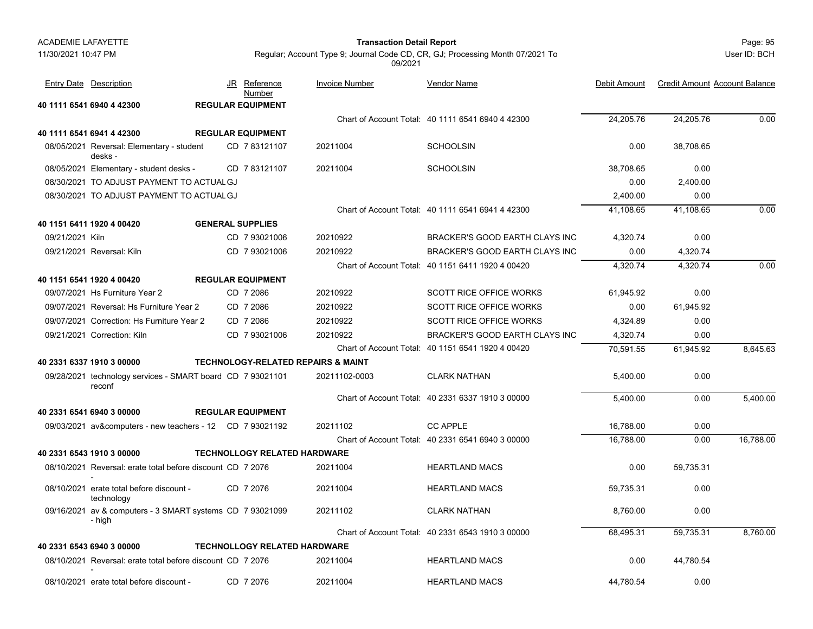### Page: 95 **Transaction Detail Report**

User ID: BCH

|                 | <b>Entry Date</b> Description                                        | JR Reference<br>Number              | <b>Invoice Number</b>                         | <b>Vendor Name</b>                                | Debit Amount | <b>Credit Amount Account Balance</b> |           |
|-----------------|----------------------------------------------------------------------|-------------------------------------|-----------------------------------------------|---------------------------------------------------|--------------|--------------------------------------|-----------|
|                 | 40 1111 6541 6940 4 42300                                            | <b>REGULAR EQUIPMENT</b>            |                                               |                                                   |              |                                      |           |
|                 |                                                                      |                                     |                                               | Chart of Account Total: 40 1111 6541 6940 4 42300 | 24,205.76    | 24.205.76                            | 0.00      |
|                 | 40 1111 6541 6941 4 42300                                            | <b>REGULAR EQUIPMENT</b>            |                                               |                                                   |              |                                      |           |
|                 | 08/05/2021 Reversal: Elementary - student<br>desks -                 | CD 7 83121107                       | 20211004                                      | <b>SCHOOLSIN</b>                                  | 0.00         | 38,708.65                            |           |
|                 | 08/05/2021 Elementary - student desks -                              | CD 783121107                        | 20211004                                      | <b>SCHOOLSIN</b>                                  | 38,708.65    | 0.00                                 |           |
|                 | 08/30/2021 TO ADJUST PAYMENT TO ACTUAL GJ                            |                                     |                                               |                                                   | 0.00         | 2,400.00                             |           |
|                 | 08/30/2021 TO ADJUST PAYMENT TO ACTUAL GJ                            |                                     |                                               |                                                   | 2,400.00     | 0.00                                 |           |
|                 |                                                                      |                                     |                                               | Chart of Account Total: 40 1111 6541 6941 4 42300 | 41,108.65    | 41,108.65                            | 0.00      |
|                 | 40 1151 6411 1920 4 00420                                            | <b>GENERAL SUPPLIES</b>             |                                               |                                                   |              |                                      |           |
| 09/21/2021 Kiln |                                                                      | CD 7 93021006                       | 20210922                                      | <b>BRACKER'S GOOD EARTH CLAYS INC</b>             | 4,320.74     | 0.00                                 |           |
|                 | 09/21/2021 Reversal: Kiln                                            | CD 7 93021006                       | 20210922                                      | <b>BRACKER'S GOOD EARTH CLAYS INC</b>             | 0.00         | 4,320.74                             |           |
|                 |                                                                      |                                     |                                               | Chart of Account Total: 40 1151 6411 1920 4 00420 | 4,320.74     | 4,320.74                             | 0.00      |
|                 | 40 1151 6541 1920 4 00420                                            | <b>REGULAR EQUIPMENT</b>            |                                               |                                                   |              |                                      |           |
|                 | 09/07/2021 Hs Furniture Year 2                                       | CD 7 2086                           | 20210922                                      | <b>SCOTT RICE OFFICE WORKS</b>                    | 61,945.92    | 0.00                                 |           |
|                 | 09/07/2021 Reversal: Hs Furniture Year 2                             | CD 7 2086                           | 20210922                                      | <b>SCOTT RICE OFFICE WORKS</b>                    | 0.00         | 61.945.92                            |           |
|                 | 09/07/2021 Correction: Hs Furniture Year 2                           | CD 7 2086                           | 20210922                                      | <b>SCOTT RICE OFFICE WORKS</b>                    | 4,324.89     | 0.00                                 |           |
|                 | 09/21/2021 Correction: Kiln                                          | CD 7 93021006                       | 20210922                                      | <b>BRACKER'S GOOD EARTH CLAYS INC</b>             | 4,320.74     | 0.00                                 |           |
|                 |                                                                      |                                     |                                               | Chart of Account Total: 40 1151 6541 1920 4 00420 | 70,591.55    | 61,945.92                            | 8,645.63  |
|                 | 40 2331 6337 1910 3 00000                                            |                                     | <b>TECHNOLOGY-RELATED REPAIRS &amp; MAINT</b> |                                                   |              |                                      |           |
|                 | 09/28/2021 technology services - SMART board CD 7 93021101<br>reconf |                                     | 20211102-0003                                 | <b>CLARK NATHAN</b>                               | 5,400.00     | 0.00                                 |           |
|                 |                                                                      |                                     |                                               | Chart of Account Total: 40 2331 6337 1910 3 00000 | 5,400.00     | 0.00                                 | 5,400.00  |
|                 | 40 2331 6541 6940 3 00000                                            | <b>REGULAR EQUIPMENT</b>            |                                               |                                                   |              |                                      |           |
|                 | 09/03/2021 av&computers - new teachers - 12 CD 7 93021192            |                                     | 20211102                                      | <b>CC APPLE</b>                                   | 16,788.00    | 0.00                                 |           |
|                 |                                                                      |                                     |                                               | Chart of Account Total: 40 2331 6541 6940 3 00000 | 16,788.00    | 0.00                                 | 16,788.00 |
|                 | 40 2331 6543 1910 3 00000                                            | <b>TECHNOLLOGY RELATED HARDWARE</b> |                                               |                                                   |              |                                      |           |
|                 | 08/10/2021 Reversal: erate total before discount CD 7 2076           |                                     | 20211004                                      | <b>HEARTLAND MACS</b>                             | 0.00         | 59,735.31                            |           |
|                 | 08/10/2021 erate total before discount -<br>technology               | CD 7 2076                           | 20211004                                      | <b>HEARTLAND MACS</b>                             | 59,735.31    | 0.00                                 |           |
|                 | 09/16/2021 av & computers - 3 SMART systems CD 7 93021099<br>- high  |                                     | 20211102                                      | <b>CLARK NATHAN</b>                               | 8,760.00     | 0.00                                 |           |
|                 |                                                                      |                                     |                                               | Chart of Account Total: 40 2331 6543 1910 3 00000 | 68,495.31    | 59,735.31                            | 8,760.00  |
|                 | 40 2331 6543 6940 3 00000                                            | <b>TECHNOLLOGY RELATED HARDWARE</b> |                                               |                                                   |              |                                      |           |
|                 | 08/10/2021 Reversal: erate total before discount CD 7 2076           |                                     | 20211004                                      | <b>HEARTLAND MACS</b>                             | 0.00         | 44,780.54                            |           |
|                 | 08/10/2021 erate total before discount -                             | CD 7 2076                           | 20211004                                      | <b>HEARTLAND MACS</b>                             | 44,780.54    | 0.00                                 |           |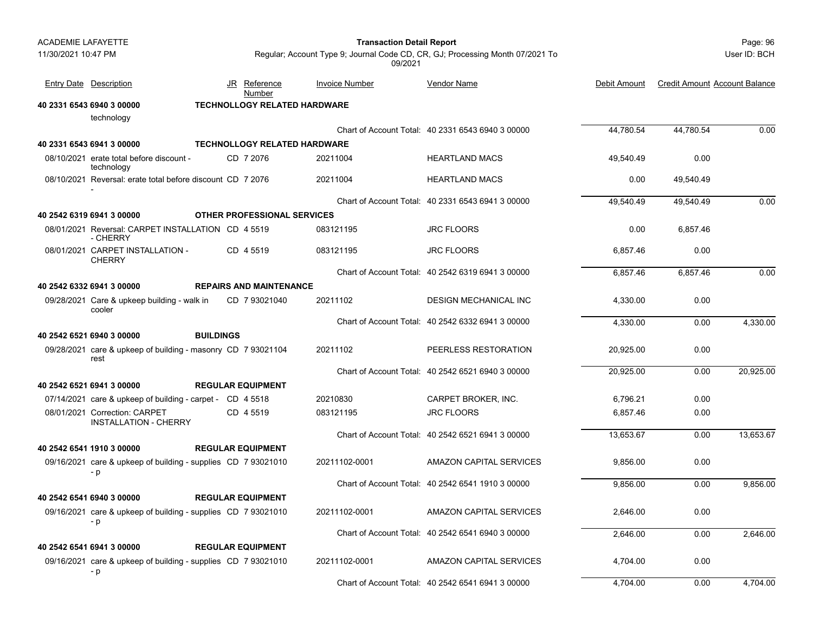|                     | <b>ACADEMIE LAFAYETTE</b>                                             |                  |    |                                     |                       | Page: 96                                                                      |              |                                      |              |
|---------------------|-----------------------------------------------------------------------|------------------|----|-------------------------------------|-----------------------|-------------------------------------------------------------------------------|--------------|--------------------------------------|--------------|
| 11/30/2021 10:47 PM |                                                                       |                  |    |                                     | 09/2021               | Regular; Account Type 9; Journal Code CD, CR, GJ; Processing Month 07/2021 To |              |                                      | User ID: BCH |
|                     | <b>Entry Date Description</b>                                         |                  | JR | <u>Reference</u><br>Number          | <b>Invoice Number</b> | <b>Vendor Name</b>                                                            | Debit Amount | <b>Credit Amount Account Balance</b> |              |
|                     | 40 2331 6543 6940 3 00000                                             |                  |    | <b>TECHNOLLOGY RELATED HARDWARE</b> |                       |                                                                               |              |                                      |              |
|                     | technology                                                            |                  |    |                                     |                       |                                                                               |              |                                      |              |
|                     |                                                                       |                  |    |                                     |                       | Chart of Account Total: 40 2331 6543 6940 3 00000                             | 44,780.54    | 44,780.54                            | 0.00         |
|                     | 40 2331 6543 6941 3 00000                                             |                  |    | <b>TECHNOLLOGY RELATED HARDWARE</b> |                       |                                                                               |              |                                      |              |
|                     | 08/10/2021 erate total before discount -<br>technology                |                  |    | CD 7 2076                           | 20211004              | <b>HEARTLAND MACS</b>                                                         | 49.540.49    | 0.00                                 |              |
|                     | 08/10/2021 Reversal: erate total before discount CD 7 2076            |                  |    |                                     | 20211004              | <b>HEARTLAND MACS</b>                                                         | 0.00         | 49,540.49                            |              |
|                     |                                                                       |                  |    |                                     |                       | Chart of Account Total: 40 2331 6543 6941 3 00000                             | 49,540.49    | 49,540.49                            | 0.00         |
|                     | 40 2542 6319 6941 3 00000                                             |                  |    | <b>OTHER PROFESSIONAL SERVICES</b>  |                       |                                                                               |              |                                      |              |
|                     | 08/01/2021 Reversal: CARPET INSTALLATION CD 4 5519<br>- CHERRY        |                  |    |                                     | 083121195             | <b>JRC FLOORS</b>                                                             | 0.00         | 6,857.46                             |              |
|                     | 08/01/2021 CARPET INSTALLATION -<br><b>CHERRY</b>                     |                  |    | CD 4 5519                           | 083121195             | <b>JRC FLOORS</b>                                                             | 6,857.46     | 0.00                                 |              |
|                     |                                                                       |                  |    |                                     |                       | Chart of Account Total: 40 2542 6319 6941 3 00000                             | 6,857.46     | 6,857.46                             | 0.00         |
|                     | 40 2542 6332 6941 3 00000                                             |                  |    | <b>REPAIRS AND MAINTENANCE</b>      |                       |                                                                               |              |                                      |              |
|                     | 09/28/2021 Care & upkeep building - walk in<br>cooler                 |                  |    | CD 793021040                        | 20211102              | <b>DESIGN MECHANICAL INC</b>                                                  | 4,330.00     | 0.00                                 |              |
|                     |                                                                       |                  |    |                                     |                       | Chart of Account Total: 40 2542 6332 6941 3 00000                             | 4,330.00     | 0.00                                 | 4,330.00     |
|                     | 40 2542 6521 6940 3 00000                                             | <b>BUILDINGS</b> |    |                                     |                       |                                                                               |              |                                      |              |
|                     | 09/28/2021 care & upkeep of building - masonry CD 7 93021104<br>rest  |                  |    |                                     | 20211102              | PEERLESS RESTORATION                                                          | 20,925.00    | 0.00                                 |              |
|                     |                                                                       |                  |    |                                     |                       | Chart of Account Total: 40 2542 6521 6940 3 00000                             | 20,925.00    | 0.00                                 | 20,925.00    |
|                     | 40 2542 6521 6941 3 00000                                             |                  |    | <b>REGULAR EQUIPMENT</b>            |                       |                                                                               |              |                                      |              |
|                     | 07/14/2021 care & upkeep of building - carpet - CD 4 5518             |                  |    |                                     | 20210830              | CARPET BROKER, INC.                                                           | 6,796.21     | 0.00                                 |              |
|                     | 08/01/2021 Correction: CARPET<br><b>INSTALLATION - CHERRY</b>         |                  |    | CD 4 5519                           | 083121195             | <b>JRC FLOORS</b>                                                             | 6,857.46     | 0.00                                 |              |
|                     |                                                                       |                  |    |                                     |                       | Chart of Account Total: 40 2542 6521 6941 3 00000                             | 13,653.67    | 0.00                                 | 13,653.67    |
|                     | 40 2542 6541 1910 3 00000                                             |                  |    | <b>REGULAR EQUIPMENT</b>            |                       |                                                                               |              |                                      |              |
|                     | 09/16/2021 care & upkeep of building - supplies CD 7 93021010<br>$-p$ |                  |    |                                     | 20211102-0001         | AMAZON CAPITAL SERVICES                                                       | 9,856.00     | 0.00                                 |              |
|                     |                                                                       |                  |    |                                     |                       | Chart of Account Total: 40 2542 6541 1910 3 00000                             | 9,856.00     | 0.00                                 | 9,856.00     |
|                     | 40 2542 6541 6940 3 00000                                             |                  |    | <b>REGULAR EQUIPMENT</b>            |                       |                                                                               |              |                                      |              |
|                     | 09/16/2021 care & upkeep of building - supplies CD 7 93021010<br>- p  |                  |    |                                     | 20211102-0001         | AMAZON CAPITAL SERVICES                                                       | 2,646.00     | 0.00                                 |              |
|                     |                                                                       |                  |    |                                     |                       | Chart of Account Total: 40 2542 6541 6940 3 00000                             | 2,646.00     | 0.00                                 | 2,646.00     |
|                     | 40 2542 6541 6941 3 00000                                             |                  |    | <b>REGULAR EQUIPMENT</b>            |                       |                                                                               |              |                                      |              |
|                     | 09/16/2021 care & upkeep of building - supplies CD 7 93021010<br>- p  |                  |    |                                     | 20211102-0001         | AMAZON CAPITAL SERVICES                                                       | 4,704.00     | 0.00                                 |              |
|                     |                                                                       |                  |    |                                     |                       | Chart of Account Total: 40 2542 6541 6941 3 00000                             | 4,704.00     | 0.00                                 | 4,704.00     |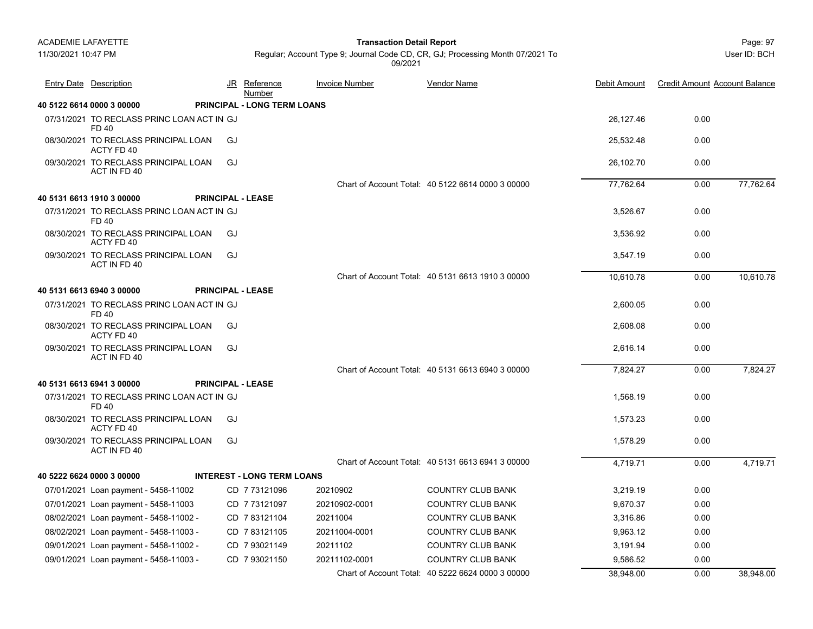Page: 97 **Transaction Detail Report**

Regular; Account Type 9; Journal Code CD, CR, GJ; Processing Month 07/2021 To 09/2021

| <b>Entry Date Description</b>                        |    | JR Reference<br>Number             | <b>Invoice Number</b> | Vendor Name                                       | Debit Amount | <b>Credit Amount Account Balance</b> |           |
|------------------------------------------------------|----|------------------------------------|-----------------------|---------------------------------------------------|--------------|--------------------------------------|-----------|
| 40 5122 6614 0000 3 00000                            |    | <b>PRINCIPAL - LONG TERM LOANS</b> |                       |                                                   |              |                                      |           |
| 07/31/2021 TO RECLASS PRINC LOAN ACT IN GJ<br>FD 40  |    |                                    |                       |                                                   | 26,127.46    | 0.00                                 |           |
| 08/30/2021 TO RECLASS PRINCIPAL LOAN<br>ACTY FD 40   | GJ |                                    |                       |                                                   | 25,532.48    | 0.00                                 |           |
| 09/30/2021 TO RECLASS PRINCIPAL LOAN<br>ACT IN FD 40 | GJ |                                    |                       |                                                   | 26,102.70    | 0.00                                 |           |
|                                                      |    |                                    |                       | Chart of Account Total: 40 5122 6614 0000 3 00000 | 77,762.64    | 0.00                                 | 77,762.64 |
| 40 5131 6613 1910 3 00000                            |    | <b>PRINCIPAL - LEASE</b>           |                       |                                                   |              |                                      |           |
| 07/31/2021 TO RECLASS PRINC LOAN ACT IN GJ<br>FD 40  |    |                                    |                       |                                                   | 3.526.67     | 0.00                                 |           |
| 08/30/2021 TO RECLASS PRINCIPAL LOAN<br>ACTY FD 40   | GJ |                                    |                       |                                                   | 3,536.92     | 0.00                                 |           |
| 09/30/2021 TO RECLASS PRINCIPAL LOAN<br>ACT IN FD 40 | GJ |                                    |                       |                                                   | 3,547.19     | 0.00                                 |           |
|                                                      |    |                                    |                       | Chart of Account Total: 40 5131 6613 1910 3 00000 | 10,610.78    | 0.00                                 | 10,610.78 |
| 40 5131 6613 6940 3 00000                            |    | <b>PRINCIPAL - LEASE</b>           |                       |                                                   |              |                                      |           |
| 07/31/2021 TO RECLASS PRINC LOAN ACT IN GJ<br>FD 40  |    |                                    |                       |                                                   | 2,600.05     | 0.00                                 |           |
| 08/30/2021 TO RECLASS PRINCIPAL LOAN<br>ACTY FD 40   | GJ |                                    |                       |                                                   | 2,608.08     | 0.00                                 |           |
| 09/30/2021 TO RECLASS PRINCIPAL LOAN<br>ACT IN FD 40 | GJ |                                    |                       |                                                   | 2,616.14     | 0.00                                 |           |
|                                                      |    |                                    |                       | Chart of Account Total: 40 5131 6613 6940 3 00000 | 7,824.27     | 0.00                                 | 7,824.27  |
| 40 5131 6613 6941 3 00000                            |    | <b>PRINCIPAL - LEASE</b>           |                       |                                                   |              |                                      |           |
| 07/31/2021 TO RECLASS PRINC LOAN ACT IN GJ<br>FD 40  |    |                                    |                       |                                                   | 1.568.19     | 0.00                                 |           |
| 08/30/2021 TO RECLASS PRINCIPAL LOAN<br>ACTY FD 40   | GJ |                                    |                       |                                                   | 1,573.23     | 0.00                                 |           |
| 09/30/2021 TO RECLASS PRINCIPAL LOAN<br>ACT IN FD 40 | GJ |                                    |                       |                                                   | 1,578.29     | 0.00                                 |           |
|                                                      |    |                                    |                       | Chart of Account Total: 40 5131 6613 6941 3 00000 | 4.719.71     | 0.00                                 | 4,719.71  |
| 40 5222 6624 0000 3 00000                            |    | <b>INTEREST - LONG TERM LOANS</b>  |                       |                                                   |              |                                      |           |
| 07/01/2021 Loan payment - 5458-11002                 |    | CD 7 73121096                      | 20210902              | <b>COUNTRY CLUB BANK</b>                          | 3,219.19     | 0.00                                 |           |
| 07/01/2021 Loan payment - 5458-11003                 |    | CD 7 73121097                      | 20210902-0001         | <b>COUNTRY CLUB BANK</b>                          | 9.670.37     | 0.00                                 |           |
| 08/02/2021 Loan payment - 5458-11002 -               |    | CD 783121104                       | 20211004              | COUNTRY CLUB BANK                                 | 3,316.86     | 0.00                                 |           |
| 08/02/2021 Loan payment - 5458-11003 -               |    | CD 783121105                       | 20211004-0001         | <b>COUNTRY CLUB BANK</b>                          | 9,963.12     | 0.00                                 |           |
| 09/01/2021 Loan payment - 5458-11002 -               |    | CD 7 93021149                      | 20211102              | <b>COUNTRY CLUB BANK</b>                          | 3,191.94     | 0.00                                 |           |
| 09/01/2021 Loan payment - 5458-11003 -               |    | CD 7 93021150                      | 20211102-0001         | <b>COUNTRY CLUB BANK</b>                          | 9,586.52     | 0.00                                 |           |
|                                                      |    |                                    |                       | Chart of Account Total: 40 5222 6624 0000 3 00000 | 38,948.00    | 0.00                                 | 38,948.00 |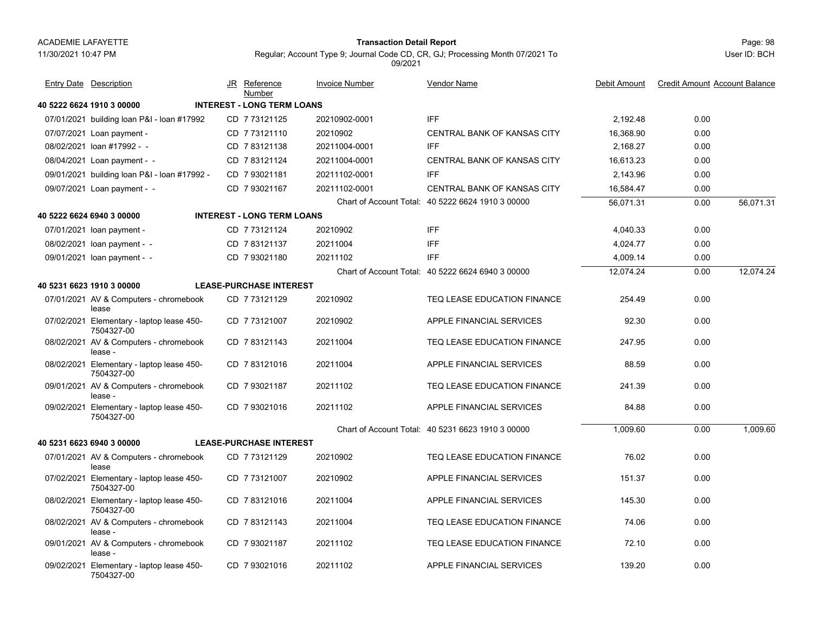11/30/2021 10:47 PM

# Page: 98 **Transaction Detail Report**

Regular; Account Type 9; Journal Code CD, CR, GJ; Processing Month 07/2021 To 09/2021

| <b>Entry Date Description</b>                           | JR Reference<br>Number            | <b>Invoice Number</b> | <b>Vendor Name</b>                                | Debit Amount | <b>Credit Amount Account Balance</b> |           |
|---------------------------------------------------------|-----------------------------------|-----------------------|---------------------------------------------------|--------------|--------------------------------------|-----------|
| 40 5222 6624 1910 3 00000                               | <b>INTEREST - LONG TERM LOANS</b> |                       |                                                   |              |                                      |           |
| 07/01/2021 building loan P&I - loan #17992              | CD 7 73121125                     | 20210902-0001         | <b>IFF</b>                                        | 2.192.48     | 0.00                                 |           |
| 07/07/2021 Loan payment -                               | CD 7 73121110                     | 20210902              | <b>CENTRAL BANK OF KANSAS CITY</b>                | 16.368.90    | 0.00                                 |           |
| 08/02/2021 loan #17992 - -                              | CD 783121138                      | 20211004-0001         | <b>IFF</b>                                        | 2.168.27     | 0.00                                 |           |
| 08/04/2021 Loan payment - -                             | CD 7 83121124                     | 20211004-0001         | CENTRAL BANK OF KANSAS CITY                       | 16,613.23    | 0.00                                 |           |
| 09/01/2021 building loan P&I - loan #17992 -            | CD 793021181                      | 20211102-0001         | <b>IFF</b>                                        | 2,143.96     | 0.00                                 |           |
| 09/07/2021 Loan payment - -                             | CD 7 93021167                     | 20211102-0001         | CENTRAL BANK OF KANSAS CITY                       | 16,584.47    | 0.00                                 |           |
|                                                         |                                   |                       | Chart of Account Total: 40 5222 6624 1910 3 00000 | 56,071.31    | 0.00                                 | 56,071.31 |
| 40 5222 6624 6940 3 00000                               | <b>INTEREST - LONG TERM LOANS</b> |                       |                                                   |              |                                      |           |
| 07/01/2021 loan payment -                               | CD 7 73121124                     | 20210902              | <b>IFF</b>                                        | 4,040.33     | 0.00                                 |           |
| 08/02/2021 loan payment - -                             | CD 783121137                      | 20211004              | <b>IFF</b>                                        | 4,024.77     | 0.00                                 |           |
| 09/01/2021 loan payment - -                             | CD 7 93021180                     | 20211102              | <b>IFF</b>                                        | 4,009.14     | 0.00                                 |           |
|                                                         |                                   |                       | Chart of Account Total: 40 5222 6624 6940 3 00000 | 12,074.24    | 0.00                                 | 12,074.24 |
| 40 5231 6623 1910 3 00000                               | <b>LEASE-PURCHASE INTEREST</b>    |                       |                                                   |              |                                      |           |
| 07/01/2021 AV & Computers - chromebook<br>lease         | CD 773121129                      | 20210902              | TEQ LEASE EDUCATION FINANCE                       | 254.49       | 0.00                                 |           |
| 07/02/2021 Elementary - laptop lease 450-<br>7504327-00 | CD 7 73121007                     | 20210902              | APPLE FINANCIAL SERVICES                          | 92.30        | 0.00                                 |           |
| 08/02/2021 AV & Computers - chromebook<br>lease -       | CD 783121143                      | 20211004              | TEQ LEASE EDUCATION FINANCE                       | 247.95       | 0.00                                 |           |
| 08/02/2021 Elementary - laptop lease 450-<br>7504327-00 | CD 783121016                      | 20211004              | APPLE FINANCIAL SERVICES                          | 88.59        | 0.00                                 |           |
| 09/01/2021 AV & Computers - chromebook<br>lease -       | CD 7 93021187                     | 20211102              | TEQ LEASE EDUCATION FINANCE                       | 241.39       | 0.00                                 |           |
| 09/02/2021 Elementary - laptop lease 450-<br>7504327-00 | CD 793021016                      | 20211102              | APPLE FINANCIAL SERVICES                          | 84.88        | 0.00                                 |           |
|                                                         |                                   |                       | Chart of Account Total: 40 5231 6623 1910 3 00000 | 1,009.60     | 0.00                                 | 1,009.60  |
| 40 5231 6623 6940 3 00000                               | <b>LEASE-PURCHASE INTEREST</b>    |                       |                                                   |              |                                      |           |
| 07/01/2021 AV & Computers - chromebook<br>lease         | CD 7 73121129                     | 20210902              | TEQ LEASE EDUCATION FINANCE                       | 76.02        | 0.00                                 |           |
| 07/02/2021 Elementary - laptop lease 450-<br>7504327-00 | CD 7 73121007                     | 20210902              | APPLE FINANCIAL SERVICES                          | 151.37       | 0.00                                 |           |
| 08/02/2021 Elementary - laptop lease 450-<br>7504327-00 | CD 783121016                      | 20211004              | APPLE FINANCIAL SERVICES                          | 145.30       | 0.00                                 |           |
| 08/02/2021 AV & Computers - chromebook<br>lease -       | CD 783121143                      | 20211004              | TEQ LEASE EDUCATION FINANCE                       | 74.06        | 0.00                                 |           |
| 09/01/2021 AV & Computers - chromebook<br>lease -       | CD 7 93021187                     | 20211102              | TEQ LEASE EDUCATION FINANCE                       | 72.10        | 0.00                                 |           |
| 09/02/2021 Elementary - laptop lease 450-<br>7504327-00 | CD 7 93021016                     | 20211102              | APPLE FINANCIAL SERVICES                          | 139.20       | 0.00                                 |           |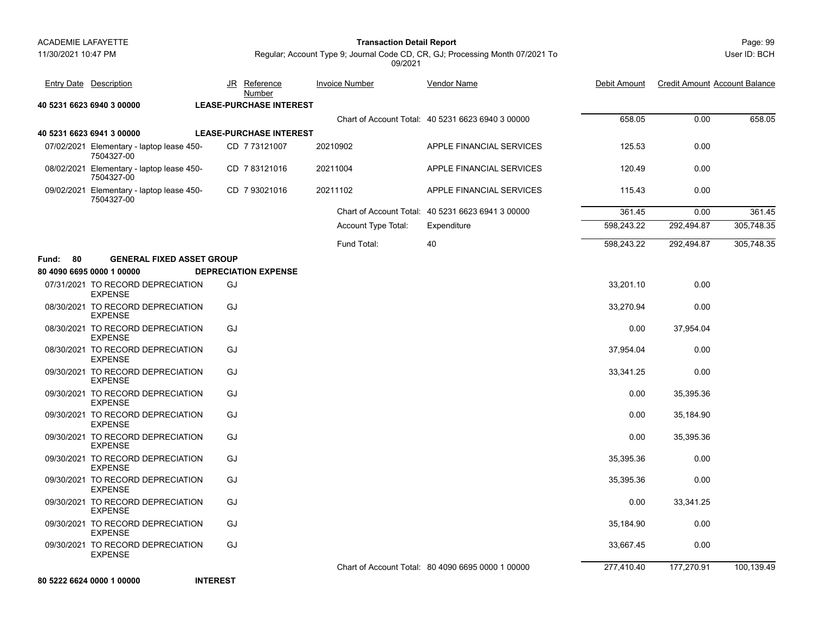**40 5231 6623 6940 3 00000 LEASE-PURCHASE INTEREST**

**40 5231 6623 6941 3 00000 LEASE-PURCHASE INTEREST**

### Page: 99 **Transaction Detail Report**

JR Reference Invoice Number

Entry Date Description **Entry Date Debit Amount** JR Reference Invoice Number Vendor Name

<u>Number</u>

User ID: BCH

Regular; Account Type 9; Journal Code CD, CR, GJ; Processing Month 07/2021 To 09/2021

Vendor Name

Chart of Account Total: 40 5231 6623 6940 3 00000658.05 0.00 658.05

<u>e</u> Debit Amount Credit Amount Account Balance

|          | 07/02/2021 Elementary - laptop lease 450-<br>7504327-00 | CD 7 73121007               | 20210902            | APPLE FINANCIAL SERVICES                          | 125.53     | 0.00       |            |
|----------|---------------------------------------------------------|-----------------------------|---------------------|---------------------------------------------------|------------|------------|------------|
|          | 08/02/2021 Elementary - laptop lease 450-<br>7504327-00 | CD 7 83121016               | 20211004            | APPLE FINANCIAL SERVICES                          | 120.49     | 0.00       |            |
|          | 09/02/2021 Elementary - laptop lease 450-<br>7504327-00 | CD 7 93021016               | 20211102            | APPLE FINANCIAL SERVICES                          | 115.43     | 0.00       |            |
|          |                                                         |                             |                     | Chart of Account Total: 40 5231 6623 6941 3 00000 | 361.45     | 0.00       | 361.45     |
|          |                                                         |                             | Account Type Total: | Expenditure                                       | 598,243.22 | 292,494.87 | 305,748.35 |
|          |                                                         |                             | Fund Total:         | 40                                                | 598,243.22 | 292,494.87 | 305,748.35 |
| Fund: 80 | <b>GENERAL FIXED ASSET GROUP</b>                        |                             |                     |                                                   |            |            |            |
|          | 80 4090 6695 0000 1 00000                               | <b>DEPRECIATION EXPENSE</b> |                     |                                                   |            |            |            |
|          | 07/31/2021 TO RECORD DEPRECIATION<br><b>EXPENSE</b>     | GJ                          |                     |                                                   | 33,201.10  | 0.00       |            |
|          | 08/30/2021 TO RECORD DEPRECIATION<br><b>EXPENSE</b>     | GJ                          |                     |                                                   | 33,270.94  | 0.00       |            |
|          | 08/30/2021 TO RECORD DEPRECIATION<br><b>EXPENSE</b>     | GJ                          |                     |                                                   | 0.00       | 37,954.04  |            |
|          | 08/30/2021 TO RECORD DEPRECIATION<br><b>EXPENSE</b>     | GJ                          |                     |                                                   | 37,954.04  | 0.00       |            |
|          | 09/30/2021 TO RECORD DEPRECIATION<br><b>EXPENSE</b>     | GJ                          |                     |                                                   | 33,341.25  | 0.00       |            |
|          | 09/30/2021 TO RECORD DEPRECIATION<br><b>EXPENSE</b>     | GJ                          |                     |                                                   | 0.00       | 35,395.36  |            |
|          | 09/30/2021 TO RECORD DEPRECIATION<br><b>EXPENSE</b>     | GJ                          |                     |                                                   | 0.00       | 35,184.90  |            |
|          | 09/30/2021 TO RECORD DEPRECIATION<br><b>EXPENSE</b>     | GJ                          |                     |                                                   | 0.00       | 35,395.36  |            |
|          | 09/30/2021 TO RECORD DEPRECIATION<br><b>EXPENSE</b>     | GJ                          |                     |                                                   | 35,395.36  | 0.00       |            |
|          | 09/30/2021 TO RECORD DEPRECIATION<br><b>EXPENSE</b>     | GJ                          |                     |                                                   | 35,395.36  | 0.00       |            |
|          | 09/30/2021 TO RECORD DEPRECIATION<br><b>EXPENSE</b>     | GJ                          |                     |                                                   | 0.00       | 33,341.25  |            |
|          | 09/30/2021 TO RECORD DEPRECIATION<br><b>EXPENSE</b>     | GJ                          |                     |                                                   | 35,184.90  | 0.00       |            |
|          | 09/30/2021 TO RECORD DEPRECIATION<br><b>EXPENSE</b>     | GJ                          |                     |                                                   | 33,667.45  | 0.00       |            |
|          |                                                         |                             |                     | Chart of Account Total: 80 4090 6695 0000 1 00000 | 277,410.40 | 177,270.91 | 100,139.49 |
|          | 80 5222 6624 0000 1 00000                               | <b>INTEREST</b>             |                     |                                                   |            |            |            |